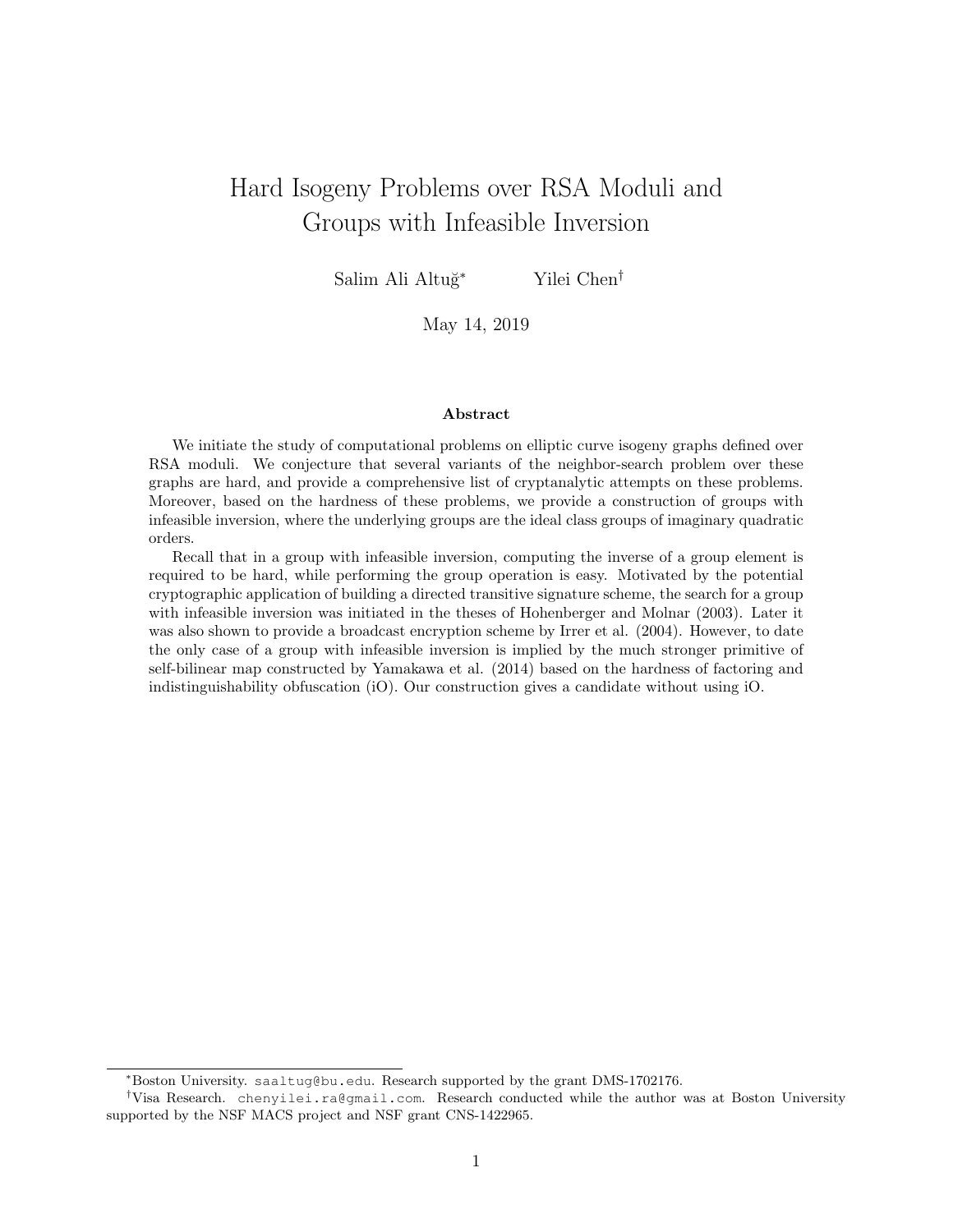# Hard Isogeny Problems over RSA Moduli and Groups with Infeasible Inversion

Salim Ali Altuğ<sup>∗</sup> Yilei Chen<sup>†</sup>

May 14, 2019

#### Abstract

We initiate the study of computational problems on elliptic curve isogeny graphs defined over RSA moduli. We conjecture that several variants of the neighbor-search problem over these graphs are hard, and provide a comprehensive list of cryptanalytic attempts on these problems. Moreover, based on the hardness of these problems, we provide a construction of groups with infeasible inversion, where the underlying groups are the ideal class groups of imaginary quadratic orders.

Recall that in a group with infeasible inversion, computing the inverse of a group element is required to be hard, while performing the group operation is easy. Motivated by the potential cryptographic application of building a directed transitive signature scheme, the search for a group with infeasible inversion was initiated in the theses of Hohenberger and Molnar (2003). Later it was also shown to provide a broadcast encryption scheme by Irrer et al.  $(2004)$ . However, to date the only case of a group with infeasible inversion is implied by the much stronger primitive of self-bilinear map constructed by Yamakawa et al. (2014) based on the hardness of factoring and indistinguishability obfuscation (iO). Our construction gives a candidate without using iO.

<sup>∗</sup>Boston University. saaltug@bu.edu. Research supported by the grant DMS-1702176.

<sup>†</sup>Visa Research. chenyilei.ra@gmail.com. Research conducted while the author was at Boston University supported by the NSF MACS project and NSF grant CNS-1422965.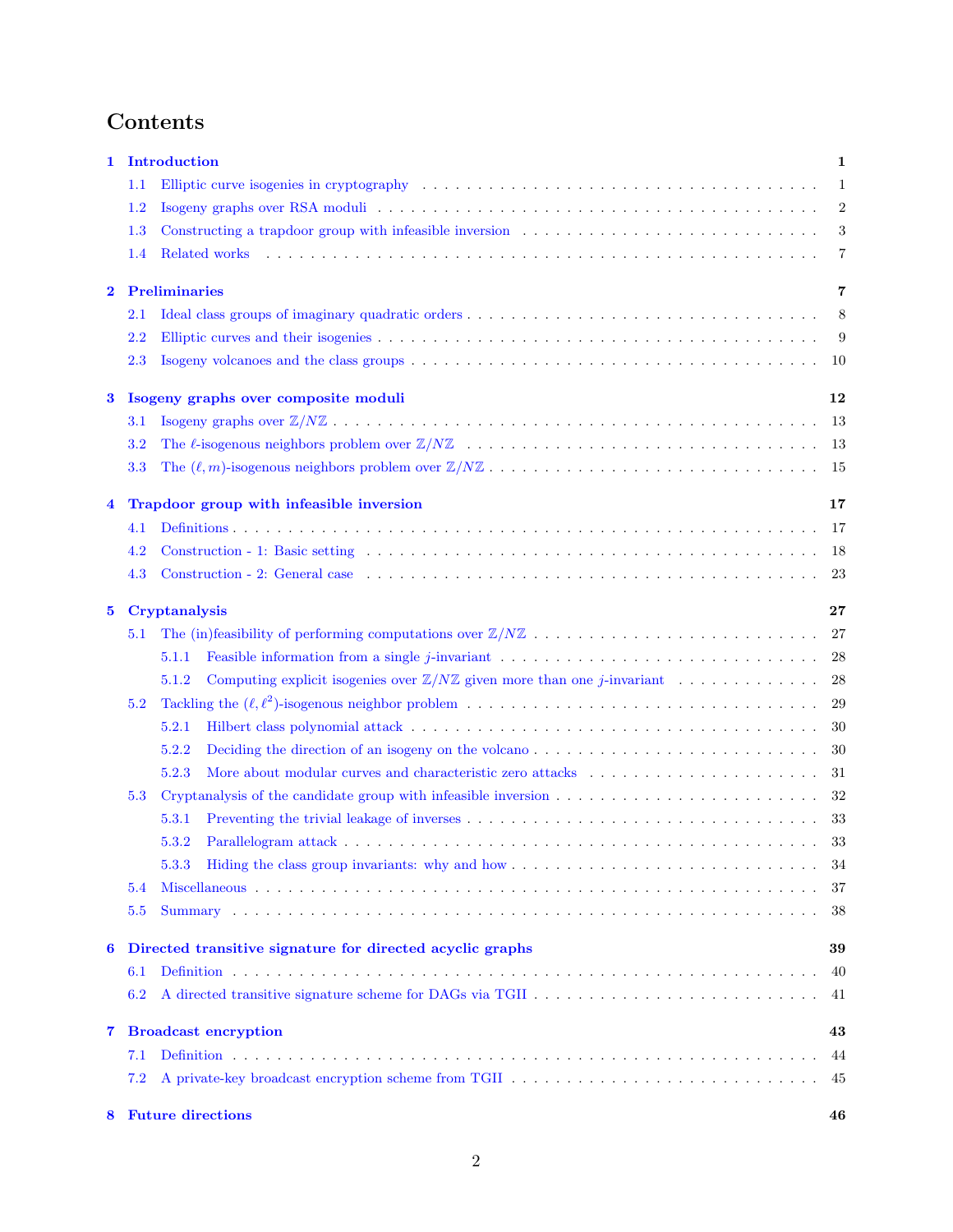# Contents

| 1                       |                             | Introduction<br>1                                                                                                                                                                                                                   |            |  |  |  |  |  |
|-------------------------|-----------------------------|-------------------------------------------------------------------------------------------------------------------------------------------------------------------------------------------------------------------------------------|------------|--|--|--|--|--|
|                         | 1.1                         | Elliptic curve isogenies in cryptography (ed. to a series of the series of the series of the series of the series of the series of the series of the series of the series of the series of the series of the series of the ser<br>1 |            |  |  |  |  |  |
|                         | $1.2\,$                     |                                                                                                                                                                                                                                     | $\sqrt{2}$ |  |  |  |  |  |
|                         | $1.3\,$                     |                                                                                                                                                                                                                                     | 3          |  |  |  |  |  |
|                         | 1.4                         | Related works                                                                                                                                                                                                                       | 7          |  |  |  |  |  |
| $\bf{2}$                |                             | <b>Preliminaries</b>                                                                                                                                                                                                                | 7          |  |  |  |  |  |
|                         | $2.1\,$                     |                                                                                                                                                                                                                                     | 8          |  |  |  |  |  |
|                         | $2.2\,$                     |                                                                                                                                                                                                                                     | 9          |  |  |  |  |  |
|                         | $2.3\,$                     |                                                                                                                                                                                                                                     | 10         |  |  |  |  |  |
| 3                       |                             | Isogeny graphs over composite moduli                                                                                                                                                                                                | 12         |  |  |  |  |  |
|                         | $3.1\,$                     |                                                                                                                                                                                                                                     | 13         |  |  |  |  |  |
|                         | $3.2\,$                     |                                                                                                                                                                                                                                     | -13        |  |  |  |  |  |
|                         | 3.3                         |                                                                                                                                                                                                                                     | -15        |  |  |  |  |  |
| $\overline{\mathbf{4}}$ |                             | Trapdoor group with infeasible inversion                                                                                                                                                                                            | 17         |  |  |  |  |  |
|                         | 4.1                         |                                                                                                                                                                                                                                     | 17         |  |  |  |  |  |
|                         | 4.2                         |                                                                                                                                                                                                                                     | -18        |  |  |  |  |  |
|                         | 4.3                         |                                                                                                                                                                                                                                     | 23         |  |  |  |  |  |
| $\bf{5}$                |                             | Cryptanalysis                                                                                                                                                                                                                       | 27         |  |  |  |  |  |
|                         | 5.1                         |                                                                                                                                                                                                                                     | 27         |  |  |  |  |  |
|                         |                             | Feasible information from a single j-invariant $\dots \dots \dots \dots \dots \dots \dots \dots \dots \dots \dots \dots$<br>5.1.1                                                                                                   | 28         |  |  |  |  |  |
|                         |                             | Computing explicit isogenies over $\mathbb{Z}/N\mathbb{Z}$ given more than one <i>j</i> -invariant<br>5.1.2                                                                                                                         | 28         |  |  |  |  |  |
|                         | 5.2                         |                                                                                                                                                                                                                                     | 29         |  |  |  |  |  |
|                         |                             | 5.2.1                                                                                                                                                                                                                               | 30         |  |  |  |  |  |
|                         |                             | 5.2.2<br>Deciding the direction of an isogeny on the volcano                                                                                                                                                                        | 30         |  |  |  |  |  |
|                         |                             | 5.2.3                                                                                                                                                                                                                               | 31         |  |  |  |  |  |
|                         | 5.3                         |                                                                                                                                                                                                                                     | 32         |  |  |  |  |  |
|                         |                             | 5.3.1                                                                                                                                                                                                                               | 33         |  |  |  |  |  |
|                         |                             | 5.3.2                                                                                                                                                                                                                               | 33         |  |  |  |  |  |
|                         |                             | 5.3.3                                                                                                                                                                                                                               | -34        |  |  |  |  |  |
|                         | 5.4                         | 37                                                                                                                                                                                                                                  |            |  |  |  |  |  |
|                         | 5.5                         |                                                                                                                                                                                                                                     | 38         |  |  |  |  |  |
| 6                       |                             | Directed transitive signature for directed acyclic graphs                                                                                                                                                                           |            |  |  |  |  |  |
|                         | 6.1                         | 40                                                                                                                                                                                                                                  |            |  |  |  |  |  |
|                         | 6.2                         |                                                                                                                                                                                                                                     | 41         |  |  |  |  |  |
| 7                       | <b>Broadcast encryption</b> |                                                                                                                                                                                                                                     |            |  |  |  |  |  |
|                         | 7.1                         |                                                                                                                                                                                                                                     | 44         |  |  |  |  |  |
|                         | 7.2                         | A private-key broadcast encryption scheme from TGII $\ldots \ldots \ldots \ldots \ldots \ldots \ldots \ldots \ldots \ldots \ldots$                                                                                                  | 45         |  |  |  |  |  |
| $8^{\circ}$             |                             | <b>Future directions</b>                                                                                                                                                                                                            | 46         |  |  |  |  |  |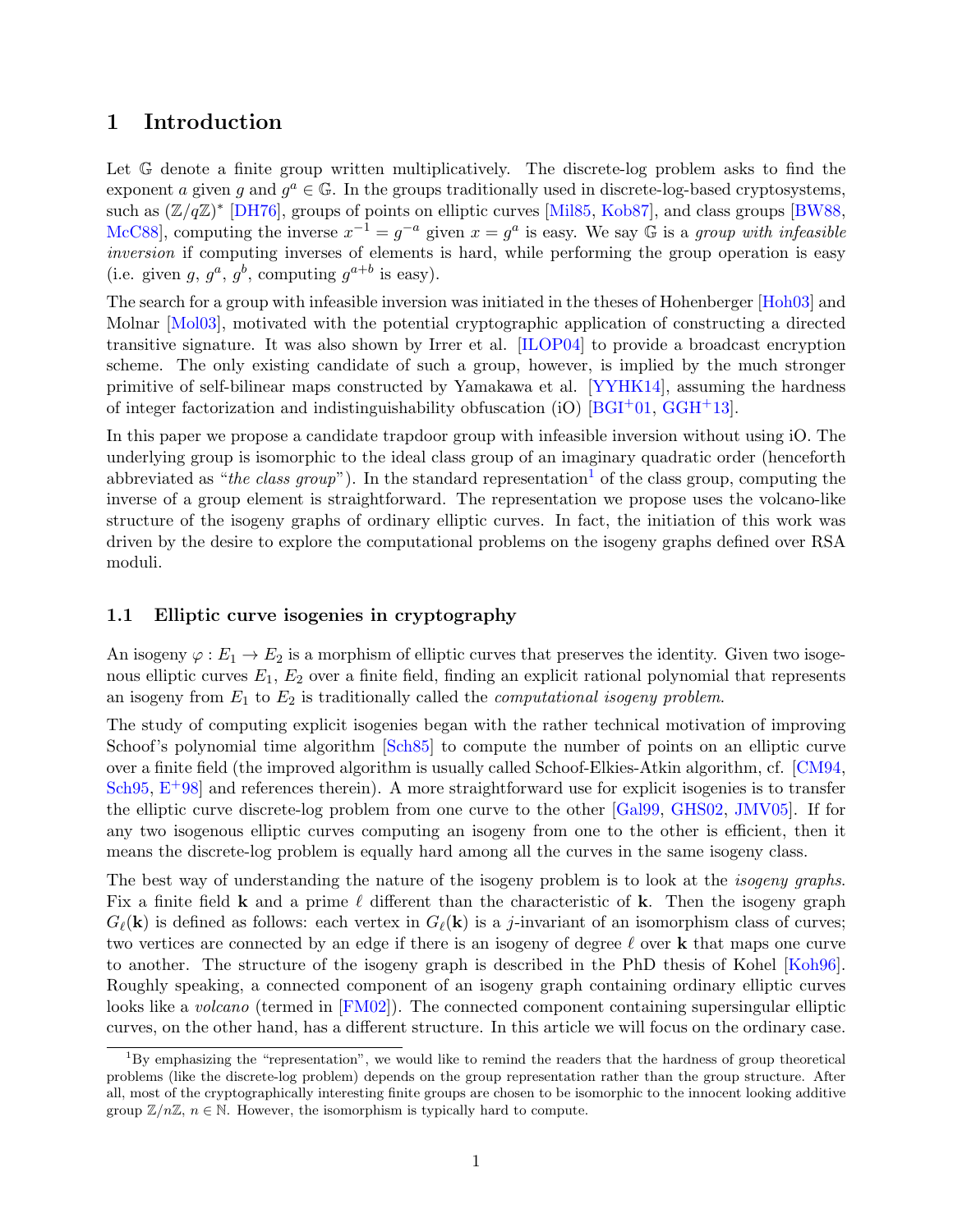## <span id="page-2-0"></span>1 Introduction

Let  $\mathbb{G}$  denote a finite group written multiplicatively. The discrete-log problem asks to find the exponent a given g and  $g^a \in \mathbb{G}$ . In the groups traditionally used in discrete-log-based cryptosystems, such as  $(\mathbb{Z}/q\mathbb{Z})^*$  [\[DH76\]](#page-50-0), groups of points on elliptic curves [\[Mil85,](#page-51-0) [Kob87\]](#page-51-1), and class groups [\[BW88,](#page-49-0) McC88, computing the inverse  $x^{-1} = g^{-a}$  given  $x = g^a$  is easy. We say  $\mathbb G$  is a group with infeasible inversion if computing inverses of elements is hard, while performing the group operation is easy (i.e. given  $g, g^a, g^b$ , computing  $g^{a+b}$  is easy).

The search for a group with infeasible inversion was initiated in the theses of Hohenberger [\[Hoh03\]](#page-51-3) and Molnar [\[Mol03\]](#page-52-0), motivated with the potential cryptographic application of constructing a directed transitive signature. It was also shown by Irrer et al. [\[ILOP04\]](#page-51-4) to provide a broadcast encryption scheme. The only existing candidate of such a group, however, is implied by the much stronger primitive of self-bilinear maps constructed by Yamakawa et al. [\[YYHK14\]](#page-53-0), assuming the hardness of integer factorization and indistinguishability obfuscation (iO)  $[BGI^+01, GGH^+13]$  $[BGI^+01, GGH^+13]$  $[BGI^+01, GGH^+13]$ .

In this paper we propose a candidate trapdoor group with infeasible inversion without using iO. The underlying group is isomorphic to the ideal class group of an imaginary quadratic order (henceforth abbreviated as "the class group"). In the standard representation<sup>[1](#page-2-2)</sup> of the class group, computing the inverse of a group element is straightforward. The representation we propose uses the volcano-like structure of the isogeny graphs of ordinary elliptic curves. In fact, the initiation of this work was driven by the desire to explore the computational problems on the isogeny graphs defined over RSA moduli.

#### <span id="page-2-1"></span>1.1 Elliptic curve isogenies in cryptography

An isogeny  $\varphi : E_1 \to E_2$  is a morphism of elliptic curves that preserves the identity. Given two isogenous elliptic curves  $E_1, E_2$  over a finite field, finding an explicit rational polynomial that represents an isogeny from  $E_1$  to  $E_2$  is traditionally called the *computational isogeny problem*.

The study of computing explicit isogenies began with the rather technical motivation of improving Schoof's polynomial time algorithm [\[Sch85\]](#page-52-1) to compute the number of points on an elliptic curve over a finite field (the improved algorithm is usually called Schoof-Elkies-Atkin algorithm, cf. [\[CM94,](#page-49-1) [Sch95,](#page-52-2)  $E+98$  and references therein). A more straightforward use for explicit isogenies is to transfer the elliptic curve discrete-log problem from one curve to the other [\[Gal99,](#page-50-3) [GHS02,](#page-50-4) [JMV05\]](#page-51-5). If for any two isogenous elliptic curves computing an isogeny from one to the other is efficient, then it means the discrete-log problem is equally hard among all the curves in the same isogeny class.

The best way of understanding the nature of the isogeny problem is to look at the *isogeny graphs*. Fix a finite field **k** and a prime  $\ell$  different than the characteristic of **k**. Then the isogeny graph  $G_{\ell}(\mathbf{k})$  is defined as follows: each vertex in  $G_{\ell}(\mathbf{k})$  is a j-invariant of an isomorphism class of curves; two vertices are connected by an edge if there is an isogeny of degree  $\ell$  over k that maps one curve to another. The structure of the isogeny graph is described in the PhD thesis of Kohel [\[Koh96\]](#page-51-6). Roughly speaking, a connected component of an isogeny graph containing ordinary elliptic curves looks like a *volcano* (termed in [\[FM02\]](#page-50-5)). The connected component containing supersingular elliptic curves, on the other hand, has a different structure. In this article we will focus on the ordinary case.

<span id="page-2-2"></span> $\overline{1}_{\text{BV}}$  emphasizing the "representation", we would like to remind the readers that the hardness of group theoretical problems (like the discrete-log problem) depends on the group representation rather than the group structure. After all, most of the cryptographically interesting finite groups are chosen to be isomorphic to the innocent looking additive group  $\mathbb{Z}/n\mathbb{Z}$ ,  $n \in \mathbb{N}$ . However, the isomorphism is typically hard to compute.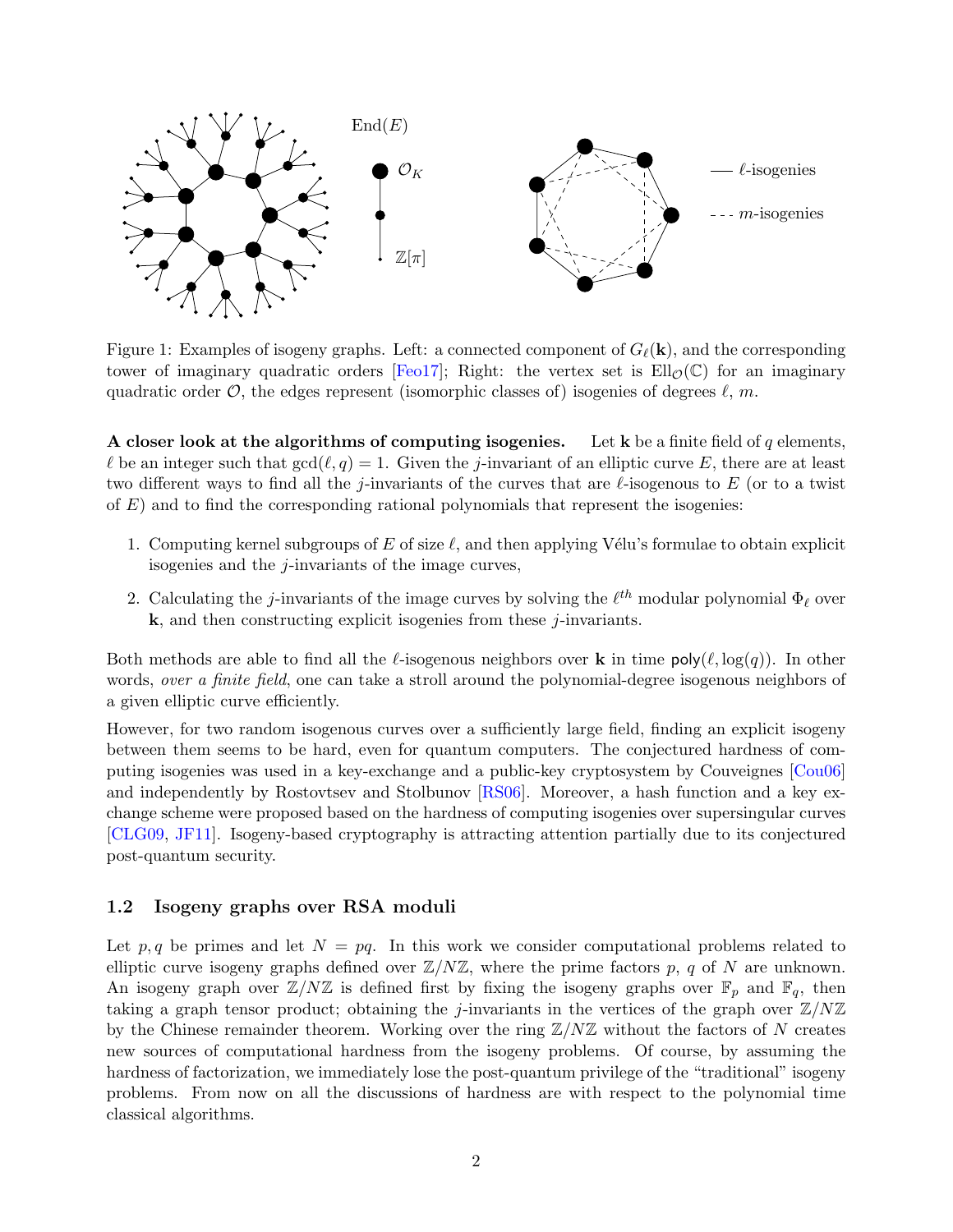

Figure 1: Examples of isogeny graphs. Left: a connected component of  $G_{\ell}(\mathbf{k})$ , and the corresponding tower of imaginary quadratic orders [\[Feo17\]](#page-50-6); Right: the vertex set is  $Ell_{\mathcal{O}}(\mathbb{C})$  for an imaginary quadratic order  $\mathcal{O}$ , the edges represent (isomorphic classes of) isogenies of degrees  $\ell$ , m.

A closer look at the algorithms of computing isogenies. Let k be a finite field of q elements,  $\ell$  be an integer such that  $gcd(\ell, q) = 1$ . Given the j-invariant of an elliptic curve E, there are at least two different ways to find all the j-invariants of the curves that are  $\ell$ -isogenous to E (or to a twist of  $E$ ) and to find the corresponding rational polynomials that represent the isogenies:

- 1. Computing kernel subgroups of E of size  $\ell$ , and then applying Vélu's formulae to obtain explicit isogenies and the  $j$ -invariants of the image curves,
- 2. Calculating the *j*-invariants of the image curves by solving the  $\ell^{th}$  modular polynomial  $\Phi_{\ell}$  over  $k$ , and then constructing explicit isogenies from these  $j$ -invariants.

Both methods are able to find all the  $\ell$ -isogenous neighbors over **k** in time  $\text{poly}(\ell, \log(q))$ . In other words, *over a finite field*, one can take a stroll around the polynomial-degree isogenous neighbors of a given elliptic curve efficiently.

However, for two random isogenous curves over a sufficiently large field, finding an explicit isogeny between them seems to be hard, even for quantum computers. The conjectured hardness of computing isogenies was used in a key-exchange and a public-key cryptosystem by Couveignes [\[Cou06\]](#page-49-2) and independently by Rostovtsev and Stolbunov [\[RS06\]](#page-52-3). Moreover, a hash function and a key exchange scheme were proposed based on the hardness of computing isogenies over supersingular curves [\[CLG09,](#page-49-3) [JF11\]](#page-51-7). Isogeny-based cryptography is attracting attention partially due to its conjectured post-quantum security.

#### <span id="page-3-0"></span>1.2 Isogeny graphs over RSA moduli

Let p, q be primes and let  $N = pq$ . In this work we consider computational problems related to elliptic curve isogeny graphs defined over  $\mathbb{Z}/N\mathbb{Z}$ , where the prime factors p, q of N are unknown. An isogeny graph over  $\mathbb{Z}/N\mathbb{Z}$  is defined first by fixing the isogeny graphs over  $\mathbb{F}_p$  and  $\mathbb{F}_q$ , then taking a graph tensor product; obtaining the j-invariants in the vertices of the graph over  $\mathbb{Z}/N\mathbb{Z}$ by the Chinese remainder theorem. Working over the ring  $\mathbb{Z}/N\mathbb{Z}$  without the factors of N creates new sources of computational hardness from the isogeny problems. Of course, by assuming the hardness of factorization, we immediately lose the post-quantum privilege of the "traditional" isogeny problems. From now on all the discussions of hardness are with respect to the polynomial time classical algorithms.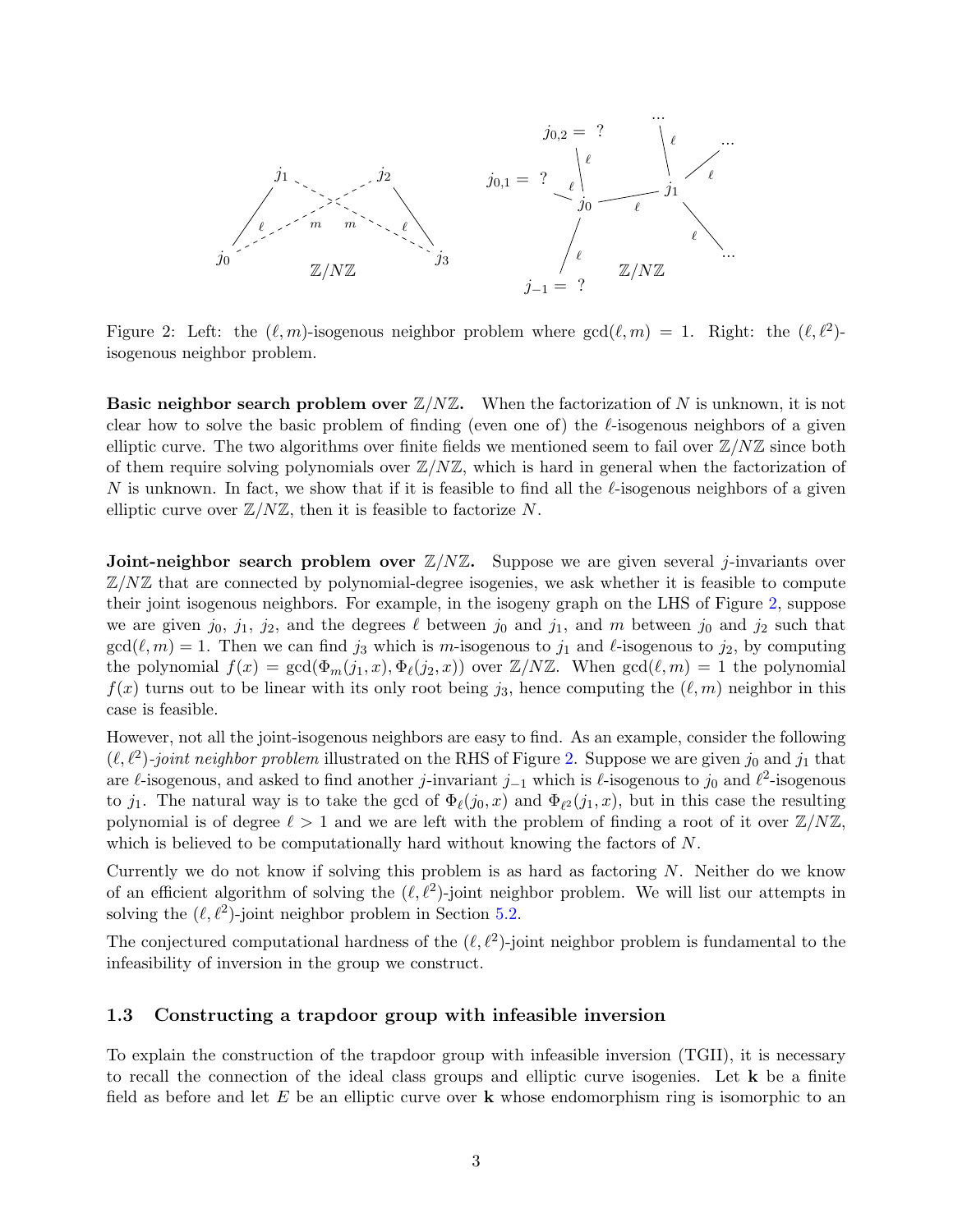

<span id="page-4-1"></span>Figure 2: Left: the  $(\ell, m)$ -isogenous neighbor problem where  $gcd(\ell, m) = 1$ . Right: the  $(\ell, \ell^2)$ isogenous neighbor problem.

**Basic neighbor search problem over**  $\mathbb{Z}/N\mathbb{Z}$ **.** When the factorization of N is unknown, it is not clear how to solve the basic problem of finding (even one of) the  $\ell$ -isogenous neighbors of a given elliptic curve. The two algorithms over finite fields we mentioned seem to fail over  $\mathbb{Z}/N\mathbb{Z}$  since both of them require solving polynomials over  $\mathbb{Z}/N\mathbb{Z}$ , which is hard in general when the factorization of N is unknown. In fact, we show that if it is feasible to find all the  $\ell$ -isogenous neighbors of a given elliptic curve over  $\mathbb{Z}/N\mathbb{Z}$ , then it is feasible to factorize N.

**Joint-neighbor search problem over**  $\mathbb{Z}/N\mathbb{Z}$ **.** Suppose we are given several *j*-invariants over  $\mathbb{Z}/N\mathbb{Z}$  that are connected by polynomial-degree isogenies, we ask whether it is feasible to compute their joint isogenous neighbors. For example, in the isogeny graph on the LHS of Figure [2,](#page-4-1) suppose we are given  $j_0$ ,  $j_1$ ,  $j_2$ , and the degrees  $\ell$  between  $j_0$  and  $j_1$ , and m between  $j_0$  and  $j_2$  such that  $gcd(\ell, m) = 1$ . Then we can find j<sub>3</sub> which is m-isogenous to j<sub>1</sub> and  $\ell$ -isogenous to j<sub>2</sub>, by computing the polynomial  $f(x) = \gcd(\Phi_m(j_1, x), \Phi_{\ell}(j_2, x))$  over  $\mathbb{Z}/N\mathbb{Z}$ . When  $\gcd(\ell, m) = 1$  the polynomial  $f(x)$  turns out to be linear with its only root being  $j_3$ , hence computing the  $(\ell, m)$  neighbor in this case is feasible.

However, not all the joint-isogenous neighbors are easy to find. As an example, consider the following  $(\ell, \ell^2)$ -joint neighbor problem illustrated on the RHS of Figure [2.](#page-4-1) Suppose we are given  $j_0$  and  $j_1$  that are  $\ell$ -isogenous, and asked to find another j-invariant j<sub>-1</sub> which is  $\ell$ -isogenous to j<sub>0</sub> and  $\ell^2$ -isogenous to  $j_1$ . The natural way is to take the gcd of  $\Phi_{\ell}(j_0, x)$  and  $\Phi_{\ell^2}(j_1, x)$ , but in this case the resulting polynomial is of degree  $\ell > 1$  and we are left with the problem of finding a root of it over  $\mathbb{Z}/N\mathbb{Z}$ , which is believed to be computationally hard without knowing the factors of N.

Currently we do not know if solving this problem is as hard as factoring N. Neither do we know of an efficient algorithm of solving the  $(\ell, \ell^2)$ -joint neighbor problem. We will list our attempts in solving the  $(\ell, \ell^2)$ -joint neighbor problem in Section [5.2.](#page-30-0)

The conjectured computational hardness of the  $(\ell, \ell^2)$ -joint neighbor problem is fundamental to the infeasibility of inversion in the group we construct.

#### <span id="page-4-0"></span>1.3 Constructing a trapdoor group with infeasible inversion

To explain the construction of the trapdoor group with infeasible inversion (TGII), it is necessary to recall the connection of the ideal class groups and elliptic curve isogenies. Let k be a finite field as before and let  $E$  be an elliptic curve over  $k$  whose endomorphism ring is isomorphic to an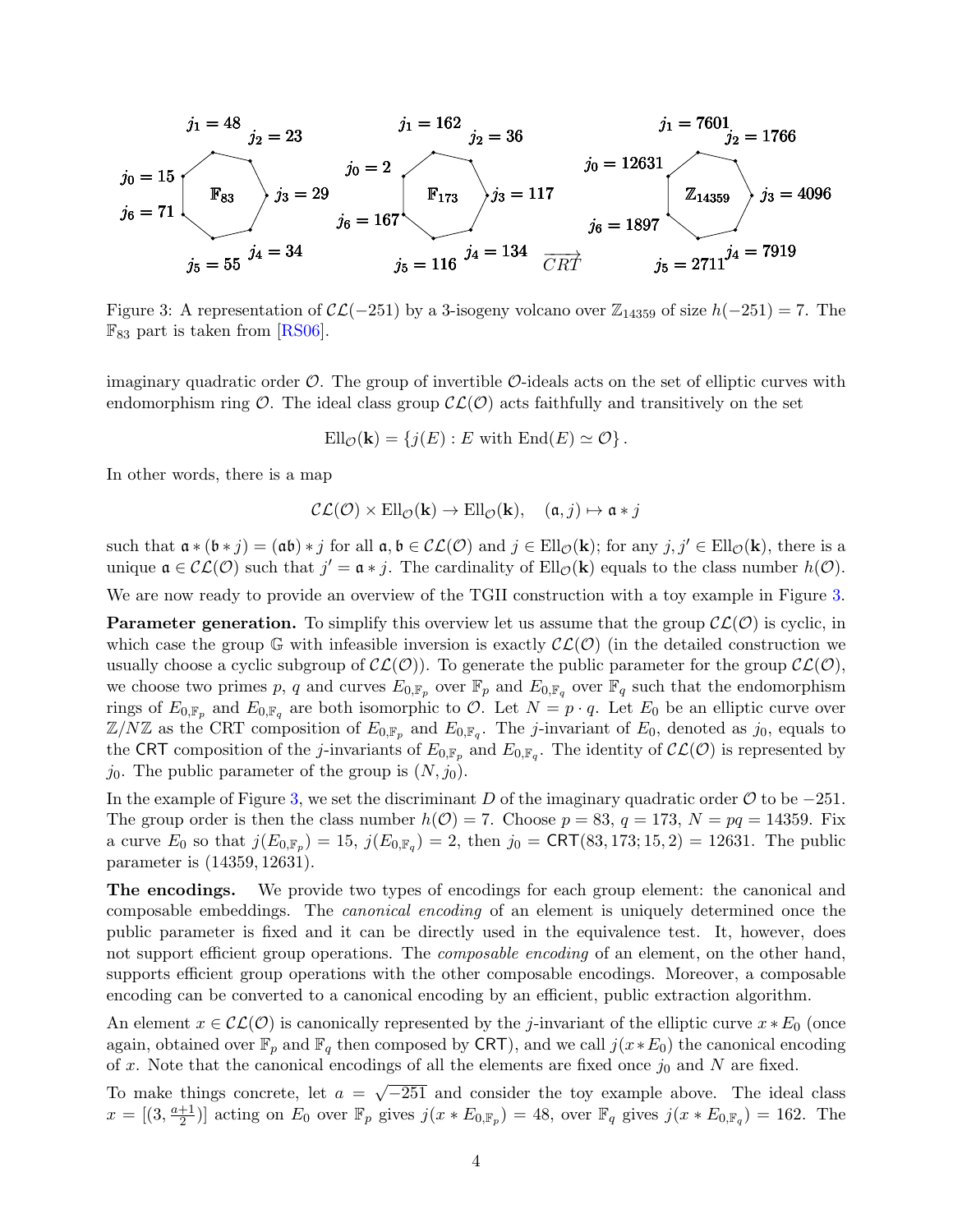$$
j_1 = 48
$$
  
\n $j_2 = 23$   
\n $j_3 = 29$   
\n $j_4 = 162$   
\n $j_2 = 36$   
\n $j_1 = 7601$   
\n $j_2 = 1766$   
\n $j_3 = 1766$   
\n $j_4 = 134$   
\n $j_5 = 55$   
\n $j_3 = 29$   
\n $j_6 = 167$   
\n $j_7 = 7601$   
\n $j_8 = 12631$   
\n $j_9 = 12631$   
\n $j_6 = 1897$   
\n $j_7 = 12631$   
\n $j_8 = 1897$   
\n $j_9 = 12631$   
\n $j_9 = 12631$   
\n $j_9 = 12631$   
\n $j_9 = 1897$   
\n $j_1 = 7601$   
\n $j_2 = 1766$   
\n $j_3 = 4096$   
\n $j_4 = 7919$ 

<span id="page-5-0"></span>Figure 3: A representation of  $\mathcal{CL}(-251)$  by a 3-isogeny volcano over  $\mathbb{Z}_{14359}$  of size  $h(-251) = 7$ . The  $\mathbb{F}_{83}$  part is taken from [\[RS06\]](#page-52-3).

imaginary quadratic order  $\mathcal{O}$ . The group of invertible  $\mathcal{O}$ -ideals acts on the set of elliptic curves with endomorphism ring  $\mathcal{O}$ . The ideal class group  $\mathcal{CL}(\mathcal{O})$  acts faithfully and transitively on the set

$$
\mathrm{Ell}_{\mathcal{O}}(\mathbf{k}) = \{j(E) : E \text{ with } \mathrm{End}(E) \simeq \mathcal{O}\}.
$$

In other words, there is a map

$$
\mathcal{CL}(\mathcal{O}) \times \text{Ell}_{\mathcal{O}}(\mathbf{k}) \to \text{Ell}_{\mathcal{O}}(\mathbf{k}), \quad (\mathfrak{a}, j) \mapsto \mathfrak{a} * j
$$

such that  $\mathfrak{a} * (\mathfrak{b} * j) = (\mathfrak{a}\mathfrak{b}) * j$  for all  $\mathfrak{a}, \mathfrak{b} \in \mathcal{CL}(\mathcal{O})$  and  $j \in \text{Ell}_{\mathcal{O}}(\mathbf{k})$ ; for any  $j, j' \in \text{Ell}_{\mathcal{O}}(\mathbf{k})$ , there is a unique  $\mathfrak{a} \in \mathcal{CL}(\mathcal{O})$  such that  $j' = \mathfrak{a} * j$ . The cardinality of  $Ell_{\mathcal{O}}(\mathbf{k})$  equals to the class number  $h(\mathcal{O})$ .

We are now ready to provide an overview of the TGII construction with a toy example in Figure [3.](#page-5-0)

**Parameter generation.** To simplify this overview let us assume that the group  $\mathcal{CL}(\mathcal{O})$  is cyclic, in which case the group G with infeasible inversion is exactly  $\mathcal{CL}(\mathcal{O})$  (in the detailed construction we usually choose a cyclic subgroup of  $\mathcal{CL}(\mathcal{O})$ . To generate the public parameter for the group  $\mathcal{CL}(\mathcal{O})$ , we choose two primes p, q and curves  $E_{0,\mathbb{F}_p}$  over  $\mathbb{F}_p$  and  $E_{0,\mathbb{F}_q}$  over  $\mathbb{F}_q$  such that the endomorphism rings of  $E_{0,\mathbb{F}_p}$  and  $E_{0,\mathbb{F}_q}$  are both isomorphic to  $\mathcal{O}$ . Let  $N = p \cdot q$ . Let  $E_0$  be an elliptic curve over  $\mathbb{Z}/N\mathbb{Z}$  as the CRT composition of  $E_{0,\mathbb{F}_p}$  and  $E_{0,\mathbb{F}_q}$ . The *j*-invariant of  $E_0$ , denoted as  $j_0$ , equals to the CRT composition of the *j*-invariants of  $E_{0,\mathbb{F}_p}$  and  $E_{0,\mathbb{F}_q}$ . The identity of  $\mathcal{CL}(\mathcal{O})$  is represented by  $j_0$ . The public parameter of the group is  $(N, j_0)$ .

In the example of Figure [3,](#page-5-0) we set the discriminant D of the imaginary quadratic order  $\mathcal O$  to be  $-251$ . The group order is then the class number  $h(\mathcal{O}) = 7$ . Choose  $p = 83$ ,  $q = 173$ ,  $N = pq = 14359$ . Fix a curve  $E_0$  so that  $j(E_{0,\mathbb{F}_p}) = 15$ ,  $j(E_{0,\mathbb{F}_q}) = 2$ , then  $j_0 = \text{CRT}(83, 173; 15, 2) = 12631$ . The public parameter is (14359, 12631).

The encodings. We provide two types of encodings for each group element: the canonical and composable embeddings. The canonical encoding of an element is uniquely determined once the public parameter is fixed and it can be directly used in the equivalence test. It, however, does not support efficient group operations. The *composable encoding* of an element, on the other hand, supports efficient group operations with the other composable encodings. Moreover, a composable encoding can be converted to a canonical encoding by an efficient, public extraction algorithm.

An element  $x \in \mathcal{CL}(\mathcal{O})$  is canonically represented by the j-invariant of the elliptic curve  $x * E_0$  (once again, obtained over  $\mathbb{F}_p$  and  $\mathbb{F}_q$  then composed by CRT), and we call  $j(x * E_0)$  the canonical encoding of x. Note that the canonical encodings of all the elements are fixed once  $j_0$  and N are fixed.

To make things concrete, let  $a =$ √  $\overline{-251}$  and consider the toy example above. The ideal class  $x = [(3, \frac{a+1}{2})]$  $\frac{+1}{2}$ ] acting on  $E_0$  over  $\mathbb{F}_p$  gives  $j(x * E_{0,\mathbb{F}_p}) = 48$ , over  $\mathbb{F}_q$  gives  $j(x * E_{0,\mathbb{F}_q}) = 162$ . The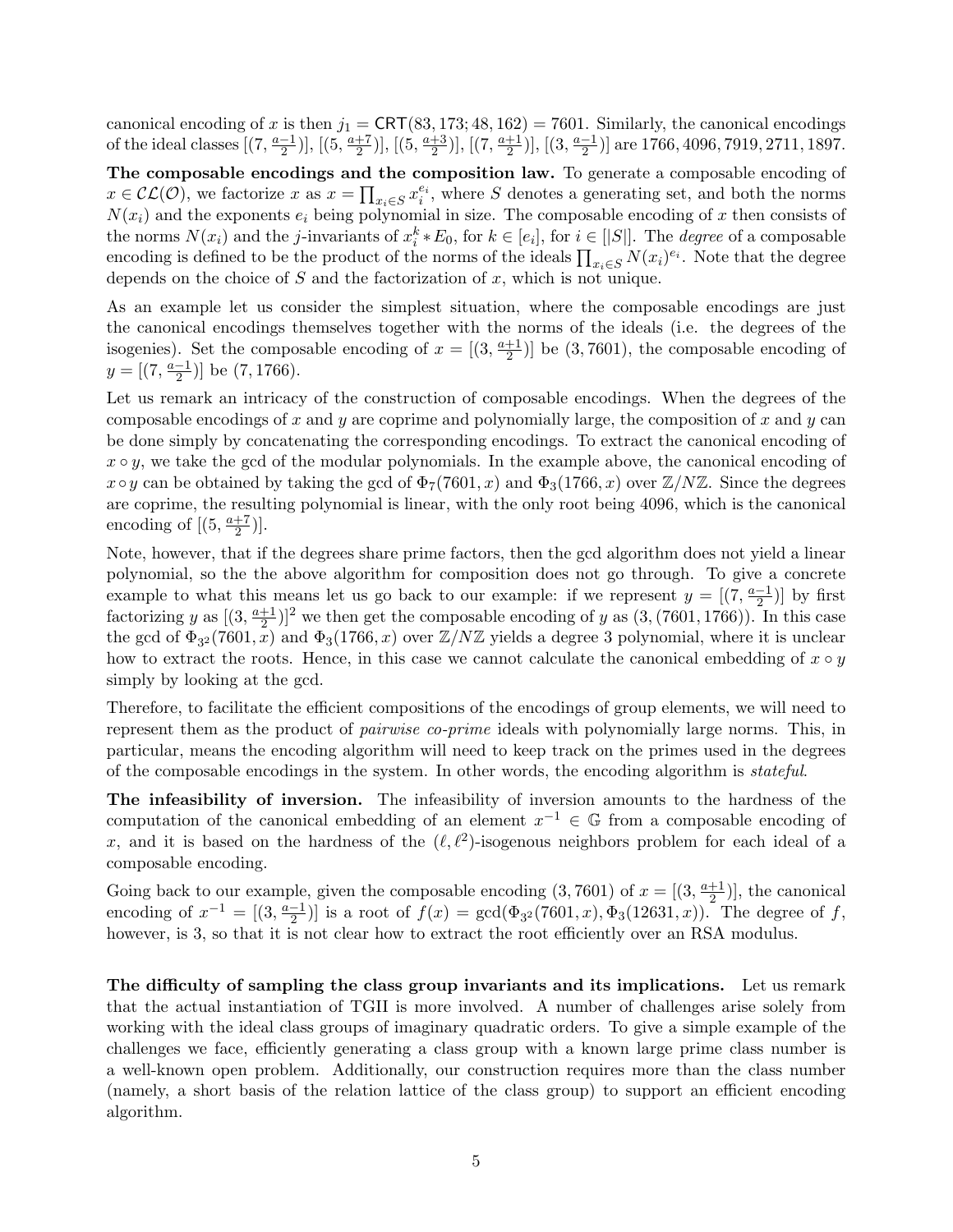canonical encoding of x is then  $j_1 = \text{CRT}(83, 173; 48, 162) = 7601$ . Similarly, the canonical encodings of the ideal classes  $(7, \frac{a-1}{2})$  $\frac{-1}{2})$ ,  $[(5, \frac{a+7}{2})]$  $\frac{+7}{2})$ ,  $[(5, \frac{a+3}{2})]$  $\frac{+3}{2})$ ], [(7,  $\frac{a+1}{2}$  $\frac{+1}{2})$ ,  $[(3, \frac{a-1}{2})]$  $\frac{-1}{2}$ ] are 1766, 4096, 7919, 2711, 1897.

The composable encodings and the composition law. To generate a composable encoding of  $x \in \mathcal{CL}(\mathcal{O})$ , we factorize x as  $x = \prod_{x_i \in S} x_i^{e_i}$ , where S denotes a generating set, and both the norms  $N(x_i)$  and the exponents  $e_i$  being polynomial in size. The composable encoding of x then consists of the norms  $N(x_i)$  and the *j*-invariants of  $x_i^k * E_0$ , for  $k \in [e_i]$ , for  $i \in [|S|]$ . The *degree* of a composable encoding is defined to be the product of the norms of the ideals  $\prod_{x_i \in S} N(x_i)^{e_i}$ . Note that the degree depends on the choice of  $S$  and the factorization of  $x$ , which is not unique.

As an example let us consider the simplest situation, where the composable encodings are just the canonical encodings themselves together with the norms of the ideals (i.e. the degrees of the isogenies). Set the composable encoding of  $x = \left[\left(3, \frac{a+1}{2}\right)\right]$  $\frac{+1}{2}$ ] be (3,7601), the composable encoding of  $y=[(7,\frac{a-1}{2})]$  $\frac{-1}{2}$ ] be  $(7, 1766)$ .

Let us remark an intricacy of the construction of composable encodings. When the degrees of the composable encodings of x and y are coprime and polynomially large, the composition of x and y can be done simply by concatenating the corresponding encodings. To extract the canonical encoding of  $x \circ y$ , we take the gcd of the modular polynomials. In the example above, the canonical encoding of  $x \circ y$  can be obtained by taking the gcd of  $\Phi_7(7601, x)$  and  $\Phi_3(1766, x)$  over  $\mathbb{Z}/N\mathbb{Z}$ . Since the degrees are coprime, the resulting polynomial is linear, with the only root being 4096, which is the canonical encoding of  $(5, \frac{a+7}{2})$  $\frac{+7}{2})].$ 

Note, however, that if the degrees share prime factors, then the gcd algorithm does not yield a linear polynomial, so the the above algorithm for composition does not go through. To give a concrete example to what this means let us go back to our example: if we represent  $y = \left[\frac{7}{2}, \frac{a-1}{2}\right]$  $\frac{-1}{2}$ ) by first factorizing y as  $(3, \frac{a+1}{2})$  $(\frac{+1}{2})^2$  we then get the composable encoding of y as  $(3, (7601, 1766))$ . In this case the gcd of  $\Phi_{3^2}(7601, x)$  and  $\Phi_3(1766, x)$  over  $\mathbb{Z}/N\mathbb{Z}$  yields a degree 3 polynomial, where it is unclear how to extract the roots. Hence, in this case we cannot calculate the canonical embedding of  $x \circ y$ simply by looking at the gcd.

Therefore, to facilitate the efficient compositions of the encodings of group elements, we will need to represent them as the product of pairwise co-prime ideals with polynomially large norms. This, in particular, means the encoding algorithm will need to keep track on the primes used in the degrees of the composable encodings in the system. In other words, the encoding algorithm is stateful.

The infeasibility of inversion. The infeasibility of inversion amounts to the hardness of the computation of the canonical embedding of an element  $x^{-1} \in \mathbb{G}$  from a composable encoding of x, and it is based on the hardness of the  $(\ell, \ell^2)$ -isogenous neighbors problem for each ideal of a composable encoding.

Going back to our example, given the composable encoding  $(3, 7601)$  of  $x = [(3, \frac{a+1}{2})]$  $\frac{+1}{2}$ ], the canonical encoding of  $x^{-1} = \left[ \frac{3}{2}, \frac{a-1}{2} \right]$  $\left[\frac{-1}{2}\right]$  is a root of  $f(x) = \gcd(\Phi_{3^2}(7601, x), \Phi_3(12631, x))$ . The degree of f, however, is 3, so that it is not clear how to extract the root efficiently over an RSA modulus.

The difficulty of sampling the class group invariants and its implications. Let us remark that the actual instantiation of TGII is more involved. A number of challenges arise solely from working with the ideal class groups of imaginary quadratic orders. To give a simple example of the challenges we face, efficiently generating a class group with a known large prime class number is a well-known open problem. Additionally, our construction requires more than the class number (namely, a short basis of the relation lattice of the class group) to support an efficient encoding algorithm.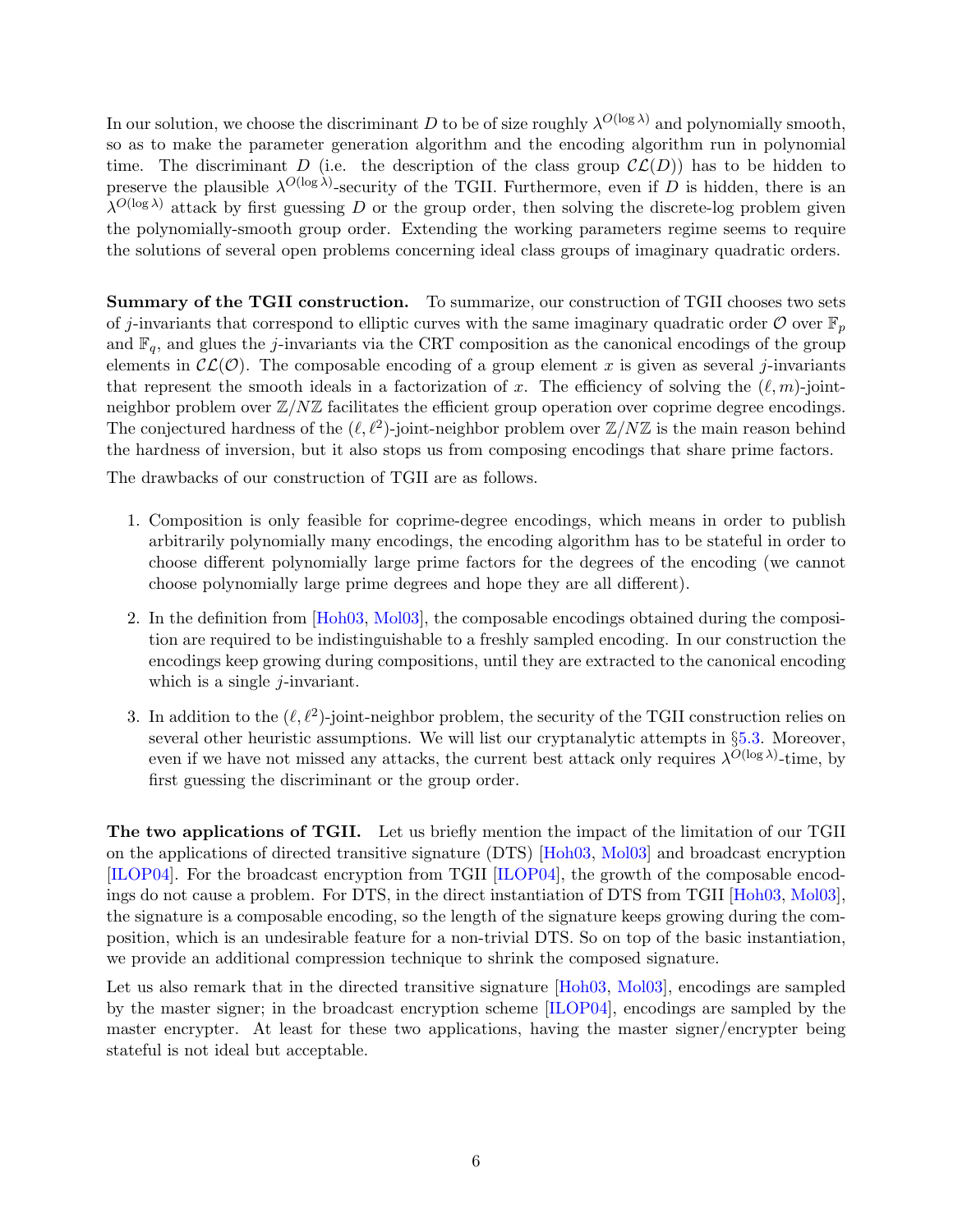In our solution, we choose the discriminant D to be of size roughly  $\lambda^{O(\log \lambda)}$  and polynomially smooth, so as to make the parameter generation algorithm and the encoding algorithm run in polynomial time. The discriminant D (i.e. the description of the class group  $\mathcal{CL}(D)$ ) has to be hidden to preserve the plausible  $\lambda^{O(\log \lambda)}$ -security of the TGII. Furthermore, even if D is hidden, there is an  $\lambda^{O(\log \lambda)}$  attack by first guessing D or the group order, then solving the discrete-log problem given the polynomially-smooth group order. Extending the working parameters regime seems to require the solutions of several open problems concerning ideal class groups of imaginary quadratic orders.

Summary of the TGII construction. To summarize, our construction of TGII chooses two sets of j-invariants that correspond to elliptic curves with the same imaginary quadratic order  $\mathcal O$  over  $\mathbb F_p$ and  $\mathbb{F}_q$ , and glues the j-invariants via the CRT composition as the canonical encodings of the group elements in  $\mathcal{CL}(\mathcal{O})$ . The composable encoding of a group element x is given as several j-invariants that represent the smooth ideals in a factorization of x. The efficiency of solving the  $(\ell, m)$ -jointneighbor problem over  $\mathbb{Z}/N\mathbb{Z}$  facilitates the efficient group operation over coprime degree encodings. The conjectured hardness of the  $(\ell, \ell^2)$ -joint-neighbor problem over  $\mathbb{Z}/N\mathbb{Z}$  is the main reason behind the hardness of inversion, but it also stops us from composing encodings that share prime factors.

The drawbacks of our construction of TGII are as follows.

- 1. Composition is only feasible for coprime-degree encodings, which means in order to publish arbitrarily polynomially many encodings, the encoding algorithm has to be stateful in order to choose different polynomially large prime factors for the degrees of the encoding (we cannot choose polynomially large prime degrees and hope they are all different).
- 2. In the definition from [\[Hoh03,](#page-51-3) [Mol03\]](#page-52-0), the composable encodings obtained during the composition are required to be indistinguishable to a freshly sampled encoding. In our construction the encodings keep growing during compositions, until they are extracted to the canonical encoding which is a single  $j$ -invariant.
- 3. In addition to the  $(\ell, \ell^2)$ -joint-neighbor problem, the security of the TGII construction relies on several other heuristic assumptions. We will list our cryptanalytic attempts in §[5.3.](#page-33-0) Moreover, even if we have not missed any attacks, the current best attack only requires  $\lambda^{O(\log \lambda)}$ -time, by first guessing the discriminant or the group order.

The two applications of TGII. Let us briefly mention the impact of the limitation of our TGII on the applications of directed transitive signature (DTS) [\[Hoh03,](#page-51-3) [Mol03\]](#page-52-0) and broadcast encryption [\[ILOP04\]](#page-51-4). For the broadcast encryption from TGII [\[ILOP04\]](#page-51-4), the growth of the composable encodings do not cause a problem. For DTS, in the direct instantiation of DTS from TGII [\[Hoh03,](#page-51-3) [Mol03\]](#page-52-0), the signature is a composable encoding, so the length of the signature keeps growing during the composition, which is an undesirable feature for a non-trivial DTS. So on top of the basic instantiation, we provide an additional compression technique to shrink the composed signature.

Let us also remark that in the directed transitive signature [\[Hoh03,](#page-51-3) [Mol03\]](#page-52-0), encodings are sampled by the master signer; in the broadcast encryption scheme [\[ILOP04\]](#page-51-4), encodings are sampled by the master encrypter. At least for these two applications, having the master signer/encrypter being stateful is not ideal but acceptable.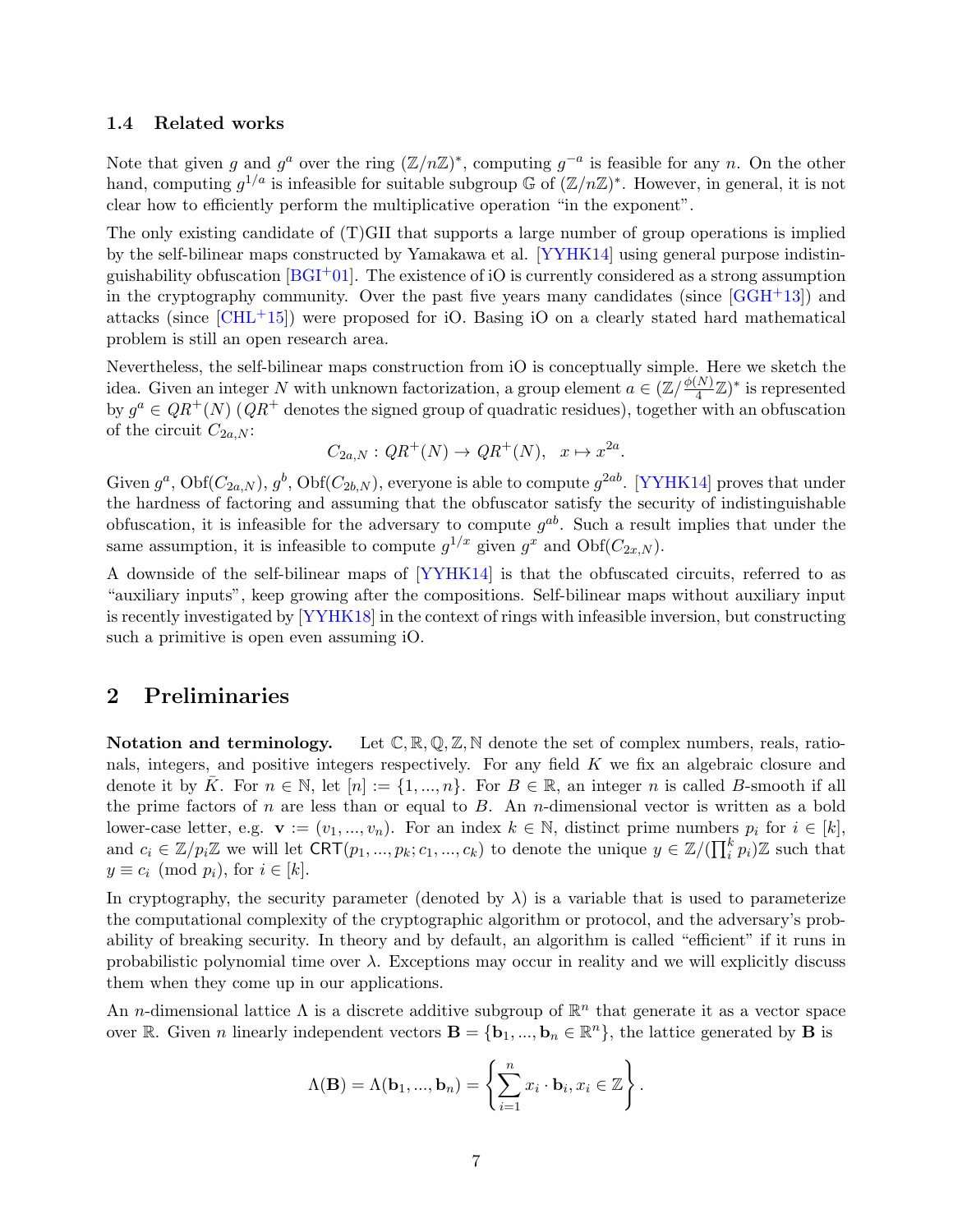#### <span id="page-8-0"></span>1.4 Related works

Note that given g and  $g^a$  over the ring  $(\mathbb{Z}/n\mathbb{Z})^*$ , computing  $g^{-a}$  is feasible for any n. On the other hand, computing  $g^{1/a}$  is infeasible for suitable subgroup G of  $(\mathbb{Z}/n\mathbb{Z})^*$ . However, in general, it is not clear how to efficiently perform the multiplicative operation "in the exponent".

The only existing candidate of (T)GII that supports a large number of group operations is implied by the self-bilinear maps constructed by Yamakawa et al. [\[YYHK14\]](#page-53-0) using general purpose indistinguishability obfuscation  $[**BGI** + 01]$ . The existence of iO is currently considered as a strong assumption in the cryptography community. Over the past five years many candidates (since  $[GGH<sup>+</sup>13]$ ) and attacks (since  $[CHL+15]$ ) were proposed for iO. Basing iO on a clearly stated hard mathematical problem is still an open research area.

Nevertheless, the self-bilinear maps construction from iO is conceptually simple. Here we sketch the idea. Given an integer N with unknown factorization, a group element  $a \in (\mathbb{Z}/\frac{\phi(N)}{4})$  $\frac{(N)}{4} \mathbb{Z}$ <sup>\*</sup> is represented by  $g^a \in QR^+(N)$  ( $QR^+$  denotes the signed group of quadratic residues), together with an obfuscation of the circuit  $C_{2a,N}$ :

$$
C_{2a,N}: QR^+(N) \to QR^+(N), \quad x \mapsto x^{2a}.
$$

Given  $g^a$ , Obf $(C_{2a,N})$ ,  $g^b$ , Obf $(C_{2b,N})$ , everyone is able to compute  $g^{2ab}$ . [\[YYHK14\]](#page-53-0) proves that under the hardness of factoring and assuming that the obfuscator satisfy the security of indistinguishable obfuscation, it is infeasible for the adversary to compute  $g^{ab}$ . Such a result implies that under the same assumption, it is infeasible to compute  $g^{1/x}$  given  $g^x$  and  $Obf(C_{2x,N})$ .

A downside of the self-bilinear maps of [\[YYHK14\]](#page-53-0) is that the obfuscated circuits, referred to as "auxiliary inputs", keep growing after the compositions. Self-bilinear maps without auxiliary input is recently investigated by [\[YYHK18\]](#page-53-1) in the context of rings with infeasible inversion, but constructing such a primitive is open even assuming iO.

## <span id="page-8-1"></span>2 Preliminaries

**Notation and terminology.** Let  $\mathbb{C}, \mathbb{R}, \mathbb{Q}, \mathbb{Z}, \mathbb{N}$  denote the set of complex numbers, reals, rationals, integers, and positive integers respectively. For any field K we fix an algebraic closure and denote it by  $\overline{K}$ . For  $n \in \mathbb{N}$ , let  $[n] := \{1, ..., n\}$ . For  $B \in \mathbb{R}$ , an integer n is called B-smooth if all the prime factors of n are less than or equal to  $B$ . An n-dimensional vector is written as a bold lower-case letter, e.g.  $\mathbf{v} := (v_1, ..., v_n)$ . For an index  $k \in \mathbb{N}$ , distinct prime numbers  $p_i$  for  $i \in [k]$ , and  $c_i \in \mathbb{Z}/p_i\mathbb{Z}$  we will let  $CRT(p_1, ..., p_k; c_1, ..., c_k)$  to denote the unique  $y \in \mathbb{Z}/(\prod_i^k p_i)\mathbb{Z}$  such that  $y \equiv c_i \pmod{p_i}$ , for  $i \in [k]$ .

In cryptography, the security parameter (denoted by  $\lambda$ ) is a variable that is used to parameterize the computational complexity of the cryptographic algorithm or protocol, and the adversary's probability of breaking security. In theory and by default, an algorithm is called "efficient" if it runs in probabilistic polynomial time over  $\lambda$ . Exceptions may occur in reality and we will explicitly discuss them when they come up in our applications.

An *n*-dimensional lattice  $\Lambda$  is a discrete additive subgroup of  $\mathbb{R}^n$  that generate it as a vector space over R. Given *n* linearly independent vectors  $\mathbf{B} = \{\mathbf{b}_1, ..., \mathbf{b}_n \in \mathbb{R}^n\}$ , the lattice generated by **B** is

$$
\Lambda(\mathbf{B}) = \Lambda(\mathbf{b}_1, ..., \mathbf{b}_n) = \left\{ \sum_{i=1}^n x_i \cdot \mathbf{b}_i, x_i \in \mathbb{Z} \right\}.
$$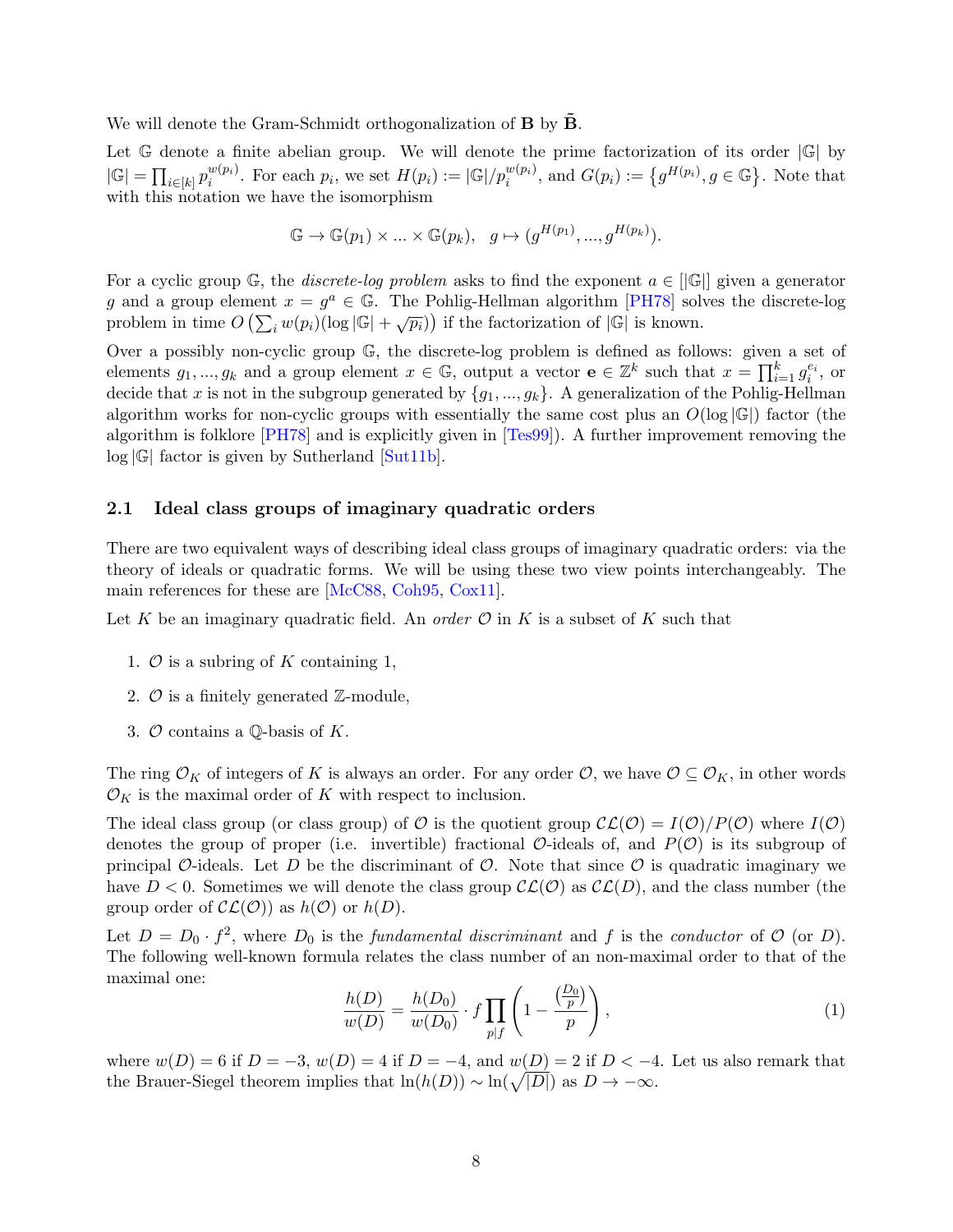We will denote the Gram-Schmidt orthogonalization of  $B$  by  $\tilde{B}$ .

Let  $\mathbb G$  denote a finite abelian group. We will denote the prime factorization of its order  $|\mathbb G|$  by  $|\mathbb{G}| = \prod_{i \in [k]} p_i^{w(p_i)}$  $i^{w(p_i)}$ . For each  $p_i$ , we set  $H(p_i) := |\mathbb{G}|/p_i^{w(p_i)}$ , and  $G(p_i) := \{g^{H(p_i)}, g \in \mathbb{G}\}\.$  Note that with this notation we have the isomorphism

$$
\mathbb{G} \to \mathbb{G}(p_1) \times \ldots \times \mathbb{G}(p_k), \quad g \mapsto (g^{H(p_1)}, ..., g^{H(p_k)}).
$$

For a cyclic group  $\mathbb{G}$ , the *discrete-log problem* asks to find the exponent  $a \in ||\mathbb{G}||$  given a generator g and a group element  $x = g^a \in \mathbb{G}$ . The Pohlig-Hellman algorithm [\[PH78\]](#page-52-4) solves the discrete-log problem in time  $O\left(\sum_i w(p_i) (\log |\mathbb{G}| + \sqrt{p_i})\right)$  if the factorization of  $|\mathbb{G}|$  is known.

Over a possibly non-cyclic group G, the discrete-log problem is defined as follows: given a set of elements  $g_1, ..., g_k$  and a group element  $x \in \mathbb{G}$ , output a vector  $\mathbf{e} \in \mathbb{Z}^k$  such that  $x = \prod_{i=1}^k g_i^{e_i}$ , or decide that x is not in the subgroup generated by  $\{g_1, ..., g_k\}$ . A generalization of the Pohlig-Hellman algorithm works for non-cyclic groups with essentially the same cost plus an  $O(\log |\mathbb{G}|)$  factor (the algorithm is folklore [\[PH78\]](#page-52-4) and is explicitly given in [\[Tes99\]](#page-53-2)). A further improvement removing the  $log |G|$  factor is given by Sutherland [\[Sut11b\]](#page-52-5).

#### <span id="page-9-0"></span>2.1 Ideal class groups of imaginary quadratic orders

There are two equivalent ways of describing ideal class groups of imaginary quadratic orders: via the theory of ideals or quadratic forms. We will be using these two view points interchangeably. The main references for these are [\[McC88,](#page-51-2) [Coh95,](#page-49-5) [Cox11\]](#page-50-7).

Let K be an imaginary quadratic field. An *order*  $\mathcal O$  in K is a subset of K such that

- 1.  $\mathcal O$  is a subring of K containing 1,
- 2.  $\mathcal O$  is a finitely generated  $\mathbb Z$ -module,
- 3.  $\mathcal O$  contains a Q-basis of K.

The ring  $\mathcal{O}_K$  of integers of K is always an order. For any order  $\mathcal{O}$ , we have  $\mathcal{O} \subseteq \mathcal{O}_K$ , in other words  $\mathcal{O}_K$  is the maximal order of K with respect to inclusion.

The ideal class group (or class group) of O is the quotient group  $\mathcal{CL}(\mathcal{O}) = I(\mathcal{O})/P(\mathcal{O})$  where  $I(\mathcal{O})$ denotes the group of proper (i.e. invertible) fractional  $\mathcal{O}\text{-ideals}$  of, and  $P(\mathcal{O})$  is its subgroup of principal O-ideals. Let D be the discriminant of  $\mathcal{O}$ . Note that since  $\mathcal{O}$  is quadratic imaginary we have  $D < 0$ . Sometimes we will denote the class group  $\mathcal{CL}(\mathcal{O})$  as  $\mathcal{CL}(D)$ , and the class number (the group order of  $\mathcal{CL}(\mathcal{O})$  as  $h(\mathcal{O})$  or  $h(D)$ .

Let  $D = D_0 \cdot f^2$ , where  $D_0$  is the *fundamental discriminant* and f is the *conductor* of  $\mathcal{O}$  (or  $D$ ). The following well-known formula relates the class number of an non-maximal order to that of the maximal one:

<span id="page-9-1"></span>
$$
\frac{h(D)}{w(D)} = \frac{h(D_0)}{w(D_0)} \cdot f \prod_{p \mid f} \left( 1 - \frac{\left(\frac{D_0}{p}\right)}{p} \right),\tag{1}
$$

where  $w(D) = 6$  if  $D = -3$ ,  $w(D) = 4$  if  $D = -4$ , and  $w(D) = 2$  if  $D < -4$ . Let us also remark that the Brauer-Siegel theorem implies that  $\ln(h(D)) \sim \ln(\sqrt{|D|})$  as  $D \to -\infty$ .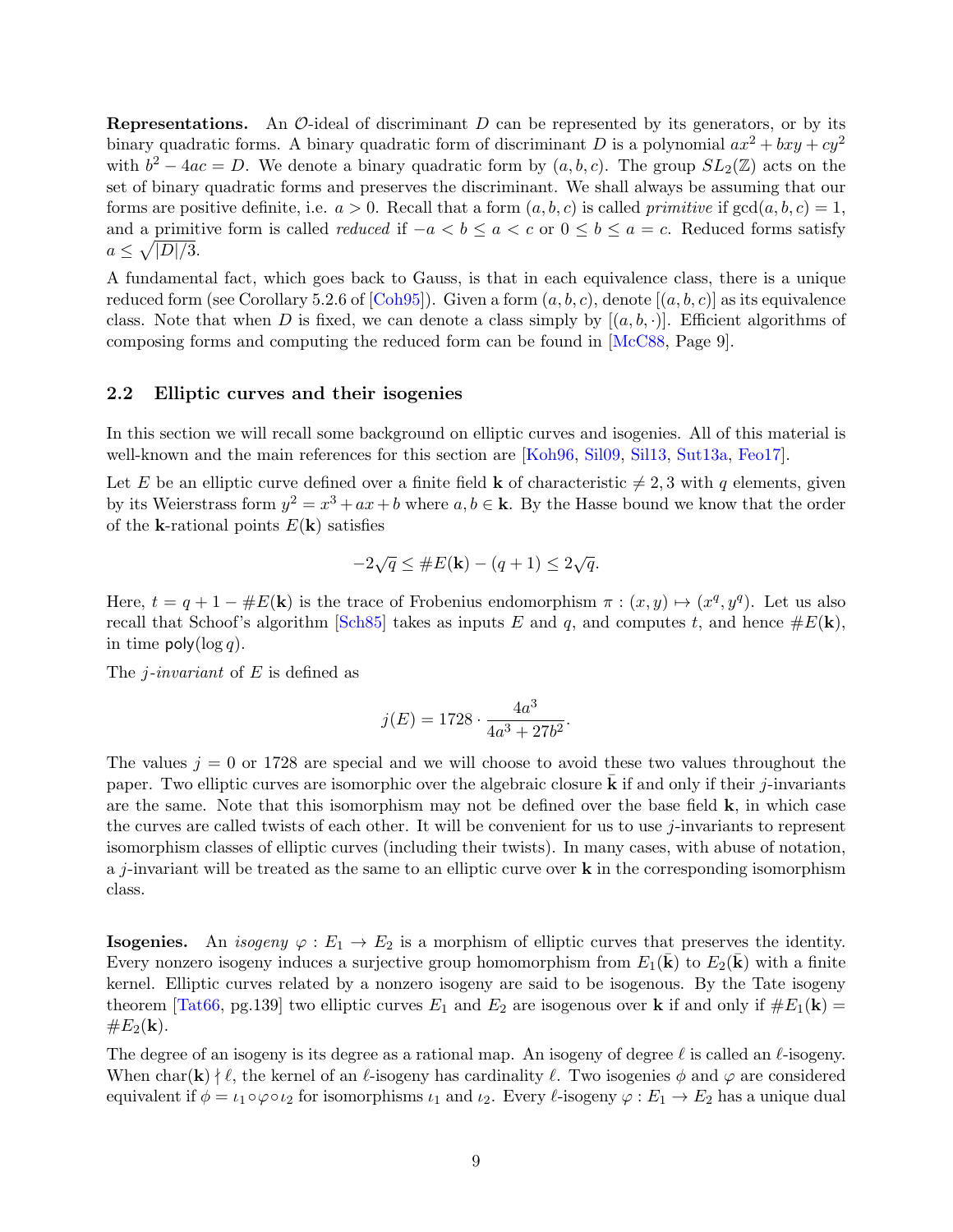**Representations.** An  $\mathcal{O}$ -ideal of discriminant  $D$  can be represented by its generators, or by its binary quadratic forms. A binary quadratic form of discriminant D is a polynomial  $ax^2 + bxy + cy^2$ with  $b^2 - 4ac = D$ . We denote a binary quadratic form by  $(a, b, c)$ . The group  $SL_2(\mathbb{Z})$  acts on the set of binary quadratic forms and preserves the discriminant. We shall always be assuming that our forms are positive definite, i.e.  $a > 0$ . Recall that a form  $(a, b, c)$  is called *primitive* if  $gcd(a, b, c) = 1$ , and a primitive form is called *reduced* if  $-a < b \le a < c$  or  $0 \le b \le a = c$ . Reduced forms satisfy  $a \leq \sqrt{|D|/3}.$ 

A fundamental fact, which goes back to Gauss, is that in each equivalence class, there is a unique reduced form (see Corollary 5.2.6 of [\[Coh95\]](#page-49-5)). Given a form  $(a, b, c)$ , denote  $[(a, b, c)]$  as its equivalence class. Note that when D is fixed, we can denote a class simply by  $[(a, b, \cdot)]$ . Efficient algorithms of composing forms and computing the reduced form can be found in [\[McC88,](#page-51-2) Page 9].

#### <span id="page-10-0"></span>2.2 Elliptic curves and their isogenies

In this section we will recall some background on elliptic curves and isogenies. All of this material is well-known and the main references for this section are [\[Koh96,](#page-51-6) [Sil09,](#page-52-6) [Sil13,](#page-52-7) [Sut13a,](#page-53-3) [Feo17\]](#page-50-6).

Let E be an elliptic curve defined over a finite field **k** of characteristic  $\neq 2, 3$  with q elements, given by its Weierstrass form  $y^2 = x^3 + ax + b$  where  $a, b \in \mathbf{k}$ . By the Hasse bound we know that the order of the **k**-rational points  $E(\mathbf{k})$  satisfies

$$
-2\sqrt{q} \le \#E(\mathbf{k}) - (q+1) \le 2\sqrt{q}.
$$

Here,  $t = q + 1 - \#E(k)$  is the trace of Frobenius endomorphism  $\pi : (x, y) \mapsto (x^q, y^q)$ . Let us also recall that Schoof's algorithm [\[Sch85\]](#page-52-1) takes as inputs E and q, and computes t, and hence  $\#E(\mathbf{k})$ , in time  $\text{poly}(\log q)$ .

The *j*-invariant of E is defined as

$$
j(E) = 1728 \cdot \frac{4a^3}{4a^3 + 27b^2}.
$$

The values  $j = 0$  or 1728 are special and we will choose to avoid these two values throughout the paper. Two elliptic curves are isomorphic over the algebraic closure  $\bf{k}$  if and only if their j-invariants are the same. Note that this isomorphism may not be defined over the base field  $\bf{k}$ , in which case the curves are called twists of each other. It will be convenient for us to use j-invariants to represent isomorphism classes of elliptic curves (including their twists). In many cases, with abuse of notation, a j-invariant will be treated as the same to an elliptic curve over  $\bf{k}$  in the corresponding isomorphism class.

**Isogenies.** An *isogeny*  $\varphi : E_1 \to E_2$  is a morphism of elliptic curves that preserves the identity. Every nonzero isogeny induces a surjective group homomorphism from  $E_1(\mathbf{k})$  to  $E_2(\mathbf{k})$  with a finite kernel. Elliptic curves related by a nonzero isogeny are said to be isogenous. By the Tate isogeny theorem [\[Tat66,](#page-53-4) pg.139] two elliptic curves  $E_1$  and  $E_2$  are isogenous over **k** if and only if  $\#E_1(\mathbf{k}) =$  $\#E_2({\bf k}).$ 

The degree of an isogeny is its degree as a rational map. An isogeny of degree  $\ell$  is called an  $\ell$ -isogeny. When char(k)  $\nmid \ell$ , the kernel of an  $\ell$ -isogeny has cardinality  $\ell$ . Two isogenies  $\phi$  and  $\varphi$  are considered equivalent if  $\phi = \iota_1 \circ \varphi \circ \iota_2$  for isomorphisms  $\iota_1$  and  $\iota_2$ . Every  $\ell$ -isogeny  $\varphi : E_1 \to E_2$  has a unique dual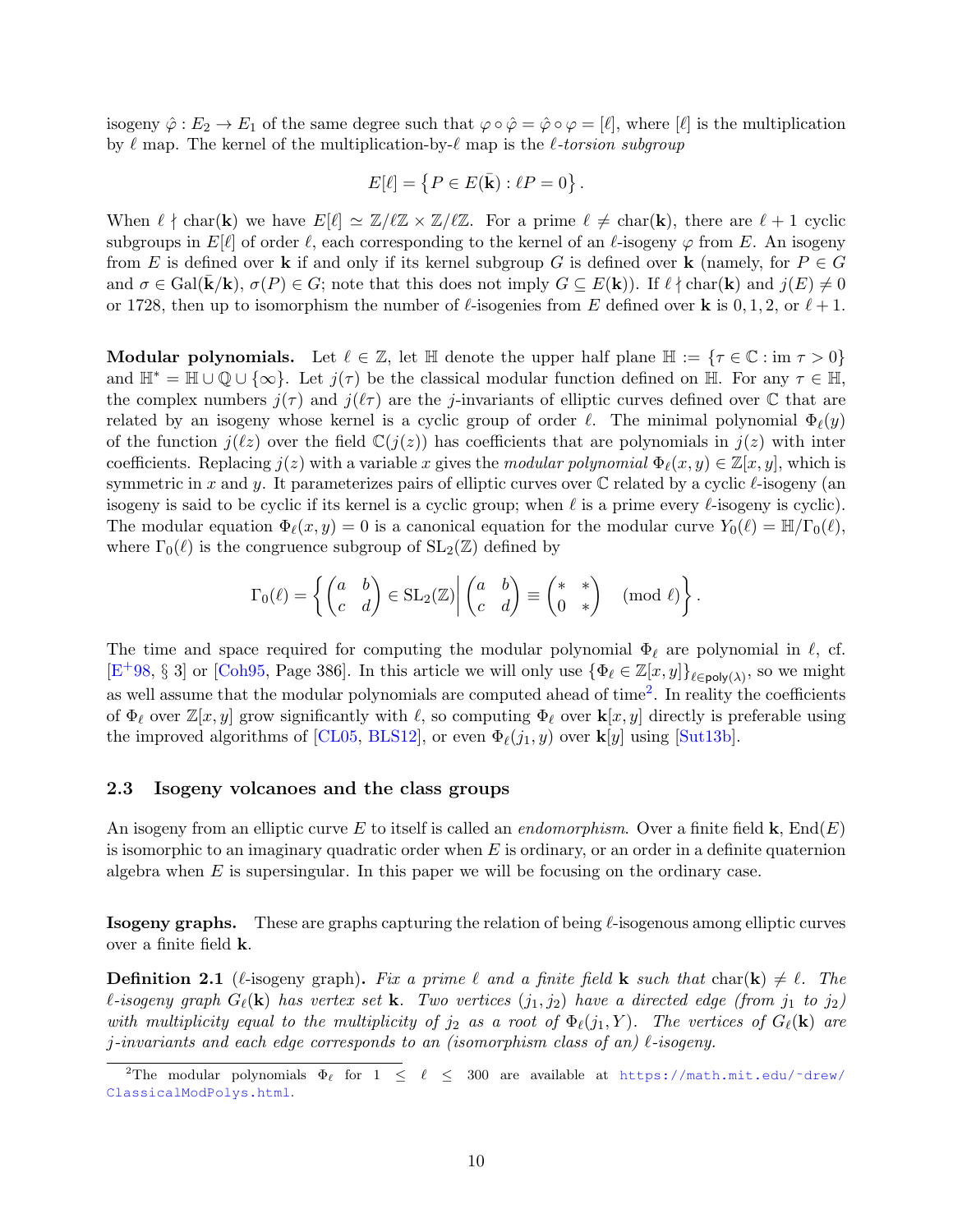isogeny  $\hat{\varphi}: E_2 \to E_1$  of the same degree such that  $\varphi \circ \hat{\varphi} = \hat{\varphi} \circ \varphi = [\ell],$  where  $[\ell]$  is the multiplication by  $\ell$  map. The kernel of the multiplication-by- $\ell$  map is the  $\ell$ -torsion subgroup

$$
E[\ell] = \{ P \in E(\bar{\mathbf{k}}) : \ell P = 0 \}.
$$

When  $\ell \nmid \text{char}(\mathbf{k})$  we have  $E[\ell] \simeq \mathbb{Z}/\ell\mathbb{Z} \times \mathbb{Z}/\ell\mathbb{Z}$ . For a prime  $\ell \neq \text{char}(\mathbf{k})$ , there are  $\ell + 1$  cyclic subgroups in  $E[\ell]$  of order  $\ell$ , each corresponding to the kernel of an  $\ell$ -isogeny  $\varphi$  from E. An isogeny from E is defined over k if and only if its kernel subgroup G is defined over k (namely, for  $P \in G$ and  $\sigma \in \text{Gal}(\mathbf{k}/\mathbf{k})$ ,  $\sigma(P) \in G$ ; note that this does not imply  $G \subseteq E(\mathbf{k})$ ). If  $\ell \nmid \text{char}(\mathbf{k})$  and  $j(E) \neq 0$ or 1728, then up to isomorphism the number of  $\ell$ -isogenies from E defined over **k** is 0, 1, 2, or  $\ell + 1$ .

Modular polynomials. Let  $\ell \in \mathbb{Z}$ , let  $\mathbb{H}$  denote the upper half plane  $\mathbb{H} := \{ \tau \in \mathbb{C} : \text{im } \tau > 0 \}$ and  $\mathbb{H}^* = \mathbb{H} \cup \mathbb{Q} \cup {\infty}$ . Let  $j(\tau)$  be the classical modular function defined on  $\mathbb{H}$ . For any  $\tau \in \mathbb{H}$ , the complex numbers  $j(\tau)$  and  $j(\ell\tau)$  are the j-invariants of elliptic curves defined over C that are related by an isogeny whose kernel is a cyclic group of order  $\ell$ . The minimal polynomial  $\Phi_{\ell}(y)$ of the function  $j(\ell z)$  over the field  $\mathbb{C}(j(z))$  has coefficients that are polynomials in  $j(z)$  with inter coefficients. Replacing  $j(z)$  with a variable x gives the modular polynomial  $\Phi_{\ell}(x, y) \in \mathbb{Z}[x, y]$ , which is symmetric in x and y. It parameterizes pairs of elliptic curves over  $\mathbb C$  related by a cyclic  $\ell$ -isogeny (an isogeny is said to be cyclic if its kernel is a cyclic group; when  $\ell$  is a prime every  $\ell$ -isogeny is cyclic). The modular equation  $\Phi_{\ell}(x, y) = 0$  is a canonical equation for the modular curve  $Y_0(\ell) = \mathbb{H}/\Gamma_0(\ell)$ , where  $\Gamma_0(\ell)$  is the congruence subgroup of  $SL_2(\mathbb{Z})$  defined by

$$
\Gamma_0(\ell) = \left\{ \begin{pmatrix} a & b \\ c & d \end{pmatrix} \in SL_2(\mathbb{Z}) \middle| \begin{pmatrix} a & b \\ c & d \end{pmatrix} \equiv \begin{pmatrix} * & * \\ 0 & * \end{pmatrix} \pmod{\ell} \right\}.
$$

The time and space required for computing the modular polynomial  $\Phi_\ell$  are polynomial in  $\ell$ , cf.  $[E+98, \S 3]$  $[E+98, \S 3]$  $[E+98, \S 3]$  or [\[Coh95,](#page-49-5) Page 386]. In this article we will only use  $\{\Phi_\ell \in \mathbb{Z}[x, y]\}_{\ell \in \mathsf{poly}(\lambda)}$ , so we might as well assume that the modular polynomials are computed ahead of time<sup>[2](#page-11-1)</sup>. In reality the coefficients of  $\Phi_\ell$  over  $\mathbb{Z}[x, y]$  grow significantly with  $\ell$ , so computing  $\Phi_\ell$  over  $\mathbf{k}[x, y]$  directly is preferable using the improved algorithms of [\[CL05,](#page-49-6) [BLS12\]](#page-49-7), or even  $\Phi_{\ell}(j_1, y)$  over  $\mathbf{k}[y]$  using [\[Sut13b\]](#page-53-5).

#### <span id="page-11-0"></span>2.3 Isogeny volcanoes and the class groups

An isogeny from an elliptic curve E to itself is called an *endomorphism*. Over a finite field **k**,  $End(E)$ is isomorphic to an imaginary quadratic order when  $E$  is ordinary, or an order in a definite quaternion algebra when  $E$  is supersingular. In this paper we will be focusing on the ordinary case.

**Isogeny graphs.** These are graphs capturing the relation of being  $\ell$ -isogenous among elliptic curves over a finite field k.

**Definition 2.1** ( $\ell$ -isogeny graph). Fix a prime  $\ell$  and a finite field **k** such that char(**k**)  $\neq \ell$ . The  $\ell$ -isogeny graph  $G_{\ell}(\mathbf{k})$  has vertex set **k**. Two vertices  $(j_1, j_2)$  have a directed edge (from  $j_1$  to  $j_2$ ) with multiplicity equal to the multiplicity of  $j_2$  as a root of  $\Phi_{\ell}(j_1, Y)$ . The vertices of  $G_{\ell}(\mathbf{k})$  are j-invariants and each edge corresponds to an (isomorphism class of an)  $\ell$ -isogeny.

<span id="page-11-1"></span><sup>&</sup>lt;sup>2</sup>The modular polynomials  $\Phi_\ell$  for  $1 \leq \ell \leq 300$  are available at https://math.mit.edu/~drew/ [ClassicalModPolys.html](https://math.mit.edu/~drew/ClassicalModPolys.html).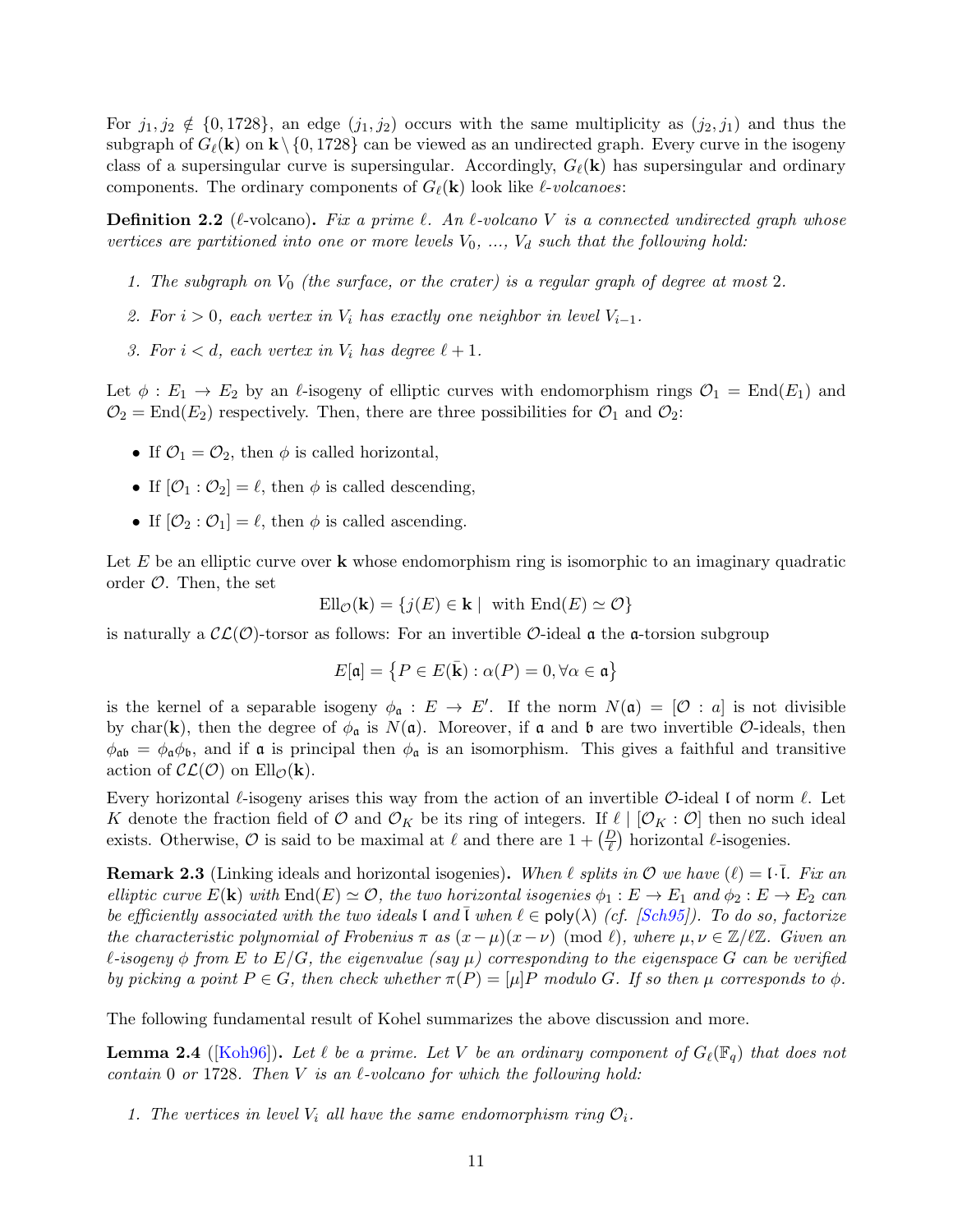For  $j_1, j_2 \notin \{0, 1728\}$ , an edge  $(j_1, j_2)$  occurs with the same multiplicity as  $(j_2, j_1)$  and thus the subgraph of  $G_{\ell}(\mathbf{k})$  on  $\mathbf{k}\setminus\{0, 1728\}$  can be viewed as an undirected graph. Every curve in the isogeny class of a supersingular curve is supersingular. Accordingly,  $G_{\ell}(\mathbf{k})$  has supersingular and ordinary components. The ordinary components of  $G_{\ell}(\mathbf{k})$  look like  $\ell$ -volcanoes:

**Definition 2.2** ( $\ell$ -volcano). Fix a prime  $\ell$ . An  $\ell$ -volcano V is a connected undirected graph whose vertices are partitioned into one or more levels  $V_0$ , ...,  $V_d$  such that the following hold:

- 1. The subgraph on  $V_0$  (the surface, or the crater) is a regular graph of degree at most 2.
- 2. For  $i > 0$ , each vertex in  $V_i$  has exactly one neighbor in level  $V_{i-1}$ .
- 3. For  $i < d$ , each vertex in  $V_i$  has degree  $\ell + 1$ .

Let  $\phi : E_1 \to E_2$  by an  $\ell$ -isogeny of elliptic curves with endomorphism rings  $\mathcal{O}_1 = \text{End}(E_1)$  and  $\mathcal{O}_2 = \text{End}(E_2)$  respectively. Then, there are three possibilities for  $\mathcal{O}_1$  and  $\mathcal{O}_2$ :

- If  $\mathcal{O}_1 = \mathcal{O}_2$ , then  $\phi$  is called horizontal,
- If  $[O_1:O_2] = \ell$ , then  $\phi$  is called descending,
- If  $[O_2:O_1] = \ell$ , then  $\phi$  is called ascending.

Let  $E$  be an elliptic curve over  $k$  whose endomorphism ring is isomorphic to an imaginary quadratic order  $\mathcal{O}$ . Then, the set

$$
\text{Ell}_{\mathcal{O}}(\mathbf{k}) = \{ j(E) \in \mathbf{k} \mid \text{ with } \text{End}(E) \simeq \mathcal{O} \}
$$

is naturally a  $\mathcal{CL}(\mathcal{O})$ -torsor as follows: For an invertible  $\mathcal{O}\text{-ideal } \mathfrak{a}$  the  $\mathfrak{a}\text{-torsion subgroup}$ 

$$
E[\mathfrak{a}] = \{ P \in E(\bar{\mathbf{k}}) : \alpha(P) = 0, \forall \alpha \in \mathfrak{a} \}
$$

is the kernel of a separable isogeny  $\phi_{\mathfrak{a}} : E \to E'$ . If the norm  $N(\mathfrak{a}) = [\mathcal{O} : a]$  is not divisible by char(k), then the degree of  $\phi_{\mathfrak{a}}$  is  $N(\mathfrak{a})$ . Moreover, if  $\mathfrak{a}$  and  $\mathfrak{b}$  are two invertible  $\mathcal{O}\text{-ideals}$ , then  $\phi_{\alpha b} = \phi_{\alpha} \phi_b$ , and if  $\alpha$  is principal then  $\phi_{\alpha}$  is an isomorphism. This gives a faithful and transitive action of  $\mathcal{CL}(\mathcal{O})$  on  $Ell_{\mathcal{O}}(\mathbf{k}).$ 

Every horizontal  $\ell$ -isogeny arises this way from the action of an invertible  $\mathcal{O}$ -ideal l of norm  $\ell$ . Let K denote the fraction field of O and  $\mathcal{O}_K$  be its ring of integers. If  $\ell | [\mathcal{O}_K : \mathcal{O}]$  then no such ideal exists. Otherwise,  $\mathcal O$  is said to be maximal at  $\ell$  and there are  $1 + \left(\frac{D}{\ell}\right)$  horizontal  $\ell$ -isogenies.

<span id="page-12-1"></span>**Remark 2.3** (Linking ideals and horizontal isogenies). When  $\ell$  splits in  $\mathcal{O}$  we have  $(\ell) = \ell \cdot \overline{l}$ . Fix and elliptic curve  $E(\mathbf{k})$  with  $\text{End}(E) \simeq \mathcal{O}$ , the two horizontal isogenies  $\phi_1 : E \to E_1$  and  $\phi_2 : E \to E_2$  can be efficiently associated with the two ideals l and l when  $\ell \in \text{poly}(\lambda)$  (cf. [\[Sch95\]](#page-52-2)). To do so, factorize the characteristic polynomial of Frobenius  $\pi$  as  $(x-\mu)(x-\nu)$  (mod  $\ell$ ), where  $\mu, \nu \in \mathbb{Z}/\ell\mathbb{Z}$ . Given an  $\ell$ -isogeny  $\phi$  from E to E/G, the eigenvalue (say  $\mu$ ) corresponding to the eigenspace G can be verified by picking a point  $P \in G$ , then check whether  $\pi(P) = [\mu]P$  modulo G. If so then  $\mu$  corresponds to  $\phi$ .

The following fundamental result of Kohel summarizes the above discussion and more.

<span id="page-12-0"></span>**Lemma 2.4** ([\[Koh96\]](#page-51-6)). Let  $\ell$  be a prime. Let V be an ordinary component of  $G_{\ell}(\mathbb{F}_q)$  that does not contain 0 or 1728. Then  $V$  is an  $\ell$ -volcano for which the following hold:

1. The vertices in level  $V_i$  all have the same endomorphism ring  $\mathcal{O}_i$ .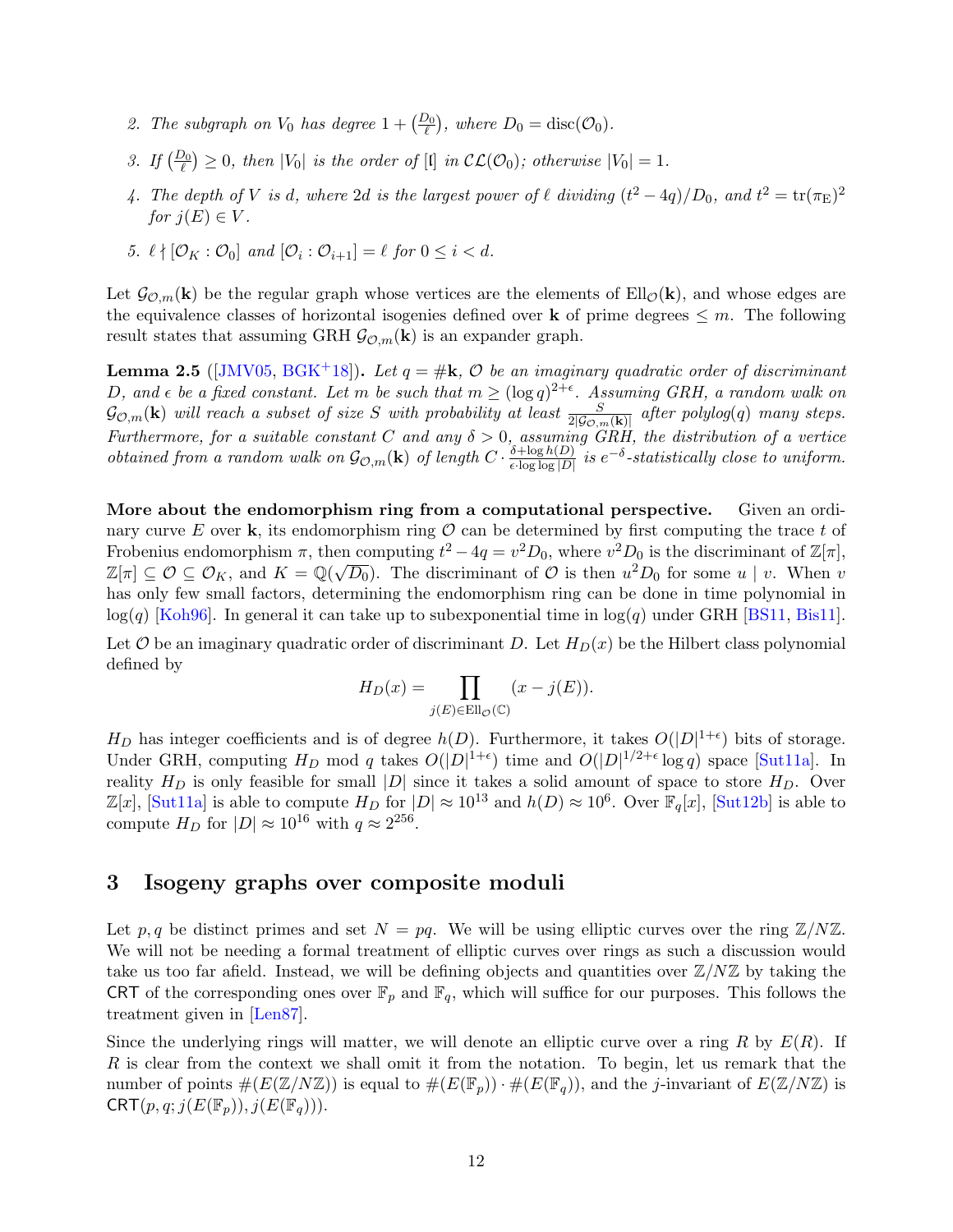- 2. The subgraph on  $V_0$  has degree  $1 + \left(\frac{D_0}{\ell}\right)$ , where  $D_0 = \text{disc}(\mathcal{O}_0)$ .
- 3. If  $\left(\frac{D_0}{\ell}\right) \geq 0$ , then  $|V_0|$  is the order of  $[1]$  in  $\mathcal{CL}(\mathcal{O}_0)$ ; otherwise  $|V_0| = 1$ .
- 4. The depth of V is d, where 2d is the largest power of  $\ell$  dividing  $(t^2 4q)/D_0$ , and  $t^2 = \text{tr}(\pi_{\text{E}})^2$ for  $i(E) \in V$ .
- 5.  $\ell \nmid [\mathcal{O}_K : \mathcal{O}_0]$  and  $[\mathcal{O}_i : \mathcal{O}_{i+1}] = \ell$  for  $0 \leq i < d$ .

Let  $\mathcal{G}_{\mathcal{O},m}(\mathbf{k})$  be the regular graph whose vertices are the elements of Ell $_{\mathcal{O}}(\mathbf{k})$ , and whose edges are the equivalence classes of horizontal isogenies defined over **k** of prime degrees  $\leq m$ . The following result states that assuming GRH  $\mathcal{G}_{\mathcal{O},m}(\mathbf{k})$  is an expander graph.

<span id="page-13-1"></span>**Lemma 2.5** ([\[JMV05,](#page-51-5) [BGK](#page-48-1)<sup>+</sup>18]). Let  $q = #k$ ,  $O$  be an imaginary quadratic order of discriminant D, and  $\epsilon$  be a fixed constant. Let m be such that  $m \geq (\log q)^{2+\epsilon}$ . Assuming GRH, a random walk on  $\mathcal{G}_{\mathcal{O},m}(\mathbf{k})$  will reach a subset of size S with probability at least  $\frac{S}{2|\mathcal{G}_{\mathcal{O},m}(\mathbf{k})|}$  after polylog(q) many steps. Furthermore, for a suitable constant C and any  $\delta > 0$ , assuming GRH, the distribution of a vertice obtained from a random walk on  $\mathcal{G}_{\mathcal{O},m}(\mathbf{k})$  of length  $C \cdot \frac{\delta + \log h(D)}{\epsilon \cdot \log \log |D|}$  $\frac{\delta + \log h(D)}{\epsilon \cdot \log \log |D|}$  is  $e^{-\delta}$ -statistically close to uniform.

More about the endomorphism ring from a computational perspective. Given an ordinary curve E over k, its endomorphism ring  $\mathcal O$  can be determined by first computing the trace t of Frobenius endomorphism  $\pi$ , then computing  $t^2 - 4q = v^2 D_0$ , where  $v^2 D_0$  is the discriminant of  $\mathbb{Z}[\pi]$ ,  $\mathbb{Z}[\pi] \subseteq \mathcal{O} \subseteq \mathcal{O}_K$ , and  $K = \mathbb{Q}(\sqrt{D_0})$ . The discriminant of  $\mathcal{O}$  is then  $u^2D_0$  for some  $u \mid v$ . When  $v$ has only few small factors, determining the endomorphism ring can be done in time polynomial in  $log(q)$  [\[Koh96\]](#page-51-6). In general it can take up to subexponential time in  $log(q)$  under GRH [\[BS11,](#page-49-8) [Bis11\]](#page-49-9).

Let  $O$  be an imaginary quadratic order of discriminant D. Let  $H_D(x)$  be the Hilbert class polynomial defined by

$$
H_D(x) = \prod_{j(E) \in \text{Ell}_{\mathcal{O}}(\mathbb{C})} (x - j(E)).
$$

 $H_D$  has integer coefficients and is of degree  $h(D)$ . Furthermore, it takes  $O(|D|^{1+\epsilon})$  bits of storage. Under GRH, computing  $H_D$  mod q takes  $O(|D|^{1+\epsilon})$  time and  $O(|D|^{1/2+\epsilon} \log q)$  space [\[Sut11a\]](#page-52-8). In reality  $H_D$  is only feasible for small |D| since it takes a solid amount of space to store  $H_D$ . Over  $\mathbb{Z}[x]$ , [\[Sut11a\]](#page-52-8) is able to compute  $H_D$  for  $|D| \approx 10^{13}$  and  $h(D) \approx 10^6$ . Over  $\mathbb{F}_q[x]$ , [\[Sut12b\]](#page-52-9) is able to compute  $H_D$  for  $|D| \approx 10^{16}$  with  $q \approx 2^{256}$ .

## <span id="page-13-0"></span>3 Isogeny graphs over composite moduli

Let p, q be distinct primes and set  $N = pq$ . We will be using elliptic curves over the ring  $\mathbb{Z}/N\mathbb{Z}$ . We will not be needing a formal treatment of elliptic curves over rings as such a discussion would take us too far afield. Instead, we will be defining objects and quantities over  $\mathbb{Z}/N\mathbb{Z}$  by taking the CRT of the corresponding ones over  $\mathbb{F}_p$  and  $\mathbb{F}_q$ , which will suffice for our purposes. This follows the treatment given in [\[Len87\]](#page-51-8).

Since the underlying rings will matter, we will denote an elliptic curve over a ring R by  $E(R)$ . If R is clear from the context we shall omit it from the notation. To begin, let us remark that the number of points  $\#(E(\mathbb{Z}/N\mathbb{Z}))$  is equal to  $\#(E(\mathbb{F}_p)) \cdot \#(E(\mathbb{F}_q))$ , and the *j*-invariant of  $E(\mathbb{Z}/N\mathbb{Z})$  is  $CRT(p, q; j(E(\mathbb{F}_p)), j(E(\mathbb{F}_q))).$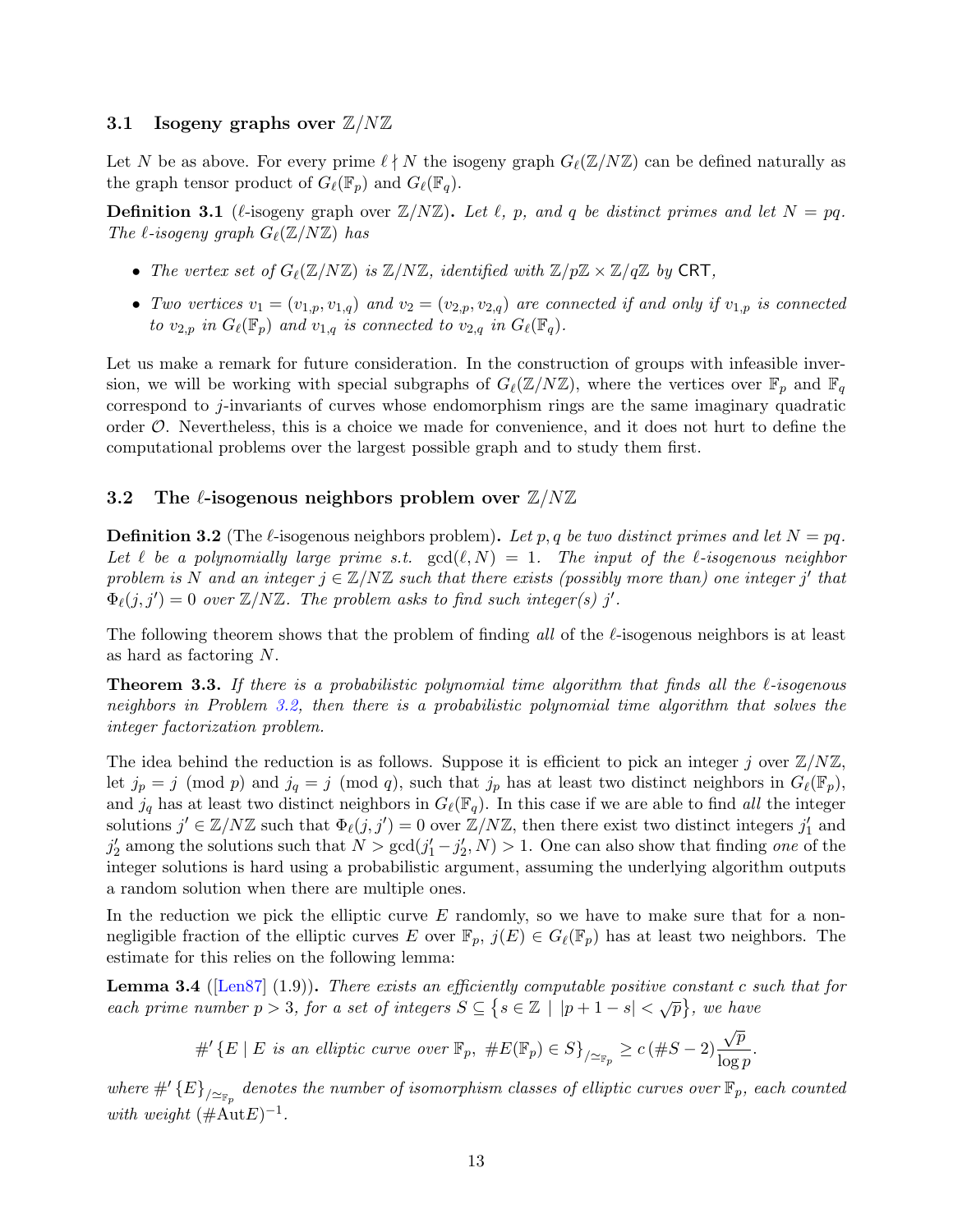#### <span id="page-14-0"></span>3.1 Isogeny graphs over  $\mathbb{Z}/N\mathbb{Z}$

Let N be as above. For every prime  $\ell \nmid N$  the isogeny graph  $G_{\ell}(\mathbb{Z}/N\mathbb{Z})$  can be defined naturally as the graph tensor product of  $G_{\ell}(\mathbb{F}_p)$  and  $G_{\ell}(\mathbb{F}_q)$ .

**Definition 3.1** ( $\ell$ -isogeny graph over  $\mathbb{Z}/N\mathbb{Z}$ ). Let  $\ell$ , p, and q be distinct primes and let  $N = pq$ . The  $\ell$ -isogeny graph  $G_{\ell}(\mathbb{Z}/N\mathbb{Z})$  has

- The vertex set of  $G_{\ell}(\mathbb{Z}/N\mathbb{Z})$  is  $\mathbb{Z}/N\mathbb{Z}$ , identified with  $\mathbb{Z}/p\mathbb{Z} \times \mathbb{Z}/q\mathbb{Z}$  by CRT,
- Two vertices  $v_1 = (v_{1,p}, v_{1,q})$  and  $v_2 = (v_{2,p}, v_{2,q})$  are connected if and only if  $v_{1,p}$  is connected to  $v_{2,p}$  in  $G_{\ell}(\mathbb{F}_p)$  and  $v_{1,q}$  is connected to  $v_{2,q}$  in  $G_{\ell}(\mathbb{F}_q)$ .

Let us make a remark for future consideration. In the construction of groups with infeasible inversion, we will be working with special subgraphs of  $G_{\ell}(\mathbb{Z}/N\mathbb{Z})$ , where the vertices over  $\mathbb{F}_p$  and  $\mathbb{F}_q$ correspond to j-invariants of curves whose endomorphism rings are the same imaginary quadratic order O. Nevertheless, this is a choice we made for convenience, and it does not hurt to define the computational problems over the largest possible graph and to study them first.

#### <span id="page-14-1"></span>3.2 The  $\ell$ -isogenous neighbors problem over  $\mathbb{Z}/N\mathbb{Z}$

<span id="page-14-2"></span>**Definition 3.2** (The  $\ell$ -isogenous neighbors problem). Let p, q be two distinct primes and let  $N = pq$ . Let  $\ell$  be a polynomially large prime s.t.  $gcd(\ell, N) = 1$ . The input of the  $\ell$ -isogenous neighbor problem is N and an integer  $j \in \mathbb{Z}/N\mathbb{Z}$  such that there exists (possibly more than) one integer j' that  $\Phi_{\ell}(j, j') = 0$  over  $\mathbb{Z}/N\mathbb{Z}$ . The problem asks to find such integer(s) j'.

The following theorem shows that the problem of finding all of the  $\ell$ -isogenous neighbors is at least as hard as factoring N.

<span id="page-14-4"></span>**Theorem 3.3.** If there is a probabilistic polynomial time algorithm that finds all the  $\ell$ -isogenous neighbors in Problem [3.2,](#page-14-2) then there is a probabilistic polynomial time algorithm that solves the integer factorization problem.

The idea behind the reduction is as follows. Suppose it is efficient to pick an integer j over  $\mathbb{Z}/N\mathbb{Z}$ , let  $j_p = j \pmod{p}$  and  $j_q = j \pmod{q}$ , such that  $j_p$  has at least two distinct neighbors in  $G_\ell(\mathbb{F}_p)$ , and  $j_q$  has at least two distinct neighbors in  $G_\ell(\mathbb{F}_q)$ . In this case if we are able to find all the integer solutions  $j' \in \mathbb{Z}/N\mathbb{Z}$  such that  $\Phi_{\ell}(j, j') = 0$  over  $\mathbb{Z}/N\mathbb{Z}$ , then there exist two distinct integers  $j'_1$  and  $j'_2$  among the solutions such that  $N > \gcd(j'_1 - j'_2, N) > 1$ . One can also show that finding one of the integer solutions is hard using a probabilistic argument, assuming the underlying algorithm outputs a random solution when there are multiple ones.

In the reduction we pick the elliptic curve  $E$  randomly, so we have to make sure that for a nonnegligible fraction of the elliptic curves E over  $\mathbb{F}_p$ ,  $j(E) \in G_{\ell}(\mathbb{F}_p)$  has at least two neighbors. The estimate for this relies on the following lemma:

<span id="page-14-3"></span>**Lemma 3.4** ( $\text{[Len87]} (1.9)$  $\text{[Len87]} (1.9)$  $\text{[Len87]} (1.9)$ ). There exists an efficiently computable positive constant c such that for **EXECUTE EXECUTE:** EXECUTE COMPLEMENT CONSULTED SOMETIME OF  $s \in \{s \in \mathbb{Z} \mid |p+1-s| < \sqrt{p}\}$ , we have

> $#$ <sup>'</sup>{E | E is an elliptic curve over  $\mathbb{F}_p$ ,  $#E(\mathbb{F}_p) \in S$ }<sub>/≃ $\mathbb{F}_p$ </sub> ≥ c(#S - 2) $\frac{\sqrt{p}}{\log q}$  $\frac{\nabla F}{\log p}$ .

where  $\#'\{E\}_{/\simeq_{\mathbb{F}_p}}$  denotes the number of isomorphism classes of elliptic curves over  $\mathbb{F}_p$ , each counted with weight  $(\# \text{Aut} E)^{-1}$ .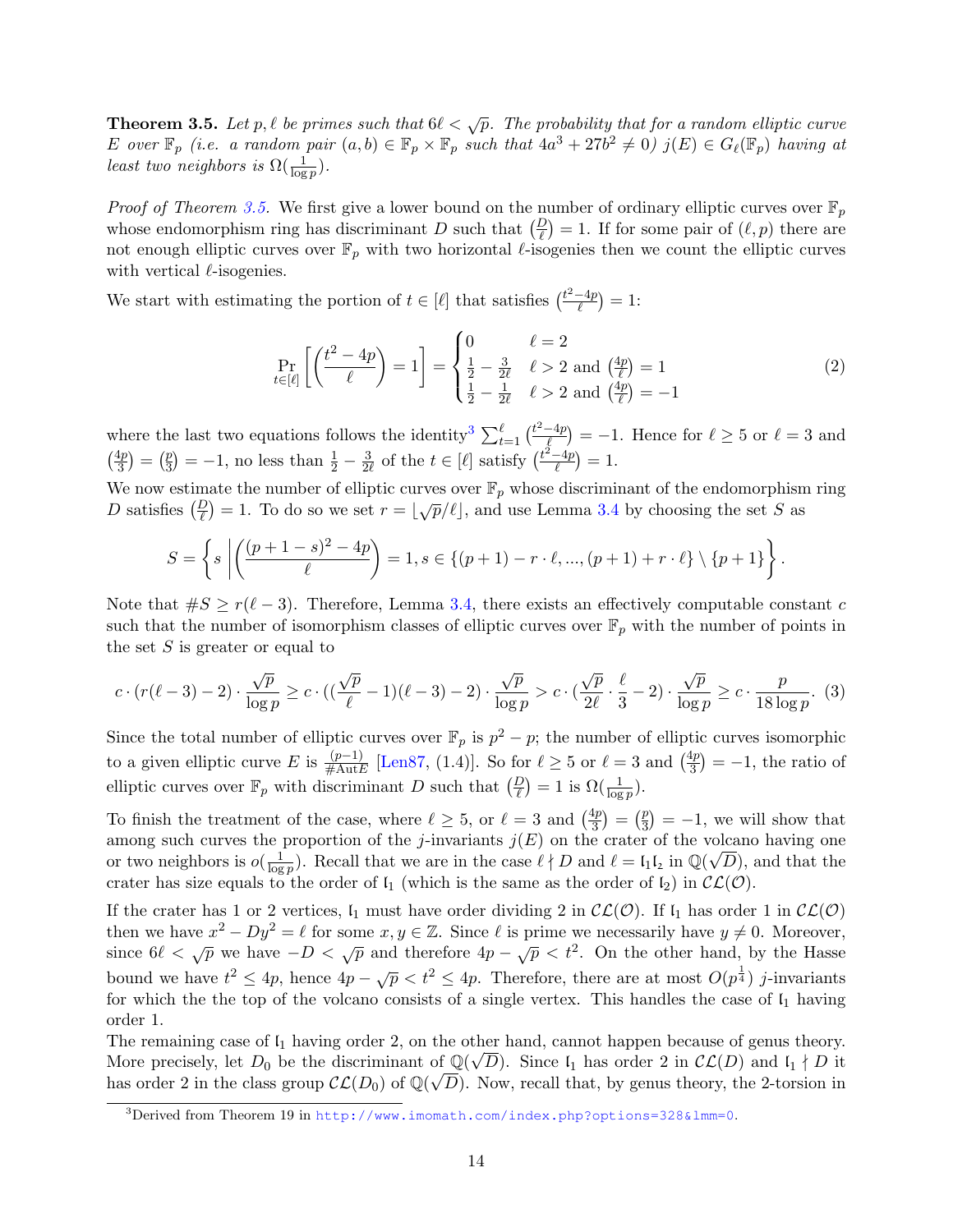<span id="page-15-0"></span>**Theorem 3.5.** Let p,  $\ell$  be primes such that  $6\ell < \sqrt{p}$ . The probability that for a random elliptic curve E over  $\mathbb{F}_p$  (i.e. a random pair  $(a, b) \in \mathbb{F}_p \times \mathbb{F}_p$  such that  $4a^3 + 27b^2 \neq 0$ )  $j(E) \in G_{\ell}(\mathbb{F}_p)$  having at least two neighbors is  $\Omega(\frac{1}{\log p})$ .

*Proof of Theorem [3.5.](#page-15-0)* We first give a lower bound on the number of ordinary elliptic curves over  $\mathbb{F}_p$ whose endomorphism ring has discriminant D such that  $\left(\frac{D}{\ell}\right) = 1$ . If for some pair of  $(\ell, p)$  there are not enough elliptic curves over  $\mathbb{F}_p$  with two horizontal  $\ell$ -isogenies then we count the elliptic curves with vertical  $\ell$ -isogenies.

We start with estimating the portion of  $t \in [\ell]$  that satisfies  $\left(\frac{t^2-4p}{\ell}\right)$  $\frac{-4p}{\ell}$  = 1:

$$
\Pr_{t \in [\ell]} \left[ \left( \frac{t^2 - 4p}{\ell} \right) = 1 \right] = \begin{cases} 0 & \ell = 2 \\ \frac{1}{2} - \frac{3}{2\ell} & \ell > 2 \text{ and } \left( \frac{4p}{\ell} \right) = 1 \\ \frac{1}{2} - \frac{1}{2\ell} & \ell > 2 \text{ and } \left( \frac{4p}{\ell} \right) = -1 \end{cases}
$$
(2)

where the last two equations follows the identity<sup>[3](#page-15-1)</sup>  $\sum_{t=1}^{\ell} \left( \frac{t^2 - 4p}{\ell} \right)$  $\frac{-4p}{\ell}$  = -1. Hence for  $\ell \geq 5$  or  $\ell = 3$  and  $\left(\frac{4p}{2}\right)$  $\frac{4p}{3}$  =  $\left(\frac{p}{3}\right)$  $(\frac{p}{3}) = -1$ , no less than  $\frac{1}{2} - \frac{3}{24}$  $\frac{3}{2\ell}$  of the  $t \in [\ell]$  satisfy  $\left(\frac{t^2-4p}{\ell}\right)$  $\frac{-4p}{\ell}$  = 1.

We now estimate the number of elliptic curves over  $\mathbb{F}_p$  whose discriminant of the endomorphism ring D satisfies  $\left(\frac{p}{\ell}\right) = 1$ . To do so we set  $r = \lfloor \sqrt{p}/\ell \rfloor$ , and use Lemma [3.4](#page-14-3) by choosing the set S as

$$
S = \left\{ s \left| \left( \frac{(p+1-s)^2 - 4p}{\ell} \right) = 1, s \in \{(p+1) - r \cdot \ell, ..., (p+1) + r \cdot \ell \} \setminus \{p+1\} \right. \right\}.
$$

Note that  $\#S \ge r(\ell - 3)$ . Therefore, Lemma [3.4,](#page-14-3) there exists an effectively computable constant c such that the number of isomorphism classes of elliptic curves over  $\mathbb{F}_p$  with the number of points in the set  $S$  is greater or equal to

$$
c \cdot (r(\ell-3)-2) \cdot \frac{\sqrt{p}}{\log p} \geq c \cdot ((\frac{\sqrt{p}}{\ell}-1)(\ell-3)-2) \cdot \frac{\sqrt{p}}{\log p} > c \cdot (\frac{\sqrt{p}}{2\ell} \cdot \frac{\ell}{3}-2) \cdot \frac{\sqrt{p}}{\log p} \geq c \cdot \frac{p}{18 \log p}. (3)
$$

Since the total number of elliptic curves over  $\mathbb{F}_p$  is  $p^2 - p$ ; the number of elliptic curves isomorphic to a given elliptic curve E is  $\frac{(p-1)}{\#\text{Aut }E}$  [\[Len87,](#page-51-8) (1.4)]. So for  $\ell \ge 5$  or  $\ell = 3$  and  $\left(\frac{4p}{3}\right)$  $\left(\frac{4p}{3}\right) = -1$ , the ratio of elliptic curves over  $\mathbb{F}_p$  with discriminant D such that  $\left(\frac{D}{\ell}\right) = 1$  is  $\Omega(\frac{1}{\log p})$ .

To finish the treatment of the case, where  $\ell \geq 5$ , or  $\ell = 3$  and  $\left(\frac{4p}{3}\right)$  $\frac{4p}{3}$  =  $\left(\frac{p}{3}\right)$  $\binom{p}{3} = -1$ , we will show that among such curves the proportion of the j-invariants  $j(E)$  on the crater of the volcano having one or two neighbors is  $o(\frac{1}{\log n})$  $\frac{1}{\log p}$ . Recall that we are in the case  $\ell \nmid D$  and  $\ell = \mathfrak{l}_1 \mathfrak{l}_2$  in  $\mathbb{Q}(\sqrt{D})$ , and that the crater has size equals to the order of  $I_1$  (which is the same as the order of  $I_2$ ) in  $\mathcal{CL}(\mathcal{O})$ .

If the crater has 1 or 2 vertices,  $\mathfrak{l}_1$  must have order dividing 2 in  $\mathcal{CL}(\mathcal{O})$ . If  $\mathfrak{l}_1$  has order 1 in  $\mathcal{CL}(\mathcal{O})$ then we have  $x^2 - Dy^2 = \ell$  for some  $x, y \in \mathbb{Z}$ . Since  $\ell$  is prime we necessarily have  $y \neq 0$ . Moreover, since  $6\ell < \sqrt{p}$  we have  $-D < \sqrt{p}$  and therefore  $4p - \sqrt{p} < t^2$ . On the other hand, by the Hasse bound we have  $t^2 \leq 4p$ , hence  $4p - \sqrt{p} < t^2 \leq 4p$ . Therefore, there are at most  $O(p^{\frac{1}{4}})$  *j*-invariants for which the the top of the volcano consists of a single vertex. This handles the case of  $I_1$  having order 1.

The remaining case of  $I_1$  having order 2, on the other hand, cannot happen because of genus theory. More precisely, let  $D_0$  be the discriminant of  $\mathbb{Q}(\sqrt{D})$ . Since  $\mathfrak{l}_1$  has order 2 in  $\mathcal{CL}(D)$  and  $\mathfrak{l}_1 \nmid D$  it has order 2 in the class group  $\mathcal{CL}(D_0)$  of  $\mathbb{Q}(\sqrt{D})$ . Now, recall that, by genus theory, the 2-torsion in

<span id="page-15-1"></span> $3$ Derived from Theorem 19 in <http://www.imomath.com/index.php?options=328&lmm=0>.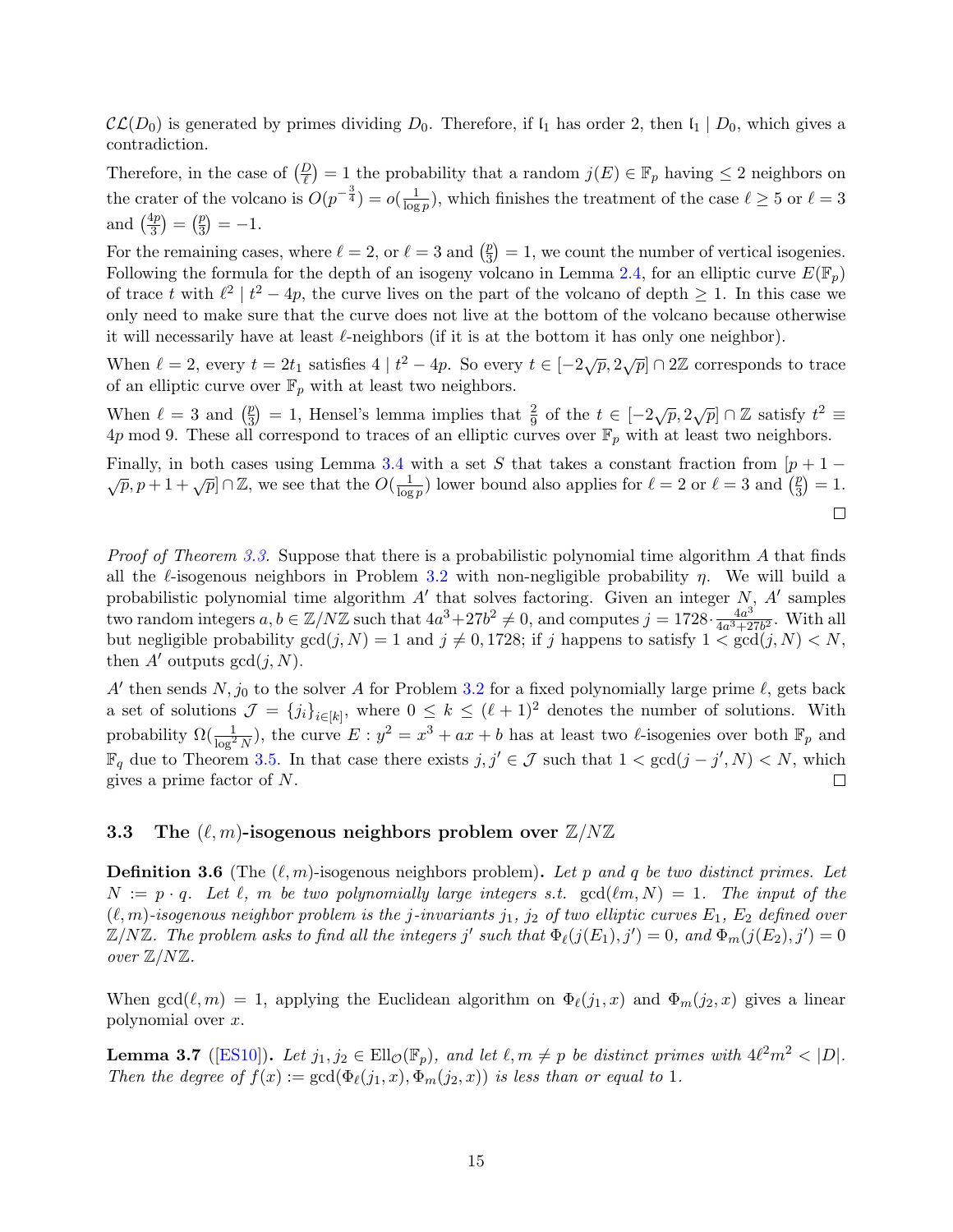$\mathcal{CL}(D_0)$  is generated by primes dividing  $D_0$ . Therefore, if  $\mathfrak{l}_1$  has order 2, then  $\mathfrak{l}_1 \mid D_0$ , which gives a contradiction.

Therefore, in the case of  $\left(\frac{D}{\ell}\right) = 1$  the probability that a random  $j(E) \in \mathbb{F}_p$  having  $\leq 2$  neighbors on the crater of the volcano is  $O(p^{-\frac{3}{4}}) = o(\frac{1}{\log p})$  $\frac{1}{\log p}$ , which finishes the treatment of the case  $\ell \geq 5$  or  $\ell = 3$ and  $\left(\frac{4p}{3}\right)$  $\frac{4p}{3}$  =  $\left(\frac{p}{3}\right)$  $\binom{p}{3} = -1.$ 

For the remaining cases, where  $\ell = 2$ , or  $\ell = 3$  and  $\left(\frac{p}{3}\right)$  $\left(\frac{p}{3}\right) = 1$ , we count the number of vertical isogenies. Following the formula for the depth of an isogeny volcano in Lemma [2.4,](#page-12-0) for an elliptic curve  $E(\mathbb{F}_p)$ of trace t with  $\ell^2 \mid t^2 - 4p$ , the curve lives on the part of the volcano of depth  $\geq 1$ . In this case we only need to make sure that the curve does not live at the bottom of the volcano because otherwise it will necessarily have at least  $\ell$ -neighbors (if it is at the bottom it has only one neighbor).

When  $\ell = 2$ , every  $t = 2t_1$  satisfies  $4 | t^2 - 4p$ . So every  $t \in [-2\sqrt{p}, 2\sqrt{p}] \cap 2\mathbb{Z}$  corresponds to trace of an elliptic curve over  $\mathbb{F}_p$  with at least two neighbors.

When  $\ell = 3$  and  $\left(\frac{p}{3}\right)$  $(\frac{p}{3}) = 1$ , Hensel's lemma implies that  $\frac{2}{9}$  of the  $t \in [-2\sqrt{p}, 2\sqrt{p}] \cap \mathbb{Z}$  satisfy  $t^2 \equiv 1$ 4p mod 9. These all correspond to traces of an elliptic curves over  $\mathbb{F}_p$  with at least two neighbors.

Finally, in both cases using Lemma [3.4](#page-14-3) with a set S that takes a constant fraction from  $[p + 1 - \sqrt{p}, p + 1 + \sqrt{p}] \cap \mathbb{Z}$ , we see that the  $O(\frac{1}{\log n})$  lower bound also applies for  $\ell = 2$  or  $\ell = 3$  and  $(\frac{p}{3}) = 1$ .  $\frac{1}{\log p}$  lower bound also applies for  $\ell = 2$  or  $\ell = 3$  and  $\left(\frac{p}{3}\right)$  $\frac{p}{3}$ ) = 1.  $\Box$ 

*Proof of Theorem [3.3.](#page-14-4)* Suppose that there is a probabilistic polynomial time algorithm A that finds all the  $\ell$ -isogenous neighbors in Problem [3.2](#page-14-2) with non-negligible probability  $\eta$ . We will build a probabilistic polynomial time algorithm  $A'$  that solves factoring. Given an integer  $N$ ,  $A'$  samples two random integers  $a, b \in \mathbb{Z}/N\mathbb{Z}$  such that  $4a^3 + 27b^2 \neq 0$ , and computes  $j = 1728 \cdot \frac{4a^3}{4a^3+2}$  $\frac{4a^3}{4a^3+27b^2}$ . With all but negligible probability  $gcd(j, N) = 1$  and  $j \neq 0, 1728$ ; if j happens to satisfy  $1 \lt \gcd(j, N) \lt N$ , then A' outputs  $gcd(j, N)$ .

A' then sends  $N, j_0$  to the solver A for Problem [3.2](#page-14-2) for a fixed polynomially large prime  $\ell$ , gets back a set of solutions  $\mathcal{J} = \{j_i\}_{i \in [k]}$ , where  $0 \leq k \leq (\ell + 1)^2$  denotes the number of solutions. With probability  $\Omega(\frac{1}{\log^2 N})$ , the curve  $E: y^2 = x^3 + ax + b$  has at least two  $\ell$ -isogenies over both  $\mathbb{F}_p$  and  $\mathbb{F}_q$  due to Theorem [3.5.](#page-15-0) In that case there exists  $j, j' \in \mathcal{J}$  such that  $1 < \gcd(j - j', N) < N$ , which  $\Box$ gives a prime factor of N.

#### <span id="page-16-0"></span>3.3 The  $(\ell, m)$ -isogenous neighbors problem over  $\mathbb{Z}/N\mathbb{Z}$

<span id="page-16-1"></span>**Definition 3.6** (The  $(\ell, m)$ -isogenous neighbors problem). Let p and q be two distinct primes. Let  $N := p \cdot q$ . Let  $\ell$ , m be two polynomially large integers s.t.  $gcd(\ell m, N) = 1$ . The input of the  $(\ell, m)$ -isogenous neighbor problem is the j-invariants j<sub>1</sub>, j<sub>2</sub> of two elliptic curves  $E_1$ ,  $E_2$  defined over  $\mathbb{Z}/N\mathbb{Z}$ . The problem asks to find all the integers j' such that  $\Phi_{\ell}(j(E_1), j') = 0$ , and  $\Phi_m(j(E_2), j') = 0$ over Z/NZ.

When  $gcd(\ell, m) = 1$ , applying the Euclidean algorithm on  $\Phi_{\ell}(j_1, x)$  and  $\Phi_m(j_2, x)$  gives a linear polynomial over x.

**Lemma 3.7** ([\[ES10\]](#page-50-8)). Let  $j_1, j_2 \in \text{Ell}_{\mathcal{O}}(\mathbb{F}_p)$ , and let  $\ell, m \neq p$  be distinct primes with  $4\ell^2 m^2 < |D|$ . Then the degree of  $f(x) := \gcd(\Phi_{\ell}(j_1, x), \Phi_m(j_2, x))$  is less than or equal to 1.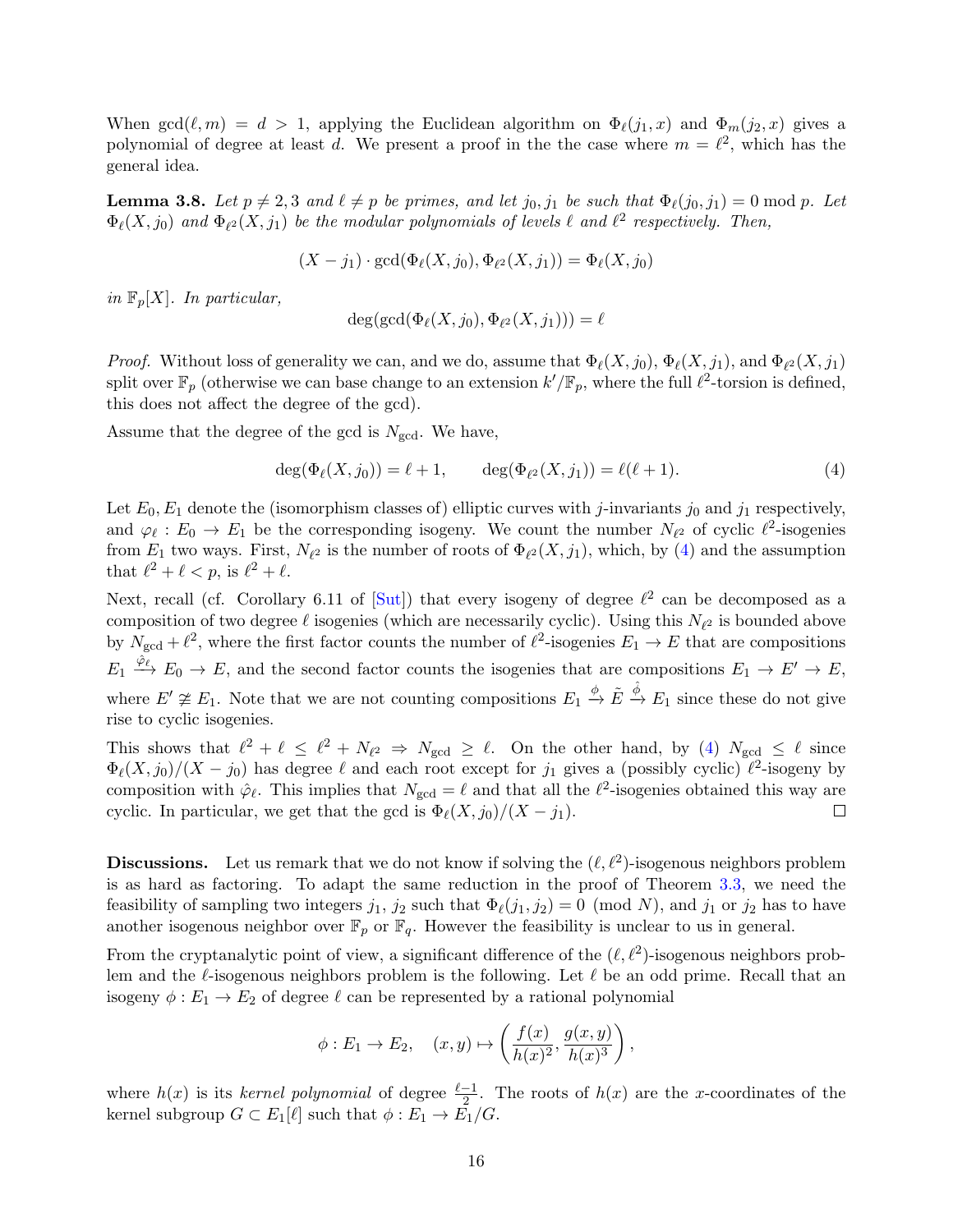When  $gcd(\ell, m) = d > 1$ , applying the Euclidean algorithm on  $\Phi_{\ell}(j_1, x)$  and  $\Phi_m(j_2, x)$  gives a polynomial of degree at least d. We present a proof in the the case where  $m = \ell^2$ , which has the general idea.

**Lemma 3.8.** Let  $p \neq 2, 3$  and  $\ell \neq p$  be primes, and let  $j_0, j_1$  be such that  $\Phi_{\ell}(j_0, j_1) = 0 \text{ mod } p$ . Let  $\Phi_{\ell}(X, j_0)$  and  $\Phi_{\ell^2}(X, j_1)$  be the modular polynomials of levels  $\ell$  and  $\ell^2$  respectively. Then,

$$
(X - j_1) \cdot \gcd(\Phi_{\ell}(X, j_0), \Phi_{\ell^2}(X, j_1)) = \Phi_{\ell}(X, j_0)
$$

in  $\mathbb{F}_p[X]$ . In particular,

$$
\deg(\gcd(\Phi_{\ell}(X,j_0),\Phi_{\ell^2}(X,j_1)))=\ell
$$

*Proof.* Without loss of generality we can, and we do, assume that  $\Phi_{\ell}(X, j_0)$ ,  $\Phi_{\ell}(X, j_1)$ , and  $\Phi_{\ell^2}(X, j_1)$ split over  $\mathbb{F}_p$  (otherwise we can base change to an extension  $k'/\mathbb{F}_p$ , where the full  $\ell^2$ -torsion is defined, this does not affect the degree of the gcd).

Assume that the degree of the gcd is  $N_{\text{gcd}}$ . We have,

<span id="page-17-0"></span>
$$
\deg(\Phi_{\ell}(X, j_0)) = \ell + 1, \qquad \deg(\Phi_{\ell^2}(X, j_1)) = \ell(\ell + 1). \tag{4}
$$

Let  $E_0, E_1$  denote the (isomorphism classes of) elliptic curves with j-invariants j<sub>0</sub> and j<sub>1</sub> respectively, and  $\varphi_{\ell}: E_0 \to E_1$  be the corresponding isogeny. We count the number  $N_{\ell^2}$  of cyclic  $\ell^2$ -isogenies from  $E_1$  two ways. First,  $N_{\ell^2}$  is the number of roots of  $\Phi_{\ell^2}(X, j_1)$ , which, by [\(4\)](#page-17-0) and the assumption that  $\ell^2 + \ell < p$ , is  $\ell^2 + \ell$ .

Next, recall (cf. Corollary 6.11 of  $[Sut]$ ) that every isogeny of degree  $\ell^2$  can be decomposed as a composition of two degree  $\ell$  isogenies (which are necessarily cyclic). Using this  $N_{\ell^2}$  is bounded above by  $N_{\text{gcd}} + \ell^2$ , where the first factor counts the number of  $\ell^2$ -isogenies  $E_1 \to E$  that are compositions  $E_1 \xrightarrow{\hat{\varphi}_\ell} E_0 \to E$ , and the second factor counts the isogenies that are compositions  $E_1 \to E' \to E$ , where  $E' \not\cong E_1$ . Note that we are not counting compositions  $E_1 \stackrel{\phi}{\to} \tilde{E} \stackrel{\hat{\phi}}{\to} E_1$  since these do not give rise to cyclic isogenies.

This shows that  $\ell^2 + \ell \leq \ell^2 + N_{\ell^2} \Rightarrow N_{\text{gcd}} \geq \ell$ . On the other hand, by [\(4\)](#page-17-0)  $N_{\text{gcd}} \leq \ell$  since  $\Phi_{\ell}(X, j_0)/(X - j_0)$  has degree  $\ell$  and each root except for  $j_1$  gives a (possibly cyclic)  $\ell^2$ -isogeny by composition with  $\hat{\varphi}_{\ell}$ . This implies that  $N_{\text{gcd}} = \ell$  and that all the  $\ell^2$ -isogenies obtained this way are cyclic. In particular, we get that the gcd is  $\Phi_{\ell}(X, j_0)/(X - j_1)$ .  $\Box$ 

**Discussions.** Let us remark that we do not know if solving the  $(\ell, \ell^2)$ -isogenous neighbors problem is as hard as factoring. To adapt the same reduction in the proof of Theorem [3.3,](#page-14-4) we need the feasibility of sampling two integers  $j_1$ ,  $j_2$  such that  $\Phi_{\ell}(j_1, j_2) = 0 \pmod{N}$ , and  $j_1$  or  $j_2$  has to have another isogenous neighbor over  $\mathbb{F}_p$  or  $\mathbb{F}_q$ . However the feasibility is unclear to us in general.

From the cryptanalytic point of view, a significant difference of the  $(\ell, \ell^2)$ -isogenous neighbors problem and the  $\ell$ -isogenous neighbors problem is the following. Let  $\ell$  be an odd prime. Recall that an isogeny  $\phi : E_1 \to E_2$  of degree  $\ell$  can be represented by a rational polynomial

$$
\phi: E_1 \to E_2, \quad (x, y) \mapsto \left(\frac{f(x)}{h(x)^2}, \frac{g(x, y)}{h(x)^3}\right),
$$

where  $h(x)$  is its kernel polynomial of degree  $\frac{\ell-1}{2}$ . The roots of  $h(x)$  are the x-coordinates of the kernel subgroup  $G \subset E_1[\ell]$  such that  $\phi : E_1 \to \overline{E_1}/G$ .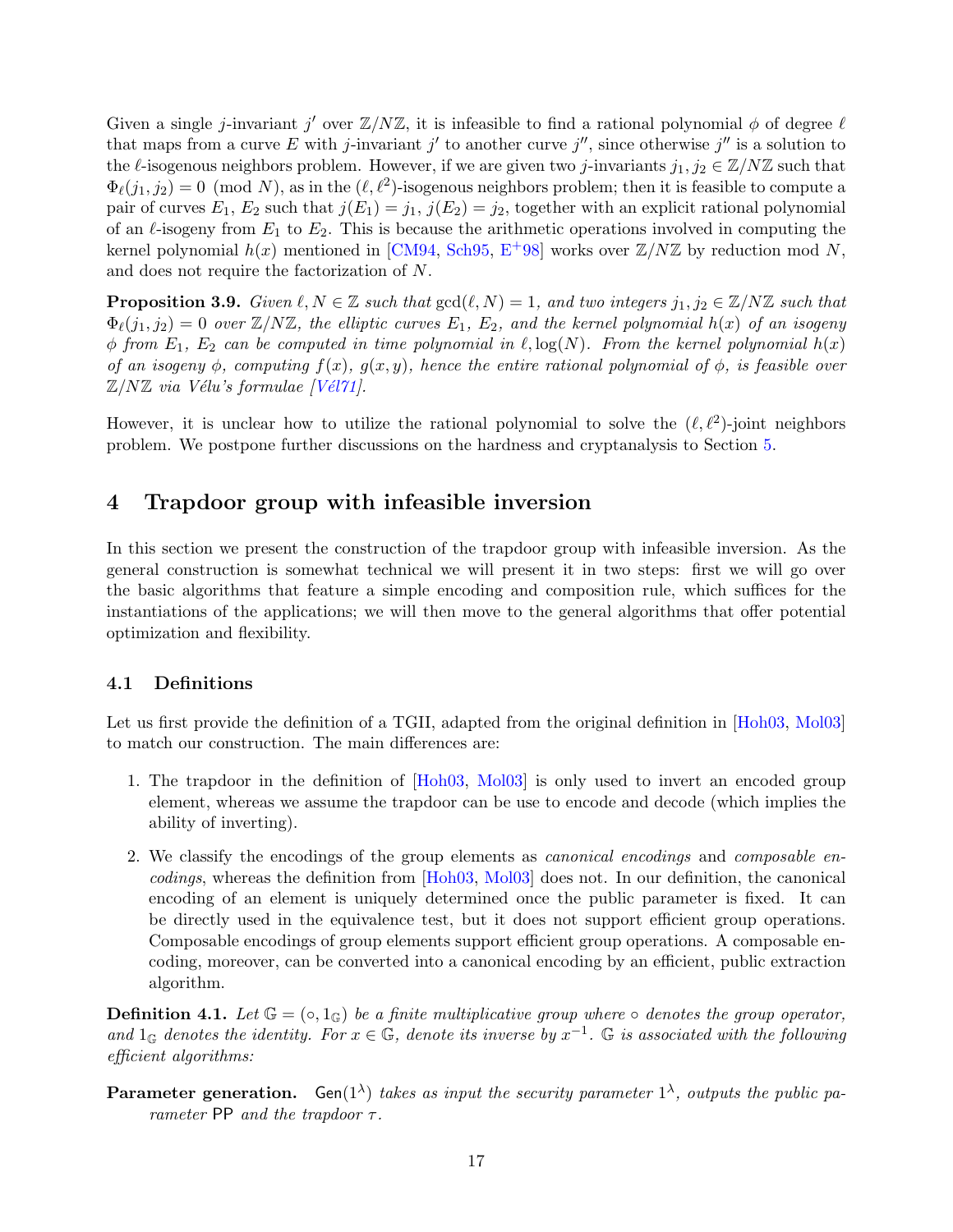Given a single j-invariant j' over  $\mathbb{Z}/N\mathbb{Z}$ , it is infeasible to find a rational polynomial  $\phi$  of degree  $\ell$ that maps from a curve E with j-invariant j' to another curve j'', since otherwise j'' is a solution to the  $\ell$ -isogenous neighbors problem. However, if we are given two j-invariants  $j_1, j_2 \in \mathbb{Z}/N\mathbb{Z}$  such that  $\Phi_{\ell}(j_1, j_2) = 0 \pmod{N}$ , as in the  $(\ell, \ell^2)$ -isogenous neighbors problem; then it is feasible to compute a pair of curves  $E_1, E_2$  such that  $j(E_1) = j_1, j(E_2) = j_2$ , together with an explicit rational polynomial of an  $\ell$ -isogeny from  $E_1$  to  $E_2$ . This is because the arithmetic operations involved in computing the kernel polynomial  $h(x)$  mentioned in [\[CM94,](#page-49-1) [Sch95,](#page-52-2) E<sup>+</sup>[98\]](#page-50-2) works over  $\mathbb{Z}/N\mathbb{Z}$  by reduction mod N, and does not require the factorization of N.

<span id="page-18-2"></span>**Proposition 3.9.** Given  $\ell, N \in \mathbb{Z}$  such that  $gcd(\ell, N) = 1$ , and two integers  $j_1, j_2 \in \mathbb{Z}/N\mathbb{Z}$  such that  $\Phi_{\ell}(j_1, j_2) = 0$  over  $\mathbb{Z}/N\mathbb{Z}$ , the elliptic curves  $E_1, E_2$ , and the kernel polynomial  $h(x)$  of an isogeny  $\phi$  from  $E_1$ ,  $E_2$  can be computed in time polynomial in  $\ell$ ,  $\log(N)$ . From the kernel polynomial  $h(x)$ of an isogeny  $\phi$ , computing  $f(x)$ ,  $g(x, y)$ , hence the entire rational polynomial of  $\phi$ , is feasible over  $\mathbb{Z}/N\mathbb{Z}$  via Vélu's formulae [Vél71].

However, it is unclear how to utilize the rational polynomial to solve the  $(\ell, \ell^2)$ -joint neighbors problem. We postpone further discussions on the hardness and cryptanalysis to Section [5.](#page-28-0)

## <span id="page-18-0"></span>4 Trapdoor group with infeasible inversion

In this section we present the construction of the trapdoor group with infeasible inversion. As the general construction is somewhat technical we will present it in two steps: first we will go over the basic algorithms that feature a simple encoding and composition rule, which suffices for the instantiations of the applications; we will then move to the general algorithms that offer potential optimization and flexibility.

#### <span id="page-18-1"></span>4.1 Definitions

Let us first provide the definition of a TGII, adapted from the original definition in [\[Hoh03,](#page-51-3) [Mol03\]](#page-52-0) to match our construction. The main differences are:

- 1. The trapdoor in the definition of [\[Hoh03,](#page-51-3) [Mol03\]](#page-52-0) is only used to invert an encoded group element, whereas we assume the trapdoor can be use to encode and decode (which implies the ability of inverting).
- 2. We classify the encodings of the group elements as canonical encodings and composable encodings, whereas the definition from [\[Hoh03,](#page-51-3) [Mol03\]](#page-52-0) does not. In our definition, the canonical encoding of an element is uniquely determined once the public parameter is fixed. It can be directly used in the equivalence test, but it does not support efficient group operations. Composable encodings of group elements support efficient group operations. A composable encoding, moreover, can be converted into a canonical encoding by an efficient, public extraction algorithm.

**Definition 4.1.** Let  $\mathbb{G} = (\circ, 1_{\mathbb{G}})$  be a finite multiplicative group where  $\circ$  denotes the group operator, and  $1_G$  denotes the identity. For  $x \in \mathbb{G}$ , denote its inverse by  $x^{-1}$ . G is associated with the following efficient algorithms:

**Parameter generation.** Gen( $1^{\lambda}$ ) takes as input the security parameter  $1^{\lambda}$ , outputs the public parameter PP and the trapdoor  $\tau$ .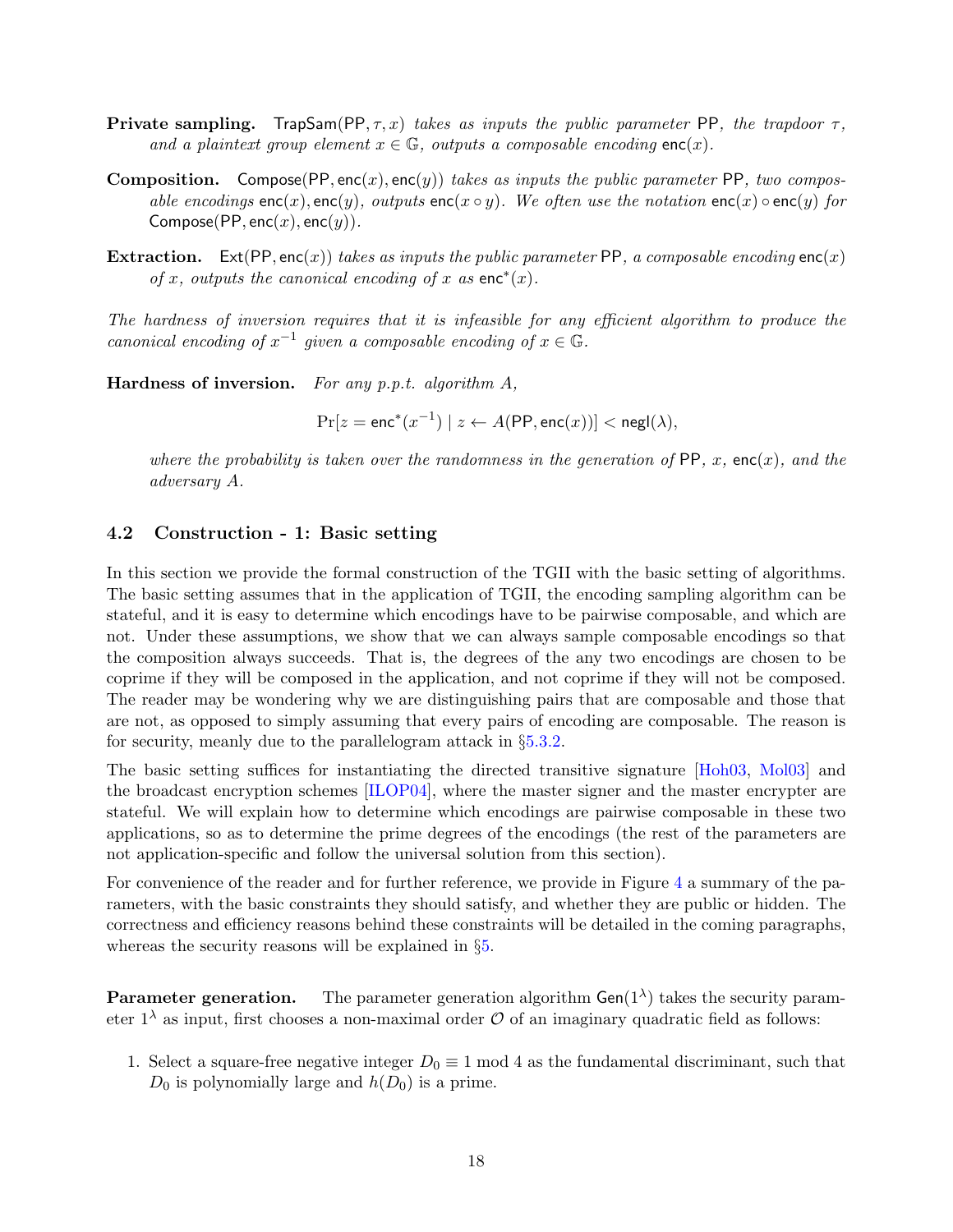- **Private sampling.** TrapSam(PP,  $\tau$ , x) takes as inputs the public parameter PP, the trapdoor  $\tau$ , and a plaintext group element  $x \in \mathbb{G}$ , outputs a composable encoding enc $(x)$ .
- **Composition.** Compose(PP, enc(x), enc(y)) takes as inputs the public parameter PP, two composable encodings enc(x), enc(y), outputs enc(x  $\circ$  y). We often use the notation enc(x)  $\circ$  enc(y) for Compose(PP, enc $(x)$ , enc $(y)$ ).
- **Extraction.** Ext(PP, enc(x)) takes as inputs the public parameter PP, a composable encoding enc(x) of x, outputs the canonical encoding of x as  $enc^*(x)$ .

The hardness of inversion requires that it is infeasible for any efficient algorithm to produce the canonical encoding of  $x^{-1}$  given a composable encoding of  $x \in \mathbb{G}$ .

Hardness of inversion. For any p.p.t. algorithm  $A$ ,

 $Pr[z = enc^*(x^{-1}) | z \leftarrow A(PP, enc(x))] < negl(\lambda),$ 

where the probability is taken over the randomness in the generation of  $PP$ , x, enc $(x)$ , and the adversary A.

#### <span id="page-19-0"></span>4.2 Construction - 1: Basic setting

In this section we provide the formal construction of the TGII with the basic setting of algorithms. The basic setting assumes that in the application of TGII, the encoding sampling algorithm can be stateful, and it is easy to determine which encodings have to be pairwise composable, and which are not. Under these assumptions, we show that we can always sample composable encodings so that the composition always succeeds. That is, the degrees of the any two encodings are chosen to be coprime if they will be composed in the application, and not coprime if they will not be composed. The reader may be wondering why we are distinguishing pairs that are composable and those that are not, as opposed to simply assuming that every pairs of encoding are composable. The reason is for security, meanly due to the parallelogram attack in §[5.3.2.](#page-34-1)

The basic setting suffices for instantiating the directed transitive signature [\[Hoh03,](#page-51-3) [Mol03\]](#page-52-0) and the broadcast encryption schemes [\[ILOP04\]](#page-51-4), where the master signer and the master encrypter are stateful. We will explain how to determine which encodings are pairwise composable in these two applications, so as to determine the prime degrees of the encodings (the rest of the parameters are not application-specific and follow the universal solution from this section).

For convenience of the reader and for further reference, we provide in Figure [4](#page-20-0) a summary of the parameters, with the basic constraints they should satisfy, and whether they are public or hidden. The correctness and efficiency reasons behind these constraints will be detailed in the coming paragraphs, whereas the security reasons will be explained in §[5.](#page-28-0)

**Parameter generation.** The parameter generation algorithm  $Gen(1^{\lambda})$  takes the security parameter  $1^{\lambda}$  as input, first chooses a non-maximal order  $\mathcal O$  of an imaginary quadratic field as follows:

1. Select a square-free negative integer  $D_0 \equiv 1 \mod 4$  as the fundamental discriminant, such that  $D_0$  is polynomially large and  $h(D_0)$  is a prime.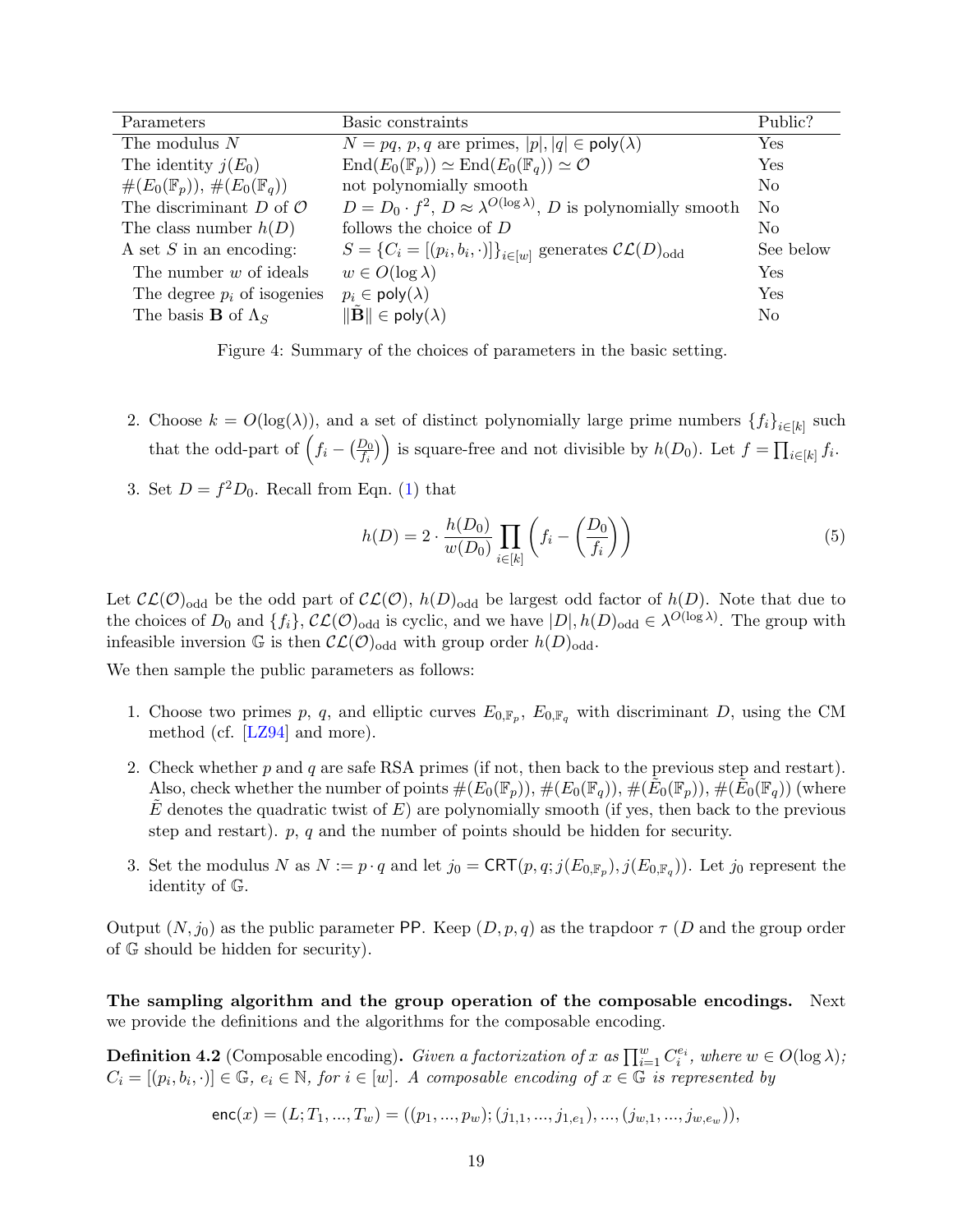| Parameters                                    | Basic constraints                                                                       | Public?        |
|-----------------------------------------------|-----------------------------------------------------------------------------------------|----------------|
| The modulus $N$                               | $N = pq, p, q$ are primes, $ p ,  q  \in \text{poly}(\lambda)$                          | Yes            |
| The identity $j(E_0)$                         | $\text{End}(E_0(\mathbb{F}_p)) \simeq \text{End}(E_0(\mathbb{F}_q)) \simeq \mathcal{O}$ | Yes            |
| $#(E_0(\mathbb{F}_p)), \#(E_0(\mathbb{F}_q))$ | not polynomially smooth                                                                 | N <sub>0</sub> |
| The discriminant $D$ of $\mathcal O$          | $D = D_0 \cdot f^2$ , $D \approx \lambda^{O(\log \lambda)}$ , D is polynomially smooth  | N <sub>0</sub> |
| The class number $h(D)$                       | follows the choice of $D$                                                               | N <sub>0</sub> |
| A set $S$ in an encoding:                     | $S = \{C_i = [(p_i, b_i, \cdot)]\}_{i \in [w]}$ generates $\mathcal{CL}(D)_{odd}$       | See below      |
| The number $w$ of ideals                      | $w \in O(\log \lambda)$                                                                 | Yes            |
| The degree $p_i$ of isogenies                 | $p_i \in \mathsf{poly}(\lambda)$                                                        | <b>Yes</b>     |
| The basis <b>B</b> of $\Lambda_S$             | $\ \mathbf{B}\  \in \mathsf{poly}(\lambda)$                                             | N <sub>0</sub> |

<span id="page-20-0"></span>Figure 4: Summary of the choices of parameters in the basic setting.

- 2. Choose  $k = O(\log(\lambda))$ , and a set of distinct polynomially large prime numbers  $\{f_i\}_{i \in [k]}$  such that the odd-part of  $(f_i - \frac{D_0}{f_i})$  is square-free and not divisible by  $h(D_0)$ . Let  $f = \prod_{i \in [k]} f_i$ .
- 3. Set  $D = f^2 D_0$ . Recall from Eqn. [\(1\)](#page-9-1) that

$$
h(D) = 2 \cdot \frac{h(D_0)}{w(D_0)} \prod_{i \in [k]} \left( f_i - \left( \frac{D_0}{f_i} \right) \right)
$$
 (5)

Let  $\mathcal{CL}(\mathcal{O})_{odd}$  be the odd part of  $\mathcal{CL}(\mathcal{O}), h(D)_{odd}$  be largest odd factor of  $h(D)$ . Note that due to the choices of  $D_0$  and  $\{f_i\}$ ,  $\mathcal{CL}(\mathcal{O})_{odd}$  is cyclic, and we have  $|D|, h(D)_{odd} \in \lambda^{\mathcal{O}(\log \lambda)}$ . The group with infeasible inversion G is then  $\mathcal{CL}(\mathcal{O})_{odd}$  with group order  $h(D)_{odd}$ .

We then sample the public parameters as follows:

- 1. Choose two primes p, q, and elliptic curves  $E_{0,\mathbb{F}_p}$ ,  $E_{0,\mathbb{F}_q}$  with discriminant D, using the CM method (cf. [\[LZ94\]](#page-51-9) and more).
- 2. Check whether p and q are safe RSA primes (if not, then back to the previous step and restart). Also, check whether the number of points  $\#(E_0(\mathbb{F}_p)), \#(E_0(\mathbb{F}_q)), \#(\tilde{E}_0(\mathbb{F}_p)), \#(\tilde{E}_0(\mathbb{F}_q))$  (where E denotes the quadratic twist of  $E$ ) are polynomially smooth (if yes, then back to the previous step and restart).  $p$ ,  $q$  and the number of points should be hidden for security.
- 3. Set the modulus N as  $N := p \cdot q$  and let  $j_0 = \text{CRT}(p, q; j(E_{0, \mathbb{F}_p}), j(E_{0, \mathbb{F}_q}))$ . Let  $j_0$  represent the identity of G.

Output  $(N, j_0)$  as the public parameter PP. Keep  $(D, p, q)$  as the trapdoor  $\tau$  (D and the group order of G should be hidden for security).

The sampling algorithm and the group operation of the composable encodings. Next we provide the definitions and the algorithms for the composable encoding.

<span id="page-20-1"></span>**Definition 4.2** (Composable encoding). Given a factorization of x as  $\prod_{i=1}^{w} C_i^{e_i}$ , where  $w \in O(\log \lambda)$ ;  $C_i = [(p_i, b_i, \cdot)] \in \mathbb{G}, e_i \in \mathbb{N},$  for  $i \in [w]$ . A composable encoding of  $x \in \mathbb{G}$  is represented by

$$
\mathsf{enc}(x) = (L; T_1, ..., T_w) = ((p_1, ..., p_w); (j_{1,1}, ..., j_{1,e_1}), ..., (j_{w,1}, ..., j_{w,e_w})),
$$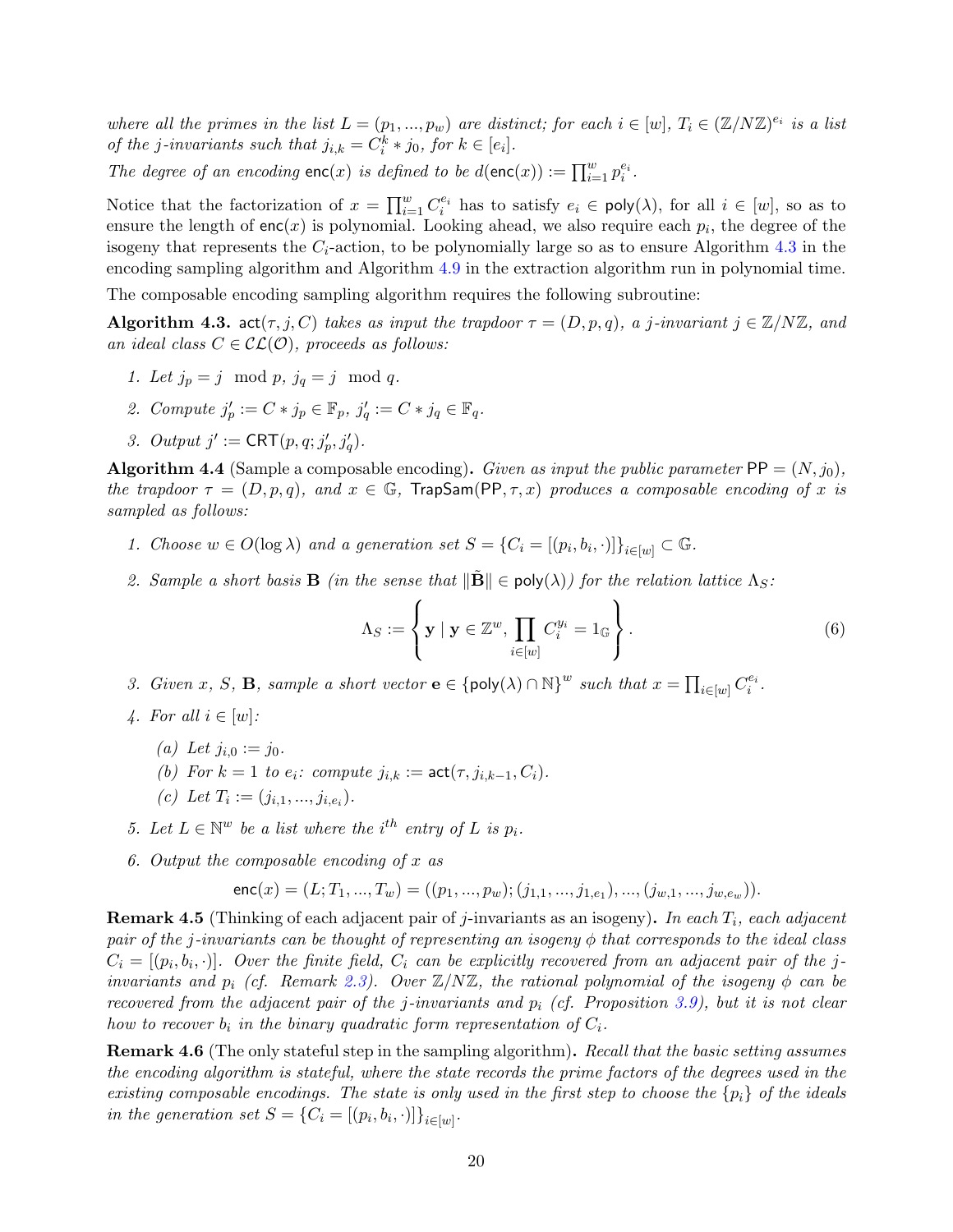where all the primes in the list  $L = (p_1, ..., p_w)$  are distinct; for each  $i \in [w]$ ,  $T_i \in (\mathbb{Z}/N\mathbb{Z})^{e_i}$  is a list of the j-invariants such that  $j_{i,k} = C_i^k * j_0$ , for  $k \in [e_i]$ .

The degree of an encoding  $\mathsf{enc}(x)$  is defined to be  $d(\mathsf{enc}(x)) := \prod_{i=1}^w p_i^{e_i}$ .

Notice that the factorization of  $x = \prod_{i=1}^w C_i^{e_i}$  has to satisfy  $e_i \in \text{poly}(\lambda)$ , for all  $i \in [w]$ , so as to ensure the length of  $enc(x)$  is polynomial. Looking ahead, we also require each  $p_i$ , the degree of the isogeny that represents the  $C_i$ -action, to be polynomially large so as to ensure Algorithm [4.3](#page-21-0) in the encoding sampling algorithm and Algorithm [4.9](#page-22-0) in the extraction algorithm run in polynomial time.

The composable encoding sampling algorithm requires the following subroutine:

<span id="page-21-0"></span>**Algorithm 4.3.** act $(\tau, j, C)$  takes as input the trapdoor  $\tau = (D, p, q)$ , a j-invariant  $j \in \mathbb{Z}/N\mathbb{Z}$ , and an ideal class  $C \in \mathcal{CL}(\mathcal{O})$ , proceeds as follows:

- 1. Let  $j_p = j \mod p$ ,  $j_q = j \mod q$ .
- 2. Compute  $j'_p := C * j_p \in \mathbb{F}_p$ ,  $j'_q := C * j_q \in \mathbb{F}_q$ .
- 3. Output  $j' := \text{CRT}(p, q; j'_p, j'_q)$ .

<span id="page-21-1"></span>**Algorithm 4.4** (Sample a composable encoding). Given as input the public parameter  $PP = (N, j_0)$ , the trapdoor  $\tau = (D, p, q)$ , and  $x \in \mathbb{G}$ , TrapSam(PP,  $\tau, x$ ) produces a composable encoding of x is sampled as follows:

- 1. Choose  $w \in O(\log \lambda)$  and a generation set  $S = \{C_i = [(p_i, b_i, \cdot)]\}_{i \in [w]} \subset \mathbb{G}$ .
- 2. Sample a short basis **B** (in the sense that  $\|\tilde{\mathbf{B}}\| \in \text{poly}(\lambda)$ ) for the relation lattice  $\Lambda_S$ :

$$
\Lambda_S := \left\{ \mathbf{y} \mid \mathbf{y} \in \mathbb{Z}^w, \prod_{i \in [w]} C_i^{y_i} = 1_{\mathbb{G}} \right\}.
$$
 (6)

3. Given x, S, **B**, sample a short vector  $\mathbf{e} \in \{\text{poly}(\lambda) \cap \mathbb{N}\}^w$  such that  $x = \prod_{i \in [w]} C_i^{e_i}$ .

- 4. For all  $i \in [w]$ :
	- (a) Let  $j_{i,0} := j_0$ .
	- (b) For  $k = 1$  to  $e_i$ : compute  $j_{i,k} := \textsf{act}(\tau, j_{i,k-1}, C_i)$ .
	- (c) Let  $T_i := (j_{i,1},...,j_{i,e_i}).$
- 5. Let  $L \in \mathbb{N}^w$  be a list where the i<sup>th</sup> entry of L is  $p_i$ .
- 6. Output the composable encoding of x as

$$
\mathsf{enc}(x) = (L; T_1, ..., T_w) = ((p_1, ..., p_w); (j_{1,1}, ..., j_{1,e_1}), ..., (j_{w,1}, ..., j_{w,e_w})).
$$

<span id="page-21-2"></span>**Remark 4.5** (Thinking of each adjacent pair of j-invariants as an isogeny). In each  $T_i$ , each adjacent pair of the j-invariants can be thought of representing an isogeny  $\phi$  that corresponds to the ideal class  $C_i = [(p_i, b_i, \cdot)].$  Over the finite field,  $C_i$  can be explicitly recovered from an adjacent pair of the jinvariants and  $p_i$  (cf. Remark [2.3\)](#page-12-1). Over  $\mathbb{Z}/N\mathbb{Z}$ , the rational polynomial of the isogeny  $\phi$  can be recovered from the adjacent pair of the j-invariants and  $p_i$  (cf. Proposition [3.9\)](#page-18-2), but it is not clear how to recover  $b_i$  in the binary quadratic form representation of  $C_i$ .

Remark 4.6 (The only stateful step in the sampling algorithm). Recall that the basic setting assumes the encoding algorithm is stateful, where the state records the prime factors of the degrees used in the existing composable encodings. The state is only used in the first step to choose the  $\{p_i\}$  of the ideals in the generation set  $S = \{C_i = [(p_i, b_i, \cdot)]\}_{i \in [w]}.$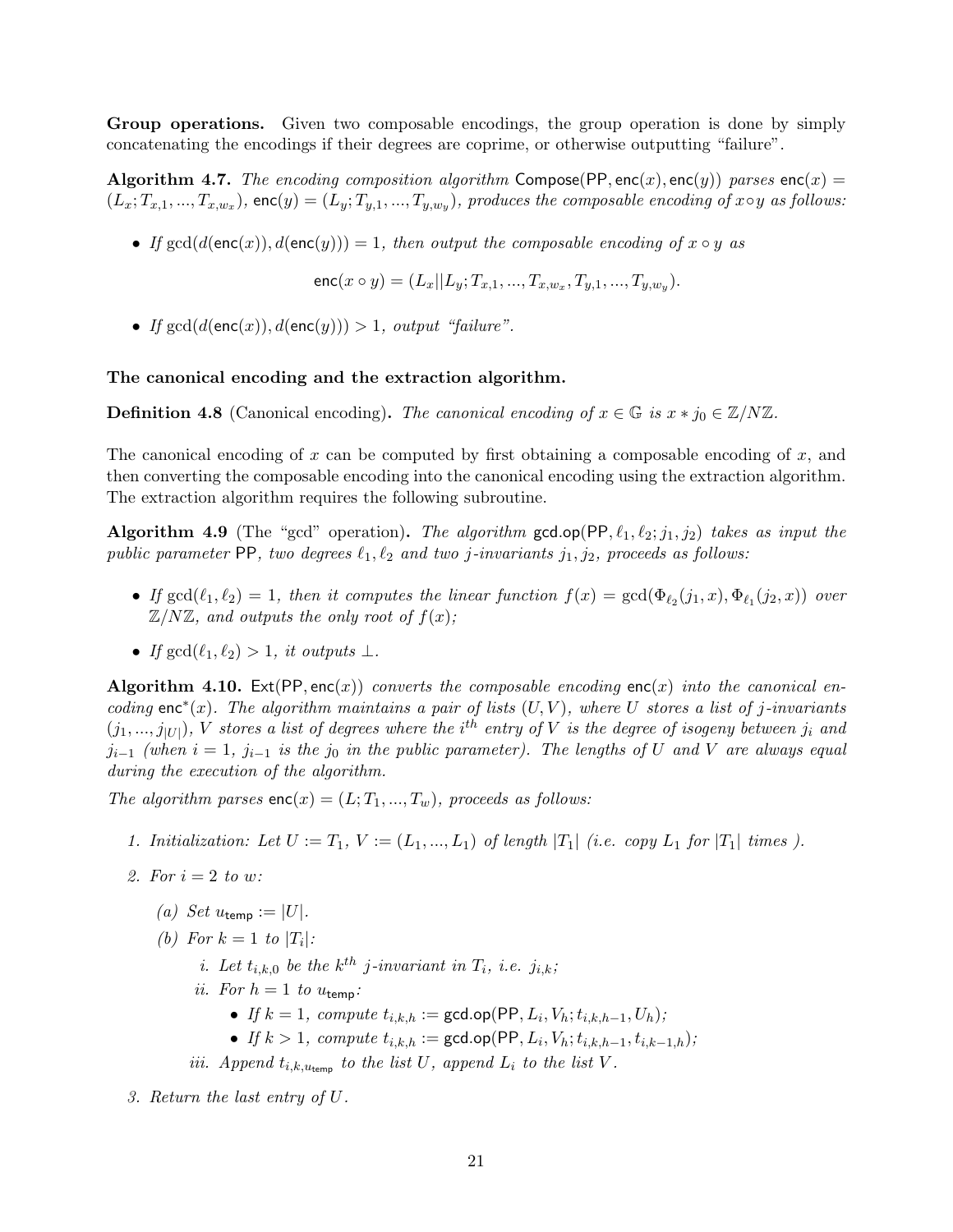Group operations. Given two composable encodings, the group operation is done by simply concatenating the encodings if their degrees are coprime, or otherwise outputting "failure".

<span id="page-22-1"></span>Algorithm 4.7. The encoding composition algorithm Compose(PP, enc(x), enc(y)) parses enc(x) =  $(L_x; T_{x,1},..., T_{x,w_x})$ , enc $(y) = (L_y; T_{y,1},..., T_{y,w_y})$ , produces the composable encoding of  $x \circ y$  as follows:

• If  $gcd(d(enc(x)), d(enc(y))) = 1$ , then output the composable encoding of  $x \circ y$  as

enc $(x \circ y) = (L_x || L_y; T_{x,1}, ..., T_{x,w_x}, T_{y,1}, ..., T_{y,w_y}).$ 

• If  $gcd(d(enc(x)), d(enc(y))) > 1$ , output "failure".

#### The canonical encoding and the extraction algorithm.

**Definition 4.8** (Canonical encoding). The canonical encoding of  $x \in \mathbb{G}$  is  $x * j_0 \in \mathbb{Z}/N\mathbb{Z}$ .

The canonical encoding of x can be computed by first obtaining a composable encoding of x, and then converting the composable encoding into the canonical encoding using the extraction algorithm. The extraction algorithm requires the following subroutine.

<span id="page-22-0"></span>Algorithm 4.9 (The "gcd" operation). The algorithm gcd.op(PP,  $\ell_1, \ell_2; j_1, j_2$ ) takes as input the public parameter PP, two degrees  $\ell_1, \ell_2$  and two j-invariants j<sub>1</sub>, j<sub>2</sub>, proceeds as follows:

- If  $gcd(\ell_1, \ell_2) = 1$ , then it computes the linear function  $f(x) = gcd(\Phi_{\ell_2}(j_1, x), \Phi_{\ell_1}(j_2, x))$  over  $\mathbb{Z}/N\mathbb{Z}$ , and outputs the only root of  $f(x)$ ;
- If  $gcd(\ell_1, \ell_2) > 1$ , it outputs  $\perp$ .

<span id="page-22-2"></span>Algorithm 4.10. Ext(PP, enc(x)) converts the composable encoding enc(x) into the canonical encoding enc<sup>\*</sup>(x). The algorithm maintains a pair of lists  $(U, V)$ , where U stores a list of j-invariants  $(j_1,...,j_{|U|})$ , V stores a list of degrees where the i<sup>th</sup> entry of V is the degree of isogeny between  $j_i$  and  $j_{i-1}$  (when  $i = 1$ ,  $j_{i-1}$  is the  $j_0$  in the public parameter). The lengths of U and V are always equal during the execution of the algorithm.

The algorithm parses  $enc(x) = (L; T_1, ..., T_w)$ , proceeds as follows:

- 1. Initialization: Let  $U := T_1, V := (L_1, ..., L_1)$  of length  $|T_1|$  (i.e. copy  $L_1$  for  $|T_1|$  times).
- 2. For  $i=2$  to w:
	- (a) Set  $u_{\text{temp}} := |U|$ .
	- (b) For  $k = 1$  to  $|T_i|$ :
		- *i.* Let  $t_{i,k,0}$  be the  $k^{th}$  j-invariant in  $T_i$ , i.e.  $j_{i,k}$ ;
		- ii. For  $h = 1$  to  $u_{\text{temp}}$ :
			- If  $k = 1$ , compute  $t_{i,k,h} := \gcd.open(\mathsf{PP}, L_i, V_h; t_{i,k,h-1}, U_h);$
			- If  $k > 1$ , compute  $t_{i,k,h} := \gcd.open(\mathsf{PP}, L_i, V_h; t_{i,k,h-1}, t_{i,k-1,h});$
		- iii. Append  $t_{i,k,u_{temp}}$  to the list U, append  $L_i$  to the list V.
- 3. Return the last entry of U.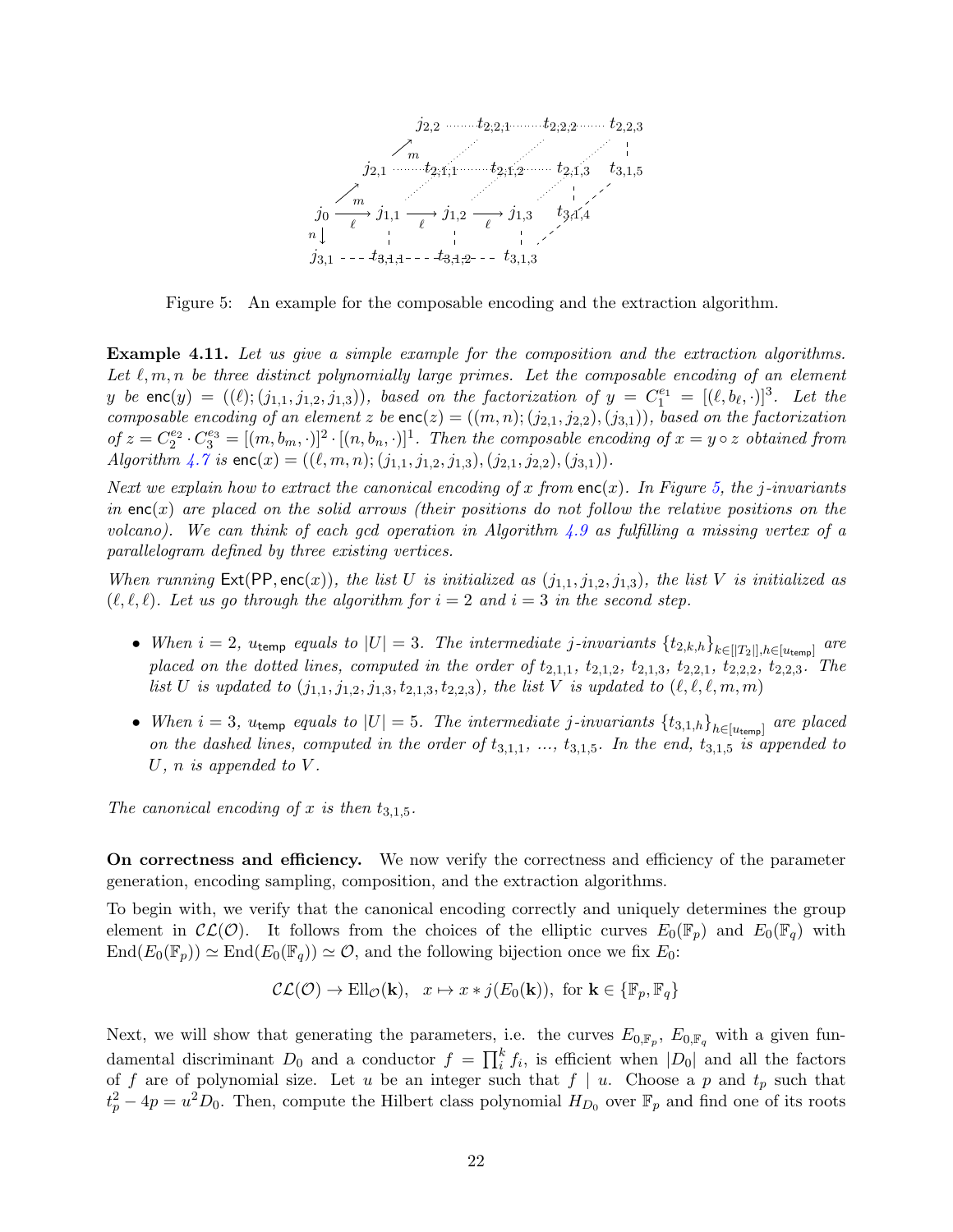

<span id="page-23-0"></span>Figure 5: An example for the composable encoding and the extraction algorithm.

Example 4.11. Let us give a simple example for the composition and the extraction algorithms. Let  $\ell, m, n$  be three distinct polynomially large primes. Let the composable encoding of an element y be  $\textsf{enc}(y) = ((\ell); (j_{1,1}, j_{1,2}, j_{1,3}))$ , based on the factorization of  $y = C_1^{e_1} = [(\ell, b_\ell, \cdot)]^3$ . Let the composable encoding of an element z be  $enc(z) = ((m, n); (j_{2,1}, j_{2,2}), (j_{3,1}))$ , based on the factorization of  $z = C_2^{e_2} \cdot C_3^{e_3} = [(m, b_m, \cdot)]^2 \cdot [(n, b_n, \cdot)]^1$ . Then the composable encoding of  $x = y \circ z$  obtained from Algorithm  $\angle 4.7$  $\angle 4.7$  is  $enc(x) = ((\ell, m, n); (j_{1,1}, j_{1,2}, j_{1,3}), (j_{2,1}, j_{2,2}), (j_{3,1})).$ 

Next we explain how to extract the canonical encoding of x from  $enc(x)$ . In Figure [5,](#page-23-0) the j-invariants in  $enc(x)$  are placed on the solid arrows (their positions do not follow the relative positions on the volcano). We can think of each gcd operation in Algorithm [4.9](#page-22-0) as fulfilling a missing vertex of a parallelogram defined by three existing vertices.

When running  $\textsf{Ext}(\textsf{PP},\textsf{enc}(x))$ , the list U is initialized as  $(j_{1,1}, j_{1,2}, j_{1,3})$ , the list V is initialized as  $(\ell, \ell, \ell)$ . Let us go through the algorithm for  $i = 2$  and  $i = 3$  in the second step.

- When  $i = 2$ ,  $u_{temp}$  equals to  $|U| = 3$ . The intermediate j-invariants  $\{t_{2,k,h}\}_{k \in [|T_2|], h \in [u_{temp}]}$  are placed on the dotted lines, computed in the order of  $t_{2,1,1}$ ,  $t_{2,1,2}$ ,  $t_{2,1,3}$ ,  $t_{2,2,1}$ ,  $t_{2,2,2}$ ,  $t_{2,2,3}$ . The list U is updated to  $(j_{1,1}, j_{1,2}, j_{1,3}, t_{2,1,3}, t_{2,2,3})$ , the list V is updated to  $(\ell, \ell, \ell, m, m)$
- When  $i = 3$ ,  $u_{temp}$  equals to  $|U| = 5$ . The intermediate j-invariants  $\{t_{3,1,h}\}_{h \in [u_{temp}]}$  are placed on the dashed lines, computed in the order of  $t_{3,1,1}$ , ...,  $t_{3,1,5}$ . In the end,  $t_{3,1,5}$  is appended to U, n is appended to  $V$ .

The canonical encoding of x is then  $t_{3,1,5}$ .

On correctness and efficiency. We now verify the correctness and efficiency of the parameter generation, encoding sampling, composition, and the extraction algorithms.

To begin with, we verify that the canonical encoding correctly and uniquely determines the group element in  $\mathcal{CL}(\mathcal{O})$ . It follows from the choices of the elliptic curves  $E_0(\mathbb{F}_p)$  and  $E_0(\mathbb{F}_q)$  with  $\text{End}(E_0(\mathbb{F}_n)) \simeq \text{End}(E_0(\mathbb{F}_q)) \simeq \mathcal{O}$ , and the following bijection once we fix  $E_0$ :

$$
\mathcal{CL}(\mathcal{O}) \to \text{Ell}_{\mathcal{O}}(\mathbf{k}), \quad x \mapsto x \ast j(E_0(\mathbf{k})), \text{ for } \mathbf{k} \in \{\mathbb{F}_p, \mathbb{F}_q\}
$$

Next, we will show that generating the parameters, i.e. the curves  $E_{0,\mathbb{F}_p}$ ,  $E_{0,\mathbb{F}_q}$  with a given fundamental discriminant  $D_0$  and a conductor  $f = \prod_i^k f_i$ , is efficient when  $|D_0|$  and all the factors of f are of polynomial size. Let u be an integer such that  $f | u$ . Choose a p and  $t_p$  such that  $t_p^2 - 4p = u^2 D_0$ . Then, compute the Hilbert class polynomial  $H_{D_0}$  over  $\mathbb{F}_p$  and find one of its roots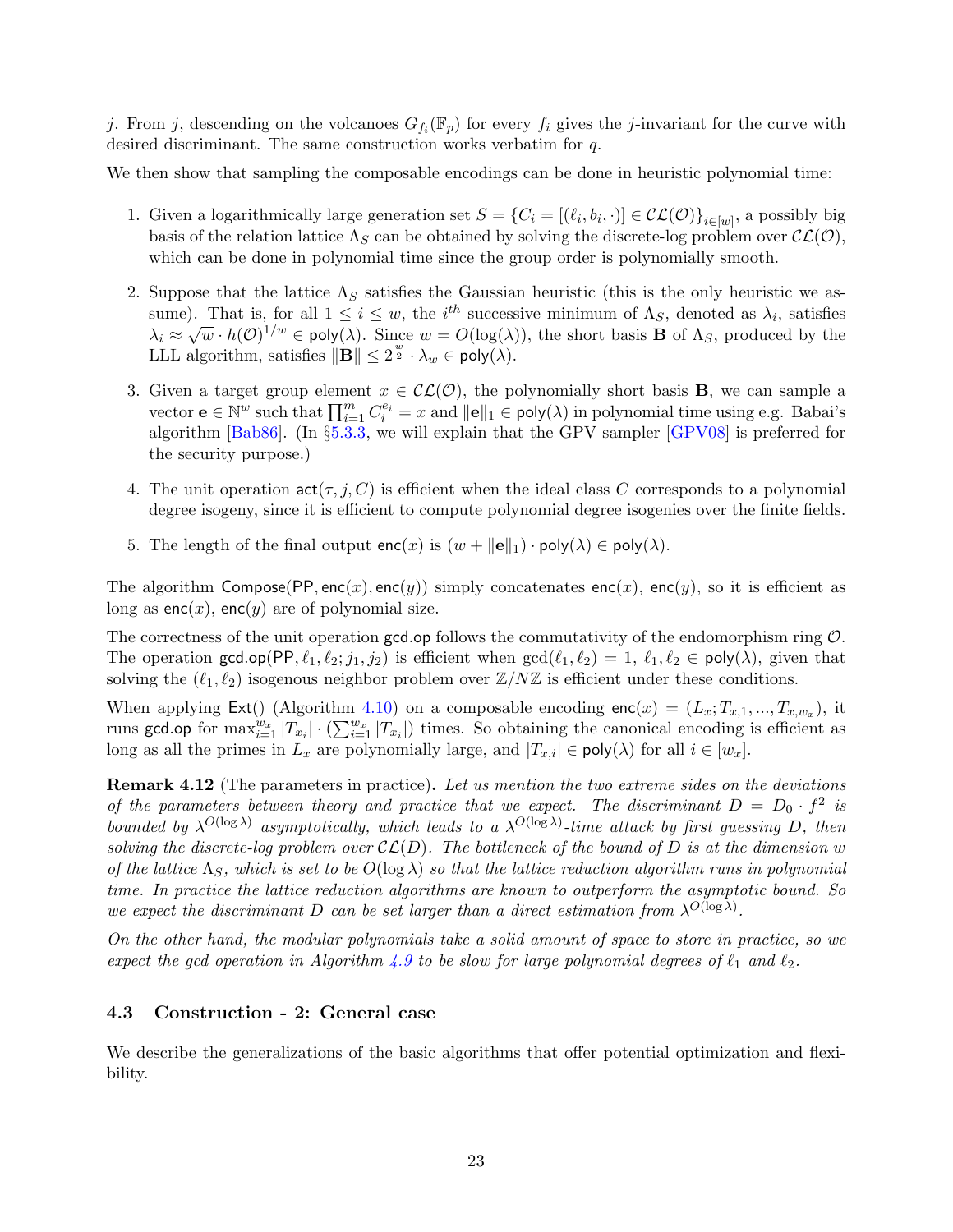j. From j, descending on the volcanoes  $G_{f_i}(\mathbb{F}_p)$  for every  $f_i$  gives the j-invariant for the curve with desired discriminant. The same construction works verbatim for q.

We then show that sampling the composable encodings can be done in heuristic polynomial time:

- 1. Given a logarithmically large generation set  $S = \{C_i = [(\ell_i, b_i, \cdot)] \in \mathcal{CL}(\mathcal{O})\}_{i \in [w]}$ , a possibly big basis of the relation lattice  $\Lambda_S$  can be obtained by solving the discrete-log problem over  $\mathcal{CL}(\mathcal{O}),$ which can be done in polynomial time since the group order is polynomially smooth.
- 2. Suppose that the lattice  $\Lambda_S$  satisfies the Gaussian heuristic (this is the only heuristic we assume). That is, for all  $1 \leq i \leq w$ , the i<sup>th</sup> successive minimum of  $\Lambda_S$ , denoted as  $\lambda_i$ , satisfies sume). That is, for an  $1 \leq i \leq w$ , the *i* successive minimum of *A<sub>S</sub>*, denoted as  $\lambda_i$ , satisfies  $\lambda_i \approx \sqrt{w} \cdot h(\mathcal{O})^{1/w} \in \text{poly}(\lambda)$ . Since  $w = O(\log(\lambda))$ , the short basis **B** of  $\Lambda_S$ , produced by the LLL algorithm, satisfies  $\|\mathbf{B}\| \leq 2^{\frac{w}{2}} \cdot \lambda_w \in \mathsf{poly}(\lambda)$ .
- 3. Given a target group element  $x \in \mathcal{CL}(\mathcal{O})$ , the polynomially short basis **B**, we can sample a vector  $\mathbf{e} \in \mathbb{N}^w$  such that  $\prod_{i=1}^m C_i^{e_i} = x$  and  $\|\mathbf{e}\|_1 \in \mathsf{poly}(\lambda)$  in polynomial time using e.g. Babai's algorithm [\[Bab86\]](#page-48-2). (In §[5.3.3,](#page-35-0) we will explain that the GPV sampler [\[GPV08\]](#page-50-9) is preferred for the security purpose.)
- 4. The unit operation  $\text{act}(\tau, j, C)$  is efficient when the ideal class C corresponds to a polynomial degree isogeny, since it is efficient to compute polynomial degree isogenies over the finite fields.
- 5. The length of the final output  $enc(x)$  is  $(w + ||e||_1) \cdot poly(\lambda) \in poly(\lambda)$ .

The algorithm Compose(PP, enc(x), enc(y)) simply concatenates enc(x), enc(y), so it is efficient as long as  $enc(x)$ ,  $enc(y)$  are of polynomial size.

The correctness of the unit operation  $gcd_op$  follows the commutativity of the endomorphism ring  $\mathcal{O}$ . The operation gcd.op(PP,  $\ell_1, \ell_2; j_1, j_2$ ) is efficient when  $gcd(\ell_1, \ell_2) = 1, \ell_1, \ell_2 \in poly(\lambda)$ , given that solving the  $(\ell_1, \ell_2)$  isogenous neighbor problem over  $\mathbb{Z}/N\mathbb{Z}$  is efficient under these conditions.

When applying  $\textsf{Ext}(\text{)}$  (Algorithm [4.10\)](#page-22-2) on a composable encoding  $\textsf{enc}(x) = (L_x; T_{x,1},..., T_{x,w_x}),$  it runs gcd.op for  $\max_{i=1}^{w_x} |T_{x_i}| \cdot (\sum_{i=1}^{w_x} |T_{x_i}|)$  times. So obtaining the canonical encoding is efficient as long as all the primes in  $L_x$  are polynomially large, and  $|T_{x,i}| \in \text{poly}(\lambda)$  for all  $i \in [w_x]$ .

**Remark 4.12** (The parameters in practice). Let us mention the two extreme sides on the deviations of the parameters between theory and practice that we expect. The discriminant  $D = D_0 \cdot f^2$  is bounded by  $\lambda^{O(\log \lambda)}$  asymptotically, which leads to a  $\lambda^{O(\log \lambda)}$ -time attack by first guessing D, then solving the discrete-log problem over  $\mathcal{CL}(D)$ . The bottleneck of the bound of D is at the dimension w of the lattice  $\Lambda_S$ , which is set to be  $O(\log \lambda)$  so that the lattice reduction algorithm runs in polynomial time. In practice the lattice reduction algorithms are known to outperform the asymptotic bound. So we expect the discriminant D can be set larger than a direct estimation from  $\lambda^{O(\log \lambda)}$ .

On the other hand, the modular polynomials take a solid amount of space to store in practice, so we expect the gcd operation in Algorithm [4.9](#page-22-0) to be slow for large polynomial degrees of  $\ell_1$  and  $\ell_2$ .

#### <span id="page-24-0"></span>4.3 Construction - 2: General case

We describe the generalizations of the basic algorithms that offer potential optimization and flexibility.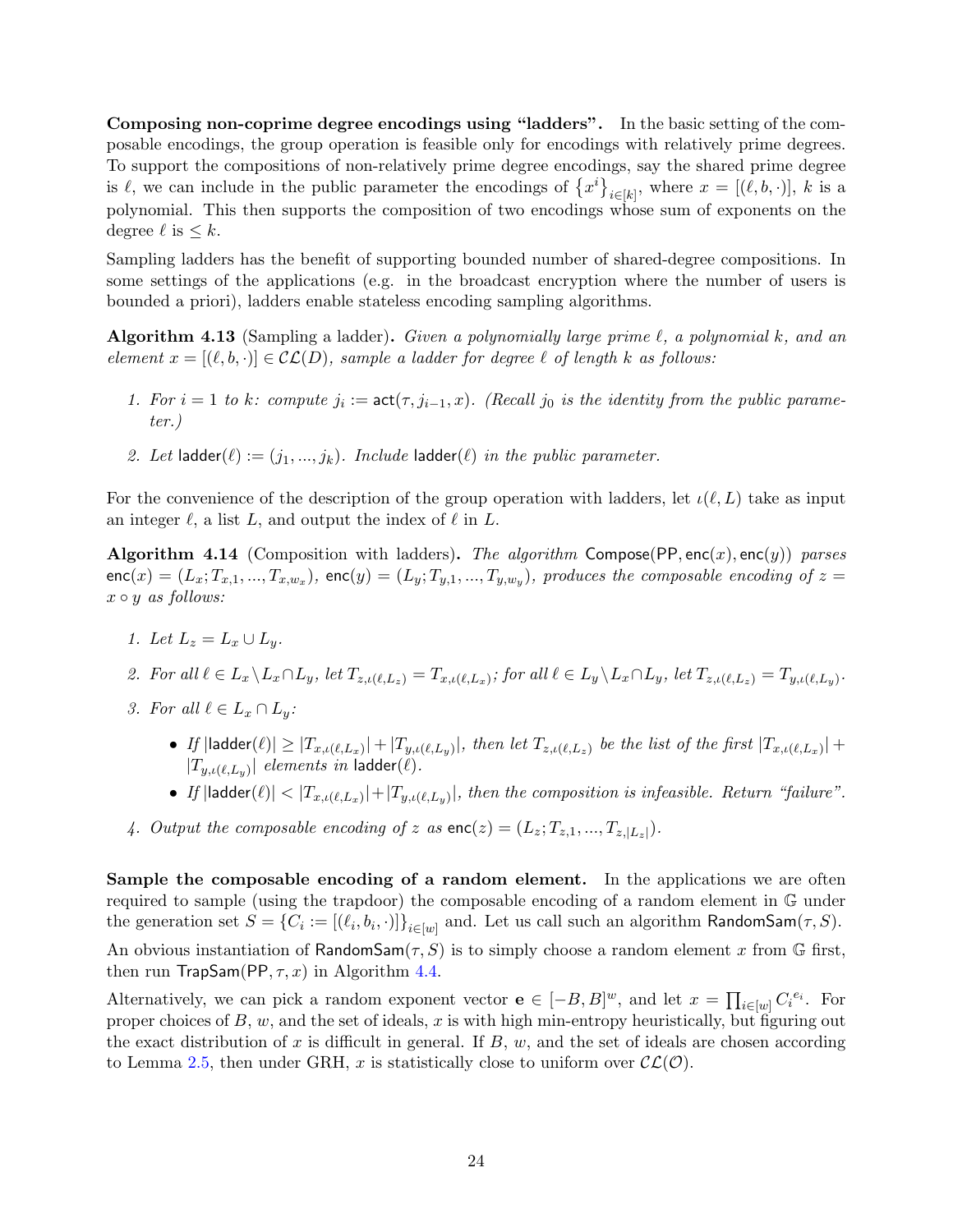Composing non-coprime degree encodings using "ladders". In the basic setting of the composable encodings, the group operation is feasible only for encodings with relatively prime degrees. To support the compositions of non-relatively prime degree encodings, say the shared prime degree is  $\ell$ , we can include in the public parameter the encodings of  $\{x^i\}_{i\in[k]}$ , where  $x = [(\ell, b, \cdot)]$ , k is a polynomial. This then supports the composition of two encodings whose sum of exponents on the degree  $\ell$  is  $\leq k$ .

Sampling ladders has the benefit of supporting bounded number of shared-degree compositions. In some settings of the applications (e.g. in the broadcast encryption where the number of users is bounded a priori), ladders enable stateless encoding sampling algorithms.

<span id="page-25-0"></span>**Algorithm 4.13** (Sampling a ladder). Given a polynomially large prime  $\ell$ , a polynomial k, and an element  $x = [(\ell, b, \cdot)] \in \mathcal{CL}(D)$ , sample a ladder for degree  $\ell$  of length k as follows:

- 1. For  $i = 1$  to k: compute  $j_i := \text{act}(\tau, j_{i-1}, x)$ . (Recall  $j_0$  is the identity from the public parameter.)
- 2. Let ladder( $\ell$ ) :=  $(j_1, ..., j_k)$ . Include ladder( $\ell$ ) in the public parameter.

For the convenience of the description of the group operation with ladders, let  $\iota(\ell, L)$  take as input an integer  $\ell$ , a list L, and output the index of  $\ell$  in L.

Algorithm 4.14 (Composition with ladders). The algorithm Compose(PP, enc(x), enc(y)) parses  ${\sf enc}(x)=(L_x;T_{x,1},...,T_{x,w_x}),\ {\sf enc}(y)=(L_y;T_{y,1},...,T_{y,w_y}),\ produces\ the\ composable\ encoding\ of\ z=0.$  $x \circ y$  as follows:

1. Let  $L_z = L_x \cup L_y$ .

2. For all  $\ell \in L_x \backslash L_x \cap L_y$ , let  $T_{z,\iota(\ell,L_z)} = T_{x,\iota(\ell,L_x)}$ ; for all  $\ell \in L_y \backslash L_x \cap L_y$ , let  $T_{z,\iota(\ell,L_z)} = T_{y,\iota(\ell,L_y)}$ .

- 3. For all  $\ell \in L_x \cap L_y$ :
	- $\bullet$  If  $|\textsf{ladder}(\ell)| \geq |T_{x,\iota(\ell,L_x)}| + |T_{y,\iota(\ell,L_y)}|$ , then let  $T_{z,\iota(\ell,L_z)}$  be the list of the first  $|T_{x,\iota(\ell,L_x)}| +$  $|T_{y,\iota(\ell,L_y)}|$  elements in ladder( $\ell).$
	- If  $|\text{ladder}(\ell)| < |T_{x,\iota(\ell,L_x)}| + |T_{y,\iota(\ell,L_y)}|$ , then the composition is infeasible. Return "failure".
- 4. Output the composable encoding of z as  $\mathsf{enc}(z) = (L_z; T_{z,1},...,T_{z,|L_z|}).$

Sample the composable encoding of a random element. In the applications we are often required to sample (using the trapdoor) the composable encoding of a random element in G under the generation set  $S = \{C_i := [(\ell_i, b_i, \cdot)]\}_{i \in [w]}$  and. Let us call such an algorithm RandomSam $(\tau, S)$ . An obvious instantiation of RandomSam $(\tau, S)$  is to simply choose a random element x from  $\mathbb G$  first, then run TrapSam(PP,  $\tau$ , x) in Algorithm [4.4.](#page-21-1)

Alternatively, we can pick a random exponent vector  $\mathbf{e} \in [-B, B]^w$ , and let  $x = \prod_{i \in [w]} C_i^{e_i}$ . For proper choices of  $B$ ,  $w$ , and the set of ideals,  $x$  is with high min-entropy heuristically, but figuring out the exact distribution of x is difficult in general. If  $B$ ,  $w$ , and the set of ideals are chosen according to Lemma [2.5,](#page-13-1) then under GRH, x is statistically close to uniform over  $\mathcal{CL}(\mathcal{O})$ .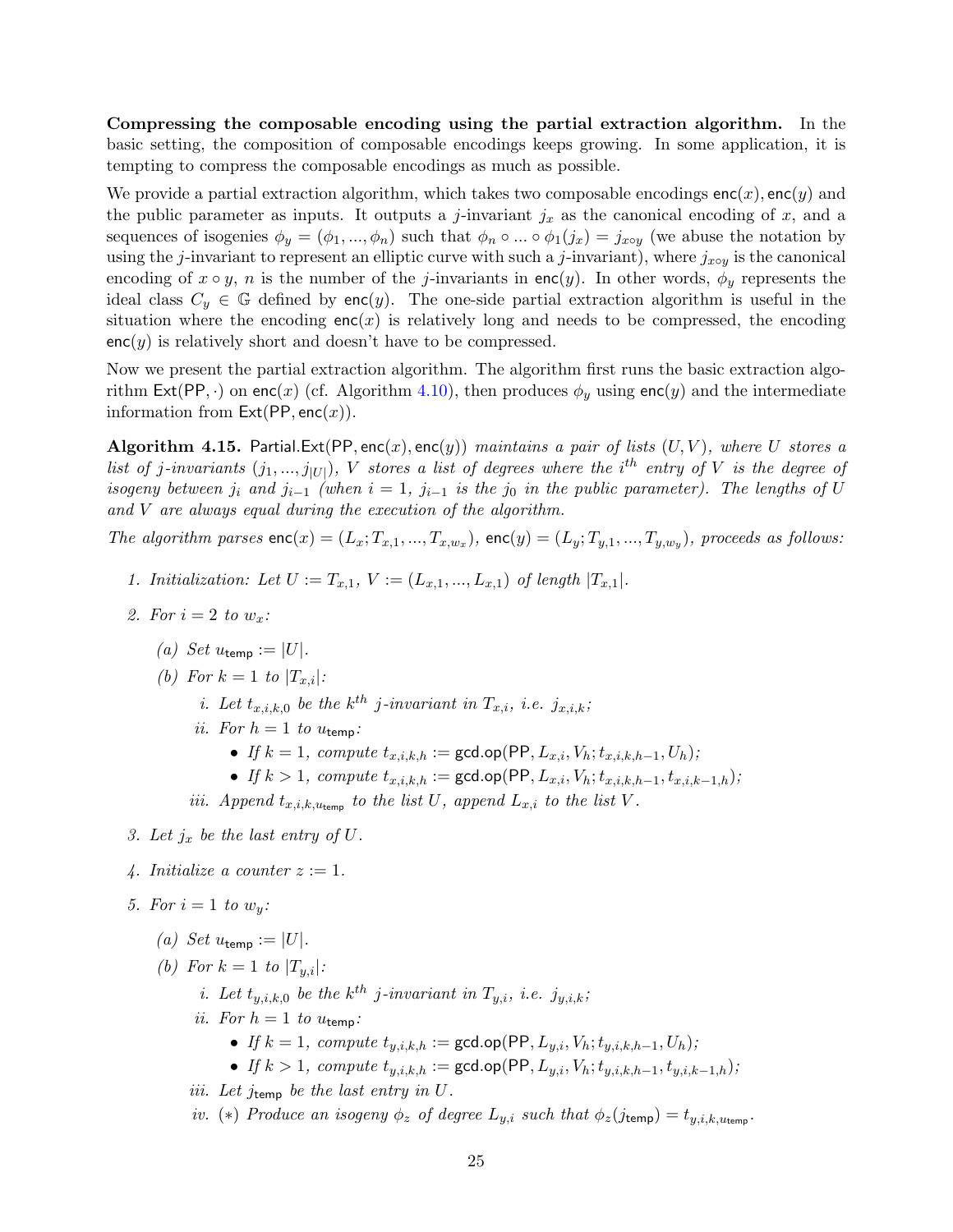Compressing the composable encoding using the partial extraction algorithm. In the basic setting, the composition of composable encodings keeps growing. In some application, it is tempting to compress the composable encodings as much as possible.

We provide a partial extraction algorithm, which takes two composable encodings  $enc(x)$ ,  $enc(y)$  and the public parameter as inputs. It outputs a j-invariant  $j_x$  as the canonical encoding of x, and a sequences of isogenies  $\phi_y = (\phi_1, ..., \phi_n)$  such that  $\phi_n \circ ... \circ \phi_1(j_x) = j_{x \circ y}$  (we abuse the notation by using the j-invariant to represent an elliptic curve with such a j-invariant), where  $j_{x\circ y}$  is the canonical encoding of  $x \circ y$ , n is the number of the j-invariants in enc(y). In other words,  $\phi_y$  represents the ideal class  $C_y \in \mathbb{G}$  defined by enc(y). The one-side partial extraction algorithm is useful in the situation where the encoding  $enc(x)$  is relatively long and needs to be compressed, the encoding  $enc(y)$  is relatively short and doesn't have to be compressed.

Now we present the partial extraction algorithm. The algorithm first runs the basic extraction algo-rithm Ext(PP, ·) on enc(x) (cf. Algorithm [4.10\)](#page-22-2), then produces  $\phi_y$  using enc(y) and the intermediate information from  $Ext(PP, enc(x))$ .

<span id="page-26-0"></span>**Algorithm 4.15.** Partial.Ext(PP, enc(x), enc(y)) maintains a pair of lists  $(U, V)$ , where U stores a list of j-invariants  $(j_1, ..., j_{|U|})$ , V stores a list of degrees where the i<sup>th</sup> entry of V is the degree of isogeny between  $j_i$  and  $j_{i-1}$  (when  $i = 1$ ,  $j_{i-1}$  is the  $j_0$  in the public parameter). The lengths of U and V are always equal during the execution of the algorithm.

The algorithm parses  $enc(x) = (L_x; T_{x,1},...,T_{x,w_x})$ ,  $enc(y) = (L_y; T_{y,1},...,T_{y,w_y})$ , proceeds as follows:

- 1. Initialization: Let  $U := T_{x,1}, V := (L_{x,1}, ..., L_{x,1})$  of length  $|T_{x,1}|$ .
- 2. For  $i=2$  to  $w_x$ :
	- (a) Set  $u_{\text{temp}} := |U|$ .
	- (b) For  $k = 1$  to  $|T_{x,i}|$ :
		- *i.* Let  $t_{x,i,k,0}$  be the  $k^{th}$  j-invariant in  $T_{x,i}$ , *i.e.*  $j_{x,i,k}$ ;
		- ii. For  $h = 1$  to  $u_{\text{temp}}$ :
			- If  $k = 1$ , compute  $t_{x,i,k,h} := \gcd.open(PP, L_{x,i}, V_h; t_{x,i,k,h-1}, U_h);$
			- If  $k > 1$ , compute  $t_{x,i,k,h} := \gcd(op(PP, L_{x,i}, V_h; t_{x,i,k,h-1}, t_{x,i,k-1,h});$

iii. Append  $t_{x,i,k,u_{\text{temp}}}$  to the list U, append  $L_{x,i}$  to the list V.

- 3. Let  $j_x$  be the last entry of U.
- 4. Initialize a counter  $z := 1$ .
- 5. For  $i=1$  to  $w_u$ :
	- (a) Set  $u_{\text{temp}} := |U|$ .
	- (b) For  $k = 1$  to  $|T_{u,i}|$ :
		- *i.* Let  $t_{y,i,k,0}$  be the  $k^{th}$  j-invariant in  $T_{y,i}$ , *i.e.*  $j_{y,i,k}$ ;
		- ii. For  $h = 1$  to  $u_{temp}$ :
			- If  $k = 1$ , compute  $t_{u,i,k,h} := \gcd(op(\text{PP}, L_{u,i}, V_h; t_{u,i,k,h-1}, U_h);$
			- If  $k > 1$ , compute  $t_{y,i,k,h} := \gcd.open(\mathsf{PP}, L_{y,i}, V_h; t_{y,i,k,h-1}, t_{y,i,k-1,h});$
		- iii. Let  $j_{temp}$  be the last entry in  $U$ .
		- iv. (\*) Produce an isogeny  $\phi_z$  of degree  $L_{y,i}$  such that  $\phi_z(j_{temp}) = t_{y,i,k,u_{temp}}$ .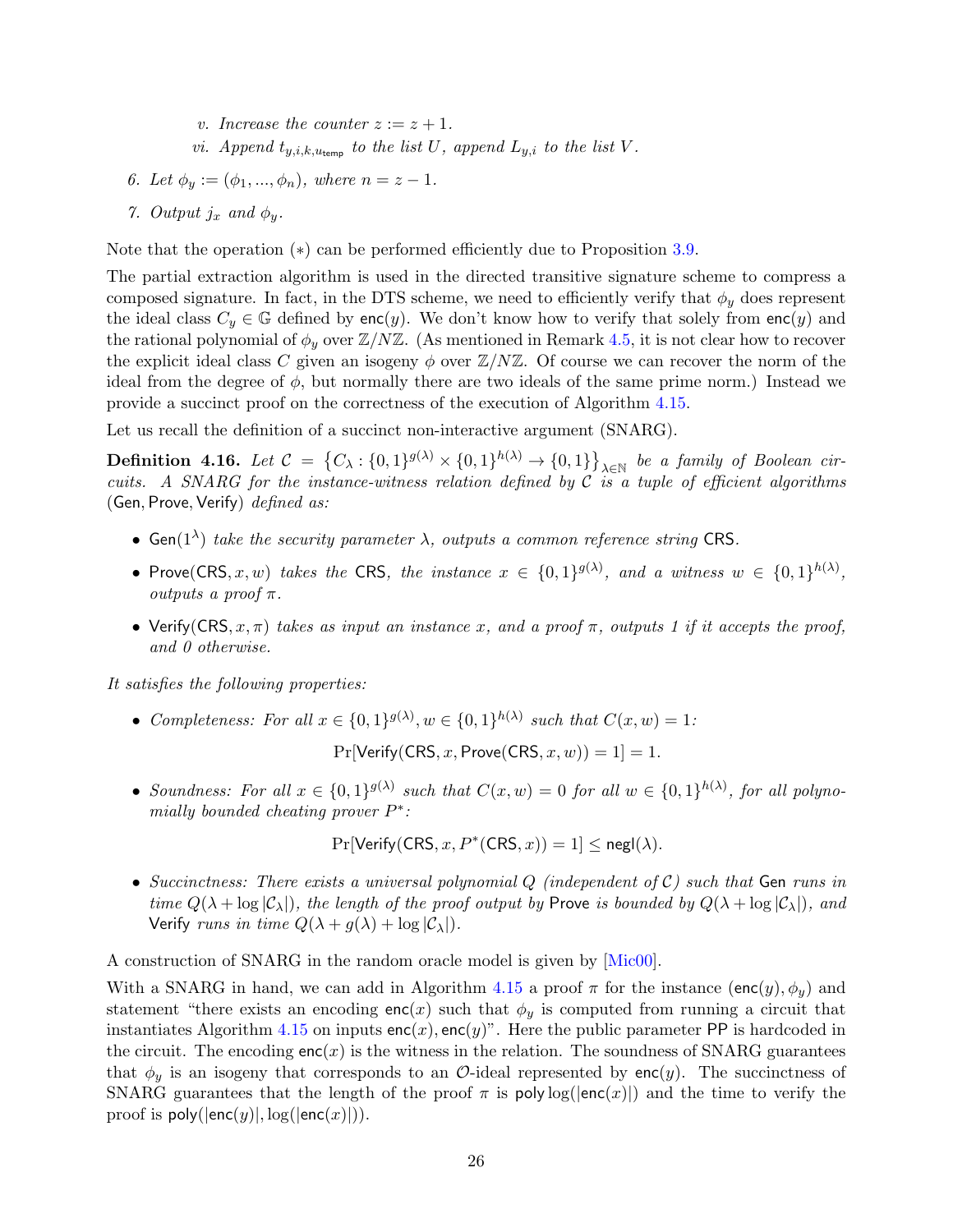- v. Increase the counter  $z := z + 1$ .
- vi. Append  $t_{u,i,k,u_{\text{temp}}}$  to the list U, append  $L_{u,i}$  to the list V.
- 6. Let  $\phi_y := (\phi_1, ..., \phi_n)$ , where  $n = z 1$ .
- 7. Output  $j_x$  and  $\phi_y$ .

Note that the operation (∗) can be performed efficiently due to Proposition [3.9.](#page-18-2)

The partial extraction algorithm is used in the directed transitive signature scheme to compress a composed signature. In fact, in the DTS scheme, we need to efficiently verify that  $\phi_y$  does represent the ideal class  $C_y \in \mathbb{G}$  defined by enc(y). We don't know how to verify that solely from enc(y) and the rational polynomial of  $\phi_y$  over  $\mathbb{Z}/N\mathbb{Z}$ . (As mentioned in Remark [4.5,](#page-21-2) it is not clear how to recover the explicit ideal class C given an isogeny  $\phi$  over  $\mathbb{Z}/N\mathbb{Z}$ . Of course we can recover the norm of the ideal from the degree of  $\phi$ , but normally there are two ideals of the same prime norm.) Instead we provide a succinct proof on the correctness of the execution of Algorithm [4.15.](#page-26-0)

Let us recall the definition of a succinct non-interactive argument (SNARG).

**Definition 4.16.** Let  $C = \{C_{\lambda} : \{0,1\}^{g(\lambda)} \times \{0,1\}^{h(\lambda)} \to \{0,1\}\}_{\lambda \in \mathbb{N}}$  be a family of Boolean circuits. A SNARG for the instance-witness relation defined by  $C$  is a tuple of efficient algorithms (Gen, Prove, Verify)  $defined$  as:

- Gen( $1^{\lambda}$ ) take the security parameter  $\lambda$ , outputs a common reference string CRS.
- Prove(CRS, x, w) takes the CRS, the instance  $x \in \{0,1\}^{g(\lambda)}$ , and a witness  $w \in \{0,1\}^{h(\lambda)}$ , outputs a proof  $\pi$ .
- Verify(CRS,  $x, \pi$ ) takes as input an instance x, and a proof  $\pi$ , outputs 1 if it accepts the proof, and 0 otherwise.

It satisfies the following properties:

• Completeness: For all  $x \in \{0,1\}^{g(\lambda)}$ ,  $w \in \{0,1\}^{h(\lambda)}$  such that  $C(x, w) = 1$ :

 $Pr[Verify(CRS, x, Prove(CRS, x, w)) = 1] = 1.$ 

• Soundness: For all  $x \in \{0,1\}^{g(\lambda)}$  such that  $C(x, w) = 0$  for all  $w \in \{0,1\}^{h(\lambda)}$ , for all polynomially bounded cheating prover  $P^*$ :

$$
\Pr[\mathsf{Verify}(\mathsf{CRS}, x, P^*(\mathsf{CRS}, x)) = 1] \le \mathsf{negl}(\lambda).
$$

• Succinctness: There exists a universal polynomial  $Q$  (independent of  $C$ ) such that Gen runs in time  $Q(\lambda + \log |\mathcal{C}_{\lambda}|)$ , the length of the proof output by Prove is bounded by  $Q(\lambda + \log |\mathcal{C}_{\lambda}|)$ , and Verify runs in time  $Q(\lambda + g(\lambda) + \log |\mathcal{C}_{\lambda}|)$ .

A construction of SNARG in the random oracle model is given by [\[Mic00\]](#page-51-10).

With a SNARG in hand, we can add in Algorithm [4.15](#page-26-0) a proof  $\pi$  for the instance (enc(y),  $\phi_y$ ) and statement "there exists an encoding enc(x) such that  $\phi_y$  is computed from running a circuit that instantiates Algorithm [4.15](#page-26-0) on inputs  $enc(x)$ ,  $enc(y)$ ". Here the public parameter PP is hardcoded in the circuit. The encoding  $enc(x)$  is the witness in the relation. The soundness of SNARG guarantees that  $\phi_y$  is an isogeny that corresponds to an O-ideal represented by enc(y). The succinctness of SNARG guarantees that the length of the proof  $\pi$  is poly log( $|enc(x)|$ ) and the time to verify the proof is  $poly(|enc(y)|, log(|enc(x)|)).$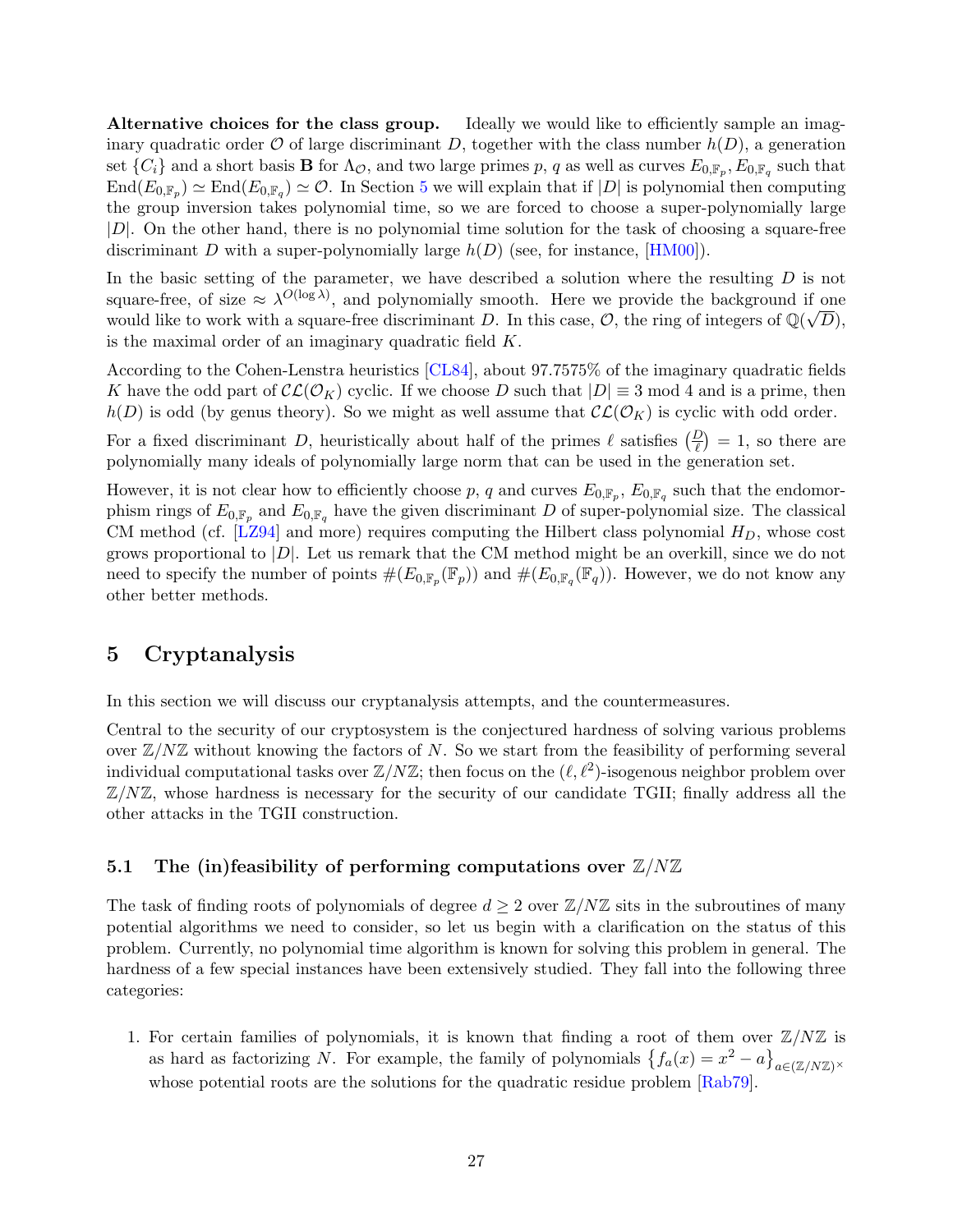Alternative choices for the class group. Ideally we would like to efficiently sample an imaginary quadratic order  $\mathcal O$  of large discriminant D, together with the class number  $h(D)$ , a generation set  $\{C_i\}$  and a short basis **B** for  $\Lambda_{\mathcal{O}}$ , and two large primes p, q as well as curves  $E_{0,\mathbb{F}_p}, E_{0,\mathbb{F}_q}$  such that  $\text{End}(E_{0,\mathbb{F}_p}) \simeq \text{End}(E_{0,\mathbb{F}_q}) \simeq \mathcal{O}$ . In Section [5](#page-28-0) we will explain that if  $|D|$  is polynomial then computing the group inversion takes polynomial time, so we are forced to choose a super-polynomially large |D|. On the other hand, there is no polynomial time solution for the task of choosing a square-free discriminant D with a super-polynomially large  $h(D)$  (see, for instance, [\[HM00\]](#page-51-11)).

In the basic setting of the parameter, we have described a solution where the resulting  $D$  is not square-free, of size  $\approx \lambda^{O(\log \lambda)}$ , and polynomially smooth. Here we provide the background if one would like to work with a square-free discriminant D. In this case, O, the ring of integers of  $\mathbb{Q}(\sqrt{D})$ , is the maximal order of an imaginary quadratic field K.

According to the Cohen-Lenstra heuristics [\[CL84\]](#page-49-10), about 97.7575% of the imaginary quadratic fields K have the odd part of  $\mathcal{CL}(\mathcal{O}_K)$  cyclic. If we choose D such that  $|D| \equiv 3 \text{ mod } 4$  and is a prime, then  $h(D)$  is odd (by genus theory). So we might as well assume that  $\mathcal{CL}(\mathcal{O}_K)$  is cyclic with odd order.

For a fixed discriminant D, heuristically about half of the primes  $\ell$  satisfies  $\left(\frac{D}{\ell}\right) = 1$ , so there are polynomially many ideals of polynomially large norm that can be used in the generation set.

However, it is not clear how to efficiently choose p, q and curves  $E_{0,\mathbb{F}_p}$ ,  $E_{0,\mathbb{F}_q}$  such that the endomorphism rings of  $E_{0,\mathbb{F}_p}$  and  $E_{0,\mathbb{F}_q}$  have the given discriminant D of super-polynomial size. The classical CM method (cf.  $[LZ94]$  and more) requires computing the Hilbert class polynomial  $H_D$ , whose cost grows proportional to  $|D|$ . Let us remark that the CM method might be an overkill, since we do not need to specify the number of points  $\#(E_{0,\mathbb{F}_p}(\mathbb{F}_p))$  and  $\#(E_{0,\mathbb{F}_q}(\mathbb{F}_q))$ . However, we do not know any other better methods.

## <span id="page-28-0"></span>5 Cryptanalysis

In this section we will discuss our cryptanalysis attempts, and the countermeasures.

Central to the security of our cryptosystem is the conjectured hardness of solving various problems over  $\mathbb{Z}/N\mathbb{Z}$  without knowing the factors of N. So we start from the feasibility of performing several individual computational tasks over  $\mathbb{Z}/N\mathbb{Z}$ ; then focus on the  $(\ell, \ell^2)$ -isogenous neighbor problem over  $\mathbb{Z}/N\mathbb{Z}$ , whose hardness is necessary for the security of our candidate TGII; finally address all the other attacks in the TGII construction.

### <span id="page-28-1"></span>5.1 The (in)feasibility of performing computations over  $\mathbb{Z}/N\mathbb{Z}$

The task of finding roots of polynomials of degree  $d \geq 2$  over  $\mathbb{Z}/N\mathbb{Z}$  sits in the subroutines of many potential algorithms we need to consider, so let us begin with a clarification on the status of this problem. Currently, no polynomial time algorithm is known for solving this problem in general. The hardness of a few special instances have been extensively studied. They fall into the following three categories:

1. For certain families of polynomials, it is known that finding a root of them over  $\mathbb{Z}/N\mathbb{Z}$  is as hard as factorizing N. For example, the family of polynomials  $\{f_a(x) = x^2 - a\}_{a \in (\mathbb{Z}/N\mathbb{Z})^{\times}}$ whose potential roots are the solutions for the quadratic residue problem [\[Rab79\]](#page-52-11).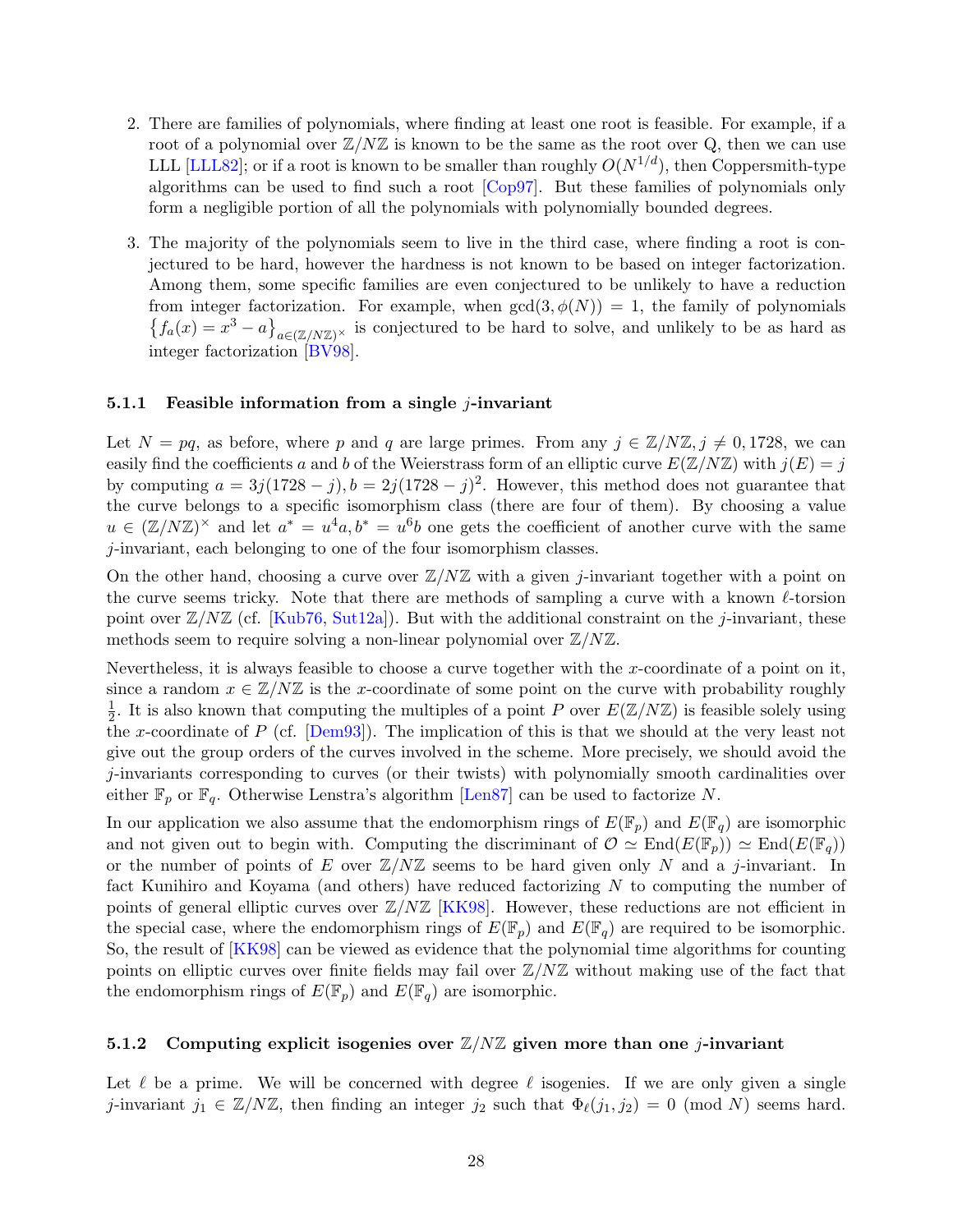- 2. There are families of polynomials, where finding at least one root is feasible. For example, if a root of a polynomial over  $\mathbb{Z}/N\mathbb{Z}$  is known to be the same as the root over Q, then we can use LLL [\[LLL82\]](#page-51-12); or if a root is known to be smaller than roughly  $O(N^{1/d})$ , then Coppersmith-type algorithms can be used to find such a root [\[Cop97\]](#page-49-11). But these families of polynomials only form a negligible portion of all the polynomials with polynomially bounded degrees.
- 3. The majority of the polynomials seem to live in the third case, where finding a root is conjectured to be hard, however the hardness is not known to be based on integer factorization. Among them, some specific families are even conjectured to be unlikely to have a reduction from integer factorization. For example, when  $gcd(3, \phi(N)) = 1$ , the family of polynomials  ${f_a(x) = x^3 - a}_{a \in (\mathbb{Z}/N\mathbb{Z})^{\times}}$  is conjectured to be hard to solve, and unlikely to be as hard as integer factorization [\[BV98\]](#page-49-12).

#### <span id="page-29-0"></span>5.1.1 Feasible information from a single  $j$ -invariant

Let  $N = pq$ , as before, where p and q are large primes. From any  $j \in \mathbb{Z}/N\mathbb{Z}, j \neq 0, 1728$ , we can easily find the coefficients a and b of the Weierstrass form of an elliptic curve  $E(\mathbb{Z}/N\mathbb{Z})$  with  $j(E) = j$ by computing  $a = 3j(1728 - j), b = 2j(1728 - j)^2$ . However, this method does not guarantee that the curve belongs to a specific isomorphism class (there are four of them). By choosing a value  $u \in (\mathbb{Z}/N\mathbb{Z})^{\times}$  and let  $a^* = u^4a, b^* = u^6b$  one gets the coefficient of another curve with the same j-invariant, each belonging to one of the four isomorphism classes.

On the other hand, choosing a curve over  $\mathbb{Z}/N\mathbb{Z}$  with a given j-invariant together with a point on the curve seems tricky. Note that there are methods of sampling a curve with a known  $\ell$ -torsion point over  $\mathbb{Z}/N\mathbb{Z}$  (cf. [\[Kub76,](#page-51-13) [Sut12a\]](#page-52-12)). But with the additional constraint on the *j*-invariant, these methods seem to require solving a non-linear polynomial over  $\mathbb{Z}/N\mathbb{Z}$ .

Nevertheless, it is always feasible to choose a curve together with the x-coordinate of a point on it, since a random  $x \in \mathbb{Z}/N\mathbb{Z}$  is the x-coordinate of some point on the curve with probability roughly 1  $\frac{1}{2}$ . It is also known that computing the multiples of a point P over  $E(\mathbb{Z}/N\mathbb{Z})$  is feasible solely using the x-coordinate of P (cf. [\[Dem93\]](#page-50-10)). The implication of this is that we should at the very least not give out the group orders of the curves involved in the scheme. More precisely, we should avoid the j-invariants corresponding to curves (or their twists) with polynomially smooth cardinalities over either  $\mathbb{F}_p$  or  $\mathbb{F}_q$ . Otherwise Lenstra's algorithm [\[Len87\]](#page-51-8) can be used to factorize N.

In our application we also assume that the endomorphism rings of  $E(\mathbb{F}_p)$  and  $E(\mathbb{F}_q)$  are isomorphic and not given out to begin with. Computing the discriminant of  $\mathcal{O} \simeq \text{End}(E(\mathbb{F}_p)) \simeq \text{End}(E(\mathbb{F}_q))$ or the number of points of E over  $\mathbb{Z}/N\mathbb{Z}$  seems to be hard given only N and a j-invariant. In fact Kunihiro and Koyama (and others) have reduced factorizing N to computing the number of points of general elliptic curves over  $\mathbb{Z}/N\mathbb{Z}$  [\[KK98\]](#page-51-14). However, these reductions are not efficient in the special case, where the endomorphism rings of  $E(\mathbb{F}_p)$  and  $E(\mathbb{F}_q)$  are required to be isomorphic. So, the result of [\[KK98\]](#page-51-14) can be viewed as evidence that the polynomial time algorithms for counting points on elliptic curves over finite fields may fail over  $\mathbb{Z}/N\mathbb{Z}$  without making use of the fact that the endomorphism rings of  $E(\mathbb{F}_p)$  and  $E(\mathbb{F}_q)$  are isomorphic.

#### <span id="page-29-1"></span>5.1.2 Computing explicit isogenies over  $\mathbb{Z}/N\mathbb{Z}$  given more than one *j*-invariant

Let  $\ell$  be a prime. We will be concerned with degree  $\ell$  isogenies. If we are only given a single j-invariant  $j_1 \in \mathbb{Z}/N\mathbb{Z}$ , then finding an integer  $j_2$  such that  $\Phi_{\ell}(j_1, j_2) = 0$  (mod N) seems hard.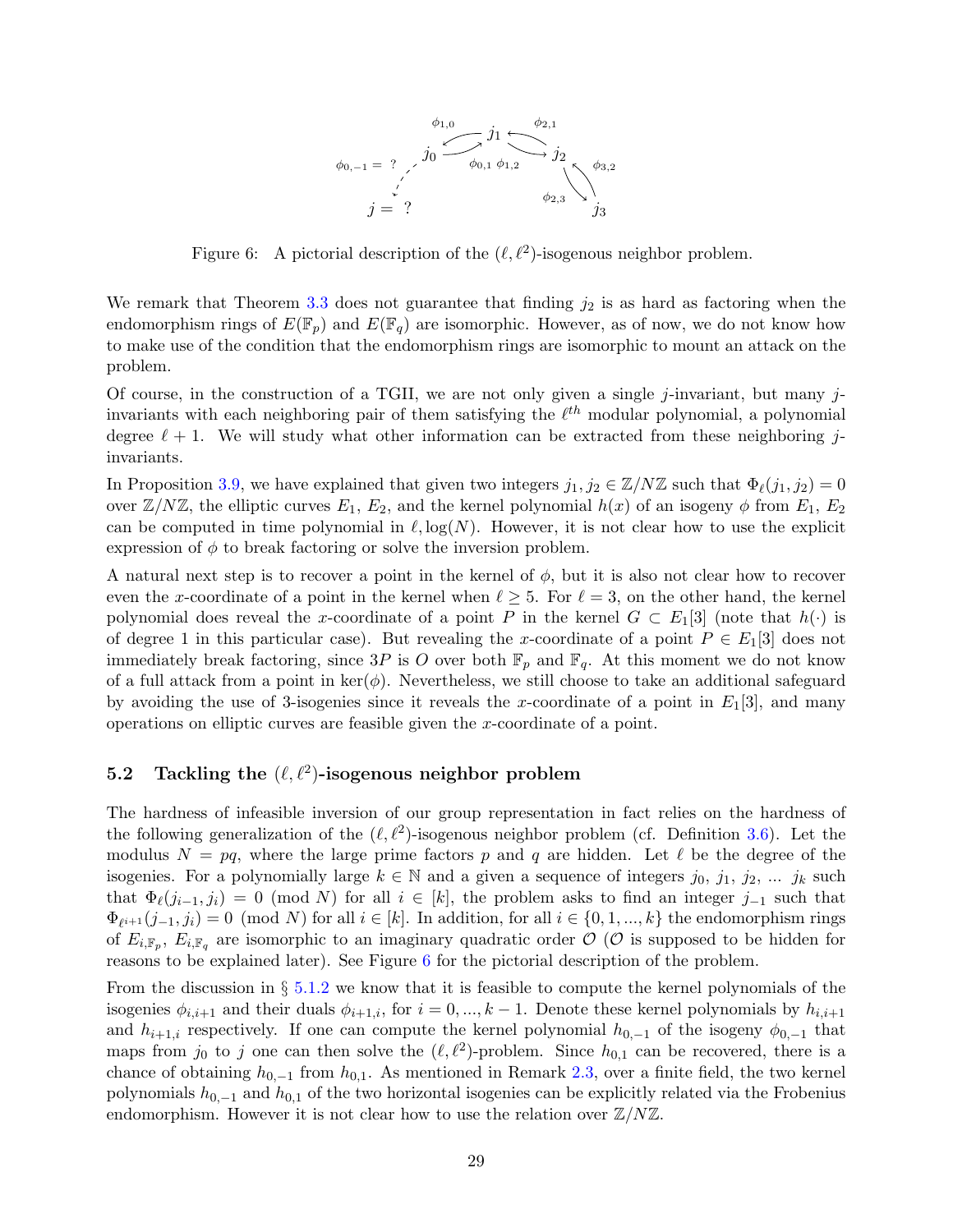

<span id="page-30-1"></span>Figure 6: A pictorial description of the  $(\ell, \ell^2)$ -isogenous neighbor problem.

We remark that Theorem [3.3](#page-14-4) does not guarantee that finding  $j_2$  is as hard as factoring when the endomorphism rings of  $E(\mathbb{F}_p)$  and  $E(\mathbb{F}_q)$  are isomorphic. However, as of now, we do not know how to make use of the condition that the endomorphism rings are isomorphic to mount an attack on the problem.

Of course, in the construction of a TGII, we are not only given a single j-invariant, but many jinvariants with each neighboring pair of them satisfying the  $\ell^{th}$  modular polynomial, a polynomial degree  $\ell + 1$ . We will study what other information can be extracted from these neighboring jinvariants.

In Proposition [3.9,](#page-18-2) we have explained that given two integers  $j_1, j_2 \in \mathbb{Z}/N\mathbb{Z}$  such that  $\Phi_{\ell}(j_1, j_2) = 0$ over  $\mathbb{Z}/N\mathbb{Z}$ , the elliptic curves  $E_1, E_2$ , and the kernel polynomial  $h(x)$  of an isogeny  $\phi$  from  $E_1, E_2$ can be computed in time polynomial in  $\ell, \log(N)$ . However, it is not clear how to use the explicit expression of  $\phi$  to break factoring or solve the inversion problem.

A natural next step is to recover a point in the kernel of  $\phi$ , but it is also not clear how to recover even the x-coordinate of a point in the kernel when  $\ell \geq 5$ . For  $\ell = 3$ , on the other hand, the kernel polynomial does reveal the x-coordinate of a point P in the kernel  $G \subset E_1[3]$  (note that  $h(\cdot)$  is of degree 1 in this particular case). But revealing the x-coordinate of a point  $P \in E_1[3]$  does not immediately break factoring, since 3P is O over both  $\mathbb{F}_p$  and  $\mathbb{F}_q$ . At this moment we do not know of a full attack from a point in  $\text{ker}(\phi)$ . Nevertheless, we still choose to take an additional safeguard by avoiding the use of 3-isogenies since it reveals the x-coordinate of a point in  $E_1[3]$ , and many operations on elliptic curves are feasible given the x-coordinate of a point.

## <span id="page-30-0"></span>5.2 Tackling the  $(\ell, \ell^2)$ -isogenous neighbor problem

The hardness of infeasible inversion of our group representation in fact relies on the hardness of the following generalization of the  $(\ell, \ell^2)$ -isogenous neighbor problem (cf. Definition [3.6\)](#page-16-1). Let the modulus  $N = pq$ , where the large prime factors p and q are hidden. Let  $\ell$  be the degree of the isogenies. For a polynomially large  $k \in \mathbb{N}$  and a given a sequence of integers  $j_0, j_1, j_2, \dots j_k$  such that  $\Phi_{\ell}(j_{i-1}, j_i) = 0 \pmod{N}$  for all  $i \in [k]$ , the problem asks to find an integer  $j_{-1}$  such that  $\Phi_{\ell^{i+1}}(j_{-1}, j_i) = 0 \pmod{N}$  for all  $i \in [k]$ . In addition, for all  $i \in \{0, 1, ..., k\}$  the endomorphism rings of  $E_{i,\mathbb{F}_p}$ ,  $E_{i,\mathbb{F}_q}$  are isomorphic to an imaginary quadratic order  $\mathcal{O}$  ( $\mathcal{O}$  is supposed to be hidden for reasons to be explained later). See Figure [6](#page-30-1) for the pictorial description of the problem.

From the discussion in  $\S 5.1.2$  $\S 5.1.2$  we know that it is feasible to compute the kernel polynomials of the isogenies  $\phi_{i,i+1}$  and their duals  $\phi_{i+1,i}$ , for  $i = 0, ..., k-1$ . Denote these kernel polynomials by  $h_{i,i+1}$ and  $h_{i+1,i}$  respectively. If one can compute the kernel polynomial  $h_{0,-1}$  of the isogeny  $\phi_{0,-1}$  that maps from  $j_0$  to j one can then solve the  $(\ell, \ell^2)$ -problem. Since  $h_{0,1}$  can be recovered, there is a chance of obtaining  $h_{0,-1}$  from  $h_{0,1}$ . As mentioned in Remark [2.3,](#page-12-1) over a finite field, the two kernel polynomials  $h_{0,-1}$  and  $h_{0,1}$  of the two horizontal isogenies can be explicitly related via the Frobenius endomorphism. However it is not clear how to use the relation over  $\mathbb{Z}/N\mathbb{Z}$ .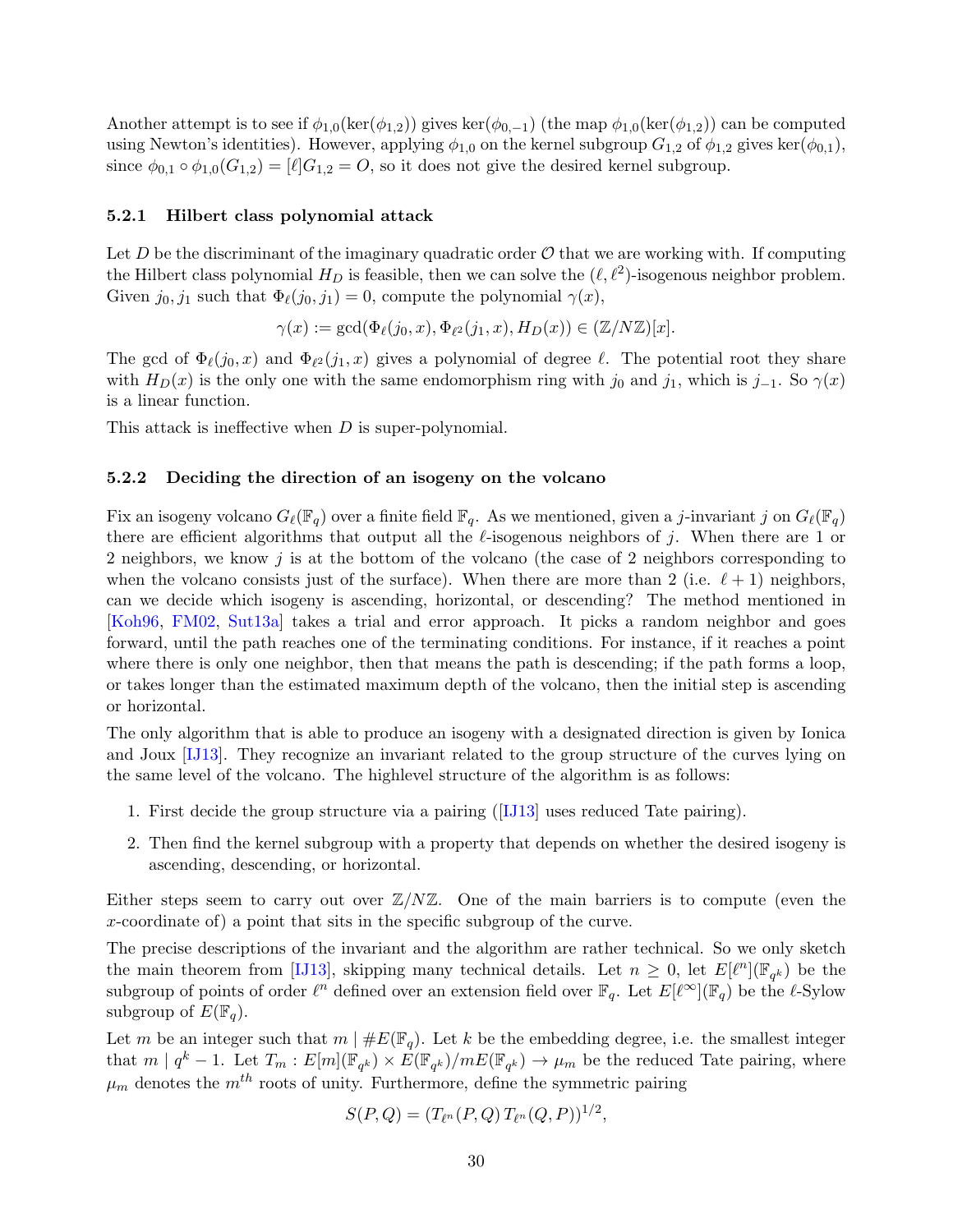Another attempt is to see if  $\phi_{1,0}(\ker(\phi_{1,2}))$  gives  $\ker(\phi_{0,-1})$  (the map  $\phi_{1,0}(\ker(\phi_{1,2}))$  can be computed using Newton's identities). However, applying  $\phi_{1,0}$  on the kernel subgroup  $G_{1,2}$  of  $\phi_{1,2}$  gives ker $(\phi_{0,1}),$ since  $\phi_{0,1} \circ \phi_{1,0}(G_{1,2}) = [\ell]G_{1,2} = O$ , so it does not give the desired kernel subgroup.

#### <span id="page-31-0"></span>5.2.1 Hilbert class polynomial attack

Let D be the discriminant of the imaginary quadratic order  $\mathcal O$  that we are working with. If computing the Hilbert class polynomial  $H_D$  is feasible, then we can solve the  $(\ell, \ell^2)$ -isogenous neighbor problem. Given  $j_0, j_1$  such that  $\Phi_{\ell}(j_0, j_1) = 0$ , compute the polynomial  $\gamma(x)$ ,

$$
\gamma(x) := \gcd(\Phi_{\ell}(j_0, x), \Phi_{\ell^2}(j_1, x), H_D(x)) \in (\mathbb{Z}/N\mathbb{Z})[x].
$$

The gcd of  $\Phi_{\ell}(j_0, x)$  and  $\Phi_{\ell^2}(j_1, x)$  gives a polynomial of degree  $\ell$ . The potential root they share with  $H_D(x)$  is the only one with the same endomorphism ring with j<sub>0</sub> and j<sub>1</sub>, which is j<sub>−1</sub>. So  $\gamma(x)$ is a linear function.

This attack is ineffective when D is super-polynomial.

#### <span id="page-31-1"></span>5.2.2 Deciding the direction of an isogeny on the volcano

Fix an isogeny volcano  $G_\ell(\mathbb{F}_q)$  over a finite field  $\mathbb{F}_q$ . As we mentioned, given a j-invariant j on  $G_\ell(\mathbb{F}_q)$ there are efficient algorithms that output all the  $\ell$ -isogenous neighbors of j. When there are 1 or 2 neighbors, we know j is at the bottom of the volcano (the case of 2 neighbors corresponding to when the volcano consists just of the surface). When there are more than 2 (i.e.  $\ell + 1$ ) neighbors, can we decide which isogeny is ascending, horizontal, or descending? The method mentioned in [\[Koh96,](#page-51-6) [FM02,](#page-50-5) [Sut13a\]](#page-53-3) takes a trial and error approach. It picks a random neighbor and goes forward, until the path reaches one of the terminating conditions. For instance, if it reaches a point where there is only one neighbor, then that means the path is descending; if the path forms a loop, or takes longer than the estimated maximum depth of the volcano, then the initial step is ascending or horizontal.

The only algorithm that is able to produce an isogeny with a designated direction is given by Ionica and Joux [\[IJ13\]](#page-51-15). They recognize an invariant related to the group structure of the curves lying on the same level of the volcano. The highlevel structure of the algorithm is as follows:

- 1. First decide the group structure via a pairing([\[IJ13\]](#page-51-15) uses reduced Tate pairing).
- 2. Then find the kernel subgroup with a property that depends on whether the desired isogeny is ascending, descending, or horizontal.

Either steps seem to carry out over  $\mathbb{Z}/N\mathbb{Z}$ . One of the main barriers is to compute (even the x-coordinate of) a point that sits in the specific subgroup of the curve.

The precise descriptions of the invariant and the algorithm are rather technical. So we only sketch the main theorem from [\[IJ13\]](#page-51-15), skipping many technical details. Let  $n \geq 0$ , let  $E[\ell^n](\mathbb{F}_{q^k})$  be the subgroup of points of order  $\ell^n$  defined over an extension field over  $\mathbb{F}_q$ . Let  $E[\ell^{\infty}](\mathbb{F}_q)$  be the  $\ell$ -Sylow subgroup of  $E(\mathbb{F}_q)$ .

Let m be an integer such that  $m \mid \#E(\mathbb{F}_q)$ . Let k be the embedding degree, i.e. the smallest integer that  $m \mid q^k - 1$ . Let  $T_m : E[m](\mathbb{F}_{q^k}) \times E(\mathbb{F}_{q^k})/mE(\mathbb{F}_{q^k}) \to \mu_m$  be the reduced Tate pairing, where  $\mu_m$  denotes the  $m^{th}$  roots of unity. Furthermore, define the symmetric pairing

$$
S(P,Q) = (T_{\ell^n}(P,Q) T_{\ell^n}(Q,P))^{1/2},
$$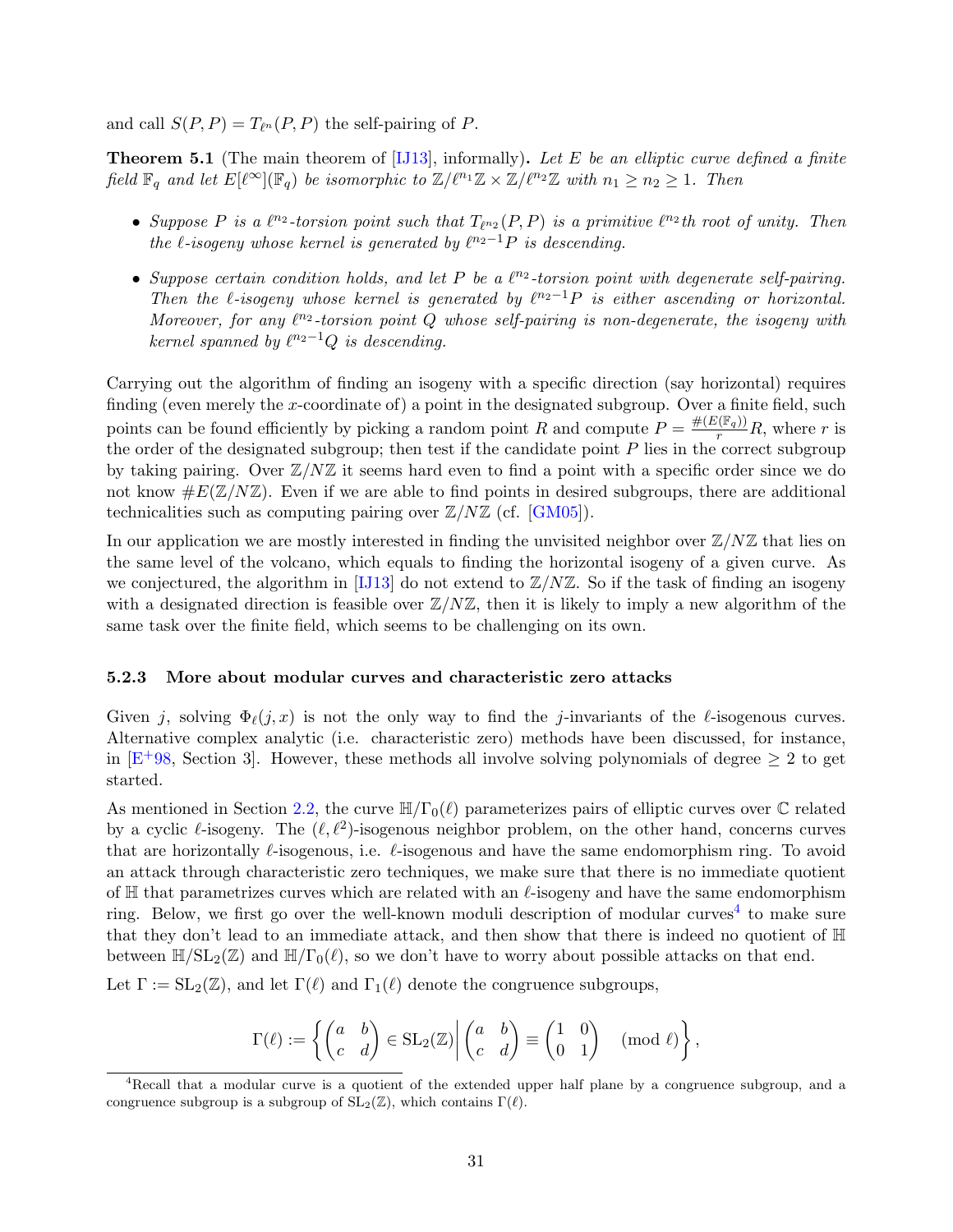and call  $S(P, P) = T_{\ell^n}(P, P)$  the self-pairing of P.

**Theorem 5.1** (The main theorem of  $[IJ13]$ , informally). Let E be an elliptic curve defined a finite field  $\mathbb{F}_q$  and let  $E[\ell^{\infty}](\mathbb{F}_q)$  be isomorphic to  $\mathbb{Z}/\ell^{n_1}\mathbb{Z} \times \mathbb{Z}/\ell^{n_2}\mathbb{Z}$  with  $n_1 \geq n_2 \geq 1$ . Then

- Suppose P is a  $\ell^{n_2}$ -torsion point such that  $T_{\ell^{n_2}}(P, P)$  is a primitive  $\ell^{n_2}$ th root of unity. Then the  $\ell$ -isogeny whose kernel is generated by  $\ell^{n_2-1}P$  is descending.
- Suppose certain condition holds, and let P be a  $\ell^{n_2}$ -torsion point with degenerate self-pairing. Then the  $\ell$ -isogeny whose kernel is generated by  $\ell^{n_2-1}P$  is either ascending or horizontal. Moreover, for any  $\ell^{n_2}$ -torsion point Q whose self-pairing is non-degenerate, the isogeny with kernel spanned by  $\ell^{n_2-1}Q$  is descending.

Carrying out the algorithm of finding an isogeny with a specific direction (say horizontal) requires finding (even merely the x-coordinate of) a point in the designated subgroup. Over a finite field, such points can be found efficiently by picking a random point R and compute  $P = \frac{\#(E(\mathbb{F}_q))}{r}R$ , where r is the order of the designated subgroup; then test if the candidate point  $P$  lies in the correct subgroup by taking pairing. Over  $\mathbb{Z}/N\mathbb{Z}$  it seems hard even to find a point with a specific order since we do not know  $\#E(\mathbb{Z}/N\mathbb{Z})$ . Even if we are able to find points in desired subgroups, there are additional technicalities such as computing pairing over  $\mathbb{Z}/N\mathbb{Z}$  (cf. [\[GM05\]](#page-50-11)).

In our application we are mostly interested in finding the unvisited neighbor over  $\mathbb{Z}/N\mathbb{Z}$  that lies on the same level of the volcano, which equals to finding the horizontal isogeny of a given curve. As we conjectured, the algorithm in [\[IJ13\]](#page-51-15) do not extend to  $\mathbb{Z}/N\mathbb{Z}$ . So if the task of finding an isogeny with a designated direction is feasible over  $\mathbb{Z}/N\mathbb{Z}$ , then it is likely to imply a new algorithm of the same task over the finite field, which seems to be challenging on its own.

#### <span id="page-32-0"></span>5.2.3 More about modular curves and characteristic zero attacks

Given j, solving  $\Phi_{\ell}(j, x)$  is not the only way to find the j-invariants of the  $\ell$ -isogenous curves. Alternative complex analytic (i.e. characteristic zero) methods have been discussed, for instance, in  $[E+98, Section 3]$  $[E+98, Section 3]$  $[E+98, Section 3]$ . However, these methods all involve solving polynomials of degree  $\geq 2$  to get started.

As mentioned in Section [2.2,](#page-10-0) the curve  $\mathbb{H}/\Gamma_0(\ell)$  parameterizes pairs of elliptic curves over  $\mathbb C$  related by a cyclic  $\ell$ -isogeny. The  $(\ell, \ell^2)$ -isogenous neighbor problem, on the other hand, concerns curves that are horizontally  $\ell$ -isogenous, i.e.  $\ell$ -isogenous and have the same endomorphism ring. To avoid an attack through characteristic zero techniques, we make sure that there is no immediate quotient of  $\mathbb H$  that parametrizes curves which are related with an  $\ell$ -isogeny and have the same endomorphism ring. Below, we first go over the well-known moduli description of modular curves<sup>[4](#page-32-1)</sup> to make sure that they don't lead to an immediate attack, and then show that there is indeed no quotient of H between  $\mathbb{H}/SL_2(\mathbb{Z})$  and  $\mathbb{H}/\Gamma_0(\ell)$ , so we don't have to worry about possible attacks on that end.

Let  $\Gamma := SL_2(\mathbb{Z})$ , and let  $\Gamma(\ell)$  and  $\Gamma_1(\ell)$  denote the congruence subgroups,

$$
\Gamma(\ell) := \left\{ \begin{pmatrix} a & b \\ c & d \end{pmatrix} \in SL_2(\mathbb{Z}) \middle| \begin{pmatrix} a & b \\ c & d \end{pmatrix} \equiv \begin{pmatrix} 1 & 0 \\ 0 & 1 \end{pmatrix} \pmod{\ell} \right\},\
$$

<span id="page-32-1"></span><sup>&</sup>lt;sup>4</sup>Recall that a modular curve is a quotient of the extended upper half plane by a congruence subgroup, and a congruence subgroup is a subgroup of  $SL_2(\mathbb{Z})$ , which contains  $\Gamma(\ell)$ .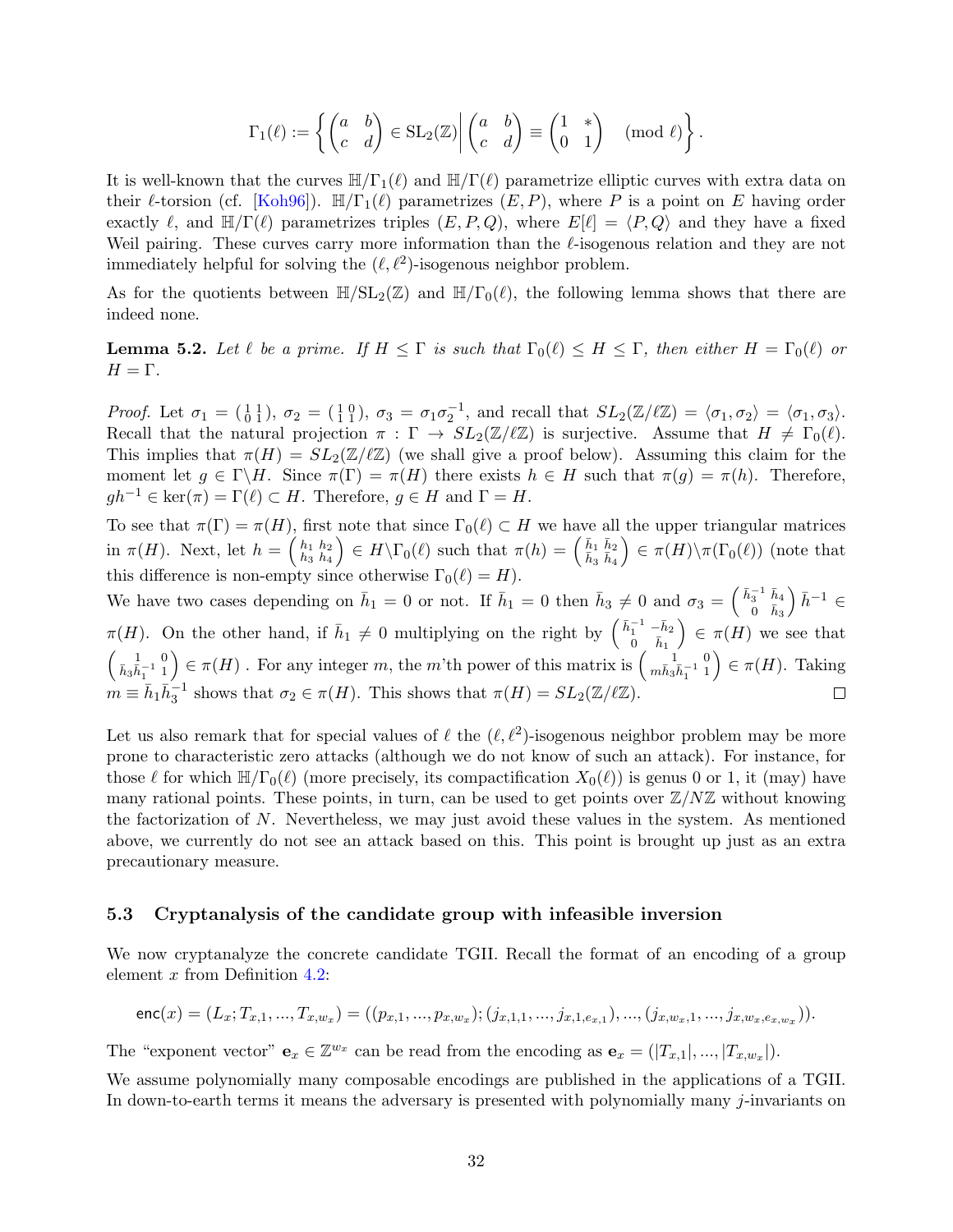$$
\Gamma_1(\ell) := \left\{ \begin{pmatrix} a & b \\ c & d \end{pmatrix} \in SL_2(\mathbb{Z}) \middle| \begin{pmatrix} a & b \\ c & d \end{pmatrix} \equiv \begin{pmatrix} 1 & * \\ 0 & 1 \end{pmatrix} \pmod{\ell} \right\}.
$$

It is well-known that the curves  $\mathbb{H}/\Gamma_1(\ell)$  and  $\mathbb{H}/\Gamma(\ell)$  parametrize elliptic curves with extra data on their  $\ell$ -torsion (cf. [\[Koh96\]](#page-51-6)).  $\mathbb{H}/\Gamma_1(\ell)$  parametrizes  $(E, P)$ , where P is a point on E having order exactly  $\ell$ , and  $\mathbb{H}/\Gamma(\ell)$  parametrizes triples  $(E, P, Q)$ , where  $E[\ell] = \langle P, Q \rangle$  and they have a fixed Weil pairing. These curves carry more information than the  $\ell$ -isogenous relation and they are not immediately helpful for solving the  $(\ell, \ell^2)$ -isogenous neighbor problem.

As for the quotients between  $\mathbb{H}/SL_2(\mathbb{Z})$  and  $\mathbb{H}/\Gamma_0(\ell)$ , the following lemma shows that there are indeed none.

**Lemma 5.2.** Let  $\ell$  be a prime. If  $H \leq \Gamma$  is such that  $\Gamma_0(\ell) \leq H \leq \Gamma$ , then either  $H = \Gamma_0(\ell)$  or  $H = \Gamma$ .

Proof. Let  $\sigma_1 = \begin{pmatrix} 1 & 1 \\ 0 & 1 \end{pmatrix}$ ,  $\sigma_2 = \begin{pmatrix} 1 & 0 \\ 1 & 1 \end{pmatrix}$ ,  $\sigma_3 = \sigma_1 \sigma_2^{-1}$ , and recall that  $SL_2(\mathbb{Z}/\ell\mathbb{Z}) = \langle \sigma_1, \sigma_2 \rangle = \langle \sigma_1, \sigma_3 \rangle$ . Recall that the natural projection  $\pi : \Gamma \to SL_2(\mathbb{Z}/\ell\mathbb{Z})$  is surjective. Assume that  $H \neq \Gamma_0(\ell)$ . This implies that  $\pi(H) = SL_2(\mathbb{Z}/\ell\mathbb{Z})$  (we shall give a proof below). Assuming this claim for the moment let  $g \in \Gamma \backslash H$ . Since  $\pi(\Gamma) = \pi(H)$  there exists  $h \in H$  such that  $\pi(g) = \pi(h)$ . Therefore,  $gh^{-1} \in \text{ker}(\pi) = \Gamma(\ell) \subset H$ . Therefore,  $g \in H$  and  $\Gamma = H$ .

To see that  $\pi(\Gamma) = \pi(H)$ , first note that since  $\Gamma_0(\ell) \subset H$  we have all the upper triangular matrices in  $\pi(H)$ . Next, let  $h = \begin{pmatrix} h_1 & h_2 \\ h_2 & h_3 \end{pmatrix}$  $\binom{h_1 \ h_2}{h_3 \ h_4} \in H \backslash \Gamma_0(\ell) \,\,\text{such that}\,\,\pi(h) = \left( \frac{\bar{h}_1}{\bar{h}_3} \frac{\bar{h}_2}{\bar{h}_4} \right)$  $\Big) \in \pi(H) \backslash \pi(\Gamma_0(\ell))$  (note that this difference is non-empty since otherwise  $\Gamma_0(\ell) = H$ .

We have two cases depending on  $\bar{h}_1 = 0$  or not. If  $\bar{h}_1 = 0$  then  $\bar{h}_3 \neq 0$  and  $\sigma_3 = \begin{pmatrix} \bar{h}_3^{-1} & \bar{h}_4 \\ 0 & \bar{h}_3 \end{pmatrix}$  $\pi(H)$ . On the other hand, if  $\bar{h}_1 \neq 0$  multiplying on the right by  $\begin{pmatrix} \bar{h}_1^{-1} & -\bar{h}_2 \\ 0 & \bar{h}_1 \end{pmatrix} \in \pi(H)$  we  $h^{-1} \in$  $\Big) \in \pi(H)$  we see that  $\left(\begin{smallmatrix} 1 & 0 \\ \bar{h}_3 \bar{h}_1^{-1} & 1 \end{smallmatrix}\right) \in \pi(H)$ . For any integer m, the m'th power of this matrix is  $\left(\begin{smallmatrix} 1 & 0 \\ m\bar{h}_3 \bar{h}_1^{-1} & 1 \end{smallmatrix}\right) \in \pi(H)$ . Taking  $m \equiv \bar{h}_1 \bar{h}_3^{-1}$  shows that  $\sigma_2 \in \pi(H)$ . This shows that  $\pi(H) = SL_2(\mathbb{Z}/\ell\mathbb{Z})$ .

Let us also remark that for special values of  $\ell$  the  $(\ell, \ell^2)$ -isogenous neighbor problem may be more prone to characteristic zero attacks (although we do not know of such an attack). For instance, for those  $\ell$  for which  $\mathbb{H}/\Gamma_0(\ell)$  (more precisely, its compactification  $X_0(\ell)$ ) is genus 0 or 1, it (may) have many rational points. These points, in turn, can be used to get points over  $\mathbb{Z}/N\mathbb{Z}$  without knowing the factorization of N. Nevertheless, we may just avoid these values in the system. As mentioned above, we currently do not see an attack based on this. This point is brought up just as an extra precautionary measure.

#### <span id="page-33-0"></span>5.3 Cryptanalysis of the candidate group with infeasible inversion

We now cryptanalyze the concrete candidate TGII. Recall the format of an encoding of a group element  $x$  from Definition [4.2:](#page-20-1)

$$
\mathsf{enc}(x) = (L_x; T_{x,1}, \dots, T_{x,w_x}) = ((p_{x,1}, \dots, p_{x,w_x}); (j_{x,1,1}, \dots, j_{x,1,e_{x,1}}), \dots, (j_{x,w_x,1}, \dots, j_{x,w_x,e_{x,w_x}})).
$$

The "exponent vector"  $\mathbf{e}_x \in \mathbb{Z}^{w_x}$  can be read from the encoding as  $\mathbf{e}_x = (T_{x,1}|,...,T_{x,w_x}|)$ .

We assume polynomially many composable encodings are published in the applications of a TGII. In down-to-earth terms it means the adversary is presented with polynomially many j-invariants on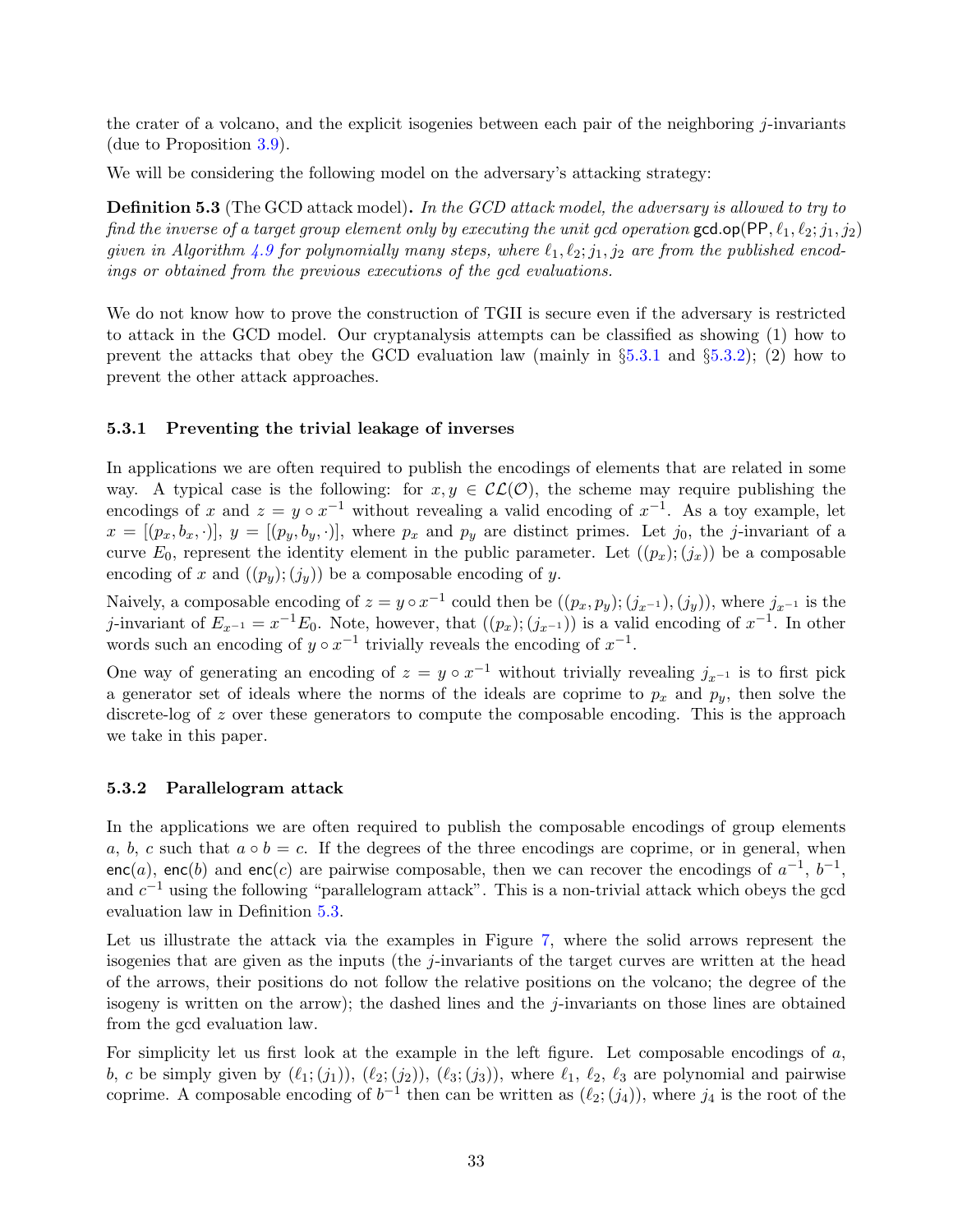the crater of a volcano, and the explicit isogenies between each pair of the neighboring j-invariants (due to Proposition [3.9\)](#page-18-2).

We will be considering the following model on the adversary's attacking strategy:

<span id="page-34-2"></span>Definition 5.3 (The GCD attack model). In the GCD attack model, the adversary is allowed to try to find the inverse of a target group element only by executing the unit gcd operation gcd.op(PP,  $\ell_1, \ell_2; j_1, j_2$ ) given in Algorithm [4.9](#page-22-0) for polynomially many steps, where  $\ell_1, \ell_2; j_1, j_2$  are from the published encodings or obtained from the previous executions of the gcd evaluations.

We do not know how to prove the construction of TGII is secure even if the adversary is restricted to attack in the GCD model. Our cryptanalysis attempts can be classified as showing (1) how to prevent the attacks that obey the GCD evaluation law (mainly in  $\S5.3.1$  $\S5.3.1$  and  $\S5.3.2$ ); (2) how to prevent the other attack approaches.

#### <span id="page-34-0"></span>5.3.1 Preventing the trivial leakage of inverses

In applications we are often required to publish the encodings of elements that are related in some way. A typical case is the following: for  $x, y \in CC(\mathcal{O})$ , the scheme may require publishing the encodings of x and  $z = y \circ x^{-1}$  without revealing a valid encoding of  $x^{-1}$ . As a toy example, let  $x = [(p_x, b_x, \cdot)], y = [(p_y, b_y, \cdot)],$  where  $p_x$  and  $p_y$  are distinct primes. Let  $j_0$ , the j-invariant of a curve  $E_0$ , represent the identity element in the public parameter. Let  $((p_x); (j_x))$  be a composable encoding of x and  $((p_y); (j_y))$  be a composable encoding of y.

Naively, a composable encoding of  $z = y \circ x^{-1}$  could then be  $((p_x, p_y); (j_{x^{-1}}), (j_y))$ , where  $j_{x^{-1}}$  is the j-invariant of  $E_{x^{-1}} = x^{-1}E_0$ . Note, however, that  $((p_x); (j_{x^{-1}}))$  is a valid encoding of  $x^{-1}$ . In other words such an encoding of  $y \circ x^{-1}$  trivially reveals the encoding of  $x^{-1}$ .

One way of generating an encoding of  $z = y \circ x^{-1}$  without trivially revealing  $j_{x^{-1}}$  is to first pick a generator set of ideals where the norms of the ideals are coprime to  $p_x$  and  $p_y$ , then solve the discrete-log of z over these generators to compute the composable encoding. This is the approach we take in this paper.

#### <span id="page-34-1"></span>5.3.2 Parallelogram attack

In the applications we are often required to publish the composable encodings of group elements a, b, c such that  $a \circ b = c$ . If the degrees of the three encodings are coprime, or in general, when enc(a), enc(b) and enc(c) are pairwise composable, then we can recover the encodings of  $a^{-1}$ ,  $b^{-1}$ , and  $c^{-1}$  using the following "parallelogram attack". This is a non-trivial attack which obeys the gcd evaluation law in Definition [5.3.](#page-34-2)

Let us illustrate the attack via the examples in Figure [7,](#page-35-1) where the solid arrows represent the isogenies that are given as the inputs (the  $j$ -invariants of the target curves are written at the head of the arrows, their positions do not follow the relative positions on the volcano; the degree of the isogeny is written on the arrow); the dashed lines and the j-invariants on those lines are obtained from the gcd evaluation law.

For simplicity let us first look at the example in the left figure. Let composable encodings of a, b, c be simply given by  $(\ell_1; (j_1)), (\ell_2; (j_2)), (\ell_3; (j_3)),$  where  $\ell_1, \ell_2, \ell_3$  are polynomial and pairwise coprime. A composable encoding of  $b^{-1}$  then can be written as  $(\ell_2; (j_4))$ , where  $j_4$  is the root of the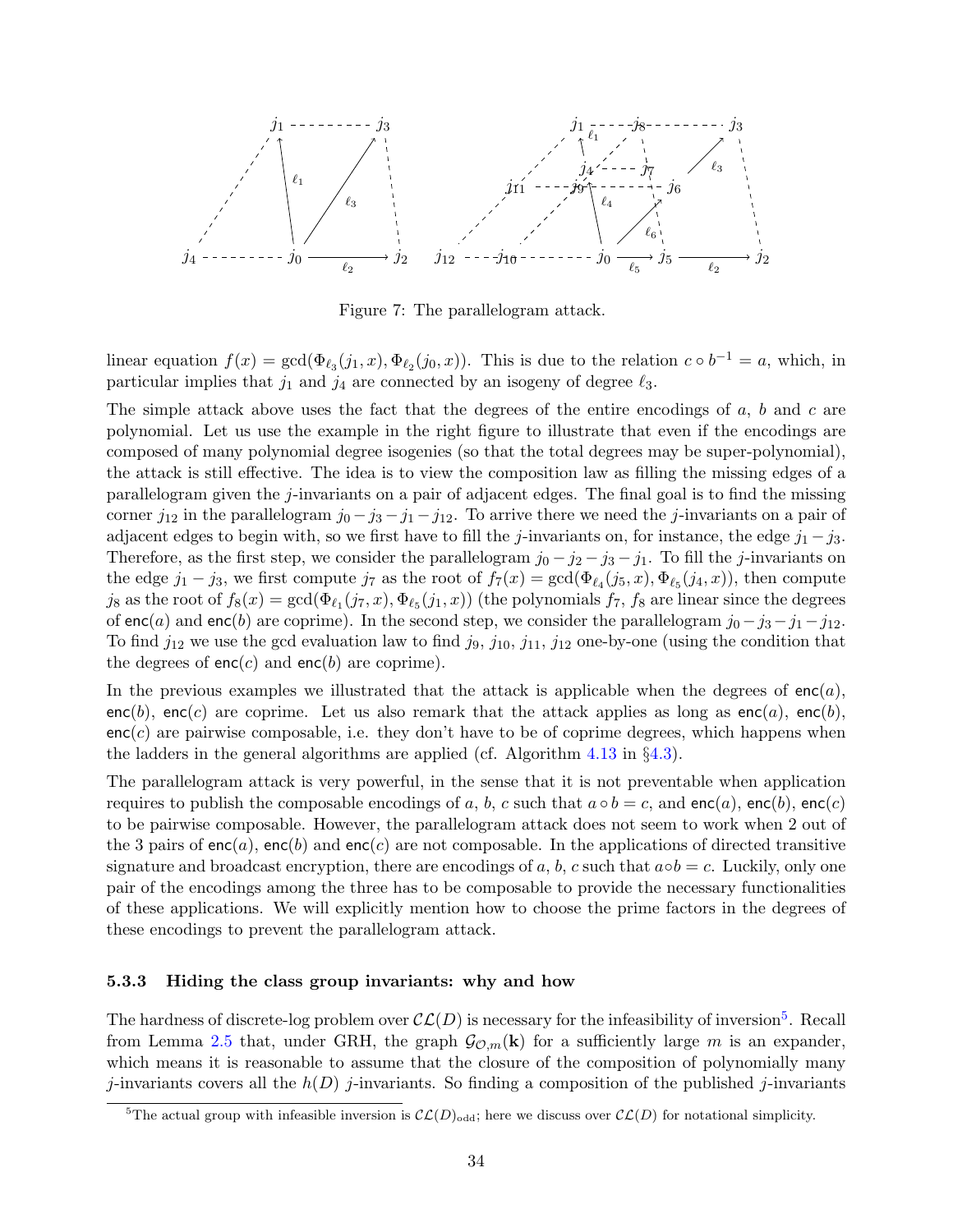

<span id="page-35-1"></span>Figure 7: The parallelogram attack.

linear equation  $f(x) = \gcd(\Phi_{\ell_3}(j_1, x), \Phi_{\ell_2}(j_0, x))$ . This is due to the relation  $c \circ b^{-1} = a$ , which, in particular implies that  $j_1$  and  $j_4$  are connected by an isogeny of degree  $\ell_3$ .

The simple attack above uses the fact that the degrees of the entire encodings of  $a, b$  and  $c$  are polynomial. Let us use the example in the right figure to illustrate that even if the encodings are composed of many polynomial degree isogenies (so that the total degrees may be super-polynomial), the attack is still effective. The idea is to view the composition law as filling the missing edges of a parallelogram given the j-invariants on a pair of adjacent edges. The final goal is to find the missing corner  $j_{12}$  in the parallelogram  $j_0 - j_3 - j_1 - j_{12}$ . To arrive there we need the j-invariants on a pair of adjacent edges to begin with, so we first have to fill the j-invariants on, for instance, the edge  $j_1 - j_3$ . Therefore, as the first step, we consider the parallelogram  $j_0 - j_2 - j_3 - j_1$ . To fill the j-invariants on the edge  $j_1 - j_3$ , we first compute  $j_7$  as the root of  $f_7(x) = \gcd(\Phi_{\ell_4}(j_5, x), \Phi_{\ell_5}(j_4, x))$ , then compute  $j_8$  as the root of  $f_8(x) = \gcd(\Phi_{\ell_1}(j_7, x), \Phi_{\ell_5}(j_1, x))$  (the polynomials  $f_7$ ,  $f_8$  are linear since the degrees of enc(a) and enc(b) are coprime). In the second step, we consider the parallelogram  $j_0-j_3-j_1-j_{12}$ . To find  $j_{12}$  we use the gcd evaluation law to find  $j_9$ ,  $j_{10}$ ,  $j_{11}$ ,  $j_{12}$  one-by-one (using the condition that the degrees of  $enc(c)$  and  $enc(b)$  are coprime).

In the previous examples we illustrated that the attack is applicable when the degrees of  $enc(a)$ , enc(b), enc(c) are coprime. Let us also remark that the attack applies as long as enc(a), enc(b),  $enc(c)$  are pairwise composable, i.e. they don't have to be of coprime degrees, which happens when the ladders in the general algorithms are applied (cf. Algorithm [4.13](#page-25-0) in §[4.3\)](#page-24-0).

The parallelogram attack is very powerful, in the sense that it is not preventable when application requires to publish the composable encodings of a, b, c such that  $a \circ b = c$ , and enc(a), enc(b), enc(c) to be pairwise composable. However, the parallelogram attack does not seem to work when 2 out of the 3 pairs of enc(a), enc(b) and enc(c) are not composable. In the applications of directed transitive signature and broadcast encryption, there are encodings of a, b, c such that  $a \circ b = c$ . Luckily, only one pair of the encodings among the three has to be composable to provide the necessary functionalities of these applications. We will explicitly mention how to choose the prime factors in the degrees of these encodings to prevent the parallelogram attack.

#### <span id="page-35-0"></span>5.3.3 Hiding the class group invariants: why and how

The hardness of discrete-log problem over  $\mathcal{CL}(D)$  is necessary for the infeasibility of inversion<sup>[5](#page-35-2)</sup>. Recall from Lemma [2.5](#page-13-1) that, under GRH, the graph  $\mathcal{G}_{\mathcal{O},m}(\mathbf{k})$  for a sufficiently large m is an expander, which means it is reasonable to assume that the closure of the composition of polynomially many j-invariants covers all the  $h(D)$  j-invariants. So finding a composition of the published j-invariants

<span id="page-35-2"></span><sup>&</sup>lt;sup>5</sup>The actual group with infeasible inversion is  $\mathcal{CL}(D)_{odd}$ ; here we discuss over  $\mathcal{CL}(D)$  for notational simplicity.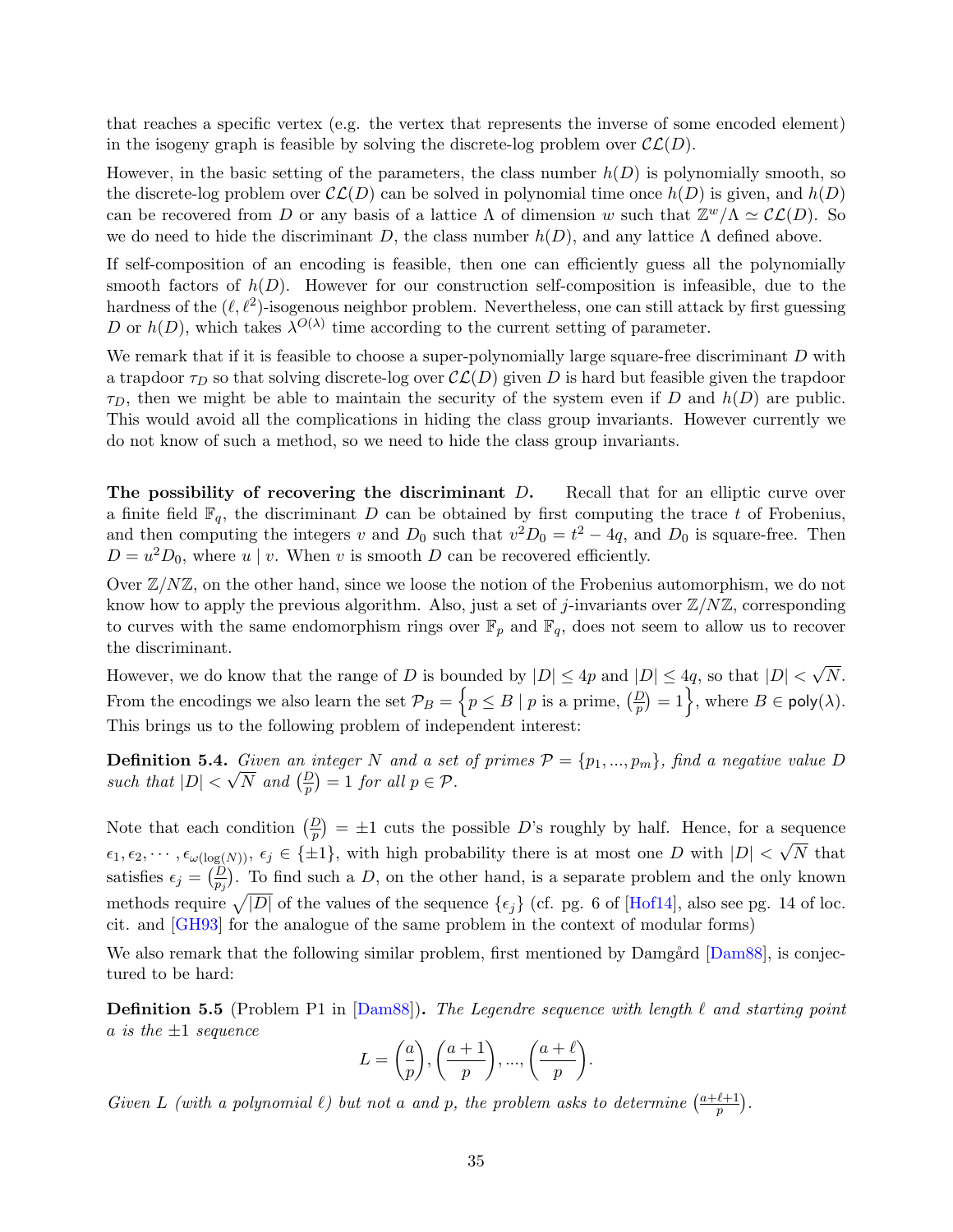that reaches a specific vertex (e.g. the vertex that represents the inverse of some encoded element) in the isogeny graph is feasible by solving the discrete-log problem over  $\mathcal{CL}(D)$ .

However, in the basic setting of the parameters, the class number  $h(D)$  is polynomially smooth, so the discrete-log problem over  $\mathcal{CL}(D)$  can be solved in polynomial time once  $h(D)$  is given, and  $h(D)$ can be recovered from D or any basis of a lattice  $\Lambda$  of dimension w such that  $\mathbb{Z}^w/\Lambda \simeq \mathcal{CL}(D)$ . So we do need to hide the discriminant D, the class number  $h(D)$ , and any lattice  $\Lambda$  defined above.

If self-composition of an encoding is feasible, then one can efficiently guess all the polynomially smooth factors of  $h(D)$ . However for our construction self-composition is infeasible, due to the hardness of the  $(\ell, \ell^2)$ -isogenous neighbor problem. Nevertheless, one can still attack by first guessing D or  $h(D)$ , which takes  $\lambda^{O(\lambda)}$  time according to the current setting of parameter.

We remark that if it is feasible to choose a super-polynomially large square-free discriminant  $D$  with a trapdoor  $\tau_D$  so that solving discrete-log over  $\mathcal{CL}(D)$  given D is hard but feasible given the trapdoor  $\tau_D$ , then we might be able to maintain the security of the system even if D and  $h(D)$  are public. This would avoid all the complications in hiding the class group invariants. However currently we do not know of such a method, so we need to hide the class group invariants.

The possibility of recovering the discriminant D. Recall that for an elliptic curve over a finite field  $\mathbb{F}_q$ , the discriminant D can be obtained by first computing the trace t of Frobenius, and then computing the integers v and  $D_0$  such that  $v^2 D_0 = t^2 - 4q$ , and  $D_0$  is square-free. Then  $D = u^2 D_0$ , where u | v. When v is smooth D can be recovered efficiently.

Over  $\mathbb{Z}/N\mathbb{Z}$ , on the other hand, since we loose the notion of the Frobenius automorphism, we do not know how to apply the previous algorithm. Also, just a set of j-invariants over  $\mathbb{Z}/N\mathbb{Z}$ , corresponding to curves with the same endomorphism rings over  $\mathbb{F}_p$  and  $\mathbb{F}_q$ , does not seem to allow us to recover the discriminant.

However, we do know that the range of D is bounded by  $|D| \leq 4p$  and  $|D| \leq 4q$ , so that  $|D| <$ √ N. From the encodings we also learn the set  $\mathcal{P}_B = \left\{ p \leq B \mid p \text{ is a prime}, \left( \frac{D}{p} \right) = 1 \right\}$ , where  $B \in \mathsf{poly}(\lambda)$ . This brings us to the following problem of independent interest:

<span id="page-36-0"></span>**Definition 5.4.** Given an integer N and a set of primes  $P = \{p_1, ..., p_m\}$ , find a negative value D such that  $|D| < \sqrt{N}$  and  $\left(\frac{D}{p}\right) = 1$  for all  $p \in \mathcal{P}$ .

Note that each condition  $\left(\frac{D}{p}\right) = \pm 1$  cuts the possible D's roughly by half. Hence, for a sequence  $\epsilon_1, \epsilon_2, \cdots, \epsilon_{\omega(\log(N))}, \epsilon_j \in {\pm 1}$ , with high probability there is at most one D with  $|D|$ √ N that satisfies  $\epsilon_j = \left(\frac{D}{p_j}\right)$ . To find such a D, on the other hand, is a separate problem and the only known methods require  $\sqrt{|D|}$  of the values of the sequence  $\{\epsilon_j\}$  (cf. pg. 6 of [\[Hof14\]](#page-51-16), also see pg. 14 of loc. cit. and [\[GH93\]](#page-50-12) for the analogue of the same problem in the context of modular forms)

We also remark that the following similar problem, first mentioned by Damgård [\[Dam88\]](#page-50-13), is conjectured to be hard:

**Definition 5.5** (Problem P1 in [\[Dam88\]](#page-50-13)). The Legendre sequence with length  $\ell$  and starting point a is the  $\pm 1$  sequence

$$
L = \left(\frac{a}{p}\right), \left(\frac{a+1}{p}\right), \dots, \left(\frac{a+\ell}{p}\right).
$$

Given L (with a polynomial  $\ell$ ) but not a and p, the problem asks to determine  $\left(\frac{a+\ell+1}{n}\right)$  $\frac{\ell+1}{p}$ .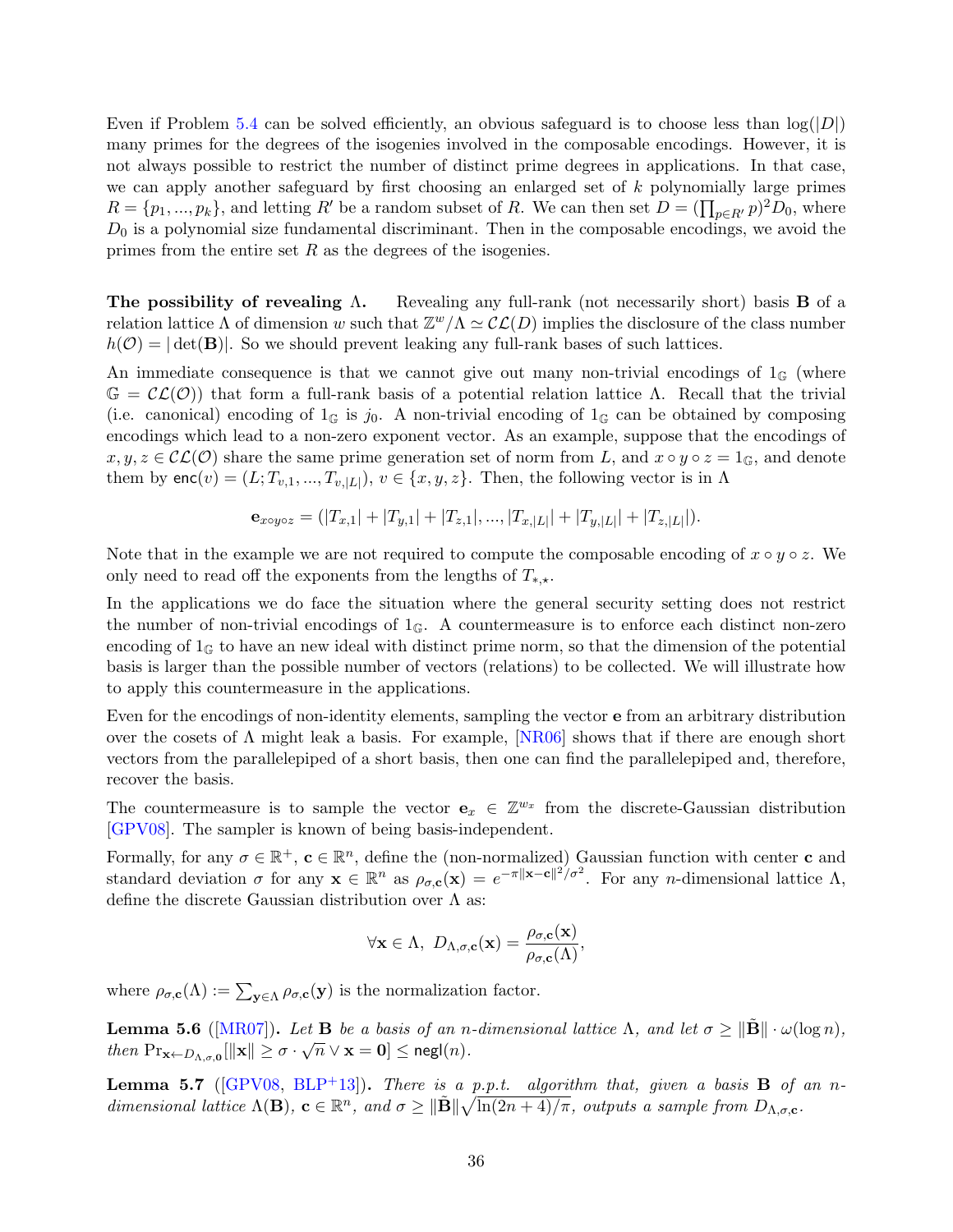Even if Problem [5.4](#page-36-0) can be solved efficiently, an obvious safeguard is to choose less than  $log(|D|)$ many primes for the degrees of the isogenies involved in the composable encodings. However, it is not always possible to restrict the number of distinct prime degrees in applications. In that case, we can apply another safeguard by first choosing an enlarged set of k polynomially large primes  $R = \{p_1, ..., p_k\}$ , and letting R' be a random subset of R. We can then set  $D = (\prod_{p \in R'} p)^2 D_0$ , where  $D_0$  is a polynomial size fundamental discriminant. Then in the composable encodings, we avoid the primes from the entire set  $R$  as the degrees of the isogenies.

The possibility of revealing  $\Lambda$ . Revealing any full-rank (not necessarily short) basis **B** of a relation lattice  $\Lambda$  of dimension w such that  $\mathbb{Z}^w/\Lambda \simeq \mathcal{CL}(D)$  implies the disclosure of the class number  $h(\mathcal{O}) = |\det(\mathbf{B})|$ . So we should prevent leaking any full-rank bases of such lattices.

An immediate consequence is that we cannot give out many non-trivial encodings of  $1_{\mathbb{G}}$  (where  $\mathbb{G} = \mathcal{CL}(\mathcal{O})$  that form a full-rank basis of a potential relation lattice Λ. Recall that the trivial (i.e. canonical) encoding of  $1\text{G}$  is j<sub>0</sub>. A non-trivial encoding of  $1\text{G}$  can be obtained by composing encodings which lead to a non-zero exponent vector. As an example, suppose that the encodings of  $x, y, z \in \mathcal{CL}(\mathcal{O})$  share the same prime generation set of norm from L, and  $x \circ y \circ z = 1_{\mathbb{G}}$ , and denote them by  $\mathsf{enc}(v) = (L; T_{v,1}, ..., T_{v,|L|}), v \in \{x, y, z\}.$  Then, the following vector is in  $\Lambda$ 

$$
\mathbf{e}_{x\circ y\circ z} = (|T_{x,1}| + |T_{y,1}| + |T_{z,1}|, ..., |T_{x,|L|}| + |T_{y,|L|}| + |T_{z,|L|}|).
$$

Note that in the example we are not required to compute the composable encoding of  $x \circ y \circ z$ . We only need to read off the exponents from the lengths of  $T_{*,\star}$ .

In the applications we do face the situation where the general security setting does not restrict the number of non-trivial encodings of  $1\text{G}$ . A countermeasure is to enforce each distinct non-zero encoding of  $1_{\mathbb{G}}$  to have an new ideal with distinct prime norm, so that the dimension of the potential basis is larger than the possible number of vectors (relations) to be collected. We will illustrate how to apply this countermeasure in the applications.

Even for the encodings of non-identity elements, sampling the vector e from an arbitrary distribution over the cosets of  $\Lambda$  might leak a basis. For example, [\[NR06\]](#page-52-13) shows that if there are enough short vectors from the parallelepiped of a short basis, then one can find the parallelepiped and, therefore, recover the basis.

The countermeasure is to sample the vector  $e_x \in \mathbb{Z}^{w_x}$  from the discrete-Gaussian distribution [\[GPV08\]](#page-50-9). The sampler is known of being basis-independent.

Formally, for any  $\sigma \in \mathbb{R}^+$ ,  $\mathbf{c} \in \mathbb{R}^n$ , define the (non-normalized) Gaussian function with center **c** and standard deviation  $\sigma$  for any  $\mathbf{x} \in \mathbb{R}^n$  as  $\rho_{\sigma,\mathbf{c}}(\mathbf{x}) = e^{-\pi ||\mathbf{x}-\mathbf{c}||^2/\sigma^2}$ . For any *n*-dimensional lattice  $\Lambda$ , define the discrete Gaussian distribution over  $\Lambda$  as:

$$
\forall \mathbf{x} \in \Lambda, \ D_{\Lambda,\sigma,\mathbf{c}}(\mathbf{x}) = \frac{\rho_{\sigma,\mathbf{c}}(\mathbf{x})}{\rho_{\sigma,\mathbf{c}}(\Lambda)},
$$

where  $\rho_{\sigma,\mathbf{c}}(\Lambda) := \sum_{\mathbf{y} \in \Lambda} \rho_{\sigma,\mathbf{c}}(\mathbf{y})$  is the normalization factor.

**Lemma 5.6** ([\[MR07\]](#page-52-14)). Let **B** be a basis of an n-dimensional lattice  $\Lambda$ , and let  $\sigma \ge ||\tilde{\mathbf{B}}|| \cdot \omega(\log n)$ ,  $then \; Pr_{\mathbf{x} \leftarrow D_{\Lambda, \sigma, \mathbf{0}} } [\|\mathbf{x}\| \geq \sigma \cdot \sqrt{n} \lor \mathbf{x} = \mathbf{0}] \leq {\mathsf{negl}}(n).$ 

**Lemma 5.7** ([\[GPV08,](#page-50-9) [BLP](#page-49-13)<sup>+</sup>13]). There is a p.p.t. algorithm that, given a basis **B** of an ndimensional lattice  $\Lambda(\mathbf{B})$ ,  $\mathbf{c} \in \mathbb{R}^n$ , and  $\sigma \geq ||\tilde{\mathbf{B}}||\sqrt{\ln(2n+4)/\pi}$ , outputs a sample from  $D_{\Lambda,\sigma,\mathbf{c}}$ .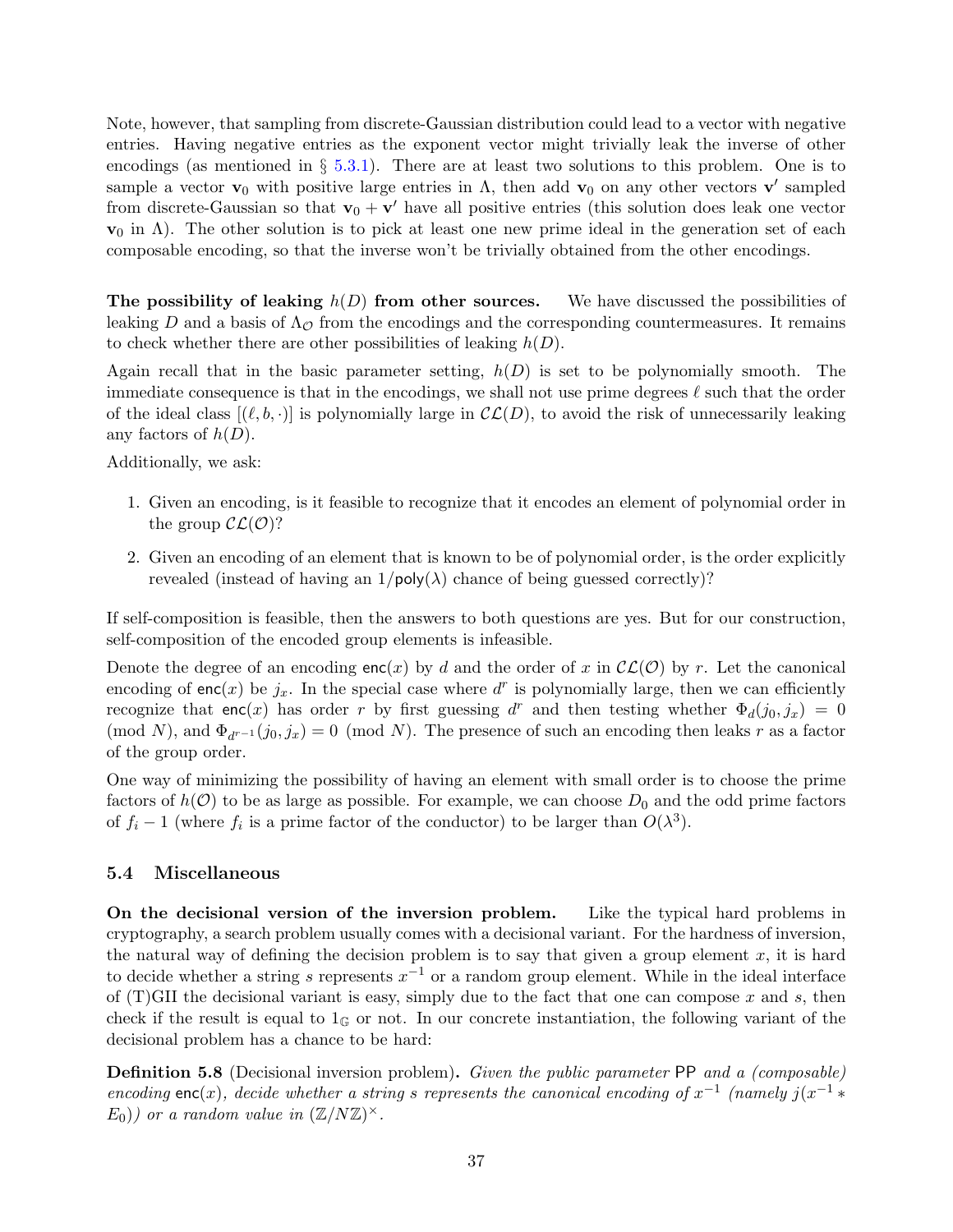Note, however, that sampling from discrete-Gaussian distribution could lead to a vector with negative entries. Having negative entries as the exponent vector might trivially leak the inverse of other encodings (as mentioned in  $\S 5.3.1$ ). There are at least two solutions to this problem. One is to sample a vector  $\mathbf{v}_0$  with positive large entries in  $\Lambda$ , then add  $\mathbf{v}_0$  on any other vectors  $\mathbf{v}'$  sampled from discrete-Gaussian so that  $\mathbf{v}_0 + \mathbf{v}'$  have all positive entries (this solution does leak one vector  $\mathbf{v}_0$  in  $\Lambda$ ). The other solution is to pick at least one new prime ideal in the generation set of each composable encoding, so that the inverse won't be trivially obtained from the other encodings.

The possibility of leaking  $h(D)$  from other sources. We have discussed the possibilities of leaking D and a basis of  $\Lambda_{\mathcal{O}}$  from the encodings and the corresponding countermeasures. It remains to check whether there are other possibilities of leaking  $h(D)$ .

Again recall that in the basic parameter setting,  $h(D)$  is set to be polynomially smooth. The immediate consequence is that in the encodings, we shall not use prime degrees  $\ell$  such that the order of the ideal class  $[(\ell, b, \cdot)]$  is polynomially large in  $\mathcal{CL}(D)$ , to avoid the risk of unnecessarily leaking any factors of  $h(D)$ .

Additionally, we ask:

- 1. Given an encoding, is it feasible to recognize that it encodes an element of polynomial order in the group  $\mathcal{CL}(\mathcal{O})$ ?
- 2. Given an encoding of an element that is known to be of polynomial order, is the order explicitly revealed (instead of having an  $1/\text{poly}(\lambda)$  chance of being guessed correctly)?

If self-composition is feasible, then the answers to both questions are yes. But for our construction, self-composition of the encoded group elements is infeasible.

Denote the degree of an encoding  $enc(x)$  by d and the order of x in  $\mathcal{CL}(\mathcal{O})$  by r. Let the canonical encoding of enc(x) be  $j_x$ . In the special case where  $d^r$  is polynomially large, then we can efficiently recognize that enc(x) has order r by first guessing d<sup>r</sup> and then testing whether  $\Phi_d(j_0, j_x) = 0$ (mod N), and  $\Phi_{d^{r-1}}(j_0, j_x) = 0 \pmod{N}$ . The presence of such an encoding then leaks r as a factor of the group order.

One way of minimizing the possibility of having an element with small order is to choose the prime factors of  $h(\mathcal{O})$  to be as large as possible. For example, we can choose  $D_0$  and the odd prime factors of  $f_i - 1$  (where  $f_i$  is a prime factor of the conductor) to be larger than  $O(\lambda^3)$ .

#### <span id="page-38-0"></span>5.4 Miscellaneous

On the decisional version of the inversion problem. Like the typical hard problems in cryptography, a search problem usually comes with a decisional variant. For the hardness of inversion, the natural way of defining the decision problem is to say that given a group element  $x$ , it is hard to decide whether a string s represents  $x^{-1}$  or a random group element. While in the ideal interface of  $(T)$ GII the decisional variant is easy, simply due to the fact that one can compose x and s, then check if the result is equal to  $1_{\mathbb{G}}$  or not. In our concrete instantiation, the following variant of the decisional problem has a chance to be hard:

<span id="page-38-1"></span>**Definition 5.8** (Decisional inversion problem). Given the public parameter PP and a (composable) encoding enc(x), decide whether a string s represents the canonical encoding of  $x^{-1}$  (namely  $j(x^{-1} *$  $E_0$ )) or a random value in  $(\mathbb{Z}/N\mathbb{Z})^{\times}$ .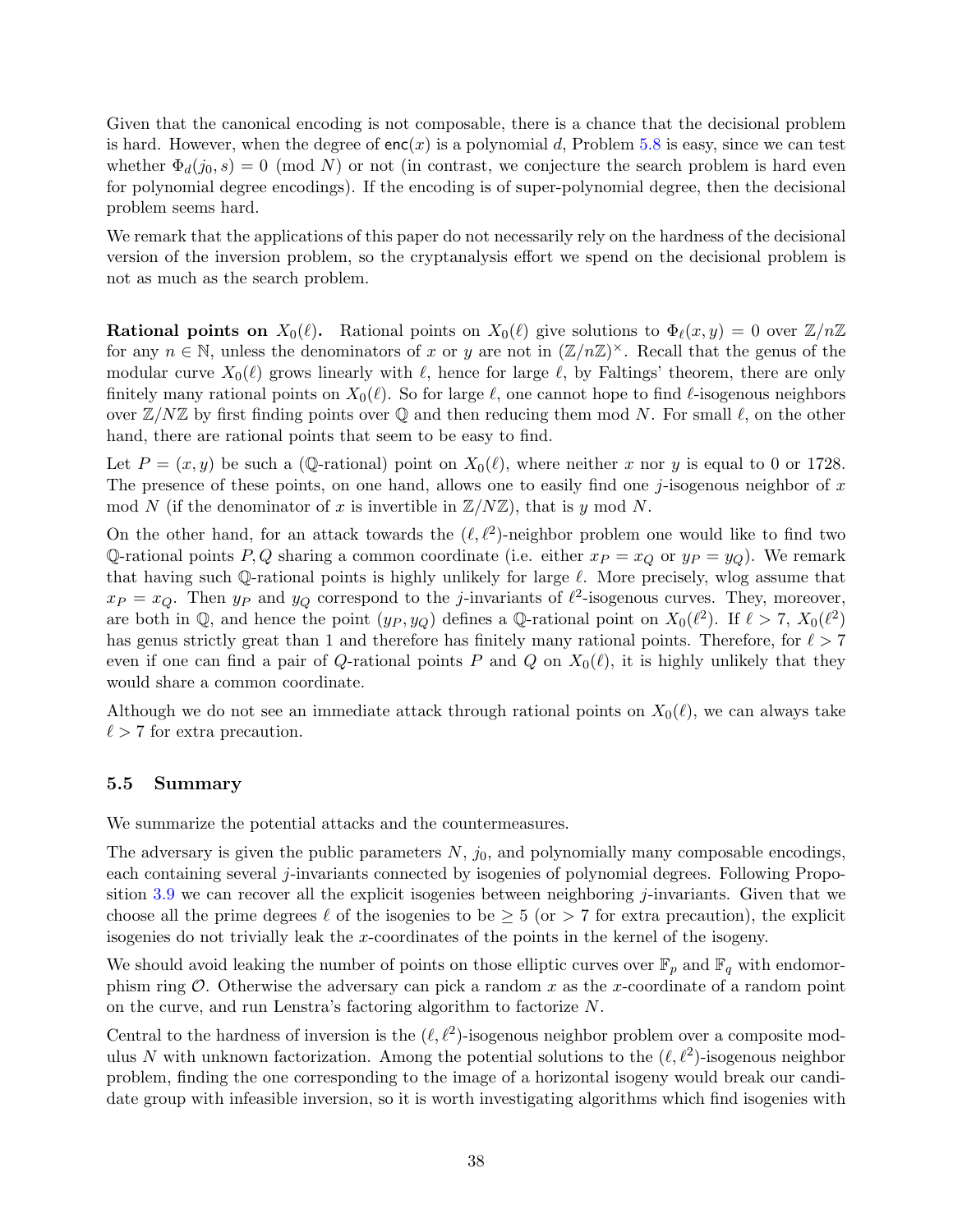Given that the canonical encoding is not composable, there is a chance that the decisional problem is hard. However, when the degree of  $enc(x)$  is a polynomial d, Problem [5.8](#page-38-1) is easy, since we can test whether  $\Phi_d(j_0, s) = 0 \pmod{N}$  or not (in contrast, we conjecture the search problem is hard even for polynomial degree encodings). If the encoding is of super-polynomial degree, then the decisional problem seems hard.

We remark that the applications of this paper do not necessarily rely on the hardness of the decisional version of the inversion problem, so the cryptanalysis effort we spend on the decisional problem is not as much as the search problem.

**Rational points on**  $X_0(\ell)$ . Rational points on  $X_0(\ell)$  give solutions to  $\Phi_\ell(x, y) = 0$  over  $\mathbb{Z}/n\mathbb{Z}$ for any  $n \in \mathbb{N}$ , unless the denominators of x or y are not in  $(\mathbb{Z}/n\mathbb{Z})^{\times}$ . Recall that the genus of the modular curve  $X_0(\ell)$  grows linearly with  $\ell$ , hence for large  $\ell$ , by Faltings' theorem, there are only finitely many rational points on  $X_0(\ell)$ . So for large  $\ell$ , one cannot hope to find  $\ell$ -isogenous neighbors over  $\mathbb{Z}/N\mathbb{Z}$  by first finding points over  $\mathbb{Q}$  and then reducing them mod N. For small  $\ell$ , on the other hand, there are rational points that seem to be easy to find.

Let  $P = (x, y)$  be such a (Q-rational) point on  $X_0(\ell)$ , where neither x nor y is equal to 0 or 1728. The presence of these points, on one hand, allows one to easily find one j-isogenous neighbor of  $x$ mod N (if the denominator of x is invertible in  $\mathbb{Z}/N\mathbb{Z}$ ), that is y mod N.

On the other hand, for an attack towards the  $(\ell, \ell^2)$ -neighbor problem one would like to find two Q-rational points P, Q sharing a common coordinate (i.e. either  $x_P = x_Q$  or  $y_P = y_Q$ ). We remark that having such Q-rational points is highly unlikely for large  $\ell$ . More precisely, wlog assume that  $x_P = x_Q$ . Then  $y_P$  and  $y_Q$  correspond to the *j*-invariants of  $\ell^2$ -isogenous curves. They, moreover, are both in Q, and hence the point  $(y_P, y_Q)$  defines a Q-rational point on  $X_0(\ell^2)$ . If  $\ell > 7$ ,  $X_0(\ell^2)$ has genus strictly great than 1 and therefore has finitely many rational points. Therefore, for  $\ell > 7$ even if one can find a pair of Q-rational points P and Q on  $X_0(\ell)$ , it is highly unlikely that they would share a common coordinate.

Although we do not see an immediate attack through rational points on  $X_0(\ell)$ , we can always take  $\ell > 7$  for extra precaution.

#### <span id="page-39-0"></span>5.5 Summary

We summarize the potential attacks and the countermeasures.

The adversary is given the public parameters  $N$ ,  $j_0$ , and polynomially many composable encodings, each containing several *j*-invariants connected by isogenies of polynomial degrees. Following Propo-sition [3.9](#page-18-2) we can recover all the explicit isogenies between neighboring *j*-invariants. Given that we choose all the prime degrees  $\ell$  of the isogenies to be  $\geq 5$  (or  $> 7$  for extra precaution), the explicit isogenies do not trivially leak the x-coordinates of the points in the kernel of the isogeny.

We should avoid leaking the number of points on those elliptic curves over  $\mathbb{F}_p$  and  $\mathbb{F}_q$  with endomorphism ring  $\mathcal O$ . Otherwise the adversary can pick a random x as the x-coordinate of a random point on the curve, and run Lenstra's factoring algorithm to factorize N.

Central to the hardness of inversion is the  $(\ell, \ell^2)$ -isogenous neighbor problem over a composite modulus N with unknown factorization. Among the potential solutions to the  $(\ell, \ell^2)$ -isogenous neighbor problem, finding the one corresponding to the image of a horizontal isogeny would break our candidate group with infeasible inversion, so it is worth investigating algorithms which find isogenies with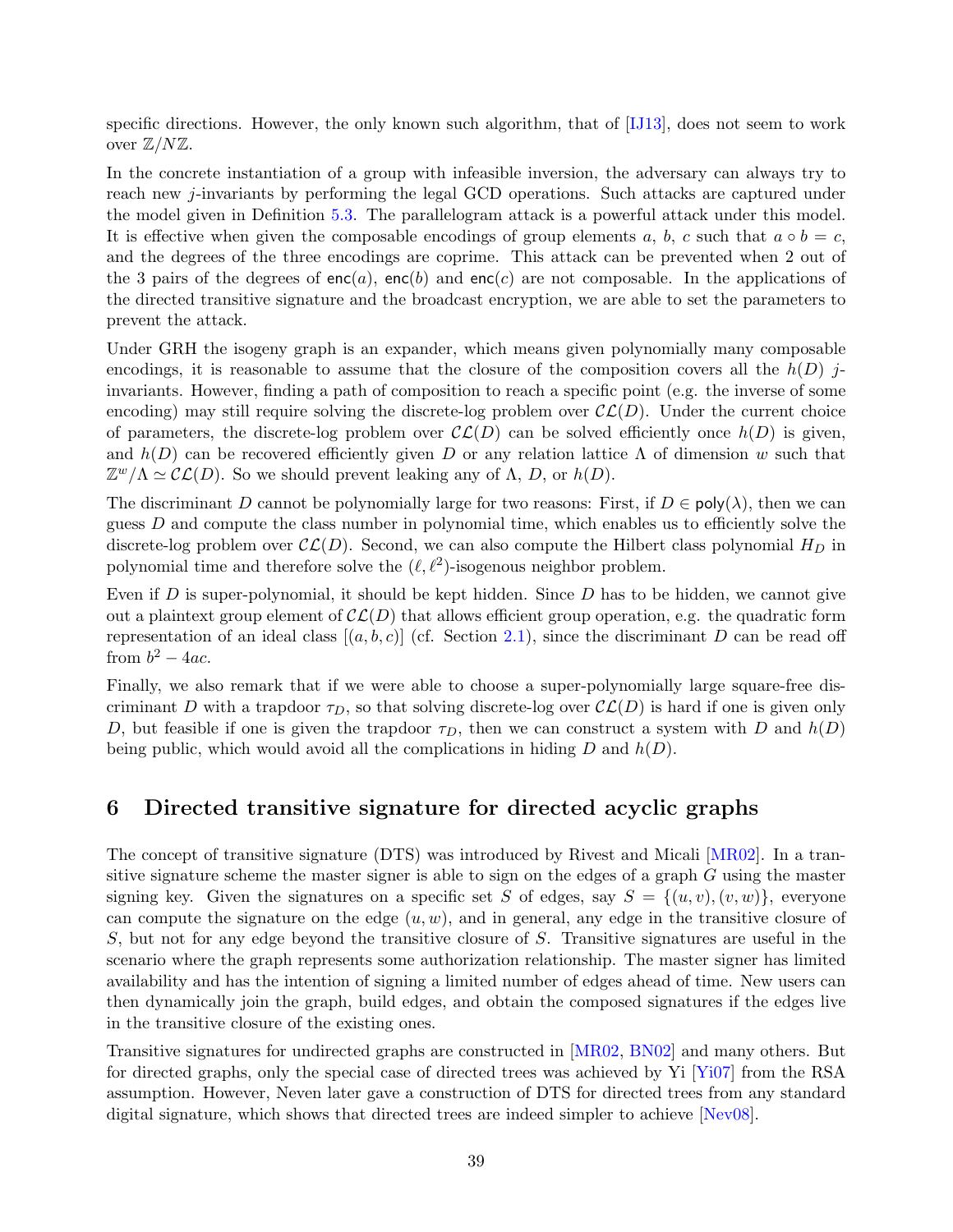specific directions. However, the only known such algorithm, that of [\[IJ13\]](#page-51-15), does not seem to work over  $\mathbb{Z}/N\mathbb{Z}$ .

In the concrete instantiation of a group with infeasible inversion, the adversary can always try to reach new j-invariants by performing the legal GCD operations. Such attacks are captured under the model given in Definition [5.3.](#page-34-2) The parallelogram attack is a powerful attack under this model. It is effective when given the composable encodings of group elements a, b, c such that  $a \circ b = c$ , and the degrees of the three encodings are coprime. This attack can be prevented when 2 out of the 3 pairs of the degrees of  $enc(a)$ ,  $enc(b)$  and  $enc(c)$  are not composable. In the applications of the directed transitive signature and the broadcast encryption, we are able to set the parameters to prevent the attack.

Under GRH the isogeny graph is an expander, which means given polynomially many composable encodings, it is reasonable to assume that the closure of the composition covers all the  $h(D)$  jinvariants. However, finding a path of composition to reach a specific point (e.g. the inverse of some encoding) may still require solving the discrete-log problem over  $\mathcal{CL}(D)$ . Under the current choice of parameters, the discrete-log problem over  $\mathcal{CL}(D)$  can be solved efficiently once  $h(D)$  is given, and  $h(D)$  can be recovered efficiently given D or any relation lattice  $\Lambda$  of dimension w such that  $\mathbb{Z}^w/\Lambda \simeq \mathcal{CL}(D)$ . So we should prevent leaking any of  $\Lambda$ , D, or  $h(D)$ .

The discriminant D cannot be polynomially large for two reasons: First, if  $D \in \text{poly}(\lambda)$ , then we can guess  $D$  and compute the class number in polynomial time, which enables us to efficiently solve the discrete-log problem over  $\mathcal{CL}(D)$ . Second, we can also compute the Hilbert class polynomial  $H_D$  in polynomial time and therefore solve the  $(\ell, \ell^2)$ -isogenous neighbor problem.

Even if D is super-polynomial, it should be kept hidden. Since  $D$  has to be hidden, we cannot give out a plaintext group element of  $\mathcal{CL}(D)$  that allows efficient group operation, e.g. the quadratic form representation of an ideal class  $[(a, b, c)]$  (cf. Section [2.1\)](#page-9-0), since the discriminant D can be read off from  $b^2 - 4ac$ .

Finally, we also remark that if we were able to choose a super-polynomially large square-free discriminant D with a trapdoor  $\tau_D$ , so that solving discrete-log over  $\mathcal{CL}(D)$  is hard if one is given only D, but feasible if one is given the trapdoor  $\tau_D$ , then we can construct a system with D and  $h(D)$ being public, which would avoid all the complications in hiding  $D$  and  $h(D)$ .

## <span id="page-40-0"></span>6 Directed transitive signature for directed acyclic graphs

The concept of transitive signature (DTS) was introduced by Rivest and Micali [\[MR02\]](#page-52-15). In a transitive signature scheme the master signer is able to sign on the edges of a graph G using the master signing key. Given the signatures on a specific set S of edges, say  $S = \{(u, v), (v, w)\}\,$ , everyone can compute the signature on the edge  $(u, w)$ , and in general, any edge in the transitive closure of S, but not for any edge beyond the transitive closure of S. Transitive signatures are useful in the scenario where the graph represents some authorization relationship. The master signer has limited availability and has the intention of signing a limited number of edges ahead of time. New users can then dynamically join the graph, build edges, and obtain the composed signatures if the edges live in the transitive closure of the existing ones.

Transitive signatures for undirected graphs are constructed in [\[MR02,](#page-52-15) [BN02\]](#page-49-14) and many others. But for directed graphs, only the special case of directed trees was achieved by Yi [\[Yi07\]](#page-53-7) from the RSA assumption. However, Neven later gave a construction of DTS for directed trees from any standard digital signature, which shows that directed trees are indeed simpler to achieve [\[Nev08\]](#page-52-16).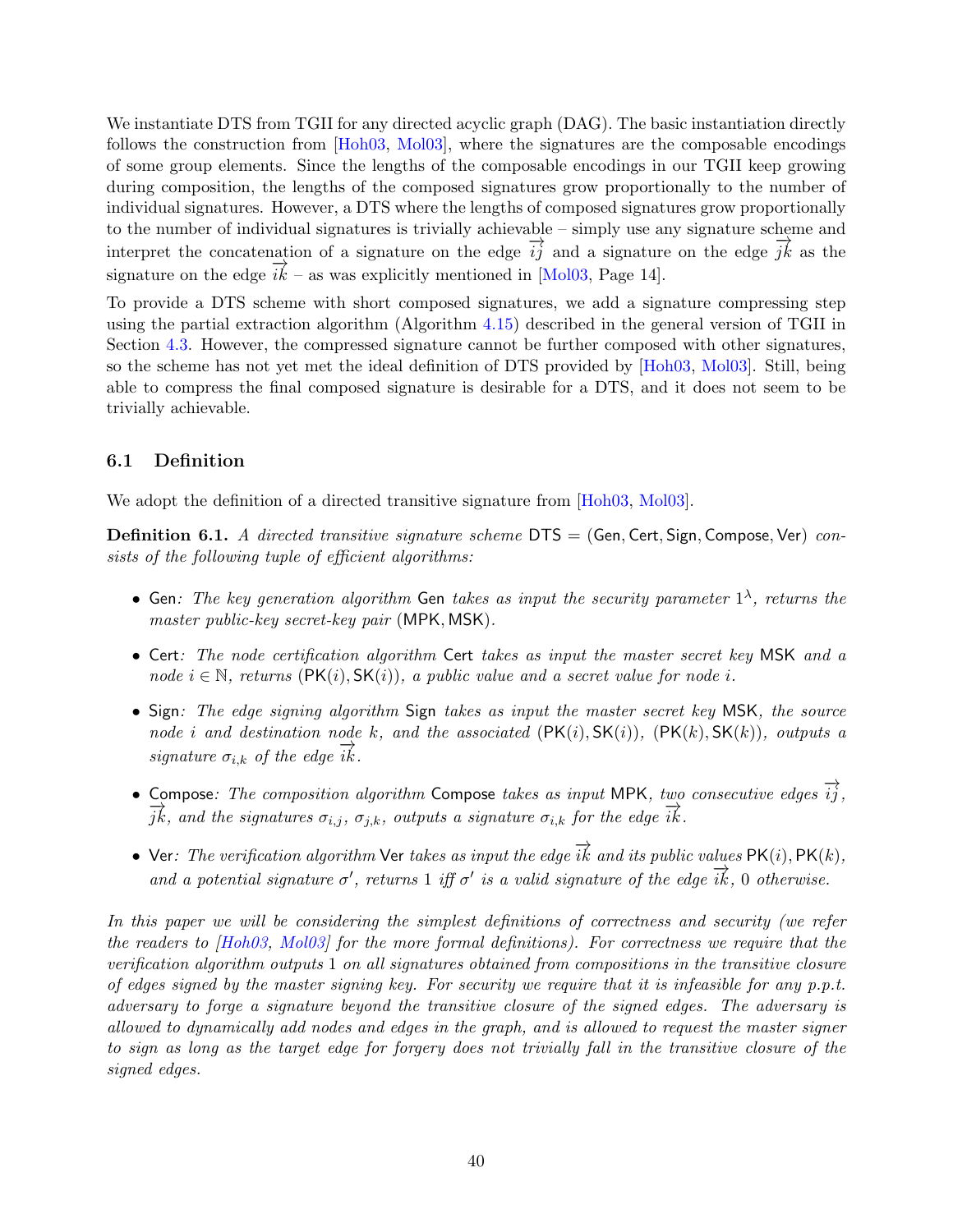We instantiate DTS from TGII for any directed acyclic graph (DAG). The basic instantiation directly follows the construction from [\[Hoh03,](#page-51-3) [Mol03\]](#page-52-0), where the signatures are the composable encodings of some group elements. Since the lengths of the composable encodings in our TGII keep growing during composition, the lengths of the composed signatures grow proportionally to the number of individual signatures. However, a DTS where the lengths of composed signatures grow proportionally to the number of individual signatures is trivially achievable – simply use any signature scheme and interpret the concatenation of a signature on the edge  $\overrightarrow{ij}$  and a signature on the edge  $\overrightarrow{jk}$  as the signature on the edge  $\vec{i}\vec{k}$  – as was explicitly mentioned in [\[Mol03,](#page-52-0) Page 14].

To provide a DTS scheme with short composed signatures, we add a signature compressing step using the partial extraction algorithm (Algorithm [4.15\)](#page-26-0) described in the general version of TGII in Section [4.3.](#page-24-0) However, the compressed signature cannot be further composed with other signatures, so the scheme has not yet met the ideal definition of DTS provided by [\[Hoh03,](#page-51-3) [Mol03\]](#page-52-0). Still, being able to compress the final composed signature is desirable for a DTS, and it does not seem to be trivially achievable.

## <span id="page-41-0"></span>6.1 Definition

We adopt the definition of a directed transitive signature from [\[Hoh03,](#page-51-3) [Mol03\]](#page-52-0).

**Definition 6.1.** A directed transitive signature scheme  $DTS = (Gen, Cert, Sign, Compose, Ver)$  consists of the following tuple of efficient algorithms:

- Gen: The key generation algorithm Gen takes as input the security parameter  $1^{\lambda}$ , returns the master public-key secret-key pair (MPK, MSK).
- Cert: The node certification algorithm Cert takes as input the master secret key MSK and a node  $i \in \mathbb{N}$ , returns  $(\mathsf{PK}(i), \mathsf{SK}(i))$ , a public value and a secret value for node i.
- Sign: The edge signing algorithm Sign takes as input the master secret key MSK, the source node i and destination node k, and the associated  $(PK(i), SK(i))$ ,  $(PK(k), SK(k))$ , outputs a signature  $\sigma_{i,k}$  of the edge  $ik$ .
- Compose: The composition algorithm Compose takes as input MPK, two consecutive edges  $\overrightarrow{i}$ ;  $\overrightarrow{jk}$ , and the signatures  $\sigma_{i,j}$ ,  $\sigma_{j,k}$ , outputs a signature  $\sigma_{i,k}$  for the edge  $\overrightarrow{ik}$ .
- Ver: The verification algorithm Ver takes as input the edge  $\overrightarrow{ik}$  and its public values PK(i), PK(k), and a potential signature  $\sigma'$ , returns 1 iff  $\sigma'$  is a valid signature of the edge  $\overrightarrow{ik}$ , 0 otherwise.

In this paper we will be considering the simplest definitions of correctness and security (we refer the readers to [\[Hoh03,](#page-51-3) [Mol03\]](#page-52-0) for the more formal definitions). For correctness we require that the verification algorithm outputs 1 on all signatures obtained from compositions in the transitive closure of edges signed by the master signing key. For security we require that it is infeasible for any  $p.p.t.$ adversary to forge a signature beyond the transitive closure of the signed edges. The adversary is allowed to dynamically add nodes and edges in the graph, and is allowed to request the master signer to sign as long as the target edge for forgery does not trivially fall in the transitive closure of the signed edges.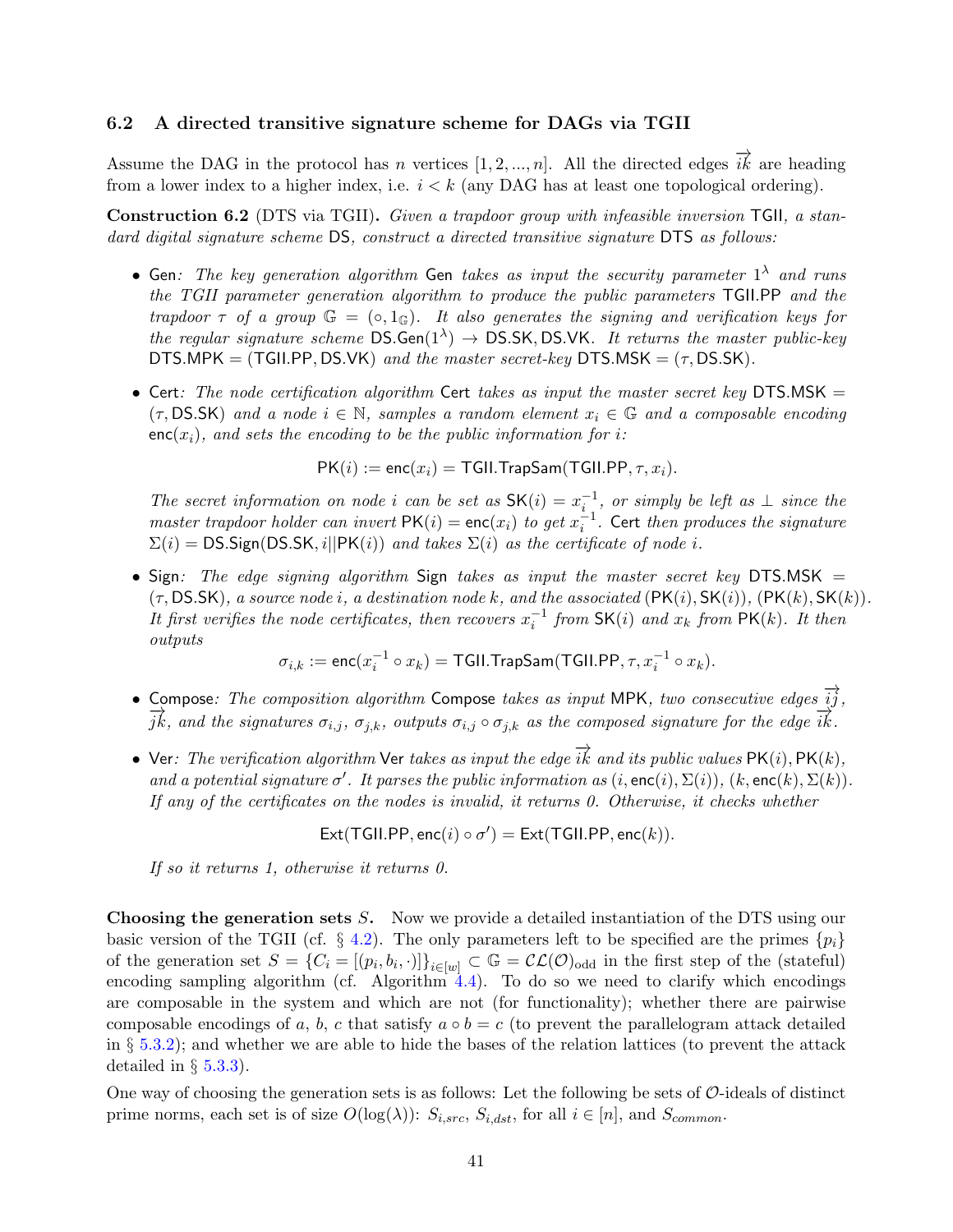#### <span id="page-42-0"></span>6.2 A directed transitive signature scheme for DAGs via TGII

Assume the DAG in the protocol has n vertices [1, 2, ..., n]. All the directed edges  $\overrightarrow{ik}$  are heading from a lower index to a higher index, i.e.  $i < k$  (any DAG has at least one topological ordering).

Construction 6.2 (DTS via TGII). Given a trapdoor group with infeasible inversion TGII, a standard digital signature scheme DS, construct a directed transitive signature DTS as follows:

- Gen: The key generation algorithm Gen takes as input the security parameter  $1^{\lambda}$  and runs the TGII parameter generation algorithm to produce the public parameters TGII.PP and the trapdoor  $\tau$  of a group  $\mathbb{G} = (\circ, 1_{\mathbb{G}})$ . It also generates the signing and verification keys for the regular signature scheme  $DS.Gen(1^{\lambda}) \rightarrow DS.SK,DS.VK$ . It returns the master public-key DTS.MPK = (TGII.PP, DS.VK) and the master secret-key DTS.MSK =  $(\tau, DS.SK)$ .
- Cert: The node certification algorithm Cert takes as input the master secret key DTS.MSK  $=$  $(\tau, \text{DS.SK})$  and a node  $i \in \mathbb{N}$ , samples a random element  $x_i \in \mathbb{G}$  and a composable encoding  $enc(x_i)$ , and sets the encoding to be the public information for i:

 $PK(i) := enc(x_i) = TGILTrapSam(TGILPP, \tau, x_i).$ 

The secret information on node i can be set as  $SK(i) = x_i^{-1}$ , or simply be left as  $\perp$  since the master trapdoor holder can invert  $PK(i) = enc(x_i)$  to get  $x_i^{-1}$ . Cert then produces the signature  $\Sigma(i) = \text{DS}.$ Sign(DS.SK, i||PK(i)) and takes  $\Sigma(i)$  as the certificate of node i.

• Sign: The edge signing algorithm Sign takes as input the master secret key DTS.MSK  $=$  $(\tau, \text{DS.SK})$ , a source node i, a destination node k, and the associated  $(\text{PK}(i), \text{SK}(i)), (\text{PK}(k), \text{SK}(k))$ . It first verifies the node certificates, then recovers  $x_i^{-1}$  from  $SK(i)$  and  $x_k$  from  $PK(k)$ . It then outputs

$$
\sigma_{i,k}:=\mathrm{enc}(x_i^{-1}\circ x_k)=\mathrm{TGII}.\mathrm{TrapSam}(\mathrm{TGII}. \mathrm{PP}, \tau, x_i^{-1}\circ x_k).
$$

- Compose: The composition algorithm Compose takes as input MPK, two consecutive edges  $\overrightarrow{ij}$ ,  $\frac{1}{jk}$ , and the signatures  $\sigma_{i,j}$ ,  $\sigma_{j,k}$ , outputs  $\sigma_{i,j} \circ \sigma_{j,k}$  as the composed signature for the edge  $\overrightarrow{ik}$ .
- Ver: The verification algorithm Ver takes as input the edge  $\overrightarrow{ik}$  and its public values PK(i), PK(k), and a potential signature  $\sigma'$ . It parses the public information as  $(i, \text{enc}(i), \Sigma(i)), (k, \text{enc}(k), \Sigma(k)).$ If any of the certificates on the nodes is invalid, it returns 0. Otherwise, it checks whether

 $\mathsf{Ext}(\mathsf{TGILPP},\mathsf{enc}(i) \circ \sigma') = \mathsf{Ext}(\mathsf{TGILPP},\mathsf{enc}(k)).$ 

If so it returns 1, otherwise it returns 0.

Choosing the generation sets S. Now we provide a detailed instantiation of the DTS using our basic version of the TGII (cf.  $\S$  [4.2\)](#page-19-0). The only parameters left to be specified are the primes  $\{p_i\}$ of the generation set  $S = \{C_i = [(p_i, b_i, \cdot)]\}_{i \in [w]} \subset \mathbb{G} = \mathcal{CL}(\mathcal{O})_{odd}$  in the first step of the (stateful) encoding sampling algorithm (cf. Algorithm  $4.4$ ). To do so we need to clarify which encodings are composable in the system and which are not (for functionality); whether there are pairwise composable encodings of a, b, c that satisfy  $a \circ b = c$  (to prevent the parallelogram attack detailed in § [5.3.2\)](#page-34-1); and whether we are able to hide the bases of the relation lattices (to prevent the attack detailed in  $\S$  [5.3.3\)](#page-35-0).

One way of choosing the generation sets is as follows: Let the following be sets of  $\mathcal{O}\text{-ideals}$  of distinct prime norms, each set is of size  $O(\log(\lambda))$ :  $S_{i,src}$ ,  $S_{i,dst}$ , for all  $i \in [n]$ , and  $S_{common}$ .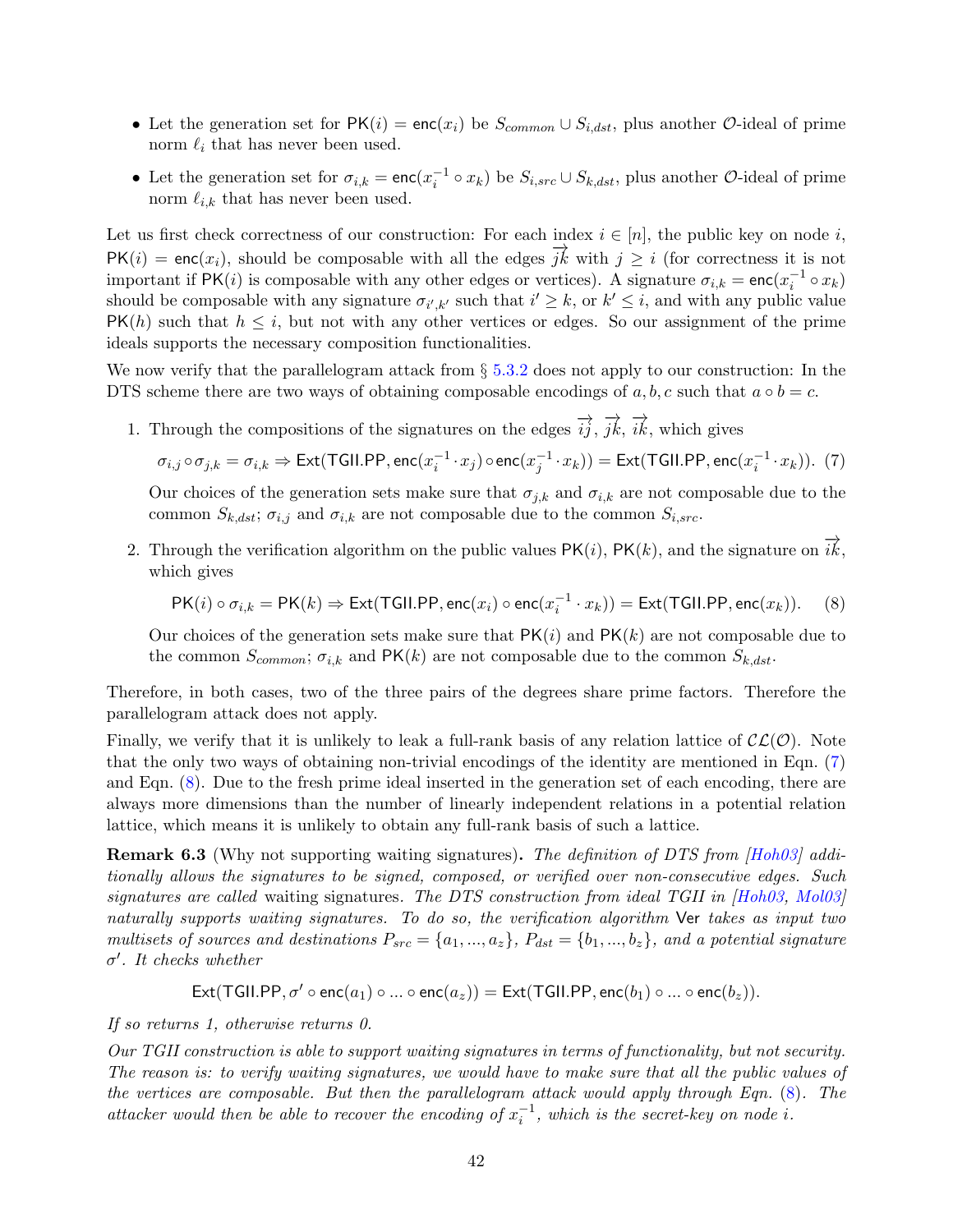- Let the generation set for  $PK(i) = enc(x_i)$  be  $S_{common} \cup S_{i,dst}$ , plus another  $\mathcal{O}$ -ideal of prime norm  $\ell_i$  that has never been used.
- Let the generation set for  $\sigma_{i,k} = \text{enc}(x_i^{-1} \circ x_k)$  be  $S_{i,src} \cup S_{k,dst}$ , plus another  $\mathcal{O}\text{-ideal}$  of prime norm  $\ell_{i,k}$  that has never been used.

Let us first check correctness of our construction: For each index  $i \in [n]$ , the public key on node i,  $PK(i) = enc(x_i)$ , should be composable with all the edges  $\overrightarrow{jk}$  with  $j \geq i$  (for correctness it is not important if  $PK(i)$  is composable with any other edges or vertices). A signature  $\sigma_{i,k} = \text{enc}(x_i^{-1} \circ x_k)$ should be composable with any signature  $\sigma_{i',k'}$  such that  $i' \geq k$ , or  $k' \leq i$ , and with any public value  $PK(h)$  such that  $h \leq i$ , but not with any other vertices or edges. So our assignment of the prime ideals supports the necessary composition functionalities.

We now verify that the parallelogram attack from  $\S 5.3.2$  $\S 5.3.2$  does not apply to our construction: In the DTS scheme there are two ways of obtaining composable encodings of  $a, b, c$  such that  $a \circ b = c$ .

1. Through the compositions of the signatures on the edges  $\overrightarrow{ij}$ ,  $\overrightarrow{jk}$ ,  $\overrightarrow{ik}$ , which gives

<span id="page-43-0"></span> $\sigma_{i,j}\circ\sigma_{j,k}=\sigma_{i,k}\Rightarrow$  Ext(TGII.PP,  $\mathsf{enc}(x_i^{-1}\cdot x_j)\circ \mathsf{enc}(x_j^{-1}\cdot x_k))=\mathsf{Ext}(\mathsf{TGILPP},\mathsf{enc}(x_i^{-1}\cdot x_k)).$   $~(7)$ 

Our choices of the generation sets make sure that  $\sigma_{j,k}$  and  $\sigma_{i,k}$  are not composable due to the common  $S_{k,dst}$ ;  $\sigma_{i,j}$  and  $\sigma_{i,k}$  are not composable due to the common  $S_{i,src}$ .

2. Through the verification algorithm on the public values PK(i), PK(k), and the signature on  $\overrightarrow{ik}$ , which gives

<span id="page-43-1"></span>
$$
\mathsf{PK}(i) \circ \sigma_{i,k} = \mathsf{PK}(k) \Rightarrow \mathsf{Ext}(\mathsf{TGILPP}, \mathsf{enc}(x_i) \circ \mathsf{enc}(x_i^{-1} \cdot x_k)) = \mathsf{Ext}(\mathsf{TGILPP}, \mathsf{enc}(x_k)). \tag{8}
$$

Our choices of the generation sets make sure that  $PK(i)$  and  $PK(k)$  are not composable due to the common  $S_{common}$ ;  $\sigma_{i,k}$  and PK(k) are not composable due to the common  $S_{k,dst}$ .

Therefore, in both cases, two of the three pairs of the degrees share prime factors. Therefore the parallelogram attack does not apply.

Finally, we verify that it is unlikely to leak a full-rank basis of any relation lattice of  $\mathcal{CL}(\mathcal{O})$ . Note that the only two ways of obtaining non-trivial encodings of the identity are mentioned in Eqn. [\(7\)](#page-43-0) and Eqn. [\(8\)](#page-43-1). Due to the fresh prime ideal inserted in the generation set of each encoding, there are always more dimensions than the number of linearly independent relations in a potential relation lattice, which means it is unlikely to obtain any full-rank basis of such a lattice.

Remark 6.3 (Why not supporting waiting signatures). The definition of DTS from [\[Hoh03\]](#page-51-3) additionally allows the signatures to be signed, composed, or verified over non-consecutive edges. Such signatures are called waiting signatures. The DTS construction from ideal TGII in  $|H_0$ 03, Mol03 naturally supports waiting signatures. To do so, the verification algorithm Ver takes as input two multisets of sources and destinations  $P_{src} = \{a_1, ..., a_z\}$ ,  $P_{dst} = \{b_1, ..., b_z\}$ , and a potential signature  $\sigma'$ . It checks whether

$$
\mathsf{Ext}(\mathsf{TGILPP}, \sigma' \circ \mathsf{enc}(a_1) \circ ... \circ \mathsf{enc}(a_z)) = \mathsf{Ext}(\mathsf{TGILPP}, \mathsf{enc}(b_1) \circ ... \circ \mathsf{enc}(b_z)).
$$

If so returns 1, otherwise returns 0.

Our TGII construction is able to support waiting signatures in terms of functionality, but not security. The reason is: to verify waiting signatures, we would have to make sure that all the public values of the vertices are composable. But then the parallelogram attack would apply through Eqn. [\(8\)](#page-43-1). The attacker would then be able to recover the encoding of  $x_i^{-1}$ , which is the secret-key on node i.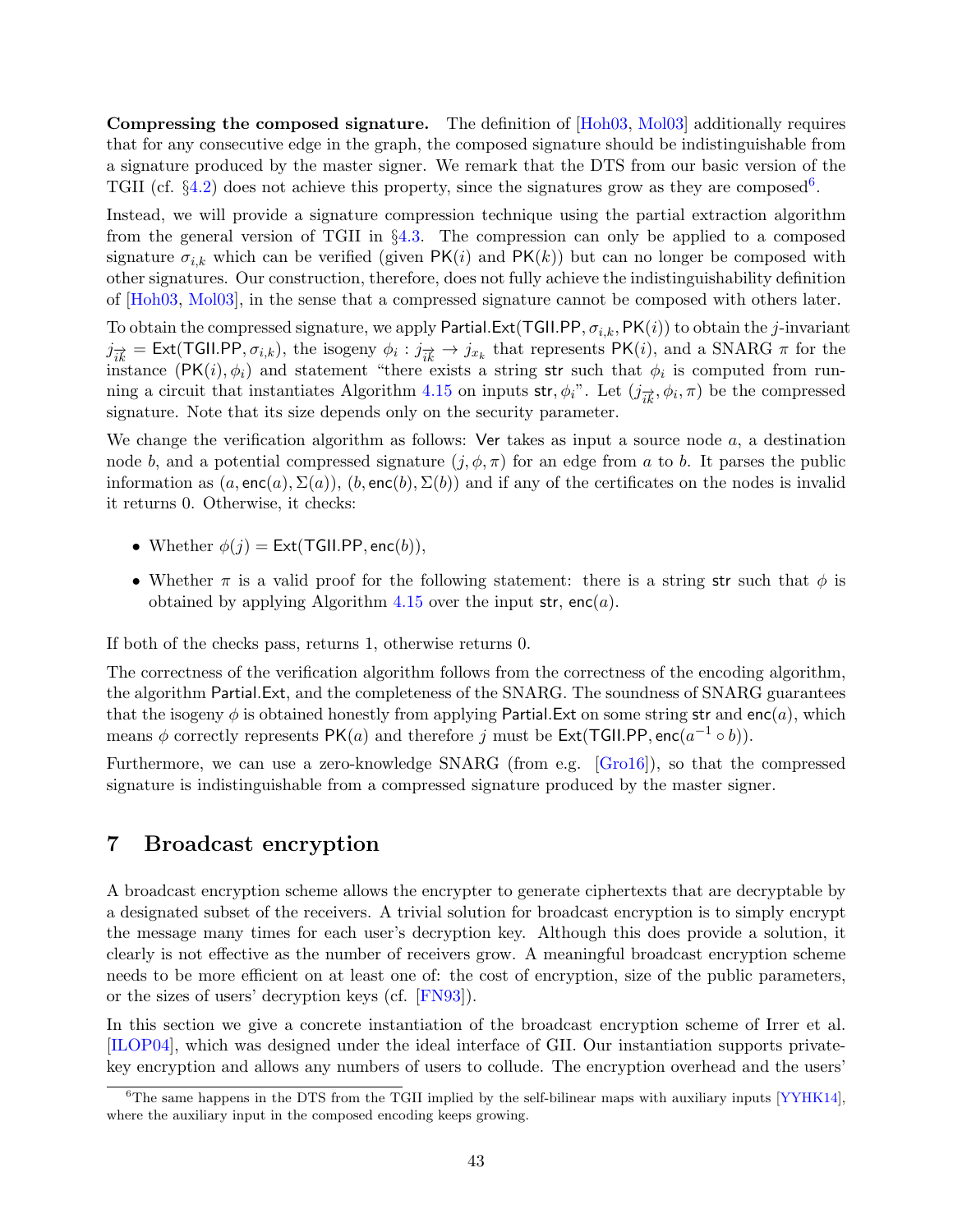Compressing the composed signature. The definition of [\[Hoh03,](#page-51-3) [Mol03\]](#page-52-0) additionally requires that for any consecutive edge in the graph, the composed signature should be indistinguishable from a signature produced by the master signer. We remark that the DTS from our basic version of the TGII (cf.  $\S 4.2$ ) does not achieve this property, since the signatures grow as they are composed<sup>[6](#page-44-1)</sup>.

Instead, we will provide a signature compression technique using the partial extraction algorithm from the general version of TGII in §[4.3.](#page-24-0) The compression can only be applied to a composed signature  $\sigma_{i,k}$  which can be verified (given PK(i) and PK(k)) but can no longer be composed with other signatures. Our construction, therefore, does not fully achieve the indistinguishability definition of [\[Hoh03,](#page-51-3) [Mol03\]](#page-52-0), in the sense that a compressed signature cannot be composed with others later.

To obtain the compressed signature, we apply Partial.Ext(TGII.PP,  $\sigma_{i,k}$ , PK(i)) to obtain the j-invariant  $j_{ik}^{\rightarrow} = \text{Ext}(\text{TGILPP}, \sigma_{i,k}),$  the isogeny  $\phi_i : j_{ik}^{\rightarrow} \rightarrow j_{x_k}$  that represents PK(*i*), and a SNARG  $\pi$  for the instance  $(PK(i), \phi_i)$  and statement "there exists a string str such that  $\phi_i$  is computed from run-ning a circuit that instantiates Algorithm [4.15](#page-26-0) on inputs str,  $\phi_i$ ". Let  $(j_{ik}^{\rightarrow}, \phi_i, \pi)$  be the compressed signature. Note that its size depends only on the security parameter.

We change the verification algorithm as follows: Ver takes as input a source node a, a destination node b, and a potential compressed signature  $(j, \phi, \pi)$  for an edge from a to b. It parses the public information as  $(a, \text{enc}(a), \Sigma(a))$ ,  $(b, \text{enc}(b), \Sigma(b))$  and if any of the certificates on the nodes is invalid it returns 0. Otherwise, it checks:

- Whether  $\phi(j) = \text{Ext}(\text{TGILPP}, \text{enc}(b)),$
- Whether  $\pi$  is a valid proof for the following statement: there is a string str such that  $\phi$  is obtained by applying Algorithm [4.15](#page-26-0) over the input str, enc(*a*).

If both of the checks pass, returns 1, otherwise returns 0.

The correctness of the verification algorithm follows from the correctness of the encoding algorithm, the algorithm Partial.Ext, and the completeness of the SNARG. The soundness of SNARG guarantees that the isogeny  $\phi$  is obtained honestly from applying Partial.Ext on some string str and enc(a), which means  $\phi$  correctly represents PK(a) and therefore j must be Ext(TGII.PP, enc( $a^{-1} \circ b$ )).

Furthermore, we can use a zero-knowledge SNARG (from e.g. [\[Gro16\]](#page-50-14)), so that the compressed signature is indistinguishable from a compressed signature produced by the master signer.

## <span id="page-44-0"></span>7 Broadcast encryption

A broadcast encryption scheme allows the encrypter to generate ciphertexts that are decryptable by a designated subset of the receivers. A trivial solution for broadcast encryption is to simply encrypt the message many times for each user's decryption key. Although this does provide a solution, it clearly is not effective as the number of receivers grow. A meaningful broadcast encryption scheme needs to be more efficient on at least one of: the cost of encryption, size of the public parameters, or the sizes of users' decryption keys (cf. [\[FN93\]](#page-50-15)).

In this section we give a concrete instantiation of the broadcast encryption scheme of Irrer et al. [\[ILOP04\]](#page-51-4), which was designed under the ideal interface of GII. Our instantiation supports privatekey encryption and allows any numbers of users to collude. The encryption overhead and the users'

<span id="page-44-1"></span> $6$ The same happens in the DTS from the TGII implied by the self-bilinear maps with auxiliary inputs [\[YYHK14\]](#page-53-0), where the auxiliary input in the composed encoding keeps growing.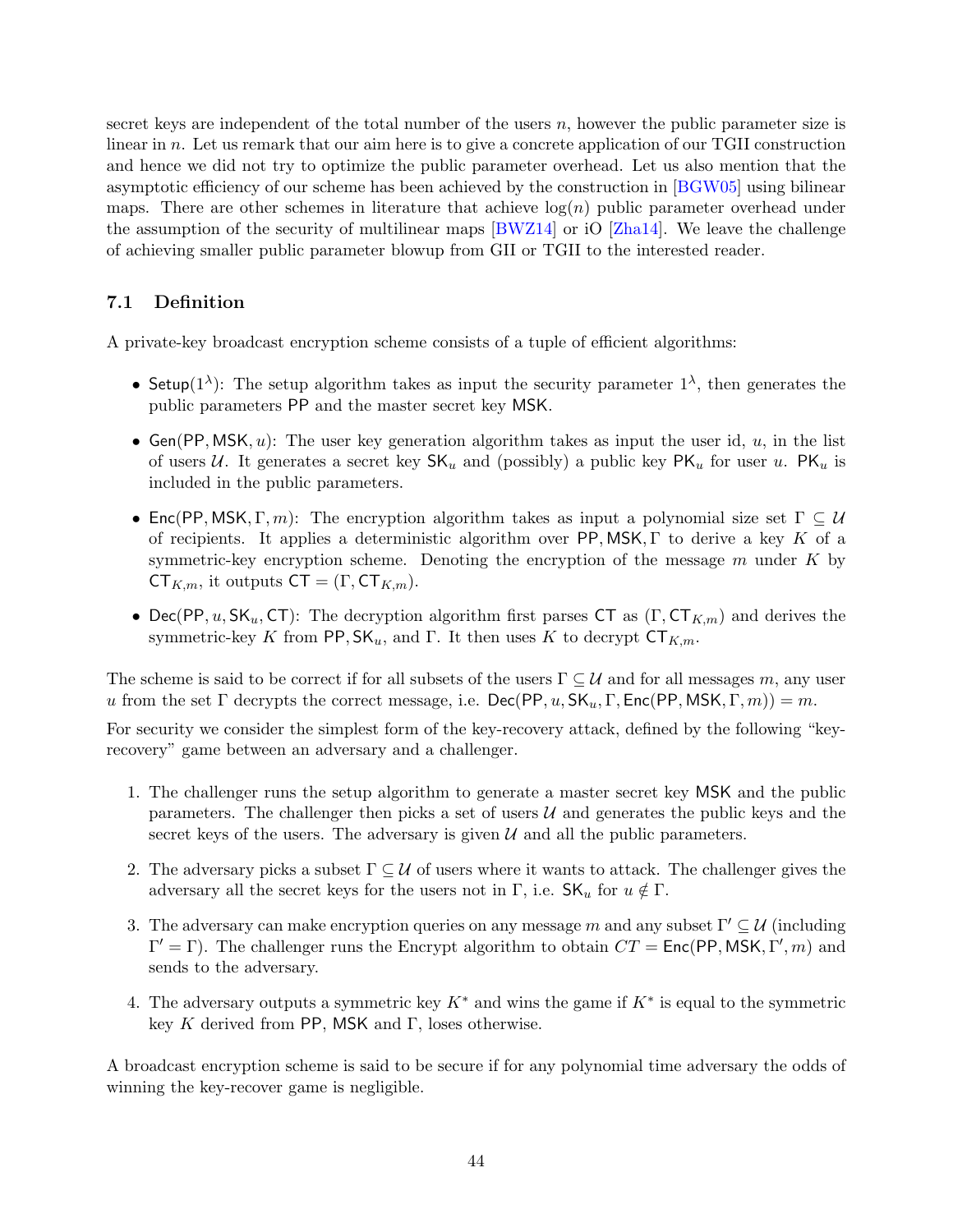secret keys are independent of the total number of the users  $n$ , however the public parameter size is linear in n. Let us remark that our aim here is to give a concrete application of our TGII construction and hence we did not try to optimize the public parameter overhead. Let us also mention that the asymptotic efficiency of our scheme has been achieved by the construction in [\[BGW05\]](#page-48-3) using bilinear maps. There are other schemes in literature that achieve  $log(n)$  public parameter overhead under the assumption of the security of multilinear maps [\[BWZ14\]](#page-49-15) or iO [\[Zha14\]](#page-53-8). We leave the challenge of achieving smaller public parameter blowup from GII or TGII to the interested reader.

## <span id="page-45-0"></span>7.1 Definition

A private-key broadcast encryption scheme consists of a tuple of efficient algorithms:

- Setup( $1^{\lambda}$ ): The setup algorithm takes as input the security parameter  $1^{\lambda}$ , then generates the public parameters PP and the master secret key MSK.
- Gen(PP, MSK,  $u$ ): The user key generation algorithm takes as input the user id,  $u$ , in the list of users U. It generates a secret key  $\mathsf{SK}_u$  and (possibly) a public key  $\mathsf{PK}_u$  for user u.  $\mathsf{PK}_u$  is included in the public parameters.
- Enc(PP, MSK, Γ, m): The encryption algorithm takes as input a polynomial size set  $\Gamma \subseteq \mathcal{U}$ of recipients. It applies a deterministic algorithm over PP, MSK,  $\Gamma$  to derive a key K of a symmetric-key encryption scheme. Denoting the encryption of the message  $m$  under  $K$  by  $CT_{K,m}$ , it outputs  $CT = (\Gamma, CT_{K,m}).$
- Dec(PP, u, SK<sub>u</sub>, CT): The decryption algorithm first parses CT as  $(\Gamma, \mathsf{CT}_{K,m})$  and derives the symmetric-key K from PP,  $SK_u$ , and Γ. It then uses K to decrypt  $CT_{K,m}$ .

The scheme is said to be correct if for all subsets of the users  $\Gamma \subseteq \mathcal{U}$  and for all messages m, any user u from the set  $\Gamma$  decrypts the correct message, i.e.  $\text{Dec}(PP, u, \text{SK}_u, \Gamma, \text{Enc}(PP, \text{MSK}, \Gamma, m)) = m$ .

For security we consider the simplest form of the key-recovery attack, defined by the following "keyrecovery" game between an adversary and a challenger.

- 1. The challenger runs the setup algorithm to generate a master secret key MSK and the public parameters. The challenger then picks a set of users  $U$  and generates the public keys and the secret keys of the users. The adversary is given  $U$  and all the public parameters.
- 2. The adversary picks a subset  $\Gamma \subseteq U$  of users where it wants to attack. The challenger gives the adversary all the secret keys for the users not in Γ, i.e.  $\mathsf{SK}_u$  for  $u \notin \Gamma$ .
- 3. The adversary can make encryption queries on any message m and any subset  $\Gamma' \subset \mathcal{U}$  (including  $\Gamma' = \Gamma$ ). The challenger runs the Encrypt algorithm to obtain  $CT = \text{Enc}(\text{PP}, \text{MSK}, \Gamma', m)$  and sends to the adversary.
- 4. The adversary outputs a symmetric key  $K^*$  and wins the game if  $K^*$  is equal to the symmetric key K derived from PP, MSK and Γ, loses otherwise.

A broadcast encryption scheme is said to be secure if for any polynomial time adversary the odds of winning the key-recover game is negligible.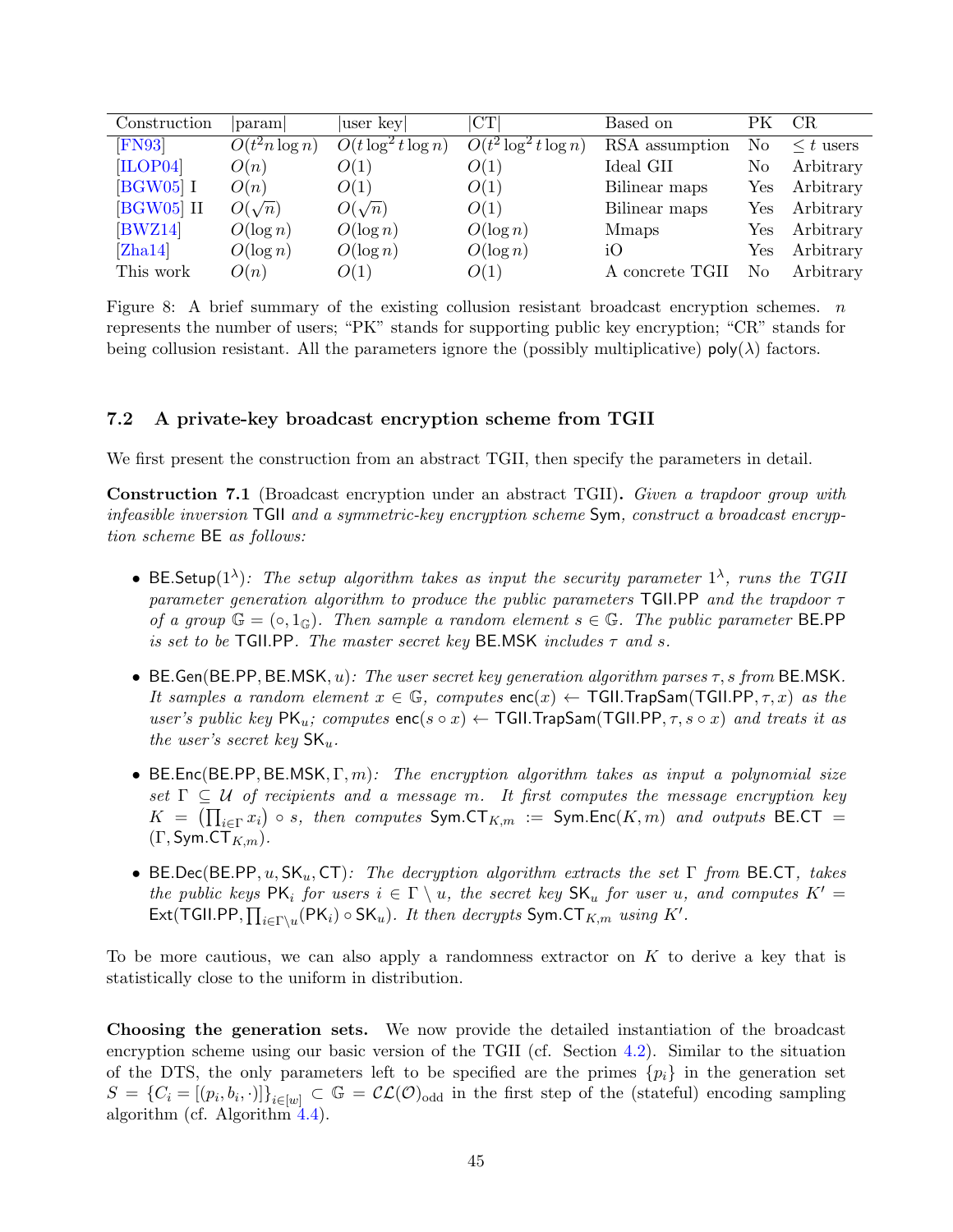| Construction      | param                        | user key               | CT                       | Based on        | PК                   | CR             |
|-------------------|------------------------------|------------------------|--------------------------|-----------------|----------------------|----------------|
| $\textsf{[FN93]}$ | $\overline{O}(t^2 n \log n)$ | $O(t \log^2 t \log n)$ | $O(t^2 \log^2 t \log n)$ | RSA assumption  | No                   | $\leq t$ users |
| [ILOP04]          | O(n)                         | O(1)                   | O(1)                     | Ideal GII       | No                   | Arbitrary      |
| $[BGW05]$ I       | O(n)                         | O(1)                   | O(1)                     | Bilinear maps   | ${\rm Yes}$          | Arbitrary      |
| $[BGW05]$ II      | $O(\sqrt{n})$                | $O(\sqrt{n})$          | O(1)                     | Bilinear maps   | Yes                  | Arbitrary      |
| BWZ14]            | $O(\log n)$                  | $O(\log n)$            | $O(\log n)$              | <b>M</b> maps   | $\operatorname{Yes}$ | Arbitrary      |
| [Zha14]           | $O(\log n)$                  | $O(\log n)$            | $O(\log n)$              | iO              | Yes                  | Arbitrary      |
| This work         | O(n)                         | O(1)                   | O(1)                     | A concrete TGII | No                   | Arbitrary      |

Figure 8: A brief summary of the existing collusion resistant broadcast encryption schemes.  $n$ represents the number of users; "PK" stands for supporting public key encryption; "CR" stands for being collusion resistant. All the parameters ignore the (possibly multiplicative)  $\text{poly}(\lambda)$  factors.

#### <span id="page-46-0"></span>7.2 A private-key broadcast encryption scheme from TGII

We first present the construction from an abstract TGII, then specify the parameters in detail.

Construction 7.1 (Broadcast encryption under an abstract TGII). Given a trapdoor group with infeasible inversion TGII and a symmetric-key encryption scheme Sym, construct a broadcast encryption scheme BE as follows:

- BE. Setup(1<sup> $\lambda$ </sup>): The setup algorithm takes as input the security parameter 1<sup> $\lambda$ </sup>, runs the TGII parameter generation algorithm to produce the public parameters TGII.PP and the trapdoor  $\tau$ of a group  $\mathbb{G} = (\circ, 1_{\mathbb{G}})$ . Then sample a random element  $s \in \mathbb{G}$ . The public parameter BE.PP is set to be TGII.PP. The master secret key BE.MSK includes  $\tau$  and s.
- BE.Gen(BE.PP, BE.MSK, u): The user secret key generation algorithm parses  $\tau$ , s from BE.MSK. It samples a random element  $x \in \mathbb{G}$ , computes  $\mathsf{enc}(x) \leftarrow \mathsf{TGIL}$ TrapSam(TGII.PP,  $\tau$ , x) as the user's public key  $PK_u$ ; computes  $enc(s \circ x) \leftarrow \text{TGLI}$ . TrapSam(TGII.PP,  $\tau$ ,  $s \circ x$ ) and treats it as the user's secret key  $\mathsf{SK}_u$ .
- BE.Enc(BE.PP, BE.MSK,  $\Gamma, m$ ): The encryption algorithm takes as input a polynomial size set  $\Gamma \subseteq U$  of recipients and a message m. It first computes the message encryption key  $K \;=\; \left(\prod_{i\in \Gamma} x_i\right) \circ s, \; \textit{then computes } \; \textsf{Sym}.\textsf{CT}_{K,m} \;:=\; \textsf{Sym}.\textsf{Enc}(K,m) \;\; \textit{and outputs } \; \textsf{BE}.\textsf{CT} \;=$  $(\Gamma, \mathsf{Sym}.\mathsf{CT}_{K,m}).$
- BE.Dec(BE.PP, u,  $SK_u$ , CT): The decryption algorithm extracts the set  $\Gamma$  from BE.CT, takes the public keys  $PK_i$  for users  $i \in \Gamma \setminus u$ , the secret key  $SK_u$  for user u, and computes  $K' =$ Ext(TGII.PP,  $\prod_{i \in \Gamma \setminus u} (\mathsf{PK}_i) \circ \mathsf{SK}_u$ ). It then decrypts  $\mathsf{Sym}.\mathsf{CT}_{K,m}$  using  $K'.$

To be more cautious, we can also apply a randomness extractor on  $K$  to derive a key that is statistically close to the uniform in distribution.

Choosing the generation sets. We now provide the detailed instantiation of the broadcast encryption scheme using our basic version of the TGII (cf. Section [4.2\)](#page-19-0). Similar to the situation of the DTS, the only parameters left to be specified are the primes  $\{p_i\}$  in the generation set  $S = \{C_i = [(p_i, b_i, \cdot)]\}_{i \in [w]} \subset \mathbb{G} = \mathcal{CL}(\mathcal{O})_{odd}$  in the first step of the (stateful) encoding sampling algorithm (cf. Algorithm [4.4\)](#page-21-1).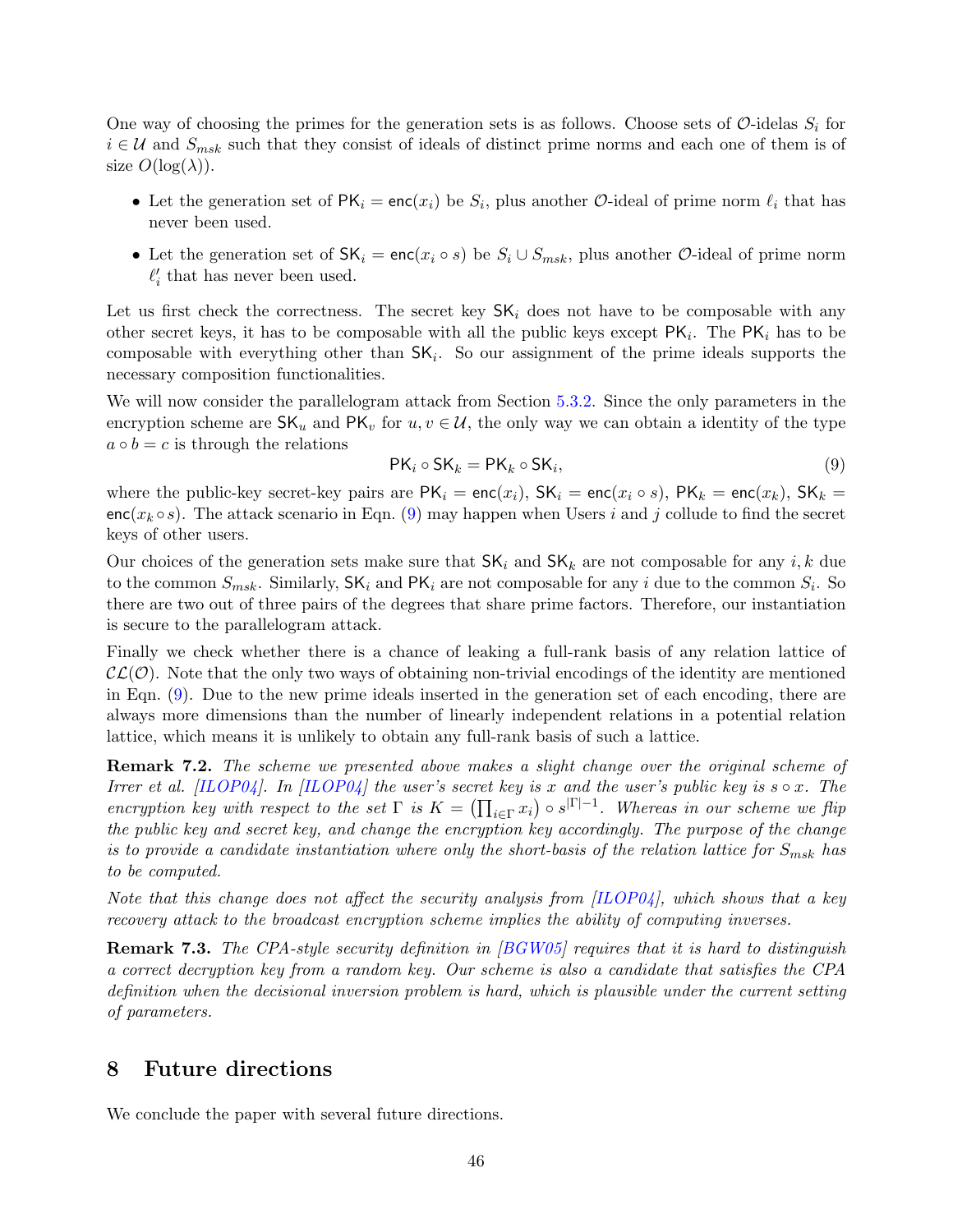One way of choosing the primes for the generation sets is as follows. Choose sets of  $\mathcal{O}\text{-}$ idelas  $S_i$  for  $i \in \mathcal{U}$  and  $S_{msk}$  such that they consist of ideals of distinct prime norms and each one of them is of size  $O(log(\lambda))$ .

- Let the generation set of  $PK_i = enc(x_i)$  be  $S_i$ , plus another *O*-ideal of prime norm  $\ell_i$  that has never been used.
- Let the generation set of  $SK_i = enc(x_i \circ s)$  be  $S_i \cup S_{msk}$ , plus another  $\mathcal{O}$ -ideal of prime norm  $\ell'_i$  that has never been used.

Let us first check the correctness. The secret key  $SK_i$  does not have to be composable with any other secret keys, it has to be composable with all the public keys except  $\mathsf{PK}_i$ . The  $\mathsf{PK}_i$  has to be composable with everything other than  $SK_i$ . So our assignment of the prime ideals supports the necessary composition functionalities.

We will now consider the parallelogram attack from Section [5.3.2.](#page-34-1) Since the only parameters in the encryption scheme are  $\mathsf{SK}_u$  and  $\mathsf{PK}_v$  for  $u, v \in \mathcal{U}$ , the only way we can obtain a identity of the type  $a \circ b = c$  is through the relations

<span id="page-47-1"></span>
$$
PK_i \circ SK_k = PK_k \circ SK_i,
$$
\n(9)

where the public-key secret-key pairs are  $PK_i = enc(x_i)$ ,  $SK_i = enc(x_i \circ s)$ ,  $PK_k = enc(x_k)$ ,  $SK_k =$ enc( $x_k \circ s$ ). The attack scenario in Eqn. [\(9\)](#page-47-1) may happen when Users i and j collude to find the secret keys of other users.

Our choices of the generation sets make sure that  $SK_i$  and  $SK_k$  are not composable for any i, k due to the common  $S_{msk}$ . Similarly,  $\mathsf{SK}_i$  and  $\mathsf{PK}_i$  are not composable for any i due to the common  $S_i$ . So there are two out of three pairs of the degrees that share prime factors. Therefore, our instantiation is secure to the parallelogram attack.

Finally we check whether there is a chance of leaking a full-rank basis of any relation lattice of  $\mathcal{CL}(\mathcal{O})$ . Note that the only two ways of obtaining non-trivial encodings of the identity are mentioned in Eqn. [\(9\)](#page-47-1). Due to the new prime ideals inserted in the generation set of each encoding, there are always more dimensions than the number of linearly independent relations in a potential relation lattice, which means it is unlikely to obtain any full-rank basis of such a lattice.

**Remark 7.2.** The scheme we presented above makes a slight change over the original scheme of Irrer et al. [\[ILOP04\]](#page-51-4). In [ILOP04] the user's secret key is x and the user's public key is  $s \circ x$ . The encryption key with respect to the set  $\Gamma$  is  $K = (\prod_{i \in \Gamma} x_i) \circ s^{|\Gamma|-1}$ . Whereas in our scheme we flip the public key and secret key, and change the encryption key accordingly. The purpose of the change is to provide a candidate instantiation where only the short-basis of the relation lattice for  $S_{msk}$  has to be computed.

Note that this change does not affect the security analysis from  $[IDOP04]$ , which shows that a key recovery attack to the broadcast encryption scheme implies the ability of computing inverses.

Remark 7.3. The CPA-style security definition in [\[BGW05\]](#page-48-3) requires that it is hard to distinguish a correct decryption key from a random key. Our scheme is also a candidate that satisfies the CPA definition when the decisional inversion problem is hard, which is plausible under the current setting of parameters.

## <span id="page-47-0"></span>8 Future directions

We conclude the paper with several future directions.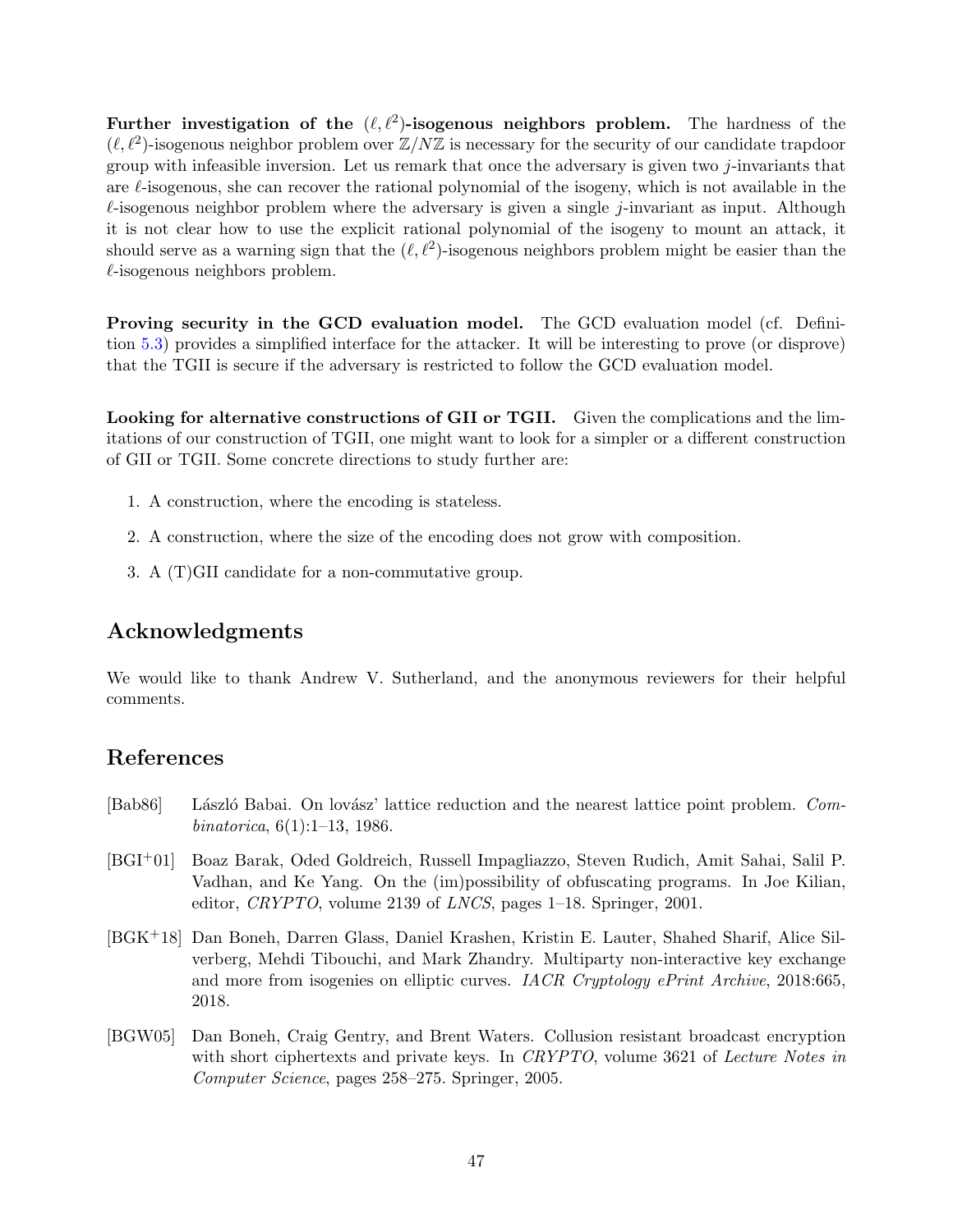Further investigation of the  $(\ell, \ell^2)$ -isogenous neighbors problem. The hardness of the  $(\ell, \ell^2)$ -isogenous neighbor problem over  $\mathbb{Z}/N\mathbb{Z}$  is necessary for the security of our candidate trapdoor group with infeasible inversion. Let us remark that once the adversary is given two j-invariants that are  $\ell$ -isogenous, she can recover the rational polynomial of the isogeny, which is not available in the  $\ell$ -isogenous neighbor problem where the adversary is given a single j-invariant as input. Although it is not clear how to use the explicit rational polynomial of the isogeny to mount an attack, it should serve as a warning sign that the  $(\ell, \ell^2)$ -isogenous neighbors problem might be easier than the  $\ell$ -isogenous neighbors problem.

Proving security in the GCD evaluation model. The GCD evaluation model (cf. Definition [5.3\)](#page-34-2) provides a simplified interface for the attacker. It will be interesting to prove (or disprove) that the TGII is secure if the adversary is restricted to follow the GCD evaluation model.

Looking for alternative constructions of GII or TGII. Given the complications and the limitations of our construction of TGII, one might want to look for a simpler or a different construction of GII or TGII. Some concrete directions to study further are:

- 1. A construction, where the encoding is stateless.
- 2. A construction, where the size of the encoding does not grow with composition.
- 3. A (T)GII candidate for a non-commutative group.

## Acknowledgments

We would like to thank Andrew V. Sutherland, and the anonymous reviewers for their helpful comments.

## References

- <span id="page-48-2"></span>[Bab86] László Babai. On lovász' lattice reduction and the nearest lattice point problem. Combinatorica, 6(1):1–13, 1986.
- <span id="page-48-0"></span>[BGI+01] Boaz Barak, Oded Goldreich, Russell Impagliazzo, Steven Rudich, Amit Sahai, Salil P. Vadhan, and Ke Yang. On the (im)possibility of obfuscating programs. In Joe Kilian, editor, CRYPTO, volume 2139 of LNCS, pages 1–18. Springer, 2001.
- <span id="page-48-1"></span>[BGK+18] Dan Boneh, Darren Glass, Daniel Krashen, Kristin E. Lauter, Shahed Sharif, Alice Silverberg, Mehdi Tibouchi, and Mark Zhandry. Multiparty non-interactive key exchange and more from isogenies on elliptic curves. IACR Cryptology ePrint Archive, 2018:665, 2018.
- <span id="page-48-3"></span>[BGW05] Dan Boneh, Craig Gentry, and Brent Waters. Collusion resistant broadcast encryption with short ciphertexts and private keys. In CRYPTO, volume 3621 of Lecture Notes in Computer Science, pages 258–275. Springer, 2005.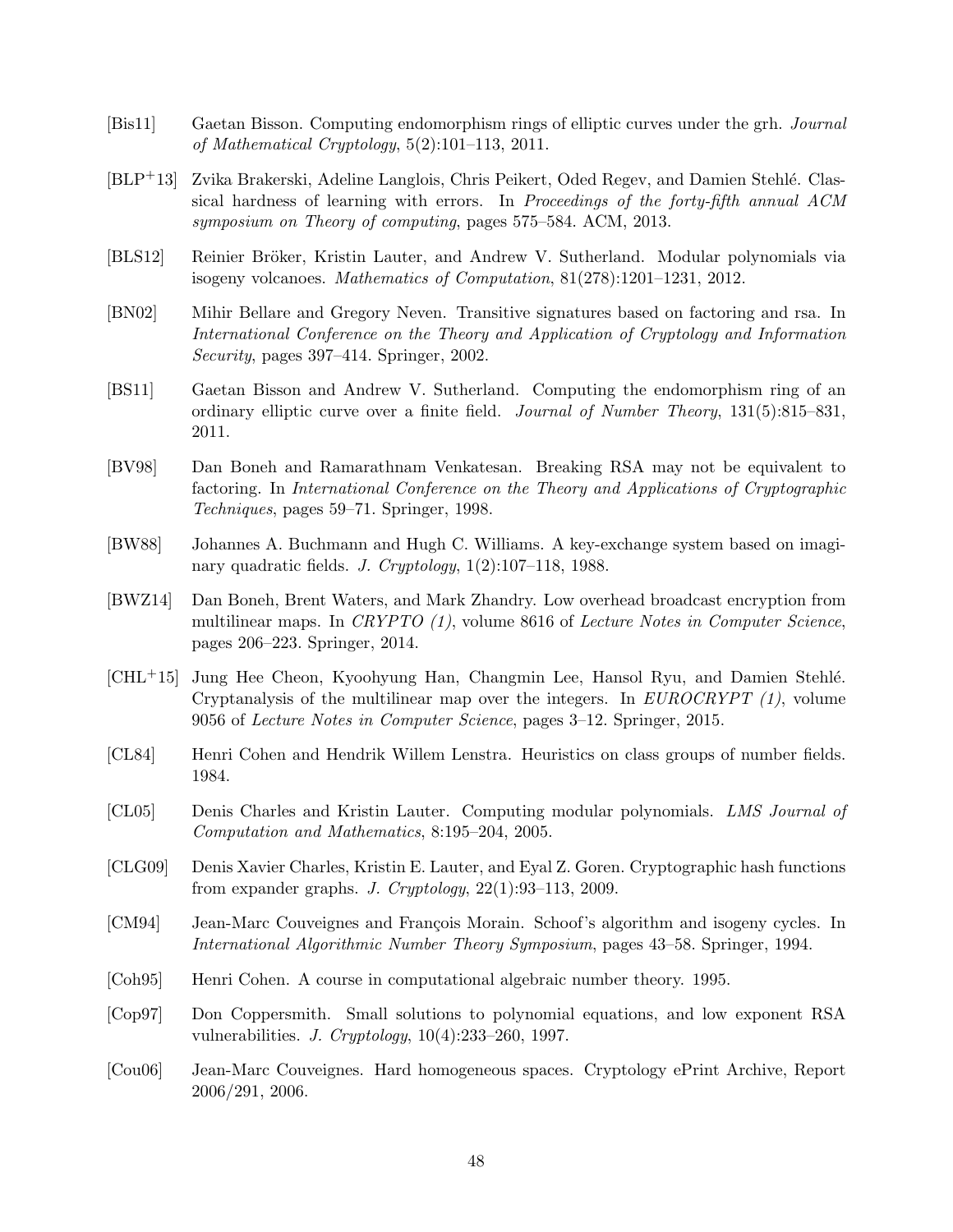- <span id="page-49-9"></span>[Bis11] Gaetan Bisson. Computing endomorphism rings of elliptic curves under the grh. Journal of Mathematical Cryptology, 5(2):101–113, 2011.
- <span id="page-49-13"></span>[BLP+13] Zvika Brakerski, Adeline Langlois, Chris Peikert, Oded Regev, and Damien Stehlé. Classical hardness of learning with errors. In Proceedings of the forty-fifth annual ACM symposium on Theory of computing, pages 575–584. ACM, 2013.
- <span id="page-49-7"></span>[BLS12] Reinier Bröker, Kristin Lauter, and Andrew V. Sutherland. Modular polynomials via isogeny volcanoes. Mathematics of Computation, 81(278):1201–1231, 2012.
- <span id="page-49-14"></span>[BN02] Mihir Bellare and Gregory Neven. Transitive signatures based on factoring and rsa. In International Conference on the Theory and Application of Cryptology and Information Security, pages 397–414. Springer, 2002.
- <span id="page-49-8"></span>[BS11] Gaetan Bisson and Andrew V. Sutherland. Computing the endomorphism ring of an ordinary elliptic curve over a finite field. Journal of Number Theory, 131(5):815–831, 2011.
- <span id="page-49-12"></span>[BV98] Dan Boneh and Ramarathnam Venkatesan. Breaking RSA may not be equivalent to factoring. In International Conference on the Theory and Applications of Cryptographic Techniques, pages 59–71. Springer, 1998.
- <span id="page-49-0"></span>[BW88] Johannes A. Buchmann and Hugh C. Williams. A key-exchange system based on imaginary quadratic fields. J. Cryptology, 1(2):107–118, 1988.
- <span id="page-49-15"></span>[BWZ14] Dan Boneh, Brent Waters, and Mark Zhandry. Low overhead broadcast encryption from multilinear maps. In CRYPTO  $(1)$ , volume 8616 of Lecture Notes in Computer Science, pages 206–223. Springer, 2014.
- <span id="page-49-4"></span>[CHL+15] Jung Hee Cheon, Kyoohyung Han, Changmin Lee, Hansol Ryu, and Damien Stehl´e. Cryptanalysis of the multilinear map over the integers. In  $EUROCRYPT(1)$ , volume 9056 of Lecture Notes in Computer Science, pages 3–12. Springer, 2015.
- <span id="page-49-10"></span>[CL84] Henri Cohen and Hendrik Willem Lenstra. Heuristics on class groups of number fields. 1984.
- <span id="page-49-6"></span>[CL05] Denis Charles and Kristin Lauter. Computing modular polynomials. LMS Journal of Computation and Mathematics, 8:195–204, 2005.
- <span id="page-49-3"></span>[CLG09] Denis Xavier Charles, Kristin E. Lauter, and Eyal Z. Goren. Cryptographic hash functions from expander graphs. J. Cryptology, 22(1):93–113, 2009.
- <span id="page-49-1"></span>[CM94] Jean-Marc Couveignes and François Morain. Schoof's algorithm and isogeny cycles. In International Algorithmic Number Theory Symposium, pages 43–58. Springer, 1994.
- <span id="page-49-5"></span>[Coh95] Henri Cohen. A course in computational algebraic number theory. 1995.
- <span id="page-49-11"></span>[Cop97] Don Coppersmith. Small solutions to polynomial equations, and low exponent RSA vulnerabilities. J. Cryptology, 10(4):233–260, 1997.
- <span id="page-49-2"></span>[Cou06] Jean-Marc Couveignes. Hard homogeneous spaces. Cryptology ePrint Archive, Report 2006/291, 2006.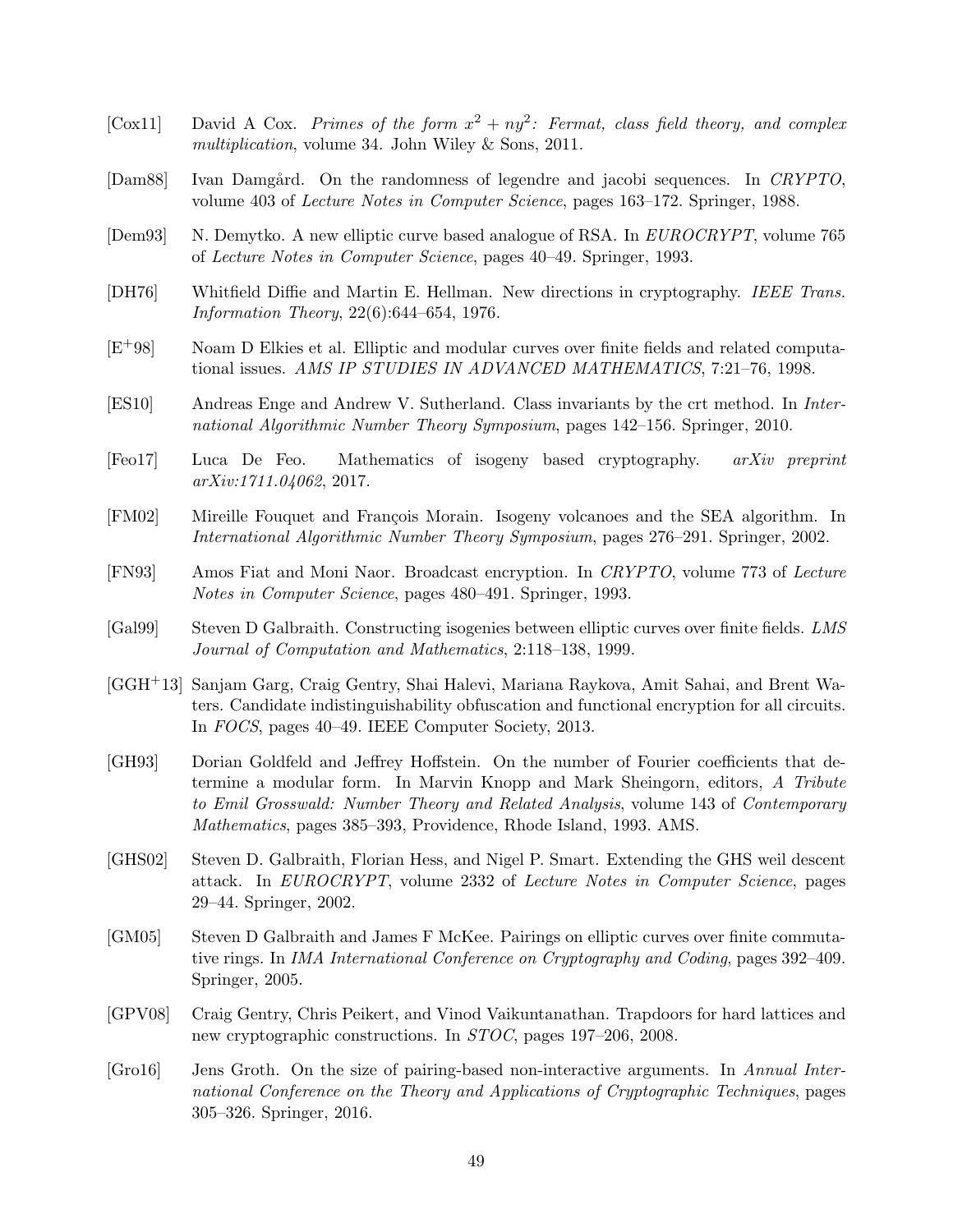- <span id="page-50-7"></span>[Cox11] David A Cox. Primes of the form  $x^2 + ny^2$ : Fermat, class field theory, and complex multiplication, volume 34. John Wiley & Sons, 2011.
- <span id="page-50-13"></span>[Dam88] Ivan Damgård. On the randomness of legendre and jacobi sequences. In CRYPTO, volume 403 of Lecture Notes in Computer Science, pages 163–172. Springer, 1988.
- <span id="page-50-10"></span>[Dem93] N. Demytko. A new elliptic curve based analogue of RSA. In EUROCRYPT, volume 765 of Lecture Notes in Computer Science, pages 40–49. Springer, 1993.
- <span id="page-50-0"></span>[DH76] Whitfield Diffie and Martin E. Hellman. New directions in cryptography. IEEE Trans. Information Theory, 22(6):644–654, 1976.
- <span id="page-50-2"></span>[E+98] Noam D Elkies et al. Elliptic and modular curves over finite fields and related computational issues. AMS IP STUDIES IN ADVANCED MATHEMATICS, 7:21–76, 1998.
- <span id="page-50-8"></span>[ES10] Andreas Enge and Andrew V. Sutherland. Class invariants by the crt method. In International Algorithmic Number Theory Symposium, pages 142–156. Springer, 2010.
- <span id="page-50-6"></span>[Feo17] Luca De Feo. Mathematics of isogeny based cryptography. arXiv preprint arXiv:1711.04062, 2017.
- <span id="page-50-5"></span>[FM02] Mireille Fouquet and François Morain. Isogeny volcanoes and the SEA algorithm. In International Algorithmic Number Theory Symposium, pages 276–291. Springer, 2002.
- <span id="page-50-15"></span>[FN93] Amos Fiat and Moni Naor. Broadcast encryption. In CRYPTO, volume 773 of Lecture Notes in Computer Science, pages 480–491. Springer, 1993.
- <span id="page-50-3"></span>[Gal99] Steven D Galbraith. Constructing isogenies between elliptic curves over finite fields. LMS Journal of Computation and Mathematics, 2:118–138, 1999.
- <span id="page-50-1"></span>[GGH+13] Sanjam Garg, Craig Gentry, Shai Halevi, Mariana Raykova, Amit Sahai, and Brent Waters. Candidate indistinguishability obfuscation and functional encryption for all circuits. In FOCS, pages 40–49. IEEE Computer Society, 2013.
- <span id="page-50-12"></span>[GH93] Dorian Goldfeld and Jeffrey Hoffstein. On the number of Fourier coefficients that determine a modular form. In Marvin Knopp and Mark Sheingorn, editors, A Tribute to Emil Grosswald: Number Theory and Related Analysis, volume 143 of Contemporary Mathematics, pages 385–393, Providence, Rhode Island, 1993. AMS.
- <span id="page-50-4"></span>[GHS02] Steven D. Galbraith, Florian Hess, and Nigel P. Smart. Extending the GHS weil descent attack. In EUROCRYPT, volume 2332 of Lecture Notes in Computer Science, pages 29–44. Springer, 2002.
- <span id="page-50-11"></span>[GM05] Steven D Galbraith and James F McKee. Pairings on elliptic curves over finite commutative rings. In IMA International Conference on Cryptography and Coding, pages 392–409. Springer, 2005.
- <span id="page-50-9"></span>[GPV08] Craig Gentry, Chris Peikert, and Vinod Vaikuntanathan. Trapdoors for hard lattices and new cryptographic constructions. In STOC, pages 197–206, 2008.
- <span id="page-50-14"></span>[Gro16] Jens Groth. On the size of pairing-based non-interactive arguments. In Annual International Conference on the Theory and Applications of Cryptographic Techniques, pages 305–326. Springer, 2016.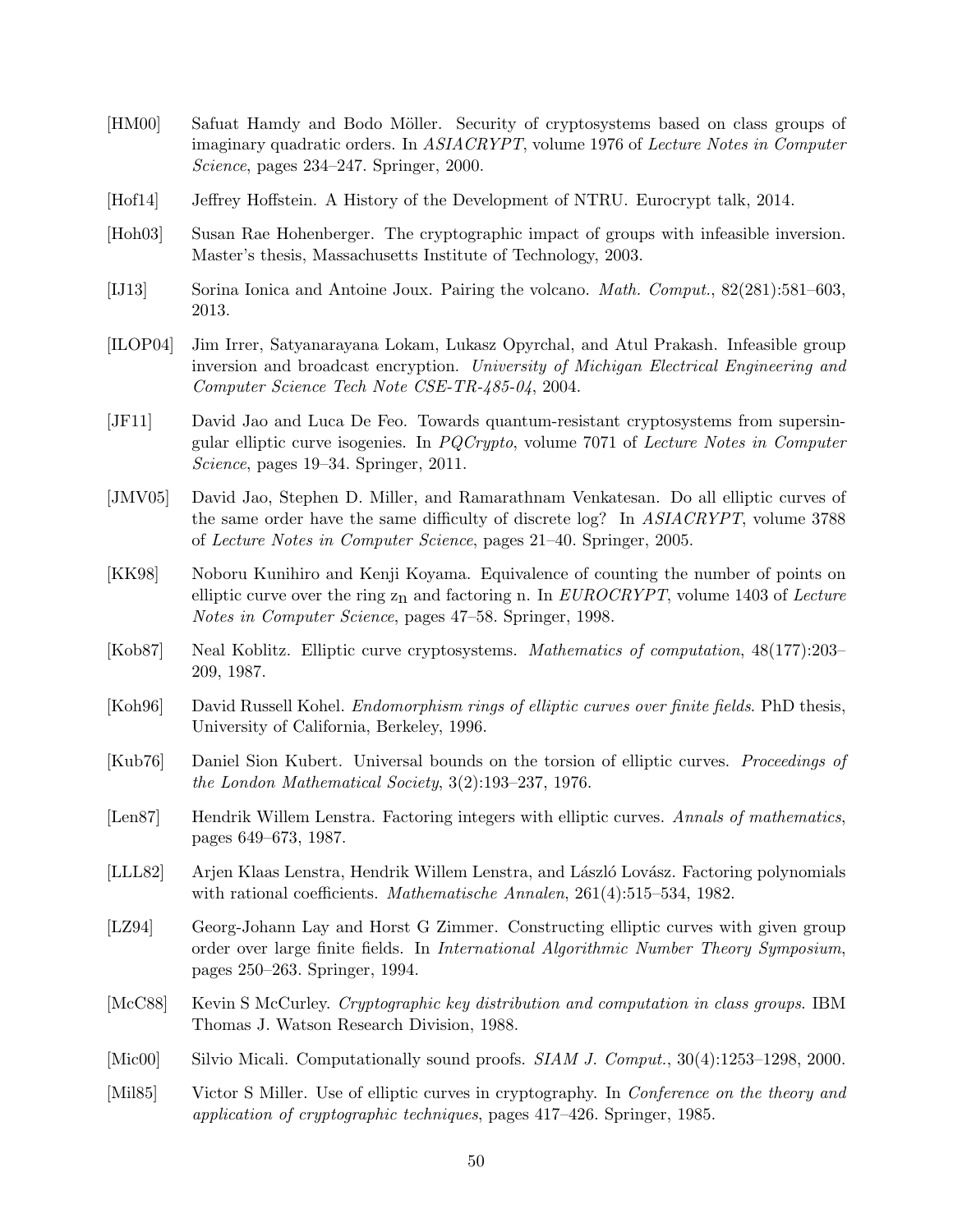- <span id="page-51-11"></span>[HM00] Safuat Hamdy and Bodo Möller. Security of cryptosystems based on class groups of imaginary quadratic orders. In ASIACRYPT, volume 1976 of Lecture Notes in Computer Science, pages 234–247. Springer, 2000.
- <span id="page-51-16"></span>[Hof14] Jeffrey Hoffstein. A History of the Development of NTRU. Eurocrypt talk, 2014.
- <span id="page-51-3"></span>[Hoh03] Susan Rae Hohenberger. The cryptographic impact of groups with infeasible inversion. Master's thesis, Massachusetts Institute of Technology, 2003.
- <span id="page-51-15"></span>[IJ13] Sorina Ionica and Antoine Joux. Pairing the volcano. Math. Comput., 82(281):581–603, 2013.
- <span id="page-51-4"></span>[ILOP04] Jim Irrer, Satyanarayana Lokam, Lukasz Opyrchal, and Atul Prakash. Infeasible group inversion and broadcast encryption. University of Michigan Electrical Engineering and Computer Science Tech Note CSE-TR-485-04, 2004.
- <span id="page-51-7"></span>[JF11] David Jao and Luca De Feo. Towards quantum-resistant cryptosystems from supersingular elliptic curve isogenies. In PQCrypto, volume 7071 of Lecture Notes in Computer Science, pages 19–34. Springer, 2011.
- <span id="page-51-5"></span>[JMV05] David Jao, Stephen D. Miller, and Ramarathnam Venkatesan. Do all elliptic curves of the same order have the same difficulty of discrete log? In ASIACRYPT, volume 3788 of Lecture Notes in Computer Science, pages 21–40. Springer, 2005.
- <span id="page-51-14"></span>[KK98] Noboru Kunihiro and Kenji Koyama. Equivalence of counting the number of points on elliptic curve over the ring  $z_n$  and factoring n. In EUROCRYPT, volume 1403 of Lecture Notes in Computer Science, pages 47–58. Springer, 1998.
- <span id="page-51-1"></span>[Kob87] Neal Koblitz. Elliptic curve cryptosystems. Mathematics of computation, 48(177):203– 209, 1987.
- <span id="page-51-6"></span>[Koh96] David Russell Kohel. *Endomorphism rings of elliptic curves over finite fields*. PhD thesis, University of California, Berkeley, 1996.
- <span id="page-51-13"></span>[Kub76] Daniel Sion Kubert. Universal bounds on the torsion of elliptic curves. Proceedings of the London Mathematical Society, 3(2):193–237, 1976.
- <span id="page-51-8"></span>[Len87] Hendrik Willem Lenstra. Factoring integers with elliptic curves. Annals of mathematics, pages 649–673, 1987.
- <span id="page-51-12"></span>[LLL82] Arjen Klaas Lenstra, Hendrik Willem Lenstra, and László Lovász. Factoring polynomials with rational coefficients. Mathematische Annalen, 261(4):515–534, 1982.
- <span id="page-51-9"></span>[LZ94] Georg-Johann Lay and Horst G Zimmer. Constructing elliptic curves with given group order over large finite fields. In International Algorithmic Number Theory Symposium, pages 250–263. Springer, 1994.
- <span id="page-51-2"></span>[McC88] Kevin S McCurley. Cryptographic key distribution and computation in class groups. IBM Thomas J. Watson Research Division, 1988.
- <span id="page-51-10"></span>[Mic00] Silvio Micali. Computationally sound proofs. *SIAM J. Comput.*, 30(4):1253–1298, 2000.
- <span id="page-51-0"></span>[Mil85] Victor S Miller. Use of elliptic curves in cryptography. In *Conference on the theory and* application of cryptographic techniques, pages 417–426. Springer, 1985.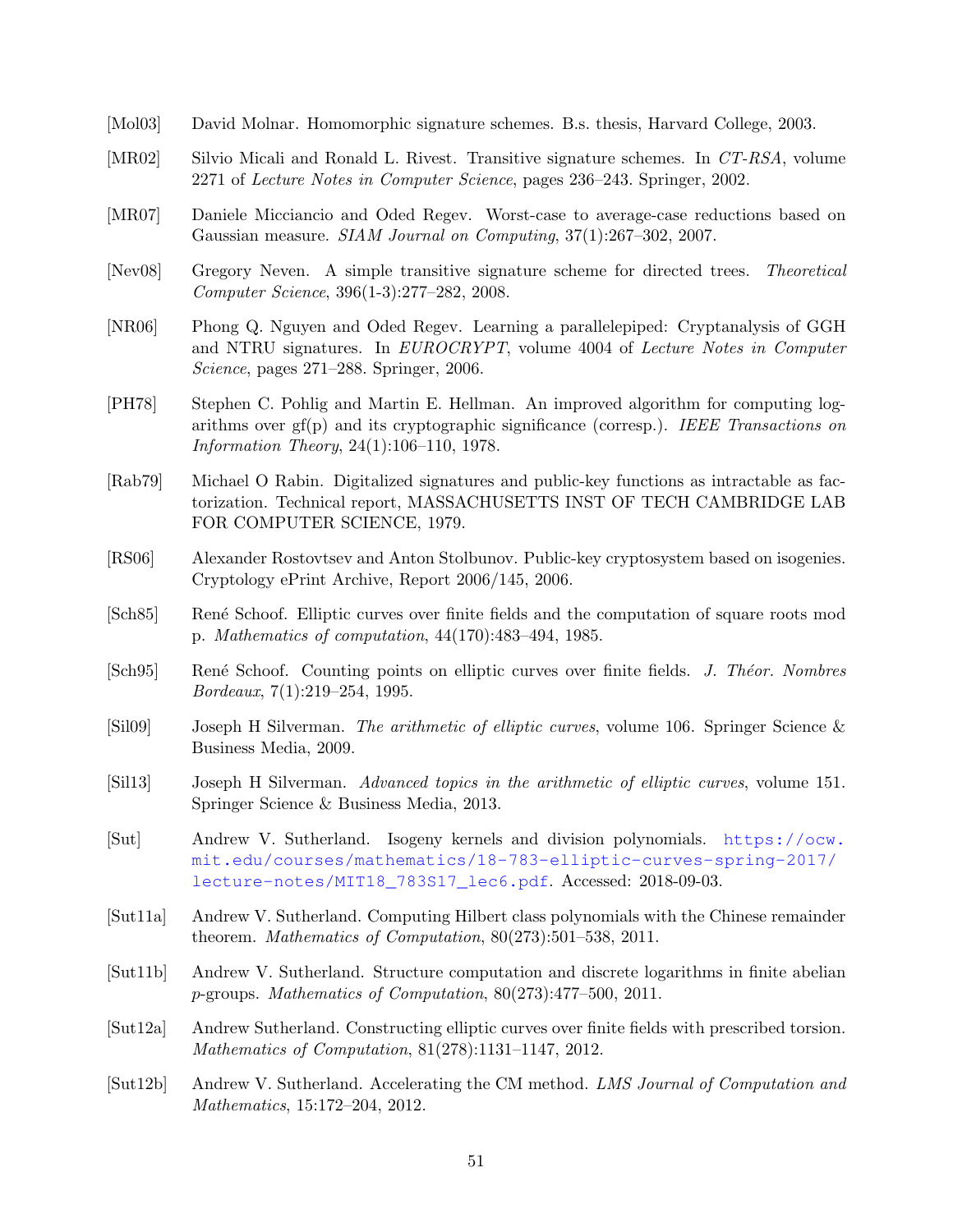- <span id="page-52-0"></span>[Mol03] David Molnar. Homomorphic signature schemes. B.s. thesis, Harvard College, 2003.
- <span id="page-52-15"></span>[MR02] Silvio Micali and Ronald L. Rivest. Transitive signature schemes. In CT-RSA, volume 2271 of Lecture Notes in Computer Science, pages 236–243. Springer, 2002.
- <span id="page-52-14"></span>[MR07] Daniele Micciancio and Oded Regev. Worst-case to average-case reductions based on Gaussian measure. SIAM Journal on Computing, 37(1):267–302, 2007.
- <span id="page-52-16"></span>[Nev08] Gregory Neven. A simple transitive signature scheme for directed trees. Theoretical Computer Science, 396(1-3):277–282, 2008.
- <span id="page-52-13"></span>[NR06] Phong Q. Nguyen and Oded Regev. Learning a parallelepiped: Cryptanalysis of GGH and NTRU signatures. In EUROCRYPT, volume 4004 of Lecture Notes in Computer Science, pages 271–288. Springer, 2006.
- <span id="page-52-4"></span>[PH78] Stephen C. Pohlig and Martin E. Hellman. An improved algorithm for computing logarithms over  $gf(p)$  and its cryptographic significance (corresp.). IEEE Transactions on Information Theory, 24(1):106–110, 1978.
- <span id="page-52-11"></span>[Rab79] Michael O Rabin. Digitalized signatures and public-key functions as intractable as factorization. Technical report, MASSACHUSETTS INST OF TECH CAMBRIDGE LAB FOR COMPUTER SCIENCE, 1979.
- <span id="page-52-3"></span>[RS06] Alexander Rostovtsev and Anton Stolbunov. Public-key cryptosystem based on isogenies. Cryptology ePrint Archive, Report 2006/145, 2006.
- <span id="page-52-1"></span>[Sch85] Ren´e Schoof. Elliptic curves over finite fields and the computation of square roots mod p. Mathematics of computation, 44(170):483–494, 1985.
- <span id="page-52-2"></span>[Sch95] René Schoof. Counting points on elliptic curves over finite fields. J. Théor. Nombres Bordeaux, 7(1):219–254, 1995.
- <span id="page-52-6"></span>[Sil09] Joseph H Silverman. The arithmetic of elliptic curves, volume 106. Springer Science & Business Media, 2009.
- <span id="page-52-7"></span>[Sil13] Joseph H Silverman. Advanced topics in the arithmetic of elliptic curves, volume 151. Springer Science & Business Media, 2013.
- <span id="page-52-10"></span>[Sut] Andrew V. Sutherland. Isogeny kernels and division polynomials. [https://ocw.](https://ocw.mit.edu/courses/mathematics/18-783-elliptic-curves-spring-2017/lecture-notes/MIT18_783S17_lec6.pdf) [mit.edu/courses/mathematics/18-783-elliptic-curves-spring-2017/](https://ocw.mit.edu/courses/mathematics/18-783-elliptic-curves-spring-2017/lecture-notes/MIT18_783S17_lec6.pdf) [lecture-notes/MIT18\\_783S17\\_lec6.pdf](https://ocw.mit.edu/courses/mathematics/18-783-elliptic-curves-spring-2017/lecture-notes/MIT18_783S17_lec6.pdf). Accessed: 2018-09-03.
- <span id="page-52-8"></span>[Sut11a] Andrew V. Sutherland. Computing Hilbert class polynomials with the Chinese remainder theorem. Mathematics of Computation, 80(273):501–538, 2011.
- <span id="page-52-5"></span>[Sut11b] Andrew V. Sutherland. Structure computation and discrete logarithms in finite abelian p-groups. Mathematics of Computation, 80(273):477–500, 2011.
- <span id="page-52-12"></span>[Sut12a] Andrew Sutherland. Constructing elliptic curves over finite fields with prescribed torsion. Mathematics of Computation, 81(278):1131–1147, 2012.
- <span id="page-52-9"></span>[Sut12b] Andrew V. Sutherland. Accelerating the CM method. LMS Journal of Computation and Mathematics, 15:172–204, 2012.